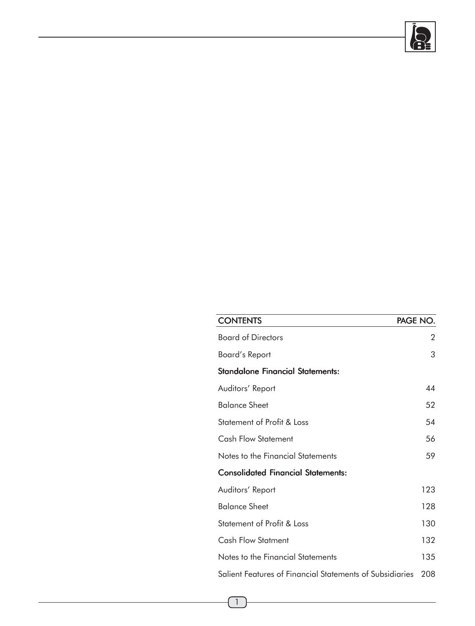

| <b>CONTENTS</b>                                          | PAGE NO. |
|----------------------------------------------------------|----------|
| <b>Board of Directors</b>                                | 2        |
| Board's Report                                           | 3        |
| <b>Standalone Financial Statements:</b>                  |          |
| Auditors' Report                                         | 44       |
| <b>Balance Sheet</b>                                     | 52       |
| Statement of Profit & Loss                               | 54       |
| <b>Cash Flow Statement</b>                               | 56       |
| Notes to the Financial Statements                        | 59       |
| <b>Consolidated Financial Statements:</b>                |          |
| Auditors' Report                                         | 123      |
| <b>Balance Sheet</b>                                     | 128      |
| Statement of Profit & Loss                               | 130      |
| <b>Cash Flow Statment</b>                                | 132      |
| Notes to the Financial Statements                        | 135      |
| Salient Features of Financial Statements of Subsidiaries | 208      |
|                                                          |          |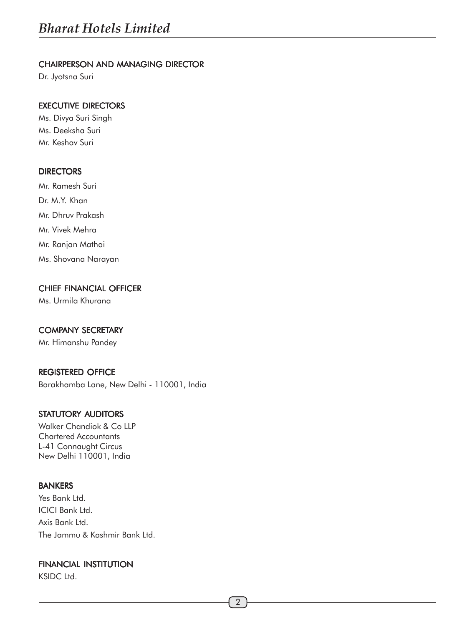# CHAIRPERSON AND MANAGING DIRECTOR

Dr. Jyotsna Suri

# EXECUTIVE DIRECTORS

Ms. Divya Suri Singh Ms. Deeksha Suri Mr. Keshav Suri

# **DIRECTORS**

Mr. Ramesh Suri Dr. M.Y. Khan Mr. Dhruv Prakash Mr. Vivek Mehra Mr. Ranjan Mathai Ms. Shovana Narayan

# CHIEF FINANCIAL OFFICER

Ms. Urmila Khurana

# COMPANY SECRETARY

Mr. Himanshu Pandey

# REGISTERED OFFICE Barakhamba Lane, New Delhi - 110001, India

# STATUTORY AUDITORS

Walker Chandiok & Co LLP Chartered Accountants L-41 Connaught Circus New Delhi 110001, India

# BANKERS

Yes Bank Ltd. ICICI Bank Ltd. Axis Bank Ltd. The Jammu & Kashmir Bank Ltd.

# FINANCIAL INSTITUTION

KSIDC Ltd.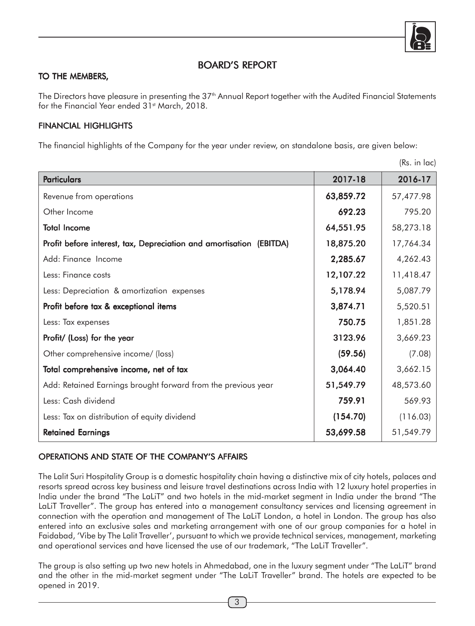

 $(Re \text{ in } \text{lar})$ 

# BOARD'S REPORT

# TO THE MEMBERS,

The Directors have pleasure in presenting the 37<sup>th</sup> Annual Report together with the Audited Financial Statements for the Financial Year ended 31<sup>st</sup> March, 2018.

# FINANCIAL HIGHLIGHTS

The financial highlights of the Company for the year under review, on standalone basis, are given below:

|                                                                     |           | (10.111110C) |
|---------------------------------------------------------------------|-----------|--------------|
| <b>Particulars</b>                                                  | 2017-18   | 2016-17      |
| Revenue from operations                                             | 63,859.72 | 57,477.98    |
| Other Income                                                        | 692.23    | 795.20       |
| <b>Total Income</b>                                                 | 64,551.95 | 58,273.18    |
| Profit before interest, tax, Depreciation and amortisation (EBITDA) | 18,875.20 | 17,764.34    |
| Add: Finance Income                                                 | 2,285.67  | 4,262.43     |
| Less: Finance costs                                                 | 12,107.22 | 11,418.47    |
| Less: Depreciation & amortization expenses                          | 5,178.94  | 5,087.79     |
| Profit before tax & exceptional items                               | 3,874.71  | 5,520.51     |
| Less: Tax expenses                                                  | 750.75    | 1,851.28     |
| Profit/ (Loss) for the year                                         | 3123.96   | 3,669.23     |
| Other comprehensive income/ (loss)                                  | (59.56)   | (7.08)       |
| Total comprehensive income, net of tax                              | 3,064.40  | 3,662.15     |
| Add: Retained Earnings brought forward from the previous year       | 51,549.79 | 48,573.60    |
| Less: Cash dividend                                                 | 759.91    | 569.93       |
| Less: Tax on distribution of equity dividend                        | (154.70)  | (116.03)     |
| <b>Retained Earnings</b>                                            | 53,699.58 | 51,549.79    |

# OPERATIONS AND STATE OF THE COMPANY'S AFFAIRS

The Lalit Suri Hospitality Group is a domestic hospitality chain having a distinctive mix of city hotels, palaces and resorts spread across key business and leisure travel destinations across India with 12 luxury hotel properties in India under the brand "The LaLiT" and two hotels in the mid-market segment in India under the brand "The LaLiT Traveller". The group has entered into a management consultancy services and licensing agreement in connection with the operation and management of The LaLiT London, a hotel in London. The group has also entered into an exclusive sales and marketing arrangement with one of our group companies for a hotel in Faidabad, 'Vibe by The Lalit Traveller', pursuant to which we provide technical services, management, marketing and operational services and have licensed the use of our trademark, "The LaLiT Traveller".

The group is also setting up two new hotels in Ahmedabad, one in the luxury segment under "The LaLiT" brand and the other in the mid-market segment under "The LaLiT Traveller" brand. The hotels are expected to be opened in 2019.

3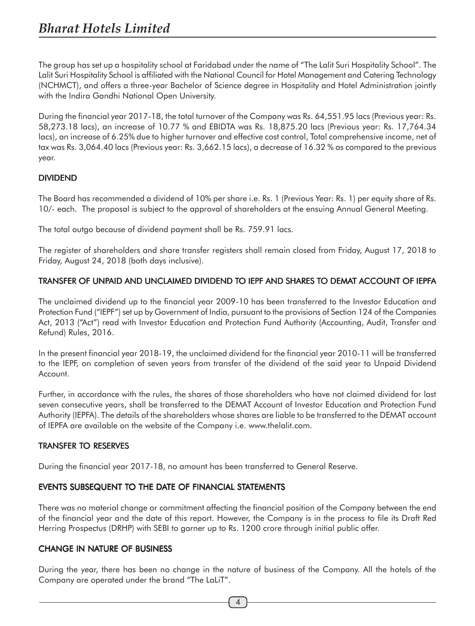The group has set up a hospitality school at Faridabad under the name of "The Lalit Suri Hospitality School". The Lalit Suri Hospitality School is affiliated with the National Council for Hotel Management and Catering Technology (NCHMCT), and offers a three-year Bachelor of Science degree in Hospitality and Hotel Administration jointly with the Indira Gandhi National Open University.

During the financial year 2017-18, the total turnover of the Company was Rs. 64,551.95 lacs (Previous year: Rs. 58,273.18 lacs), an increase of 10.77 % and EBIDTA was Rs. 18,875.20 lacs (Previous year: Rs. 17,764.34 lacs), an increase of 6.25% due to higher turnover and effective cost control, Total comprehensive income, net of tax was Rs. 3,064.40 lacs (Previous year: Rs. 3,662.15 lacs), a decrease of 16.32 % as compared to the previous year.

# DIVIDEND

The Board has recommended a dividend of 10% per share i.e. Rs. 1 (Previous Year: Rs. 1) per equity share of Rs. 10/- each. The proposal is subject to the approval of shareholders at the ensuing Annual General Meeting.

The total outgo because of dividend payment shall be Rs. 759.91 lacs.

The register of shareholders and share transfer registers shall remain closed from Friday, August 17, 2018 to Friday, August 24, 2018 (both days inclusive).

# TRANSFER OF UNPAID AND UNCLAIMED DIVIDEND TO IEPF AND SHARES TO DEMAT ACCOUNT OF IEPFA

The unclaimed dividend up to the financial year 2009-10 has been transferred to the Investor Education and Protection Fund ("IEPF") set up by Government of India, pursuant to the provisions of Section 124 of the Companies Act, 2013 ("Act") read with Investor Education and Protection Fund Authority (Accounting, Audit, Transfer and Refund) Rules, 2016.

In the present financial year 2018-19, the unclaimed dividend for the financial year 2010-11 will be transferred to the IEPF, on completion of seven years from transfer of the dividend of the said year to Unpaid Dividend Account.

Further, in accordance with the rules, the shares of those shareholders who have not claimed dividend for last seven consecutive years, shall be transferred to the DEMAT Account of Investor Education and Protection Fund Authority (IEPFA). The details of the shareholders whose shares are liable to be transferred to the DEMAT account of IEPFA are available on the website of the Company i.e. www.thelalit.com.

# TRANSFER TO RESERVES

During the financial year 2017-18, no amount has been transferred to General Reserve.

# EVENTS SUBSEQUENT TO THE DATE OF FINANCIAL STATEMENTS

There was no material change or commitment affecting the financial position of the Company between the end of the financial year and the date of this report. However, the Company is in the process to file its Draft Red Herring Prospectus (DRHP) with SEBI to garner up to Rs. 1200 crore through initial public offer.

# CHANGE IN NATURE OF BUSINESS

During the year, there has been no change in the nature of business of the Company. All the hotels of the Company are operated under the brand "The LaLiT".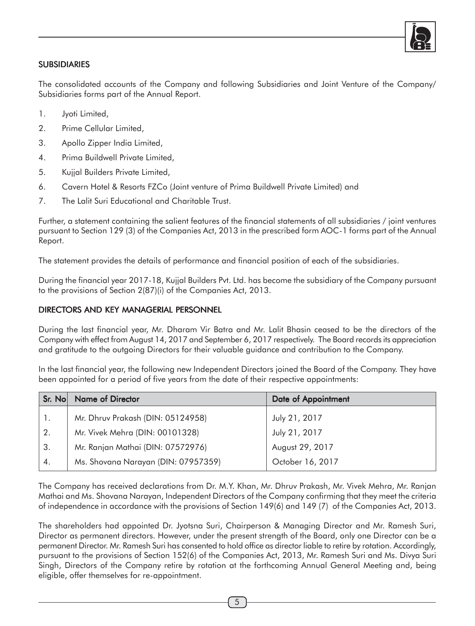

# SUBSIDIARIES

The consolidated accounts of the Company and following Subsidiaries and Joint Venture of the Company/ Subsidiaries forms part of the Annual Report.

- 1. Jyoti Limited,
- 2. Prime Cellular Limited,
- 3. Apollo Zipper India Limited,
- 4. Prima Buildwell Private Limited,
- 5. Kujjal Builders Private Limited,
- 6. Cavern Hotel & Resorts FZCo (Joint venture of Prima Buildwell Private Limited) and
- 7. The Lalit Suri Educational and Charitable Trust.

Further, a statement containing the salient features of the financial statements of all subsidiaries / joint ventures pursuant to Section 129 (3) of the Companies Act, 2013 in the prescribed form AOC-1 forms part of the Annual Report.

The statement provides the details of performance and financial position of each of the subsidiaries.

During the financial year 2017-18, Kujjal Builders Pvt. Ltd. has become the subsidiary of the Company pursuant to the provisions of Section 2(87)(i) of the Companies Act, 2013.

### DIRECTORS AND KEY MANAGERIAL PERSONNEL

During the last financial year, Mr. Dharam Vir Batra and Mr. Lalit Bhasin ceased to be the directors of the Company with effect from August 14, 2017 and September 6, 2017 respectively. The Board records its appreciation and gratitude to the outgoing Directors for their valuable guidance and contribution to the Company.

In the last financial year, the following new Independent Directors joined the Board of the Company. They have been appointed for a period of five years from the date of their respective appointments:

| Sr. No | <b>Name of Director</b><br><b>Date of Appointment</b> |                  |
|--------|-------------------------------------------------------|------------------|
|        | Mr. Dhruv Prakash (DIN: 05124958)                     | July 21, 2017    |
| 2.     | Mr. Vivek Mehra (DIN: 00101328)                       | July 21, 2017    |
| 3.     | Mr. Ranjan Mathai (DIN: 07572976)                     | August 29, 2017  |
| 4.     | Ms. Shovana Narayan (DIN: 07957359)                   | October 16, 2017 |

The Company has received declarations from Dr. M.Y. Khan, Mr. Dhruv Prakash, Mr. Vivek Mehra, Mr. Ranjan Mathai and Ms. Shovana Narayan, Independent Directors of the Company confirming that they meet the criteria of independence in accordance with the provisions of Section 149(6) and 149 (7) of the Companies Act, 2013.

The shareholders had appointed Dr. Jyotsna Suri, Chairperson & Managing Director and Mr. Ramesh Suri, Director as permanent directors. However, under the present strength of the Board, only one Director can be a permanent Director. Mr. Ramesh Suri has consented to hold office as director liable to retire by rotation. Accordingly, pursuant to the provisions of Section 152(6) of the Companies Act, 2013, Mr. Ramesh Suri and Ms. Divya Suri Singh, Directors of the Company retire by rotation at the forthcoming Annual General Meeting and, being eligible, offer themselves for re-appointment.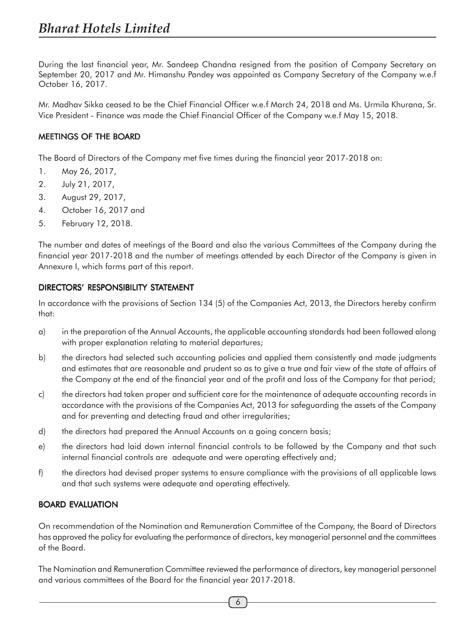During the last financial year, Mr. Sandeep Chandna resigned from the position of Company Secretary on September 20, 2017 and Mr. Himanshu Pandey was appointed as Company Secretary of the Company w.e.f October 16, 2017.

Mr. Madhav Sikka ceased to be the Chief Financial Officer w.e.f March 24, 2018 and Ms. Urmila Khurana, Sr. Vice President - Finance was made the Chief Financial Officer of the Company w.e.f May 15, 2018.

# MEETINGS OF THE BOARD

The Board of Directors of the Company met five times during the financial year 2017-2018 on:

- 1. May 26, 2017,
- 2. July 21, 2017,
- 3. August 29, 2017,
- 4. October 16, 2017 and
- 5. February 12, 2018.

The number and dates of meetings of the Board and also the various Committees of the Company during the financial year 2017-2018 and the number of meetings attended by each Director of the Company is given in Annexure I, which forms part of this report.

# DIRECTORS' RESPONSIBILITY STATEMENT

In accordance with the provisions of Section 134 (5) of the Companies Act, 2013, the Directors hereby confirm that:

- a) in the preparation of the Annual Accounts, the applicable accounting standards had been followed along with proper explanation relating to material departures;
- b) the directors had selected such accounting policies and applied them consistently and made judgments and estimates that are reasonable and prudent so as to give a true and fair view of the state of affairs of the Company at the end of the financial year and of the profit and loss of the Company for that period;
- c) the directors had taken proper and sufficient care for the maintenance of adequate accounting records in accordance with the provisions of the Companies Act, 2013 for safeguarding the assets of the Company and for preventing and detecting fraud and other irregularities;
- d) the directors had prepared the Annual Accounts on a going concern basis;
- e) the directors had laid down internal financial controls to be followed by the Company and that such internal financial controls are adequate and were operating effectively and;
- f) the directors had devised proper systems to ensure compliance with the provisions of all applicable laws and that such systems were adequate and operating effectively.

# BOARD EVALUATION

On recommendation of the Nomination and Remuneration Committee of the Company, the Board of Directors has approved the policy for evaluating the performance of directors, key managerial personnel and the committees of the Board.

The Nomination and Remuneration Committee reviewed the performance of directors, key managerial personnel and various committees of the Board for the financial year 2017-2018.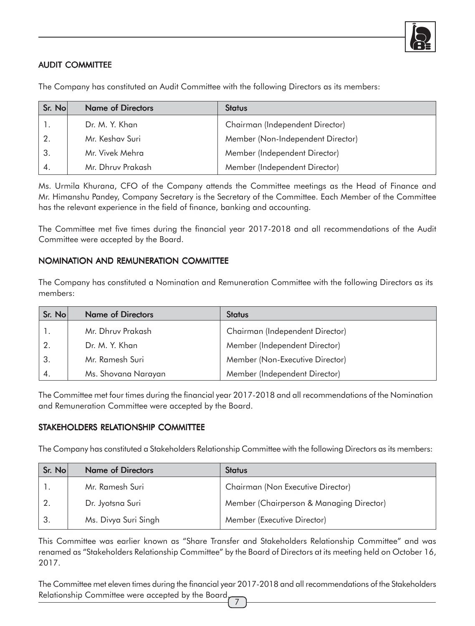# AUDIT COMMITTEE

| Sr. No | <b>Name of Directors</b> | <b>Status</b>                     |
|--------|--------------------------|-----------------------------------|
|        | Dr. M. Y. Khan           | Chairman (Independent Director)   |
| 2.     | Mr. Keshav Suri          | Member (Non-Independent Director) |
| -3.    | Mr. Vivek Mehra          | Member (Independent Director)     |
|        | Mr. Dhruv Prakash        | Member (Independent Director)     |

The Company has constituted an Audit Committee with the following Directors as its members:

Ms. Urmila Khurana, CFO of the Company attends the Committee meetings as the Head of Finance and Mr. Himanshu Pandey, Company Secretary is the Secretary of the Committee. Each Member of the Committee has the relevant experience in the field of finance, banking and accounting.

The Committee met five times during the financial year 2017-2018 and all recommendations of the Audit Committee were accepted by the Board.

# NOMINATION AND REMUNERATION COMMITTEE

The Company has constituted a Nomination and Remuneration Committee with the following Directors as its members:

| Sr. No | <b>Name of Directors</b> | <b>Status</b>                   |
|--------|--------------------------|---------------------------------|
|        | Mr. Dhruv Prakash        | Chairman (Independent Director) |
| 2.     | Dr. M. Y. Khan           | Member (Independent Director)   |
| 3      | Mr. Ramesh Suri          | Member (Non-Executive Director) |
| 4.     | Ms. Shovana Narayan      | Member (Independent Director)   |

The Committee met four times during the financial year 2017-2018 and all recommendations of the Nomination and Remuneration Committee were accepted by the Board.

# STAKEHOLDERS RELATIONSHIP COMMITTEE

The Company has constituted a Stakeholders Relationship Committee with the following Directors as its members:

| Sr. No | <b>Name of Directors</b> | <b>Status</b>                            |
|--------|--------------------------|------------------------------------------|
|        | Mr. Ramesh Suri          | Chairman (Non Executive Director)        |
|        | Dr. Jyotsna Suri         | Member (Chairperson & Managing Director) |
| -3.    | Ms. Divya Suri Singh     | Member (Executive Director)              |

This Committee was earlier known as "Share Transfer and Stakeholders Relationship Committee" and was renamed as "Stakeholders Relationship Committee" by the Board of Directors at its meeting held on October 16, 2017.

7 The Committee met eleven times during the financial year 2017-2018 and all recommendations of the Stakeholders Relationship Committee were accepted by the Board.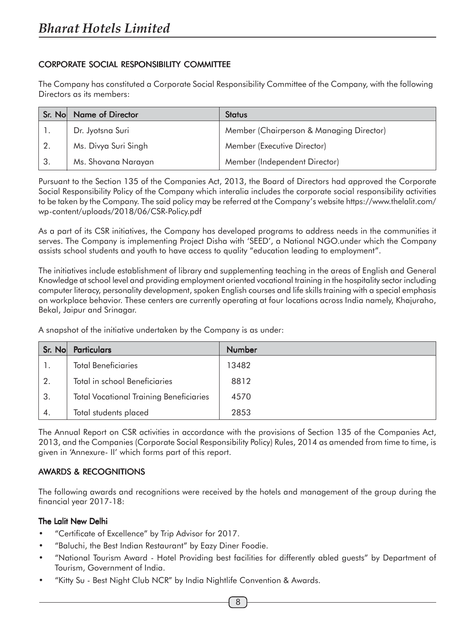# CORPORATE SOCIAL RESPONSIBILITY COMMITTEE

The Company has constituted a Corporate Social Responsibility Committee of the Company, with the following Directors as its members:

|    | Sr. No Name of Director | <b>Status</b>                            |
|----|-------------------------|------------------------------------------|
|    | Dr. Jyotsna Suri        | Member (Chairperson & Managing Director) |
|    | Ms. Divya Suri Singh    | Member (Executive Director)              |
| 3. | Ms. Shovana Narayan     | Member (Independent Director)            |

Pursuant to the Section 135 of the Companies Act, 2013, the Board of Directors had approved the Corporate Social Responsibility Policy of the Company which interalia includes the corporate social responsibility activities to be taken by the Company. The said policy may be referred at the Company's website https://www.thelalit.com/ wp-content/uploads/2018/06/CSR-Policy.pdf

As a part of its CSR initiatives, the Company has developed programs to address needs in the communities it serves. The Company is implementing Project Disha with 'SEED', a National NGO.under which the Company assists school students and youth to have access to quality "education leading to employment".

The initiatives include establishment of library and supplementing teaching in the areas of English and General Knowledge at school level and providing employment oriented vocational training in the hospitality sector including computer literacy, personality development, spoken English courses and life skills training with a special emphasis on workplace behavior. These centers are currently operating at four locations across India namely, Khajuraho, Bekal, Jaipur and Srinagar.

A snapshot of the initiative undertaken by the Company is as under:

| Sr. No | <b>Particulars</b>                             | <b>Number</b> |
|--------|------------------------------------------------|---------------|
|        | <b>Total Beneficiaries</b>                     | 13482         |
| 2.     | Total in school Beneficiaries                  | 8812          |
| 3.     | <b>Total Vocational Training Beneficiaries</b> | 4570          |
| 4.     | Total students placed                          | 2853          |

The Annual Report on CSR activities in accordance with the provisions of Section 135 of the Companies Act, 2013, and the Companies (Corporate Social Responsibility Policy) Rules, 2014 as amended from time to time, is given in 'Annexure- II' which forms part of this report.

# AWARDS & RECOGNITIONS

The following awards and recognitions were received by the hotels and management of the group during the financial year 2017-18:

# The Lalit New Delhi

- "Certificate of Excellence" by Trip Advisor for 2017.
- "Baluchi, the Best Indian Restaurant" by Eazy Diner Foodie.
- "National Tourism Award Hotel Providing best facilities for differently abled guests" by Department of Tourism, Government of India.
- "Kitty Su Best Night Club NCR" by India Nightlife Convention & Awards.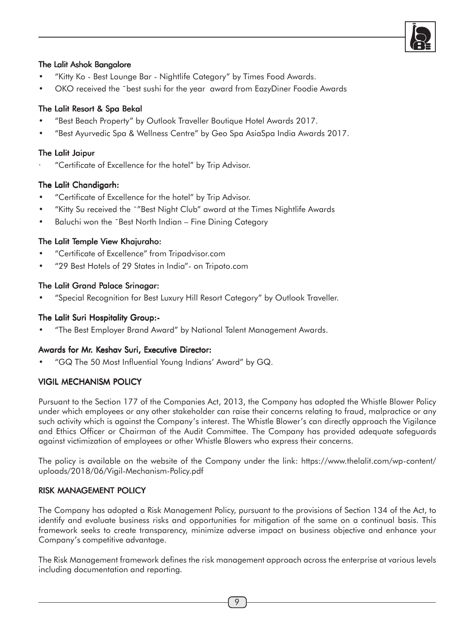

#### The Lalit Ashok Bangalore

- "Kitty Ko Best Lounge Bar Nightlife Category" by Times Food Awards.
- OKO received the ¯best sushi for the year award from EazyDiner Foodie Awards

# The Lalit Resort & Spa Bekal

- "Best Beach Property" by Outlook Traveller Boutique Hotel Awards 2017.
- "Best Ayurvedic Spa & Wellness Centre" by Geo Spa AsiaSpa India Awards 2017.

# The Lalit Jaipur

· "Certificate of Excellence for the hotel" by Trip Advisor.

#### The Lalit Chandigarh:

- "Certificate of Excellence for the hotel" by Trip Advisor.
- "Kitty Su received the ¯"Best Night Club" award at the Times Nightlife Awards
- Baluchi won the <sup>-</sup>Best North Indian Fine Dining Category

# The Lalit Temple View Khajuraho:

- "Certificate of Excellence" from Tripadvisor.com
- "29 Best Hotels of 29 States in India"- on Tripoto.com

#### The Lalit Grand Palace Srinagar:

• "Special Recognition for Best Luxury Hill Resort Category" by Outlook Traveller.

#### The Lalit Suri Hospitality Group:-

• "The Best Employer Brand Award" by National Talent Management Awards.

# Awards for Mr. Keshav Suri, Executive Director:

• "GQ The 50 Most Influential Young Indians' Award" by GQ.

# VIGIL MECHANISM POLICY

Pursuant to the Section 177 of the Companies Act, 2013, the Company has adopted the Whistle Blower Policy under which employees or any other stakeholder can raise their concerns relating to fraud, malpractice or any such activity which is against the Company's interest. The Whistle Blower's can directly approach the Vigilance and Ethics Officer or Chairman of the Audit Committee. The Company has provided adequate safeguards against victimization of employees or other Whistle Blowers who express their concerns.

The policy is available on the website of the Company under the link: https://www.thelalit.com/wp-content/ uploads/2018/06/Vigil-Mechanism-Policy.pdf

# RISK MANAGEMENT POLICY

The Company has adopted a Risk Management Policy, pursuant to the provisions of Section 134 of the Act, to identify and evaluate business risks and opportunities for mitigation of the same on a continual basis. This framework seeks to create transparency, minimize adverse impact on business objective and enhance your Company's competitive advantage.

The Risk Management framework defines the risk management approach across the enterprise at various levels including documentation and reporting.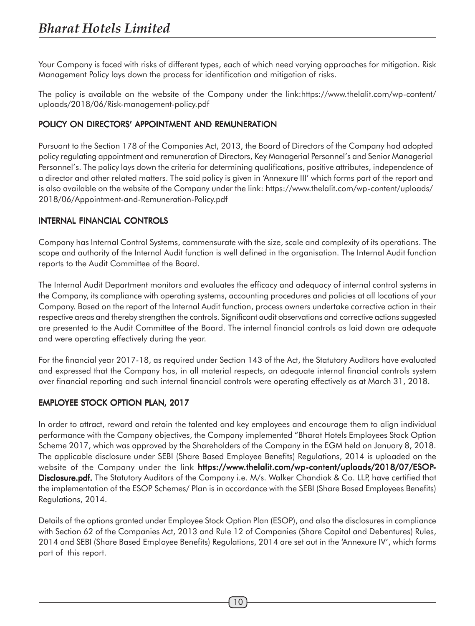Your Company is faced with risks of different types, each of which need varying approaches for mitigation. Risk Management Policy lays down the process for identification and mitigation of risks.

The policy is available on the website of the Company under the link:https://www.thelalit.com/wp-content/ uploads/2018/06/Risk-management-policy.pdf

# POLICY ON DIRECTORS' APPOINTMENT AND REMUNERATION

Pursuant to the Section 178 of the Companies Act, 2013, the Board of Directors of the Company had adopted policy regulating appointment and remuneration of Directors, Key Managerial Personnel's and Senior Managerial Personnel's. The policy lays down the criteria for determining qualifications, positive attributes, independence of a director and other related matters. The said policy is given in 'Annexure III' which forms part of the report and is also available on the website of the Company under the link: https://www.thelalit.com/wp-content/uploads/ 2018/06/Appointment-and-Remuneration-Policy.pdf

# INTERNAL FINANCIAL CONTROLS

Company has Internal Control Systems, commensurate with the size, scale and complexity of its operations. The scope and authority of the Internal Audit function is well defined in the organisation. The Internal Audit function reports to the Audit Committee of the Board.

The Internal Audit Department monitors and evaluates the efficacy and adequacy of internal control systems in the Company, its compliance with operating systems, accounting procedures and policies at all locations of your Company. Based on the report of the Internal Audit function, process owners undertake corrective action in their respective areas and thereby strengthen the controls. Significant audit observations and corrective actions suggested are presented to the Audit Committee of the Board. The internal financial controls as laid down are adequate and were operating effectively during the year.

For the financial year 2017-18, as required under Section 143 of the Act, the Statutory Auditors have evaluated and expressed that the Company has, in all material respects, an adequate internal financial controls system over financial reporting and such internal financial controls were operating effectively as at March 31, 2018.

# EMPLOYEE STOCK OPTION PLAN, 2017

In order to attract, reward and retain the talented and key employees and encourage them to align individual performance with the Company objectives, the Company implemented "Bharat Hotels Employees Stock Option Scheme 2017, which was approved by the Shareholders of the Company in the EGM held on January 8, 2018. The applicable disclosure under SEBI (Share Based Employee Benefits) Regulations, 2014 is uploaded on the website of the Company under the link https://www.thelalit.com/wp-content/uploads/2018/07/ESOP-Disclosure.pdf. The Statutory Auditors of the Company i.e. M/s. Walker Chandiok & Co. LLP, have certified that the implementation of the ESOP Schemes/ Plan is in accordance with the SEBI (Share Based Employees Benefits) Regulations, 2014.

Details of the options granted under Employee Stock Option Plan (ESOP), and also the disclosures in compliance with Section 62 of the Companies Act, 2013 and Rule 12 of Companies (Share Capital and Debentures) Rules, 2014 and SEBI (Share Based Employee Benefits) Regulations, 2014 are set out in the 'Annexure IV', which forms part of this report.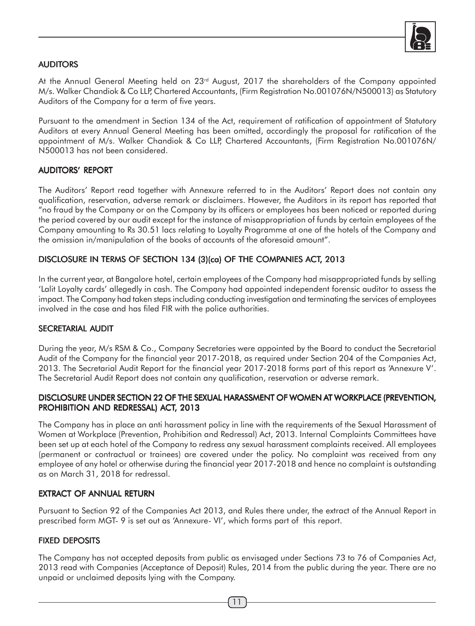

# AUDITORS

At the Annual General Meeting held on  $23<sup>rd</sup>$  August, 2017 the shareholders of the Company appointed M/s. Walker Chandiok & Co LLP, Chartered Accountants, (Firm Registration No.001076N/N500013) as Statutory Auditors of the Company for a term of five years.

Pursuant to the amendment in Section 134 of the Act, requirement of ratification of appointment of Statutory Auditors at every Annual General Meeting has been omitted, accordingly the proposal for ratification of the appointment of M/s. Walker Chandiok & Co LLP, Chartered Accountants, (Firm Registration No.001076N/ N500013 has not been considered.

# AUDITORS' REPORT

The Auditors' Report read together with Annexure referred to in the Auditors' Report does not contain any qualification, reservation, adverse remark or disclaimers. However, the Auditors in its report has reported that "no fraud by the Company or on the Company by its officers or employees has been noticed or reported during the period covered by our audit except for the instance of misappropriation of funds by certain employees of the Company amounting to Rs 30.51 lacs relating to Loyalty Programme at one of the hotels of the Company and the omission in/manipulation of the books of accounts of the aforesaid amount".

# DISCLOSURE IN TERMS OF SECTION 134 (3)(ca) OF THE COMPANIES ACT, 2013

In the current year, at Bangalore hotel, certain employees of the Company had misappropriated funds by selling 'Lalit Loyalty cards' allegedly in cash. The Company had appointed independent forensic auditor to assess the impact. The Company had taken steps including conducting investigation and terminating the services of employees involved in the case and has filed FIR with the police authorities.

# SECRETARIAL AUDIT

During the year, M/s RSM & Co., Company Secretaries were appointed by the Board to conduct the Secretarial Audit of the Company for the financial year 2017-2018, as required under Section 204 of the Companies Act, 2013. The Secretarial Audit Report for the financial year 2017-2018 forms part of this report as 'Annexure V'. The Secretarial Audit Report does not contain any qualification, reservation or adverse remark.

# DISCLOSURE UNDER SECTION 22 OF THE SEXUAL HARASSMENT OF WOMEN AT WORKPLACE (PREVENTION, PROHIBITION AND REDRESSAL) ACT, 2013

The Company has in place an anti harassment policy in line with the requirements of the Sexual Harassment of Women at Workplace (Prevention, Prohibition and Redressal) Act, 2013. Internal Complaints Committees have been set up at each hotel of the Company to redress any sexual harassment complaints received. All employees (permanent or contractual or trainees) are covered under the policy. No complaint was received from any employee of any hotel or otherwise during the financial year 2017-2018 and hence no complaint is outstanding as on March 31, 2018 for redressal.

# EXTRACT OF ANNUAL RETURN

Pursuant to Section 92 of the Companies Act 2013, and Rules there under, the extract of the Annual Report in prescribed form MGT- 9 is set out as 'Annexure- VI', which forms part of this report.

# FIXED DEPOSITS

The Company has not accepted deposits from public as envisaged under Sections 73 to 76 of Companies Act, 2013 read with Companies (Acceptance of Deposit) Rules, 2014 from the public during the year. There are no unpaid or unclaimed deposits lying with the Company.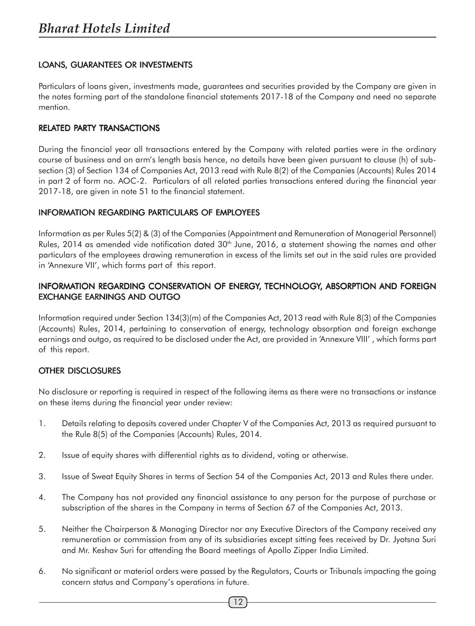# LOANS, GUARANTEES OR INVESTMENTS

Particulars of loans given, investments made, guarantees and securities provided by the Company are given in the notes forming part of the standalone financial statements 2017-18 of the Company and need no separate mention.

# RELATED PARTY TRANSACTIONS

During the financial year all transactions entered by the Company with related parties were in the ordinary course of business and on arm's length basis hence, no details have been given pursuant to clause (h) of subsection (3) of Section 134 of Companies Act, 2013 read with Rule 8(2) of the Companies (Accounts) Rules 2014 in part 2 of form no. AOC-2. Particulars of all related parties transactions entered during the financial year 2017-18, are given in note 51 to the financial statement.

# INFORMATION REGARDING PARTICULARS OF EMPLOYEES

Information as per Rules 5(2) & (3) of the Companies (Appointment and Remuneration of Managerial Personnel) Rules, 2014 as amended vide notification dated 30<sup>th</sup> June, 2016, a statement showing the names and other particulars of the employees drawing remuneration in excess of the limits set out in the said rules are provided in 'Annexure VII', which forms part of this report.

# INFORMATION REGARDING CONSERVATION OF ENERGY, TECHNOLOGY, ABSORPTION AND FOREIGN EXCHANGE EARNINGS AND OUTGO

Information required under Section 134(3)(m) of the Companies Act, 2013 read with Rule 8(3) of the Companies (Accounts) Rules, 2014, pertaining to conservation of energy, technology absorption and foreign exchange earnings and outgo, as required to be disclosed under the Act, are provided in 'Annexure VIII' , which forms part of this report.

# OTHER DISCLOSURES

No disclosure or reporting is required in respect of the following items as there were no transactions or instance on these items during the financial year under review:

- 1. Details relating to deposits covered under Chapter V of the Companies Act, 2013 as required pursuant to the Rule 8(5) of the Companies (Accounts) Rules, 2014.
- 2. Issue of equity shares with differential rights as to dividend, voting or otherwise.
- 3. Issue of Sweat Equity Shares in terms of Section 54 of the Companies Act, 2013 and Rules there under.
- 4. The Company has not provided any financial assistance to any person for the purpose of purchase or subscription of the shares in the Company in terms of Section 67 of the Companies Act, 2013.
- 5. Neither the Chairperson & Managing Director nor any Executive Directors of the Company received any remuneration or commission from any of its subsidiaries except sitting fees received by Dr. Jyotsna Suri and Mr. Keshav Suri for attending the Board meetings of Apollo Zipper India Limited.
- 6. No significant or material orders were passed by the Regulators, Courts or Tribunals impacting the going concern status and Company's operations in future.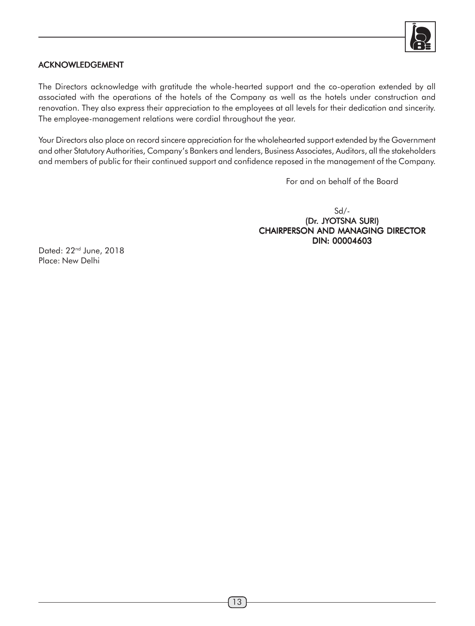

#### ACKNOWLEDGEMENT

The Directors acknowledge with gratitude the whole-hearted support and the co-operation extended by all associated with the operations of the hotels of the Company as well as the hotels under construction and renovation. They also express their appreciation to the employees at all levels for their dedication and sincerity. The employee-management relations were cordial throughout the year.

Your Directors also place on record sincere appreciation for the wholehearted support extended by the Government and other Statutory Authorities, Company's Bankers and lenders, Business Associates, Auditors, all the stakeholders and members of public for their continued support and confidence reposed in the management of the Company.

For and on behalf of the Board

Sd/-

(Dr. JYOTSNA SURI) CHAIRPERSON AND MANAGING DIRECTOR DIN: 00004603

Dated: 22<sup>nd</sup> June, 2018 Place: New Delhi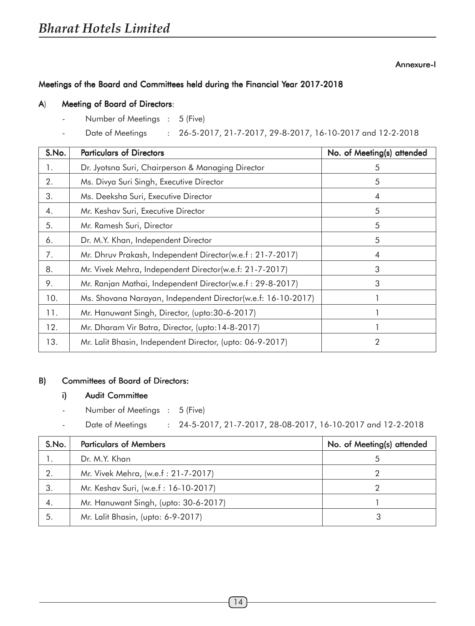#### Annexure-I

# Meetings of the Board and Committees held during the Financial Year 2017-2018

#### A) Meeting of Board of Directors:

- Number of Meetings : 5 (Five)
- Date of Meetings : 26-5-2017, 21-7-2017, 29-8-2017, 16-10-2017 and 12-2-2018

| S.No. | <b>Particulars of Directors</b>                              | No. of Meeting(s) attended |
|-------|--------------------------------------------------------------|----------------------------|
| 1.    | Dr. Jyotsna Suri, Chairperson & Managing Director            | 5                          |
| 2.    | Ms. Divya Suri Singh, Executive Director                     | 5                          |
| 3.    | Ms. Deeksha Suri, Executive Director                         | $\overline{4}$             |
| 4.    | Mr. Keshav Suri, Executive Director                          | 5                          |
| 5.    | Mr. Ramesh Suri, Director                                    | 5                          |
| 6.    | Dr. M.Y. Khan, Independent Director                          | 5                          |
| 7.    | Mr. Dhruv Prakash, Independent Director(w.e.f: 21-7-2017)    | 4                          |
| 8.    | Mr. Vivek Mehra, Independent Director(w.e.f: 21-7-2017)      | 3                          |
| 9.    | Mr. Ranjan Mathai, Independent Director(w.e.f: 29-8-2017)    | 3                          |
| 10.   | Ms. Shovana Narayan, Independent Director(w.e.f: 16-10-2017) |                            |
| 11.   | Mr. Hanuwant Singh, Director, (upto:30-6-2017)               |                            |
| 12.   | Mr. Dharam Vir Batra, Director, (upto: 14-8-2017)            |                            |
| 13.   | Mr. Lalit Bhasin, Independent Director, (upto: 06-9-2017)    | $\overline{2}$             |

#### B) Committees of Board of Directors:

#### i) Audit Committee

- Number of Meetings : 5 (Five)
- Date of Meetings : 24-5-2017, 21-7-2017, 28-08-2017, 16-10-2017 and 12-2-2018

| S.No. | <b>Particulars of Members</b>         | No. of Meeting(s) attended |
|-------|---------------------------------------|----------------------------|
|       | Dr. M.Y. Khan                         |                            |
| 2.    | Mr. Vivek Mehra, (w.e.f : 21-7-2017)  |                            |
| 3.    | Mr. Keshav Suri, (w.e.f : 16-10-2017) |                            |
| 4.    | Mr. Hanuwant Singh, (upto: 30-6-2017) |                            |
| 5.    | Mr. Lalit Bhasin, (upto: 6-9-2017)    |                            |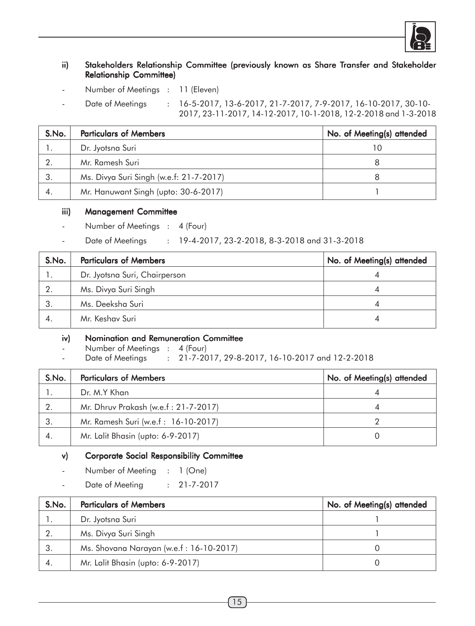

### ii) Stakeholders Relationship Committee (previously known as Share Transfer and Stakeholder **Relationship Committee)**

Number of Meetings : 11 (Eleven)

Date of Meetings : 16-5-2017, 13-6-2017, 21-7-2017, 7-9-2017, 16-10-2017, 30-10-2017, 23-11-2017, 14-12-2017, 10-1-2018, 12-2-2018 and 1-3-2018

| S.No. | <b>Particulars of Members</b>           | No. of Meeting(s) attended |
|-------|-----------------------------------------|----------------------------|
|       | Dr. Jyotsna Suri                        |                            |
| 2.    | Mr. Ramesh Suri                         |                            |
| 3.    | Ms. Divya Suri Singh (w.e.f: 21-7-2017) |                            |
| 4.    | Mr. Hanuwant Singh (upto: 30-6-2017)    |                            |

#### iii) Management Committee

- Number of Meetings : 4 (Four)
- Date of Meetings : 19-4-2017, 23-2-2018, 8-3-2018 and 31-3-2018

| S.No. | <b>Particulars of Members</b> | No. of Meeting(s) attended |
|-------|-------------------------------|----------------------------|
|       | Dr. Jyotsna Suri, Chairperson |                            |
| 2.    | Ms. Divya Suri Singh          |                            |
| 3.    | Ms. Deeksha Suri              |                            |
|       | Mr. Keshav Suri               |                            |

#### iv) Nomination and Remuneration Committee

Number of Meetings : 4 (Four)

- Date of Meetings : 21-7-2017, 29-8-2017, 16-10-2017 and 12-2-2018

| S.No.            | <b>Particulars of Members</b>         | No. of Meeting(s) attended |
|------------------|---------------------------------------|----------------------------|
|                  | Dr. M.Y Khan                          |                            |
| 2.               | Mr. Dhruv Prakash (w.e.f : 21-7-2017) |                            |
| 3.               | Mr. Ramesh Suri (w.e.f : 16-10-2017)  |                            |
| $\overline{4}$ . | Mr. Lalit Bhasin (upto: 6-9-2017)     |                            |

#### v) Corporate Social Responsibility Committee

- Number of Meeting : 1 (One)
- Date of Meeting : 21-7-2017

| S.No. | <b>Particulars of Members</b>           | No. of Meeting(s) attended |
|-------|-----------------------------------------|----------------------------|
|       | Dr. Jyotsna Suri                        |                            |
| 2.    | Ms. Divya Suri Singh                    |                            |
| -3.   | Ms. Shovana Narayan (w.e.f: 16-10-2017) |                            |
|       | Mr. Lalit Bhasin (upto: 6-9-2017)       |                            |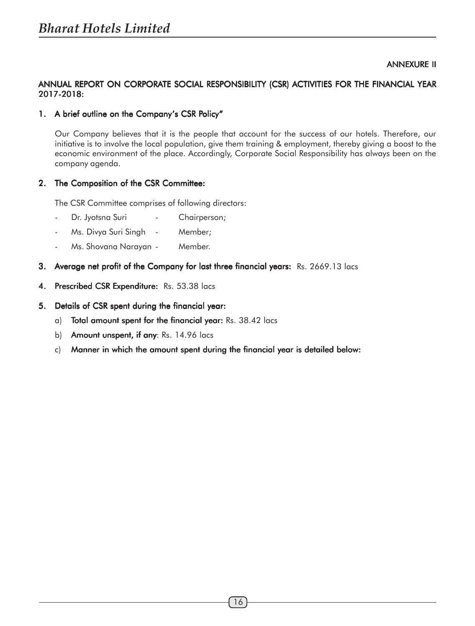#### **ANNEXURE II**

### ANNUAL REPORT ON CORPORATE SOCIAL RESPONSIBILITY (CSR) ACTIVITIES FOR THE FINANCIAL YEAR 2017-2018:

### 1. A brief outline on the Company's CSR Policy"

Our Company believes that it is the people that account for the success of our hotels. Therefore, our initiative is to involve the local population, give them training & employment, thereby giving a boost to the economic environment of the place. Accordingly, Corporate Social Responsibility has always been on the company agenda.

#### 2. The Composition of the CSR Committee:

The CSR Committee comprises of following directors:

- Dr. Jyotsna Suri Chairperson;
- Ms. Divya Suri Singh Member;
- Ms. Shovana Narayan Member.
- 3. Average net profit of the Company for last three financial years: Rs. 2669.13 lacs
- 4. Prescribed CSR Expenditure: Rs. 53.38 lacs

#### 5. Details of CSR spent during the financial year:

- $\alpha$ ) Total amount spent for the financial year: Rs. 38.42 lacs
- b) Amount unspent, if any: Rs. 14.96 lacs
- $\mathbf{c}$  Manner in which the amount spent during the financial year is detailed below: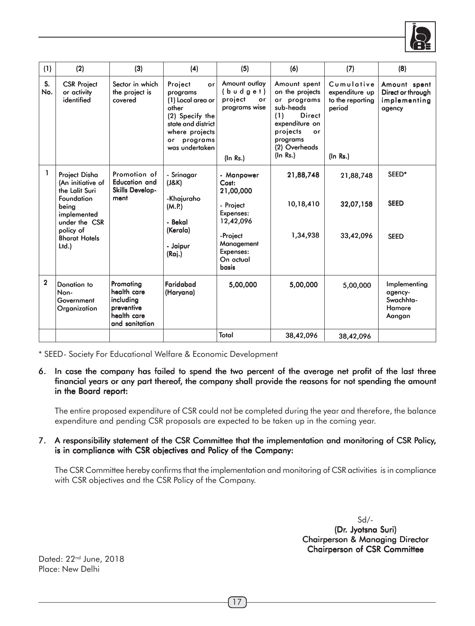

| (1)          | (2)                                                                                                                                                                    | (3)                                                                                  | (4)                                                                                                                                                 | (5)                                                                                                                                  | (6)                                                                                                                                                              | (7)                                                                    | (8)                                                             |
|--------------|------------------------------------------------------------------------------------------------------------------------------------------------------------------------|--------------------------------------------------------------------------------------|-----------------------------------------------------------------------------------------------------------------------------------------------------|--------------------------------------------------------------------------------------------------------------------------------------|------------------------------------------------------------------------------------------------------------------------------------------------------------------|------------------------------------------------------------------------|-----------------------------------------------------------------|
| S.<br>No.    | <b>CSR Project</b><br>or activity<br>identified                                                                                                                        | Sector in which<br>the project is<br>covered                                         | Project<br>or<br>programs<br>(1) Local area or<br>other<br>(2) Specify the<br>state and district<br>where projects<br>or programs<br>was undertaken | Amount outlay<br>(budget)<br>project<br>or<br>programs wise<br>( $\ln$ Rs.)                                                          | Amount spent<br>on the projects<br>or programs<br>sub-heads<br>(1)<br><b>Direct</b><br>expenditure on<br>projects<br>or<br>programs<br>(2) Overheads<br>(ln Rs.) | Cumulative<br>expenditure up<br>to the reporting<br>period<br>(ln Rs.) | Amount spent<br>Direct or through<br>implementing<br>agency     |
| 1            | <b>Project Disha</b><br>(An initiative of<br>the Lalit Suri<br><b>Foundation</b><br>being<br>implemented<br>under the CSR<br>policy of<br><b>Bharat Hotels</b><br>Ltd. | Promotion of<br><b>Education and</b><br><b>Skills Develop-</b><br>ment               | - Srinagar<br>(J&K)<br>-Khajuraho<br>(M.P.)<br>- Bekal<br>(Kerala)<br>- Jaipur<br>(Raj.)                                                            | - Manpower<br>Cost:<br>21,00,000<br>- Project<br>Expenses:<br>12,42,096<br>-Project<br>Management<br>Expenses:<br>On actual<br>basis | 21,88,748<br>10,18,410<br>1.34,938                                                                                                                               | 21,88,748<br>32,07,158<br>33,42,096                                    | SEED*<br><b>SFFD</b><br><b>SEED</b>                             |
| $\mathbf{2}$ | Donation to<br>Non-<br>Government<br>Organization                                                                                                                      | Promoting<br>health care<br>including<br>preventive<br>health care<br>and sanitation | <b>Faridabad</b><br>(Haryana)                                                                                                                       | 5.00.000                                                                                                                             | 5,00,000                                                                                                                                                         | 5,00,000                                                               | Implementing<br>agency-<br>Swachhta-<br><b>Hamare</b><br>Aangan |
|              |                                                                                                                                                                        |                                                                                      |                                                                                                                                                     | Total                                                                                                                                | 38,42,096                                                                                                                                                        | 38,42,096                                                              |                                                                 |

\* SEED- Society For Educational Welfare & Economic Development

#### 6. In case the company has failed to spend the two percent of the average net profit of the last three financial years or any part thereof, the company shall provide the reasons for not spending the amount in the Board report:

The entire proposed expenditure of CSR could not be completed during the year and therefore, the balance expenditure and pending CSR proposals are expected to be taken up in the coming year.

#### 7. A responsibility statement of the CSR Committee that the implementation and monitoring of CSR Policy, is in compliance with CSR objectives and Policy of the Company:

The CSR Committee hereby confirms that the implementation and monitoring of CSR activities is in compliance with CSR objectives and the CSR Policy of the Company.

> Sd/- (Dr. Jyotsna Suri) Chairperson & Managing Director Chairperson of CSR Committee

Dated: 22<sup>nd</sup> June, 2018 Place: New Delhi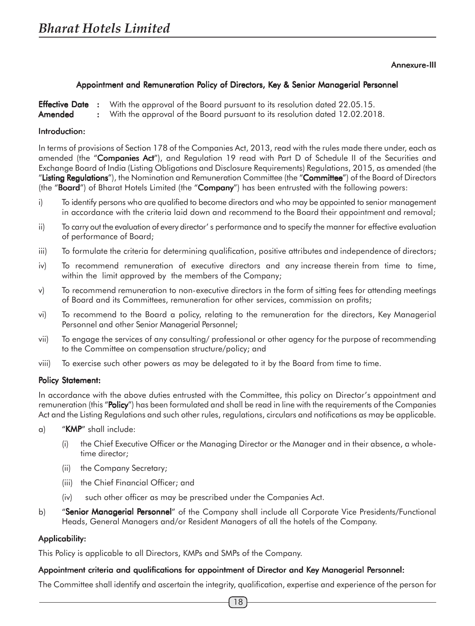# Annexure-III

#### Appointment and Remuneration Policy of Directors, Key & Senior Managerial Personnel

- **Effective Date** : With the approval of the Board pursuant to its resolution dated 22.05.15.
- Amended : With the approval of the Board pursuant to its resolution dated 12.02.2018.

#### Introduction:

In terms of provisions of Section 178 of the Companies Act, 2013, read with the rules made there under, each as amended (the "Companies Act"), and Regulation 19 read with Part D of Schedule II of the Securities and Exchange Board of India (Listing Obligations and Disclosure Requirements) Regulations, 2015, as amended (the "Listing Regulations"), the Nomination and Remuneration Committee (the "Committee") of the Board of Directors (the "**Board**") of Bharat Hotels Limited (the "**Company**") has been entrusted with the following powers:

- i) To identify persons who are qualified to become directors and who may be appointed to senior management in accordance with the criteria laid down and recommend to the Board their appointment and removal;
- ii) To carry out the evaluation of every director' s performance and to specify the manner for effective evaluation of performance of Board;
- iii) To formulate the criteria for determining qualification, positive attributes and independence of directors;
- iv) To recommend remuneration of executive directors and any increase therein from time to time, within the limit approved by the members of the Company;
- v) To recommend remuneration to non-executive directors in the form of sitting fees for attending meetings of Board and its Committees, remuneration for other services, commission on profits;
- vi) To recommend to the Board a policy, relating to the remuneration for the directors, Key Managerial Personnel and other Senior Managerial Personnel;
- vii) To engage the services of any consulting/ professional or other agency for the purpose of recommending to the Committee on compensation structure/policy; and
- viii) To exercise such other powers as may be delegated to it by the Board from time to time.

#### Policy Statement:

In accordance with the above duties entrusted with the Committee, this policy on Director's appointment and remuneration (this "**Policy**") has been formulated and shall be read in line with the requirements of the Companies Act and the Listing Regulations and such other rules, regulations, circulars and notifications as may be applicable.

- $a)$  "KMP" shall include:
	- (i) the Chief Executive Officer or the Managing Director or the Manager and in their absence, a wholetime director;
	- (ii) the Company Secretary;
	- (iii) the Chief Financial Officer; and
	- (iv) such other officer as may be prescribed under the Companies Act.
- b) "Senior Managerial Personnel" of the Company shall include all Corporate Vice Presidents/Functional Heads, General Managers and/or Resident Managers of all the hotels of the Company.

#### Applicability:

This Policy is applicable to all Directors, KMPs and SMPs of the Company.

#### Appointment criteria and qualifications for appointment of Director and Key Managerial Personnel:

The Committee shall identify and ascertain the integrity, qualification, expertise and experience of the person for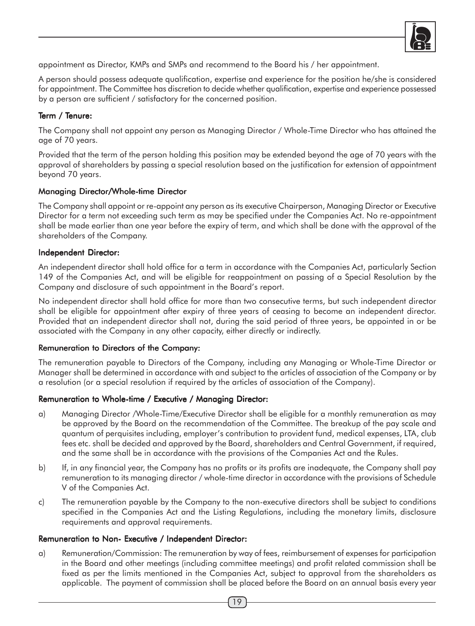

appointment as Director, KMPs and SMPs and recommend to the Board his / her appointment.

A person should possess adequate qualification, expertise and experience for the position he/she is considered for appointment. The Committee has discretion to decide whether qualification, expertise and experience possessed by a person are sufficient / satisfactory for the concerned position.

# Term / Tenure:

The Company shall not appoint any person as Managing Director / Whole-Time Director who has attained the age of 70 years.

Provided that the term of the person holding this position may be extended beyond the age of 70 years with the approval of shareholders by passing a special resolution based on the justification for extension of appointment beyond 70 years.

# Managing Director/Whole-time Director

The Company shall appoint or re-appoint any person as its executive Chairperson, Managing Director or Executive Director for a term not exceeding such term as may be specified under the Companies Act. No re-appointment shall be made earlier than one year before the expiry of term, and which shall be done with the approval of the shareholders of the Company.

#### Independent Director:

An independent director shall hold office for a term in accordance with the Companies Act, particularly Section 149 of the Companies Act, and will be eligible for reappointment on passing of a Special Resolution by the Company and disclosure of such appointment in the Board's report.

No independent director shall hold office for more than two consecutive terms, but such independent director shall be eligible for appointment after expiry of three years of ceasing to become an independent director. Provided that an independent director shall not, during the said period of three years, be appointed in or be associated with the Company in any other capacity, either directly or indirectly.

# Remuneration to Directors of the Company:

The remuneration payable to Directors of the Company, including any Managing or Whole-Time Director or Manager shall be determined in accordance with and subject to the articles of association of the Company or by a resolution (or a special resolution if required by the articles of association of the Company).

# Remuneration to Whole-time / Executive / Managing Director:

- a) Managing Director /Whole-Time/Executive Director shall be eligible for a monthly remuneration as may be approved by the Board on the recommendation of the Committee. The breakup of the pay scale and quantum of perquisites including, employer's contribution to provident fund, medical expenses, LTA, club fees etc. shall be decided and approved by the Board, shareholders and Central Government, if required, and the same shall be in accordance with the provisions of the Companies Act and the Rules.
- b) If, in any financial year, the Company has no profits or its profits are inadequate, the Company shall pay remuneration to its managing director / whole-time director in accordance with the provisions of Schedule V of the Companies Act.
- c) The remuneration payable by the Company to the non-executive directors shall be subject to conditions specified in the Companies Act and the Listing Regulations, including the monetary limits, disclosure requirements and approval requirements.

# Remuneration to Non- Executive / Independent Director:

a) Remuneration/Commission: The remuneration by way of fees, reimbursement of expenses for participation in the Board and other meetings (including committee meetings) and profit related commission shall be fixed as per the limits mentioned in the Companies Act, subject to approval from the shareholders as applicable. The payment of commission shall be placed before the Board on an annual basis every year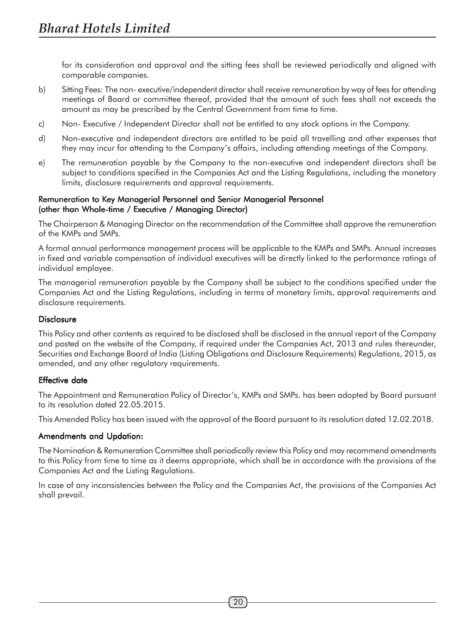for its consideration and approval and the sitting fees shall be reviewed periodically and aligned with comparable companies.

- b) Sitting Fees: The non- executive/independent director shall receive remuneration by way of fees for attending meetings of Board or committee thereof, provided that the amount of such fees shall not exceeds the amount as may be prescribed by the Central Government from time to time.
- c) Non- Executive / Independent Director shall not be entitled to any stock options in the Company.
- d) Non-executive and independent directors are entitled to be paid all travelling and other expenses that they may incur for attending to the Company's affairs, including attending meetings of the Company.
- e) The remuneration payable by the Company to the non-executive and independent directors shall be subject to conditions specified in the Companies Act and the Listing Regulations, including the monetary limits, disclosure requirements and approval requirements.

#### Remuneration to Key Managerial Personnel and Senior Managerial Personnel (other than Whole-time / Executive / Managing Director)

The Chairperson & Managing Director on the recommendation of the Committee shall approve the remuneration of the KMPs and SMPs.

A formal annual performance management process will be applicable to the KMPs and SMPs. Annual increases in fixed and variable compensation of individual executives will be directly linked to the performance ratings of individual employee.

The managerial remuneration payable by the Company shall be subject to the conditions specified under the Companies Act and the Listing Regulations, including in terms of monetary limits, approval requirements and disclosure requirements.

# **Disclosure**

This Policy and other contents as required to be disclosed shall be disclosed in the annual report of the Company and posted on the website of the Company, if required under the Companies Act, 2013 and rules thereunder, Securities and Exchange Board of India (Listing Obligations and Disclosure Requirements) Regulations, 2015, as amended, and any other regulatory requirements.

# Effective date

The Appointment and Remuneration Policy of Director's, KMPs and SMPs. has been adopted by Board pursuant to its resolution dated 22.05.2015.

This Amended Policy has been issued with the approval of the Board pursuant to its resolution dated 12.02.2018.

# Amendments and Updation:

The Nomination & Remuneration Committee shall periodically review this Policy and may recommend amendments to this Policy from time to time as it deems appropriate, which shall be in accordance with the provisions of the Companies Act and the Listing Regulations.

In case of any inconsistencies between the Policy and the Companies Act, the provisions of the Companies Act shall prevail.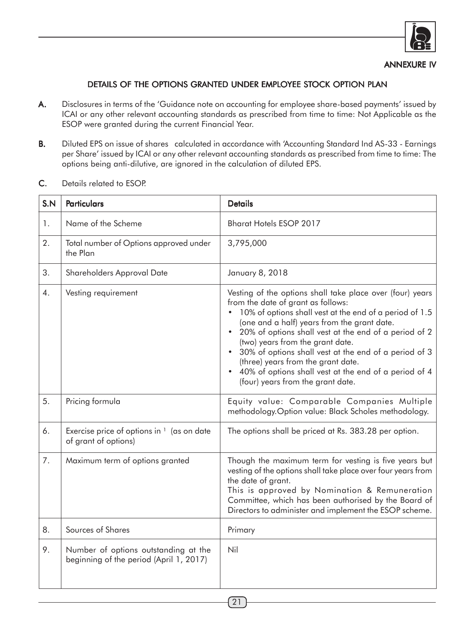

ANNEXURE IV

# DETAILS OF THE OPTIONS GRANTED UNDER EMPLOYEE STOCK OPTION PLAN

- A. Disclosures in terms of the 'Guidance note on accounting for employee share-based payments' issued by ICAI or any other relevant accounting standards as prescribed from time to time: Not Applicable as the ESOP were granted during the current Financial Year.
- B. Diluted EPS on issue of shares calculated in accordance with 'Accounting Standard Ind AS-33 Earnings per Share' issued by ICAI or any other relevant accounting standards as prescribed from time to time: The options being anti-dilutive, are ignored in the calculation of diluted EPS.
- S.N Particulars 1. Name of the Scheme 2. Total number of Options approved under the Plan 3. Shareholders Approval Date 4. Vesting requirement 5. Pricing formula 6. Exercise price of options in  $\frac{1}{1}$  (as on date of grant of options) 7. Maximum term of options granted 8. Sources of Shares 9. Number of options outstanding at the beginning of the period (April 1, 2017) **Details** Bharat Hotels ESOP 2017 3,795,000 January 8, 2018 Vesting of the options shall take place over (four) years from the date of grant as follows: • 10% of options shall vest at the end of a period of 1.5 (one and a half) years from the grant date. • 20% of options shall vest at the end of a period of 2 (two) years from the grant date. • 30% of options shall vest at the end of a period of 3 (three) years from the grant date. • 40% of options shall vest at the end of a period of 4 (four) years from the grant date. Equity value: Comparable Companies Multiple methodology.Option value: Black Scholes methodology. The options shall be priced at Rs. 383.28 per option. Though the maximum term for vesting is five years but vesting of the options shall take place over four years from the date of grant. This is approved by Nomination & Remuneration Committee, which has been authorised by the Board of Directors to administer and implement the ESOP scheme. Primary Nil

21

C. Details related to ESOP.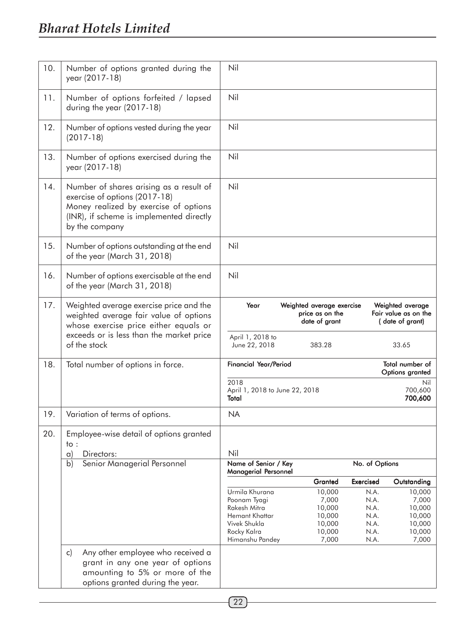# *Bharat Hotels Limited*

| 10. | Number of options granted during the<br>year (2017-18)                                                                                                                                 | Nil                                             |                                                                         |                  |                                                                      |
|-----|----------------------------------------------------------------------------------------------------------------------------------------------------------------------------------------|-------------------------------------------------|-------------------------------------------------------------------------|------------------|----------------------------------------------------------------------|
| 11. | Number of options forfeited / lapsed<br>during the year (2017-18)                                                                                                                      | Nil                                             |                                                                         |                  |                                                                      |
| 12. | Number of options vested during the year<br>$(2017-18)$                                                                                                                                | Nil                                             |                                                                         |                  |                                                                      |
| 13. | Number of options exercised during the<br>year (2017-18)                                                                                                                               | Nil                                             |                                                                         |                  |                                                                      |
| 14. | Number of shares arising as a result of<br>exercise of options (2017-18)<br>Money realized by exercise of options<br>(INR), if scheme is implemented directly<br>by the company        | Nil                                             |                                                                         |                  |                                                                      |
| 15. | Number of options outstanding at the end<br>of the year (March 31, 2018)                                                                                                               | Nil                                             |                                                                         |                  |                                                                      |
| 16. | Number of options exercisable at the end<br>of the year (March 31, 2018)                                                                                                               | Nil                                             |                                                                         |                  |                                                                      |
| 17. | Weighted average exercise price and the<br>weighted average fair value of options<br>whose exercise price either equals or<br>exceeds or is less than the market price<br>of the stock | Year<br>April 1, 2018 to<br>June 22, 2018       | Weighted average exercise<br>price as on the<br>date of grant<br>383.28 |                  | Weighted average<br>Fair value as on the<br>(date of grant)<br>33.65 |
|     |                                                                                                                                                                                        |                                                 |                                                                         |                  |                                                                      |
| 18. | Total number of options in force.                                                                                                                                                      | <b>Financial Year/Period</b>                    |                                                                         |                  | Total number of<br><b>Options</b> granted                            |
|     |                                                                                                                                                                                        | 2018<br>April 1, 2018 to June 22, 2018<br>Total |                                                                         |                  | Nil<br>700,600<br>700,600                                            |
| 19. | Variation of terms of options.                                                                                                                                                         | <b>NA</b>                                       |                                                                         |                  |                                                                      |
| 20. | Employee-wise detail of options granted                                                                                                                                                |                                                 |                                                                         |                  |                                                                      |
|     | $\mathsf{to}$ :<br>Directors:<br>a)                                                                                                                                                    | Nil                                             |                                                                         |                  |                                                                      |
|     | Senior Managerial Personnel<br>$\mathsf{b}$                                                                                                                                            | Name of Senior / Key                            |                                                                         | No. of Options   |                                                                      |
|     |                                                                                                                                                                                        | <b>Managerial Personnel</b>                     | Granted                                                                 | <b>Exercised</b> | Outstanding                                                          |
|     |                                                                                                                                                                                        | Urmila Khurana                                  | 10,000                                                                  | N.A.             | 10,000                                                               |
|     |                                                                                                                                                                                        | Poonam Tyagi                                    | 7,000                                                                   | N.A.             | 7,000                                                                |
|     |                                                                                                                                                                                        | Rakesh Mitra                                    | 10,000                                                                  | N.A.             | 10,000                                                               |
|     |                                                                                                                                                                                        | Hemant Khattar<br>Vivek Shukla                  | 10,000<br>10,000                                                        | N.A.<br>N.A.     | 10,000<br>10,000                                                     |
|     |                                                                                                                                                                                        | Rocky Kalra                                     | 10,000                                                                  | N.A.             | 10,000                                                               |
|     |                                                                                                                                                                                        | Himanshu Pandey                                 | 7,000                                                                   | N.A.             | 7,000                                                                |
|     | Any other employee who received a<br>$\mathsf{C}$<br>grant in any one year of options<br>amounting to 5% or more of the<br>options granted during the year.                            |                                                 |                                                                         |                  |                                                                      |

22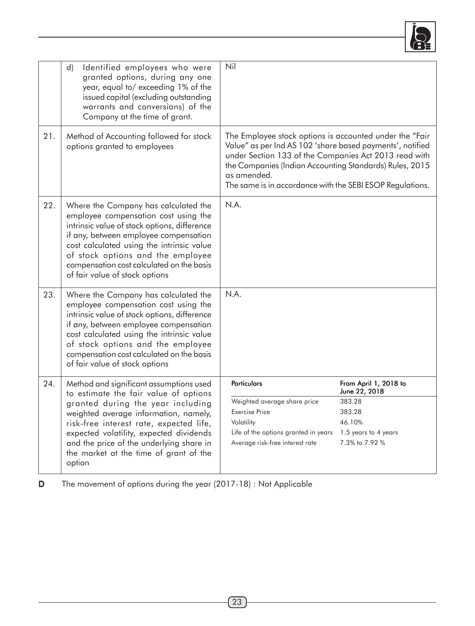

|     | Identified employees who were<br>$\mathsf{d}$<br>granted options, during any one<br>year, equal to/ exceeding 1% of the<br>issued capital (excluding outstanding<br>warrants and conversions) of the<br>Company at the time of grant.                                                                                                                | Nil                                                                                                                                                                                                                                                                                                                  |                                                                                                                |
|-----|------------------------------------------------------------------------------------------------------------------------------------------------------------------------------------------------------------------------------------------------------------------------------------------------------------------------------------------------------|----------------------------------------------------------------------------------------------------------------------------------------------------------------------------------------------------------------------------------------------------------------------------------------------------------------------|----------------------------------------------------------------------------------------------------------------|
| 21. | Method of Accounting followed for stock<br>options granted to employees                                                                                                                                                                                                                                                                              | The Employee stock options is accounted under the "Fair<br>Value" as per Ind AS 102 'share based payments', notified<br>under Section 133 of the Companies Act 2013 read with<br>the Companies (Indian Accounting Standards) Rules, 2015<br>as amended.<br>The same is in accordance with the SEBI ESOP Regulations. |                                                                                                                |
| 22. | Where the Company has calculated the<br>employee compensation cost using the<br>intrinsic value of stock options, difference<br>if any, between employee compensation<br>cost calculated using the intrinsic value<br>of stock options and the employee<br>compensation cost calculated on the basis<br>of fair value of stock options               | N.A.                                                                                                                                                                                                                                                                                                                 |                                                                                                                |
| 23. | Where the Company has calculated the<br>employee compensation cost using the<br>intrinsic value of stock options, difference<br>if any, between employee compensation<br>cost calculated using the intrinsic value<br>of stock options and the employee<br>compensation cost calculated on the basis<br>of fair value of stock options               | N.A.                                                                                                                                                                                                                                                                                                                 |                                                                                                                |
| 24. | Method and significant assumptions used<br>to estimate the fair value of options<br>granted during the year including<br>weighted average information, namely,<br>risk-free interest rate, expected life,<br>expected volatility, expected dividends<br>and the price of the underlying share in<br>the market at the time of grant of the<br>option | <b>Particulars</b><br>Weighted average share price<br>Exercise Price<br>Volatility<br>Life of the options granted in years<br>Average risk-free interest rate                                                                                                                                                        | From April 1, 2018 to<br>June 22, 2018<br>383.28<br>383.28<br>46.10%<br>1.5 years to 4 years<br>7.3% to 7.92 % |

D The movement of options during the year (2017-18) : Not Applicable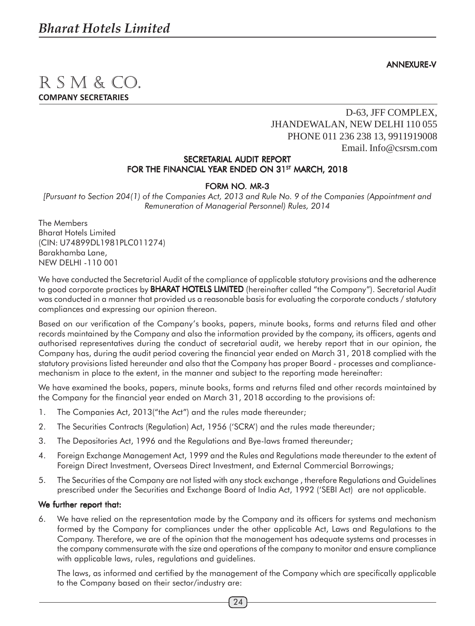ANNEXURE-V

# R S M & Co. **COMPANY SECRETARIES**

# D-63, JFF COMPLEX, JHANDEWALAN, NEW DELHI 110 055 PHONE 011 236 238 13, 9911919008 Email. Info@csrsm.com

#### SECRETARIAL AUDIT REPORT FOR THE FINANCIAL YEAR ENDED ON 31<sup>ST</sup> MARCH, 2018

# FORM NO. MR-3

*[Pursuant to Section 204(1) of the Companies Act, 2013 and Rule No. 9 of the Companies (Appointment and Remuneration of Managerial Personnel) Rules, 2014*

The Members Bharat Hotels Limited (CIN: U74899DL1981PLC011274) Barakhamba Lane, NEW DELHI -110 001

We have conducted the Secretarial Audit of the compliance of applicable statutory provisions and the adherence to good corporate practices by **BHARAT HOTELS LIMITED** (hereinafter called "the Company"). Secretarial Audit was conducted in a manner that provided us a reasonable basis for evaluating the corporate conducts / statutory compliances and expressing our opinion thereon.

Based on our verification of the Company's books, papers, minute books, forms and returns filed and other records maintained by the Company and also the information provided by the company, its officers, agents and authorised representatives during the conduct of secretarial audit, we hereby report that in our opinion, the Company has, during the audit period covering the financial year ended on March 31, 2018 complied with the statutory provisions listed hereunder and also that the Company has proper Board - processes and compliancemechanism in place to the extent, in the manner and subject to the reporting made hereinafter:

We have examined the books, papers, minute books, forms and returns filed and other records maintained by the Company for the financial year ended on March 31, 2018 according to the provisions of:

- 1. The Companies Act, 2013("the Act") and the rules made thereunder;
- 2. The Securities Contracts (Regulation) Act, 1956 ('SCRA') and the rules made thereunder;
- 3. The Depositories Act, 1996 and the Regulations and Bye-laws framed thereunder;
- 4. Foreign Exchange Management Act, 1999 and the Rules and Regulations made thereunder to the extent of Foreign Direct Investment, Overseas Direct Investment, and External Commercial Borrowings;
- 5. The Securities of the Company are not listed with any stock exchange , therefore Regulations and Guidelines prescribed under the Securities and Exchange Board of India Act, 1992 ('SEBI Act) are not applicable.

#### We further report that:

6. We have relied on the representation made by the Company and its officers for systems and mechanism formed by the Company for compliances under the other applicable Act, Laws and Regulations to the Company. Therefore, we are of the opinion that the management has adequate systems and processes in the company commensurate with the size and operations of the company to monitor and ensure compliance with applicable laws, rules, regulations and guidelines.

The laws, as informed and certified by the management of the Company which are specifically applicable to the Company based on their sector/industry are: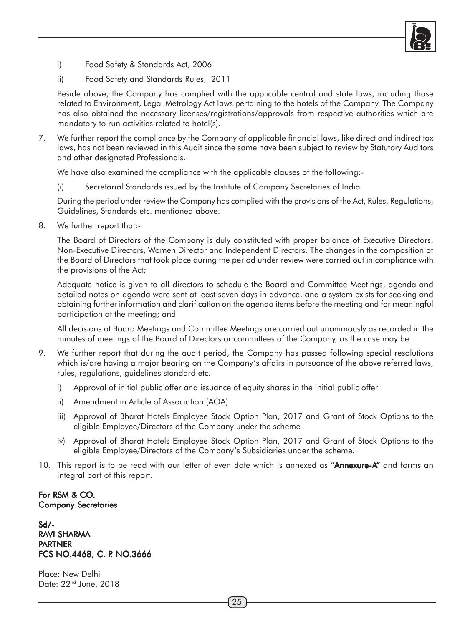

- i) Food Safety & Standards Act, 2006
- ii) Food Safety and Standards Rules, 2011

Beside above, the Company has complied with the applicable central and state laws, including those related to Environment, Legal Metrology Act laws pertaining to the hotels of the Company. The Company has also obtained the necessary licenses/registrations/approvals from respective authorities which are mandatory to run activities related to hotel(s).

7. We further report the compliance by the Company of applicable financial laws, like direct and indirect tax laws, has not been reviewed in this Audit since the same have been subject to review by Statutory Auditors and other designated Professionals.

We have also examined the compliance with the applicable clauses of the following:-

(i) Secretarial Standards issued by the Institute of Company Secretaries of India

During the period under review the Company has complied with the provisions of the Act, Rules, Regulations, Guidelines, Standards etc. mentioned above.

8. We further report that:-

The Board of Directors of the Company is duly constituted with proper balance of Executive Directors, Non-Executive Directors, Women Director and Independent Directors. The changes in the composition of the Board of Directors that took place during the period under review were carried out in compliance with the provisions of the Act;

Adequate notice is given to all directors to schedule the Board and Committee Meetings, agenda and detailed notes on agenda were sent at least seven days in advance, and a system exists for seeking and obtaining further information and clarification on the agenda items before the meeting and for meaningful participation at the meeting; and

All decisions at Board Meetings and Committee Meetings are carried out unanimously as recorded in the minutes of meetings of the Board of Directors or committees of the Company, as the case may be.

- 9. We further report that during the audit period, the Company has passed following special resolutions which is/are having a major bearing on the Company's affairs in pursuance of the above referred laws, rules, regulations, guidelines standard etc.
	- i) Approval of initial public offer and issuance of equity shares in the initial public offer
	- ii) Amendment in Article of Association (AOA)
	- iii) Approval of Bharat Hotels Employee Stock Option Plan, 2017 and Grant of Stock Options to the eligible Employee/Directors of the Company under the scheme
	- iv) Approval of Bharat Hotels Employee Stock Option Plan, 2017 and Grant of Stock Options to the eligible Employee/Directors of the Company's Subsidiaries under the scheme.
- 10. This report is to be read with our letter of even date which is annexed as "Annexure-A" and forms an integral part of this report.

# For RSM & CO. Company Secretaries

Sd/- RAVI SHARMA PARTNER FCS NO.4468, C. P. NO.3666

Place: New Delhi Date: 22nd June, 2018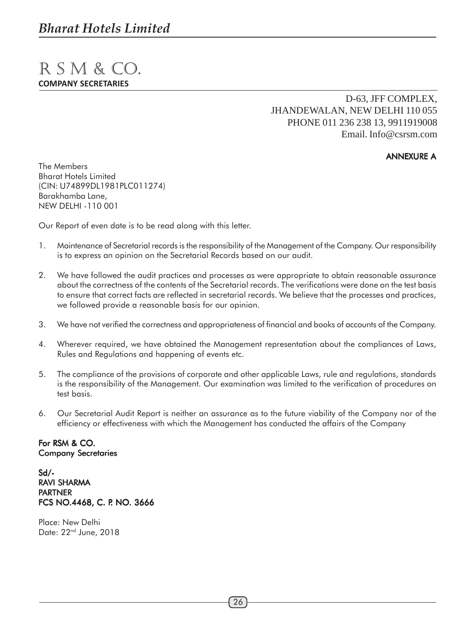# R S M & Co. **COMPANY SECRETARIES**

# D-63, JFF COMPLEX, JHANDEWALAN, NEW DELHI 110 055 PHONE 011 236 238 13, 9911919008 Email. Info@csrsm.com

# ANNEXURE A

The Members Bharat Hotels Limited (CIN: U74899DL1981PLC011274) Barakhamba Lane, NEW DELHI -110 001

Our Report of even date is to be read along with this letter.

- 1. Maintenance of Secretarial records is the responsibility of the Management of the Company. Our responsibility is to express an opinion on the Secretarial Records based on our audit.
- 2. We have followed the audit practices and processes as were appropriate to obtain reasonable assurance about the correctness of the contents of the Secretarial records. The verifications were done on the test basis to ensure that correct facts are reflected in secretarial records. We believe that the processes and practices, we followed provide a reasonable basis for our opinion.
- 3. We have not verified the correctness and appropriateness of financial and books of accounts of the Company.
- 4. Wherever required, we have obtained the Management representation about the compliances of Laws, Rules and Regulations and happening of events etc.
- 5. The compliance of the provisions of corporate and other applicable Laws, rule and regulations, standards is the responsibility of the Management. Our examination was limited to the verification of procedures on test basis.
- 6. Our Secretarial Audit Report is neither an assurance as to the future viability of the Company nor of the efficiency or effectiveness with which the Management has conducted the affairs of the Company

For RSM & CO. Company Secretaries

Sd/- RAVI SHARMA PARTNER FCS NO.4468, C. P. NO. 3666

Place: New Delhi Date: 22nd June, 2018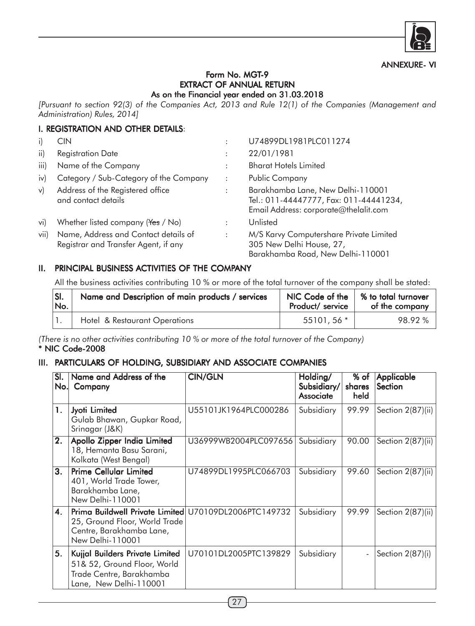

# ANNEXURE- VI

#### Form No. MGT-9 EXTRACT OF ANNUAL RETURN As on the Financial year ended on 31.03.2018

*[Pursuant to section 92(3) of the Companies Act, 2013 and Rule 12(1) of the Companies (Management and Administration) Rules, 2014]*

# I. REGISTRATION AND OTHER DETAILS:

| i)              | CIN                                                                          |                      | U74899DL1981PLC011274                                                                                                |
|-----------------|------------------------------------------------------------------------------|----------------------|----------------------------------------------------------------------------------------------------------------------|
| $\overline{ii}$ | <b>Registration Date</b>                                                     |                      | 22/01/1981                                                                                                           |
| iii)            | Name of the Company                                                          | ÷                    | <b>Bharat Hotels Limited</b>                                                                                         |
| iv)             | Category / Sub-Category of the Company                                       | ÷                    | Public Company                                                                                                       |
| $\vee$          | Address of the Registered office<br>and contact details                      | $\ddot{\phantom{a}}$ | Barakhamba Lane, New Delhi-110001<br>Tel.: 011-44447777, Fax: 011-44441234,<br>Email Address: corporate@thelalit.com |
| vi)             | Whether listed company (Yes / No)                                            | ÷                    | Unlisted                                                                                                             |
| vii)            | Name, Address and Contact details of<br>Registrar and Transfer Agent, if any | ÷                    | M/S Karvy Computershare Private Limited<br>305 New Delhi House, 27,<br>Barakhamba Road, New Delhi-110001             |

# II. PRINCIPAL BUSINESS ACTIVITIES OF THE COMPANY

All the business activities contributing 10 % or more of the total turnover of the company shall be stated:

| $\vert$ SI.<br>$N_{\rm O}$ . | Name and Description of main products / services | Product/ service | NIC Code of the   % to total turnover<br>of the company |  |
|------------------------------|--------------------------------------------------|------------------|---------------------------------------------------------|--|
|                              | Hotel & Restaurant Operations                    | $55101, 56*$     | 98.92 %                                                 |  |

*(There is no other activities contributing 10 % or more of the total turnover of the Company)* \* NIC Code-2008

#### III. PARTICULARS OF HOLDING, SUBSIDIARY AND ASSOCIATE COMPANIES

| SI.<br>No. | Name and Address of the<br>Company                                                                                                     | <b>CIN/GLN</b>        | Holding/<br>Subsidiary/<br><b>Associate</b> | % of<br>shares<br>held | <b>Applicable</b><br>Section |
|------------|----------------------------------------------------------------------------------------------------------------------------------------|-----------------------|---------------------------------------------|------------------------|------------------------------|
| 1.         | Jyoti Limited<br>Gulab Bhawan, Gupkar Road,<br>Srinagar (J&K)                                                                          | U55101JK1964PLC000286 | Subsidiary                                  | 99.99                  | Section 2(87)(ii)            |
| 2.         | Apollo Zipper India Limited<br>18, Hemanta Basu Sarani,<br>Kolkata (West Bengal)                                                       | U36999WB2004PLC097656 | Subsidiary                                  | 90.00                  | Section 2(87)(ii)            |
| 3.         | <b>Prime Cellular Limited</b><br>401, World Trade Tower,<br>Barakhamba Lane,<br>New Delhi-110001                                       | U74899DL1995PLC066703 | Subsidiary                                  | 99.60                  | Section 2(87)(ii)            |
| 4.         | Prima Buildwell Private Limited U70109DL2006PTC149732<br>25, Ground Floor, World Trade<br>Centre, Barakhamba Lane,<br>New Delhi-110001 |                       | Subsidiary                                  | 99.99                  | Section 2(87)(ii)            |
| 5.         | Kujjal Builders Private Limited<br>51& 52, Ground Floor, World<br>Trade Centre, Barakhamba<br>Lane, New Delhi-110001                   | U70101DL2005PTC139829 | Subsidiary                                  |                        | Section 2(87)(i)             |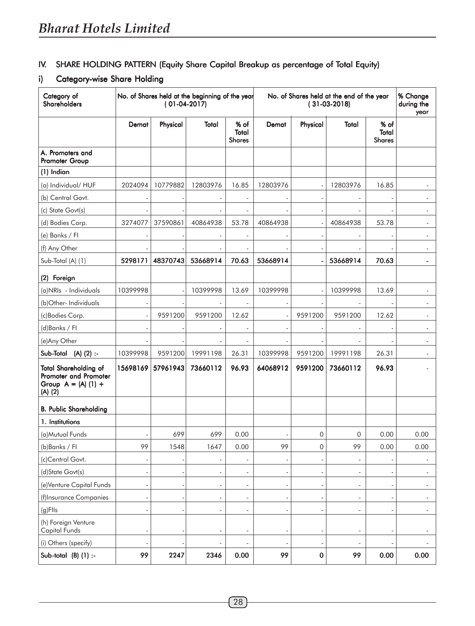# IV. SHARE HOLDING PATTERN (Equity Share Capital Breakup as percentage of Total Equity)

# i) Category-wise Share Holding

| Category of<br><b>Shareholders</b>                                                            |                          | $(01-04-2017)$ | No. of Shares held at the beginning of the year |                                | No. of Shares held at the end of the year<br>$(31-03-2018)$ |           |                          |                                       |      |  |  |  | % Change<br>during the<br>year |
|-----------------------------------------------------------------------------------------------|--------------------------|----------------|-------------------------------------------------|--------------------------------|-------------------------------------------------------------|-----------|--------------------------|---------------------------------------|------|--|--|--|--------------------------------|
|                                                                                               | Demat                    | Physical       | Total                                           | % of<br>Total<br><b>Shares</b> | Demat                                                       | Physical  | Total                    | % of<br><b>Total</b><br><b>Shares</b> |      |  |  |  |                                |
| A. Promoters and<br><b>Promoter Group</b>                                                     |                          |                |                                                 |                                |                                                             |           |                          |                                       |      |  |  |  |                                |
| (1) Indian                                                                                    |                          |                |                                                 |                                |                                                             |           |                          |                                       |      |  |  |  |                                |
| (a) Individual/HUF                                                                            | 2024094                  | 10779882       | 12803976                                        | 16.85                          | 12803976                                                    |           | 12803976                 | 16.85                                 |      |  |  |  |                                |
| (b) Central Govt.                                                                             | $\overline{a}$           |                | $\overline{\phantom{a}}$                        | $\overline{\phantom{a}}$       |                                                             |           | $\overline{\phantom{a}}$ |                                       |      |  |  |  |                                |
| (c) State Govt(s)                                                                             |                          |                |                                                 |                                |                                                             |           |                          |                                       |      |  |  |  |                                |
| (d) Bodies Corp.                                                                              | 3274077                  | 37590861       | 40864938                                        | 53.78                          | 40864938                                                    | ÷,        | 40864938                 | 53.78                                 |      |  |  |  |                                |
| (e) Banks / FI                                                                                |                          |                | $\overline{\phantom{a}}$                        |                                |                                                             |           | $\overline{a}$           |                                       |      |  |  |  |                                |
| (f) Any Other                                                                                 |                          |                |                                                 |                                |                                                             |           |                          |                                       |      |  |  |  |                                |
| Sub-Total (A) (1)                                                                             | 5298171                  | 48370743       | 53668914                                        | 70.63                          | 53668914                                                    |           | 53668914                 | 70.63                                 |      |  |  |  |                                |
| Foreign<br>(2)                                                                                |                          |                |                                                 |                                |                                                             |           |                          |                                       |      |  |  |  |                                |
| (a)NRIs - Individuals                                                                         | 10399998                 |                | 10399998                                        | 13.69                          | 10399998                                                    |           | 10399998                 | 13.69                                 |      |  |  |  |                                |
| (b)Other-Individuals                                                                          |                          |                |                                                 |                                |                                                             |           |                          |                                       |      |  |  |  |                                |
| (c)Bodies Corp.                                                                               | $\overline{a}$           | 9591200        | 9591200                                         | 12.62                          |                                                             | 9591200   | 9591200                  | 12.62                                 |      |  |  |  |                                |
| (d)Banks / Fl                                                                                 |                          |                |                                                 |                                |                                                             |           |                          |                                       |      |  |  |  |                                |
| (e)Any Other                                                                                  |                          |                |                                                 |                                |                                                             |           |                          |                                       |      |  |  |  |                                |
| Sub-Total (A) (2) :-                                                                          | 10399998                 | 9591200        | 19991198                                        | 26.31                          | 10399998                                                    | 9591200   | 19991198                 | 26.31                                 |      |  |  |  |                                |
| <b>Total Shareholding of</b><br>Promoter and Promoter<br>Group $A = (A) (1) +$<br>$(A)$ $(2)$ | 15698169                 | 57961943       | 73660112                                        | 96.93                          | 64068912                                                    | 9591200   | 73660112                 | 96.93                                 |      |  |  |  |                                |
| <b>B. Public Shareholding</b>                                                                 |                          |                |                                                 |                                |                                                             |           |                          |                                       |      |  |  |  |                                |
| 1. Institutions                                                                               |                          |                |                                                 |                                |                                                             |           |                          |                                       |      |  |  |  |                                |
| (a)Mutual Funds                                                                               |                          | 699            | 699                                             | 0.00                           |                                                             | 0         | $\mathbf 0$              | 0.00                                  | 0.00 |  |  |  |                                |
| (b)Banks / Fl                                                                                 | 99                       | 1548           | 1647                                            | 0.00                           | 99                                                          | 0         | 99                       | 0.00                                  | 0.00 |  |  |  |                                |
| (c)Central Govt.                                                                              | $\overline{\phantom{a}}$ |                | $\overline{\phantom{a}}$                        | $\overline{\phantom{a}}$       | Ĭ,                                                          | -         | $\overline{\phantom{a}}$ | $\overline{\phantom{a}}$              |      |  |  |  |                                |
| (d)State Govt(s)                                                                              | $\overline{a}$           |                | $\overline{\phantom{a}}$                        |                                |                                                             |           | $\overline{\phantom{a}}$ |                                       |      |  |  |  |                                |
| (e)Venture Capital Funds                                                                      | $\frac{1}{2}$            |                | $\sim$                                          | $\overline{\phantom{a}}$       |                                                             |           | $\overline{\phantom{a}}$ | $\overline{\phantom{a}}$              |      |  |  |  |                                |
| (f)Insurance Companies                                                                        | $\overline{\phantom{a}}$ |                | $\overline{\phantom{a}}$                        |                                |                                                             |           | $\frac{1}{2}$            | $\overline{\phantom{a}}$              |      |  |  |  |                                |
| (g)FlIs                                                                                       | $\overline{\phantom{a}}$ |                | $\overline{\phantom{a}}$                        | $\overline{\phantom{a}}$       |                                                             |           | $\overline{\phantom{a}}$ | $\overline{\phantom{a}}$              |      |  |  |  |                                |
| (h) Foreign Venture<br>Capital Funds                                                          | $\overline{\phantom{a}}$ |                | $\overline{\phantom{a}}$                        | ÷,                             |                                                             |           | $\overline{a}$           |                                       |      |  |  |  |                                |
| (i) Others (specify)                                                                          |                          |                |                                                 |                                |                                                             |           |                          |                                       |      |  |  |  |                                |
| Sub-total (B) (1) :-                                                                          | 99                       | 2247           | 2346                                            | 0.00                           | 99                                                          | $\pmb{0}$ | 99                       | 0.00                                  | 0.00 |  |  |  |                                |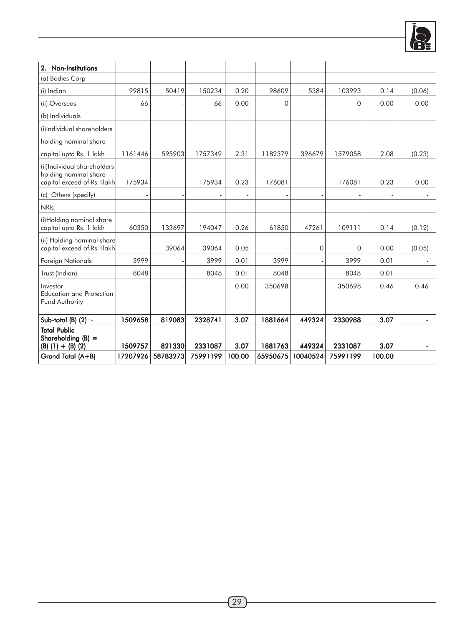

| 2.<br>Non-Institutions                                                               |          |          |          |        |          |          |          |        |        |
|--------------------------------------------------------------------------------------|----------|----------|----------|--------|----------|----------|----------|--------|--------|
|                                                                                      |          |          |          |        |          |          |          |        |        |
| (a) Bodies Corp                                                                      |          |          |          |        |          |          |          |        |        |
| (i) Indian                                                                           | 99815    | 50419    | 150234   | 0.20   | 98609    | 5384     | 103993   | 0.14   | (0.06) |
| (ii) Overseas                                                                        | 66       |          | 66       | 0.00   | $\Omega$ |          | 0        | 0.00   | 0.00   |
| (b) Individuals                                                                      |          |          |          |        |          |          |          |        |        |
| (i)Individual shareholders                                                           |          |          |          |        |          |          |          |        |        |
| holding nominal share                                                                |          |          |          |        |          |          |          |        |        |
| capital upto Rs. 1 lakh                                                              | 1161446  | 595903   | 1757349  | 2.31   | 1182379  | 396679   | 1579058  | 2.08   | (0.23) |
| (ii)Individual shareholders<br>holding nominal share<br>capital exceed of Rs. 1 lakh | 175934   |          | 175934   | 0.23   | 176081   |          | 176081   | 0.23   | 0.00   |
|                                                                                      |          |          |          |        |          |          |          |        |        |
| (c) Others (specify)                                                                 |          |          |          | ٠      |          |          |          |        |        |
| NRI <sub>s</sub> :                                                                   |          |          |          |        |          |          |          |        |        |
| (i)Holding nominal share<br>capital upto Rs. 1 lakh                                  | 60350    | 133697   | 194047   | 0.26   | 61850    | 47261    | 109111   | 0.14   | (0.12) |
| (ii) Holding nominal share<br>capital exceed of Rs. 1 lakh                           |          | 39064    | 39064    | 0.05   |          | 0        | 0        | 0.00   | (0.05) |
| Foreign Nationals                                                                    | 3999     |          | 3999     | 0.01   | 3999     |          | 3999     | 0.01   |        |
| Trust (Indian)                                                                       | 8048     |          | 8048     | 0.01   | 8048     |          | 8048     | 0.01   |        |
| Investor<br><b>Education and Protection</b><br>Fund Authority                        |          |          |          | 0.00   | 350698   |          | 350698   | 0.46   | 0.46   |
| Sub-total $(B)$ $(2)$ :-                                                             | 1509658  | 819083   | 2328741  | 3.07   | 1881664  | 449324   | 2330988  | 3.07   |        |
| <b>Total Public</b><br>Shareholding $(B) =$<br>$(B) (1) + (B) (2)$                   | 1509757  | 821330   | 2331087  | 3.07   | 1881763  | 449324   | 2331087  | 3.07   |        |
| Grand Total (A+B)                                                                    | 17207926 | 58783273 | 75991199 | 100.00 | 65950675 | 10040524 | 75991199 | 100.00 |        |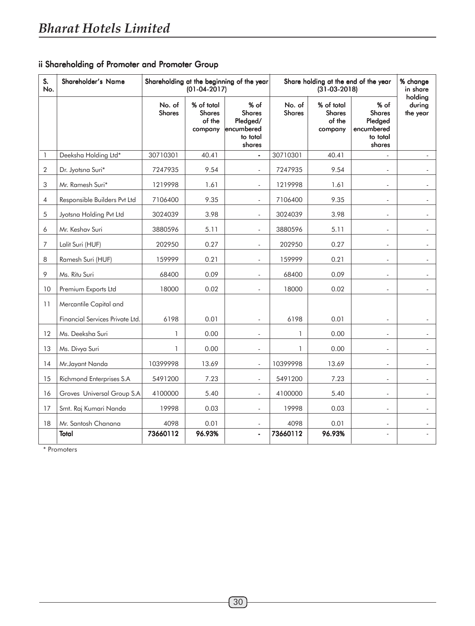# ii Shareholding of Promoter and Promoter Group

| S.<br>No.      | Shareholder's Name              |                         | Shareholding at the beginning of the year<br>$(01-04-2017)$ |                                                                         |                         | Share holding at the end of the year<br>$(31-03-2018)$ |                                                                        |                               |  |  |  |  |
|----------------|---------------------------------|-------------------------|-------------------------------------------------------------|-------------------------------------------------------------------------|-------------------------|--------------------------------------------------------|------------------------------------------------------------------------|-------------------------------|--|--|--|--|
|                |                                 | No. of<br><b>Shares</b> | % of total<br><b>Shares</b><br>of the<br>company            | $%$ of<br><b>Shares</b><br>Pledged/<br>encumbered<br>to total<br>shares | No. of<br><b>Shares</b> | % of total<br><b>Shares</b><br>of the<br>company       | $%$ of<br><b>Shares</b><br>Pledged<br>encumbered<br>to total<br>shares | holding<br>during<br>the year |  |  |  |  |
| 1              | Deeksha Holding Ltd*            | 30710301                | 40.41                                                       | $\blacksquare$                                                          | 30710301                | 40.41                                                  |                                                                        | $\overline{\phantom{a}}$      |  |  |  |  |
| $\overline{2}$ | Dr. Jyotsna Suri*               | 7247935                 | 9.54                                                        | ÷.                                                                      | 7247935                 | 9.54                                                   | ÷.                                                                     | $\sim$                        |  |  |  |  |
| 3              | Mr. Ramesh Suri*                | 1219998                 | 1.61                                                        | $\sim$                                                                  | 1219998                 | 1.61                                                   | ÷.                                                                     | $\sim$                        |  |  |  |  |
| 4              | Responsible Builders Pvt Ltd    | 7106400                 | 9.35                                                        | ÷.                                                                      | 7106400                 | 9.35                                                   | $\sim$                                                                 | $\sim$                        |  |  |  |  |
| 5              | Jyotsna Holding Pvt Ltd         | 3024039                 | 3.98                                                        | ÷.                                                                      | 3024039                 | 3.98                                                   | $\sim$                                                                 | $\sim$                        |  |  |  |  |
| 6              | Mr. Keshav Suri                 | 3880596                 | 5.11                                                        | ÷.                                                                      | 3880596                 | 5.11                                                   | $\overline{\phantom{a}}$                                               |                               |  |  |  |  |
| $\overline{7}$ | Lalit Suri (HUF)                | 202950                  | 0.27                                                        | ÷.                                                                      | 202950                  | 0.27                                                   | ÷.                                                                     |                               |  |  |  |  |
| 8              | Ramesh Suri (HUF)               | 159999                  | 0.21                                                        | ÷,                                                                      | 159999                  | 0.21                                                   | ÷.                                                                     |                               |  |  |  |  |
| 9              | Ms. Ritu Suri                   | 68400                   | 0.09                                                        | ä,                                                                      | 68400                   | 0.09                                                   |                                                                        |                               |  |  |  |  |
| 10             | Premium Exports Ltd             | 18000                   | 0.02                                                        |                                                                         | 18000                   | 0.02                                                   |                                                                        |                               |  |  |  |  |
| 11             | Mercantile Capital and          |                         |                                                             |                                                                         |                         |                                                        |                                                                        |                               |  |  |  |  |
|                | Financial Services Private Ltd. | 6198                    | 0.01                                                        |                                                                         | 6198                    | 0.01                                                   |                                                                        |                               |  |  |  |  |
| 12             | Ms. Deeksha Suri                | 1                       | 0.00                                                        |                                                                         | $\mathbf{1}$            | 0.00                                                   |                                                                        |                               |  |  |  |  |
| 13             | Ms. Divya Suri                  | 1                       | 0.00                                                        |                                                                         | 1                       | 0.00                                                   |                                                                        |                               |  |  |  |  |
| 14             | Mr.Jayant Nanda                 | 10399998                | 13.69                                                       |                                                                         | 10399998                | 13.69                                                  |                                                                        |                               |  |  |  |  |
| 15             | Richmond Enterprises S.A        | 5491200                 | 7.23                                                        |                                                                         | 5491200                 | 7.23                                                   |                                                                        |                               |  |  |  |  |
| 16             | Groves Universal Group S.A      | 4100000                 | 5.40                                                        |                                                                         | 4100000                 | 5.40                                                   |                                                                        |                               |  |  |  |  |
| 17             | Smt. Raj Kumari Nanda           | 19998                   | 0.03                                                        |                                                                         | 19998                   | 0.03                                                   |                                                                        |                               |  |  |  |  |
| 18             | Mr. Santosh Chanana             | 4098                    | 0.01                                                        |                                                                         | 4098                    | 0.01                                                   |                                                                        |                               |  |  |  |  |
|                | Total                           | 73660112                | 96.93%                                                      | ä,                                                                      | 73660112                | 96.93%                                                 | ÷.                                                                     |                               |  |  |  |  |

\* Promoters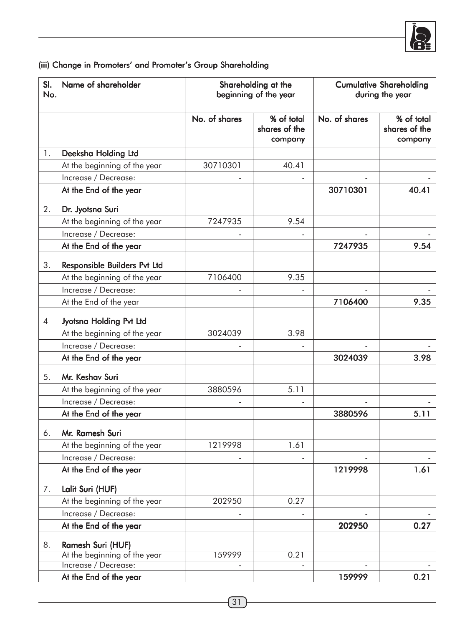

(iii) Change in Promoters' and Promoter's Group Shareholding

| SI.<br>No.     | Name of shareholder                 |               | Shareholding at the<br>beginning of the year | <b>Cumulative Shareholding</b><br>during the year |                                        |  |
|----------------|-------------------------------------|---------------|----------------------------------------------|---------------------------------------------------|----------------------------------------|--|
|                |                                     | No. of shares | % of total<br>shares of the<br>company       | No. of shares                                     | % of total<br>shares of the<br>company |  |
| 1.             | <b>Deeksha Holding Ltd</b>          |               |                                              |                                                   |                                        |  |
|                | At the beginning of the year        | 30710301      | 40.41                                        |                                                   |                                        |  |
|                | Increase / Decrease:                |               |                                              |                                                   |                                        |  |
|                | At the End of the year              |               |                                              | 30710301                                          | 40.41                                  |  |
| 2.             | Dr. Jyotsna Suri                    |               |                                              |                                                   |                                        |  |
|                | At the beginning of the year        | 7247935       | 9.54                                         |                                                   |                                        |  |
|                | Increase / Decrease:                |               |                                              |                                                   |                                        |  |
|                | At the End of the year              |               |                                              | 7247935                                           | 9.54                                   |  |
| 3.             | <b>Responsible Builders Pvt Ltd</b> |               |                                              |                                                   |                                        |  |
|                | At the beginning of the year        | 7106400       | 9.35                                         |                                                   |                                        |  |
|                | Increase / Decrease:                |               |                                              |                                                   |                                        |  |
|                | At the End of the year              |               |                                              | 7106400                                           | 9.35                                   |  |
| $\overline{4}$ | Jyotsna Holding Pvt Ltd             |               |                                              |                                                   |                                        |  |
|                | At the beginning of the year        | 3024039       | 3.98                                         |                                                   |                                        |  |
|                | Increase / Decrease:                |               |                                              |                                                   |                                        |  |
|                | At the End of the year              |               |                                              | 3024039                                           | 3.98                                   |  |
| 5.             | Mr. Keshav Suri                     |               |                                              |                                                   |                                        |  |
|                | At the beginning of the year        | 3880596       | 5.11                                         |                                                   |                                        |  |
|                | Increase / Decrease:                |               |                                              |                                                   |                                        |  |
|                | At the End of the year              |               |                                              | 3880596                                           | 5.11                                   |  |
| 6.             | Mr. Ramesh Suri                     |               |                                              |                                                   |                                        |  |
|                | At the beginning of the year        | 1219998       | 1.61                                         |                                                   |                                        |  |
|                | Increase / Decrease:                |               |                                              |                                                   |                                        |  |
|                | At the End of the year              |               |                                              | 1219998                                           | 1.61                                   |  |
| 7.             | Lalit Suri (HUF)                    |               |                                              |                                                   |                                        |  |
|                | At the beginning of the year        | 202950        | 0.27                                         |                                                   |                                        |  |
|                | Increase / Decrease:                |               |                                              |                                                   |                                        |  |
|                | At the End of the year              |               |                                              | 202950                                            | 0.27                                   |  |
| 8.             | Ramesh Suri (HUF)                   |               |                                              |                                                   |                                        |  |
|                | At the beginning of the year        | 159999        | 0.21                                         |                                                   |                                        |  |
|                | Increase / Decrease:                |               |                                              |                                                   |                                        |  |
|                | At the End of the year              |               |                                              | 159999                                            | 0.21                                   |  |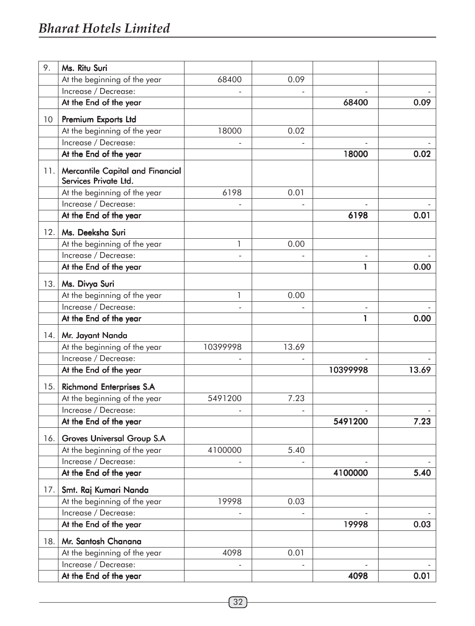| 9.  | Ms. Ritu Suri                                                    |          |       |          |       |
|-----|------------------------------------------------------------------|----------|-------|----------|-------|
|     | At the beginning of the year                                     | 68400    | 0.09  |          |       |
|     | Increase / Decrease:                                             |          |       |          |       |
|     | At the End of the year                                           |          |       | 68400    | 0.09  |
| 10  | Premium Exports Ltd                                              |          |       |          |       |
|     | At the beginning of the year                                     | 18000    | 0.02  |          |       |
|     | Increase / Decrease:                                             |          |       |          |       |
|     | At the End of the year                                           |          |       | 18000    | 0.02  |
| 11. | <b>Mercantile Capital and Financial</b><br>Services Private Ltd. |          |       |          |       |
|     | At the beginning of the year                                     | 6198     | 0.01  |          |       |
|     | Increase / Decrease:                                             |          |       |          |       |
|     | At the End of the year                                           |          |       | 6198     | 0.01  |
| 12. | Ms. Deeksha Suri                                                 |          |       |          |       |
|     | At the beginning of the year                                     | 1        | 0.00  |          |       |
|     | Increase / Decrease:                                             |          |       |          |       |
|     | At the End of the year                                           |          |       | 1        | 0.00  |
| 13. | Ms. Divya Suri                                                   |          |       |          |       |
|     | At the beginning of the year                                     | 1        | 0.00  |          |       |
|     | Increase / Decrease:                                             |          |       |          |       |
|     | At the End of the year                                           |          |       | 1        | 0.00  |
| 14. | Mr. Jayant Nanda                                                 |          |       |          |       |
|     | At the beginning of the year                                     | 10399998 | 13.69 |          |       |
|     | Increase / Decrease:                                             |          |       |          |       |
|     | At the End of the year                                           |          |       | 10399998 | 13.69 |
| 15. | <b>Richmond Enterprises S.A</b>                                  |          |       |          |       |
|     | At the beginning of the year                                     | 5491200  | 7.23  |          |       |
|     | Increase / Decrease:                                             |          |       |          |       |
|     | At the End of the year                                           |          |       | 5491200  | 7.23  |
| 16. | <b>Groves Universal Group S.A</b>                                |          |       |          |       |
|     | At the beginning of the year                                     | 4100000  | 5.40  |          |       |
|     | Increase / Decrease:                                             |          |       |          |       |
|     | At the End of the year                                           |          |       | 4100000  | 5.40  |
| 17. | Smt. Raj Kumari Nanda                                            |          |       |          |       |
|     | At the beginning of the year                                     | 19998    | 0.03  |          |       |
|     | Increase / Decrease:                                             |          |       |          |       |
|     | At the End of the year                                           |          |       | 19998    | 0.03  |
| 18. | Mr. Santosh Chanana                                              |          |       |          |       |
|     | At the beginning of the year                                     | 4098     | 0.01  |          |       |
|     | Increase / Decrease:                                             |          |       |          |       |
|     | At the End of the year                                           |          |       | 4098     | 0.01  |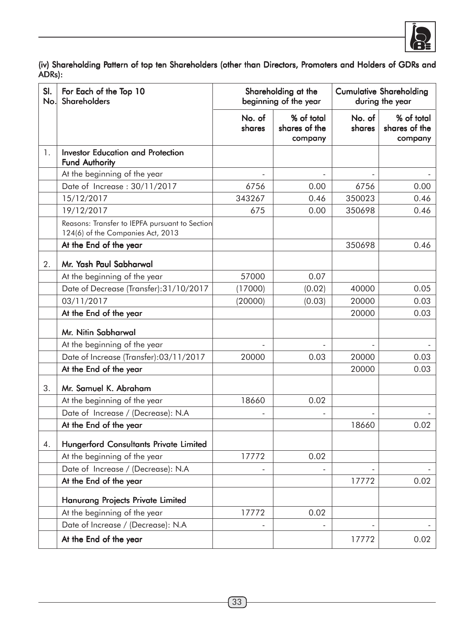

(iv) Shareholding Pattern of top ten Shareholders (other than Directors, Promoters and Holders of GDRs and ADRs):

| SI.<br>No. | For Each of the Top 10<br><b>Shareholders</b>                                       | Shareholding at the<br>beginning of the year |                                        | <b>Cumulative Shareholding</b><br>during the year |                                        |
|------------|-------------------------------------------------------------------------------------|----------------------------------------------|----------------------------------------|---------------------------------------------------|----------------------------------------|
|            |                                                                                     | No. of<br>shares                             | % of total<br>shares of the<br>company | No. of<br>shares                                  | % of total<br>shares of the<br>company |
| 1.         | <b>Investor Education and Protection</b><br><b>Fund Authority</b>                   |                                              |                                        |                                                   |                                        |
|            | At the beginning of the year                                                        | $\overline{\phantom{a}}$                     |                                        |                                                   |                                        |
|            | Date of Increase: 30/11/2017                                                        | 6756                                         | 0.00                                   | 6756                                              | 0.00                                   |
|            | 15/12/2017                                                                          | 343267                                       | 0.46                                   | 350023                                            | 0.46                                   |
|            | 19/12/2017                                                                          | 675                                          | 0.00                                   | 350698                                            | 0.46                                   |
|            | Reasons: Transfer to IEPFA pursuant to Section<br>124(6) of the Companies Act, 2013 |                                              |                                        |                                                   |                                        |
|            | At the End of the year                                                              |                                              |                                        | 350698                                            | 0.46                                   |
| 2.         | Mr. Yash Paul Sabharwal                                                             |                                              |                                        |                                                   |                                        |
|            | At the beginning of the year                                                        | 57000                                        | 0.07                                   |                                                   |                                        |
|            | Date of Decrease (Transfer): 31/10/2017                                             | (17000)                                      | (0.02)                                 | 40000                                             | 0.05                                   |
|            | 03/11/2017                                                                          | (20000)                                      | (0.03)                                 | 20000                                             | 0.03                                   |
|            | At the End of the year                                                              |                                              |                                        | 20000                                             | 0.03                                   |
|            | Mr. Nitin Sabharwal                                                                 |                                              |                                        |                                                   |                                        |
|            | At the beginning of the year                                                        |                                              |                                        |                                                   |                                        |
|            | Date of Increase (Transfer):03/11/2017                                              | 20000                                        | 0.03                                   | 20000                                             | 0.03                                   |
|            | At the End of the year                                                              |                                              |                                        | 20000                                             | 0.03                                   |
| 3.         | Mr. Samuel K. Abraham                                                               |                                              |                                        |                                                   |                                        |
|            | At the beginning of the year                                                        | 18660                                        | 0.02                                   |                                                   |                                        |
|            | Date of Increase / (Decrease): N.A                                                  |                                              |                                        |                                                   |                                        |
|            | At the End of the year                                                              |                                              |                                        | 18660                                             | 0.02                                   |
| 4.         | <b>Hungerford Consultants Private Limited</b>                                       |                                              |                                        |                                                   |                                        |
|            | At the beginning of the year                                                        | 17772                                        | 0.02                                   |                                                   |                                        |
|            | Date of Increase / (Decrease): N.A                                                  |                                              |                                        |                                                   |                                        |
|            | At the End of the year                                                              |                                              |                                        | 17772                                             | 0.02                                   |
|            | Hanurang Projects Private Limited                                                   |                                              |                                        |                                                   |                                        |
|            | At the beginning of the year                                                        | 17772                                        | 0.02                                   |                                                   |                                        |
|            | Date of Increase / (Decrease): N.A                                                  | $\overline{\phantom{a}}$                     |                                        |                                                   |                                        |
|            | At the End of the year                                                              |                                              |                                        | 17772                                             | 0.02                                   |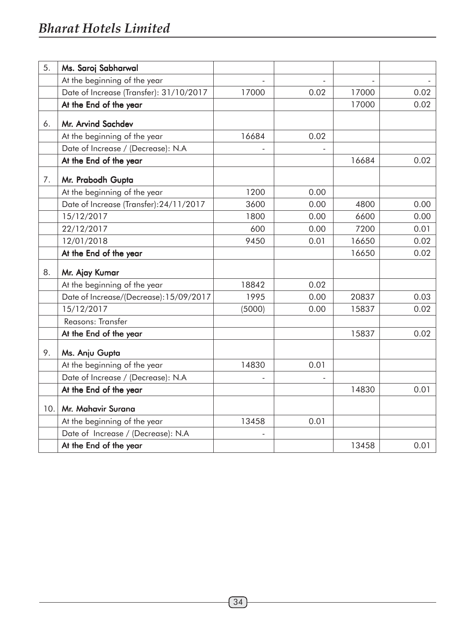| 5.  | Ms. Saroj Sabharwal                     |        |      |       |      |
|-----|-----------------------------------------|--------|------|-------|------|
|     | At the beginning of the year            |        |      |       |      |
|     | Date of Increase (Transfer): 31/10/2017 | 17000  | 0.02 | 17000 | 0.02 |
|     | At the End of the year                  |        |      | 17000 | 0.02 |
| 6.  | Mr. Arvind Sachdev                      |        |      |       |      |
|     | At the beginning of the year            | 16684  | 0.02 |       |      |
|     | Date of Increase / (Decrease): N.A      |        |      |       |      |
|     | At the End of the year                  |        |      | 16684 | 0.02 |
| 7.  | Mr. Prabodh Gupta                       |        |      |       |      |
|     | At the beginning of the year            | 1200   | 0.00 |       |      |
|     | Date of Increase (Transfer): 24/11/2017 | 3600   | 0.00 | 4800  | 0.00 |
|     | 15/12/2017                              | 1800   | 0.00 | 6600  | 0.00 |
|     | 22/12/2017                              | 600    | 0.00 | 7200  | 0.01 |
|     | 12/01/2018                              | 9450   | 0.01 | 16650 | 0.02 |
|     | At the End of the year                  |        |      | 16650 | 0.02 |
| 8.  | Mr. Ajay Kumar                          |        |      |       |      |
|     | At the beginning of the year            | 18842  | 0.02 |       |      |
|     | Date of Increase/(Decrease):15/09/2017  | 1995   | 0.00 | 20837 | 0.03 |
|     | 15/12/2017                              | (5000) | 0.00 | 15837 | 0.02 |
|     | Reasons: Transfer                       |        |      |       |      |
|     | At the End of the year                  |        |      | 15837 | 0.02 |
| 9.  | Ms. Anju Gupta                          |        |      |       |      |
|     | At the beginning of the year            | 14830  | 0.01 |       |      |
|     | Date of Increase / (Decrease): N.A      | ۳      |      |       |      |
|     | At the End of the year                  |        |      | 14830 | 0.01 |
| 10. | Mr. Mahavir Surana                      |        |      |       |      |
|     | At the beginning of the year            | 13458  | 0.01 |       |      |
|     | Date of Increase / (Decrease): N.A      |        |      |       |      |
|     | At the End of the year                  |        |      | 13458 | 0.01 |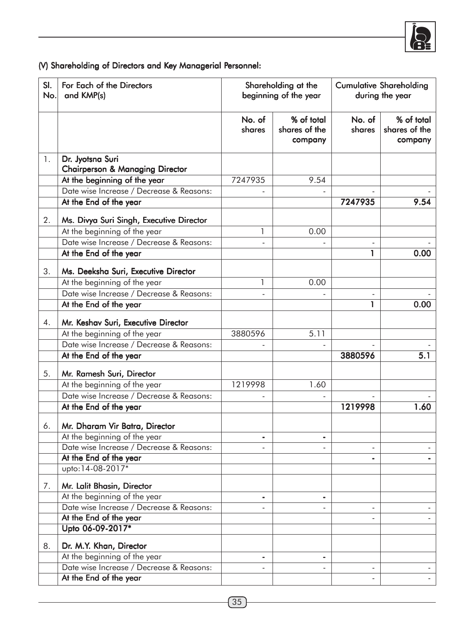

(V) Shareholding of Directors and Key Managerial Personnel:

| SI.<br>No. | For Each of the Directors<br>and KMP(s)                        | Shareholding at the<br>beginning of the year |                                        | <b>Cumulative Shareholding</b><br>during the year |                                        |
|------------|----------------------------------------------------------------|----------------------------------------------|----------------------------------------|---------------------------------------------------|----------------------------------------|
|            |                                                                | No. of<br>shares                             | % of total<br>shares of the<br>company | No. of<br>shares                                  | % of total<br>shares of the<br>company |
| 1.         | Dr. Jyotsna Suri<br><b>Chairperson &amp; Managing Director</b> |                                              |                                        |                                                   |                                        |
|            | At the beginning of the year                                   | 7247935                                      | 9.54                                   |                                                   |                                        |
|            | Date wise Increase / Decrease & Reasons:                       |                                              |                                        |                                                   |                                        |
|            | At the End of the year                                         |                                              |                                        | 7247935                                           | 9.54                                   |
| 2.         | Ms. Divya Suri Singh, Executive Director                       |                                              |                                        |                                                   |                                        |
|            | At the beginning of the year                                   | 1                                            | 0.00                                   |                                                   |                                        |
|            | Date wise Increase / Decrease & Reasons:                       |                                              |                                        |                                                   |                                        |
|            | At the End of the year                                         |                                              |                                        | 1                                                 | 0.00                                   |
| 3.         | Ms. Deeksha Suri, Executive Director                           |                                              |                                        |                                                   |                                        |
|            | At the beginning of the year                                   | 1                                            | 0.00                                   |                                                   |                                        |
|            | Date wise Increase / Decrease & Reasons:                       |                                              |                                        |                                                   |                                        |
|            | At the End of the year                                         |                                              |                                        | 1                                                 | 0.00                                   |
| 4.         | Mr. Keshav Suri, Executive Director                            |                                              |                                        |                                                   |                                        |
|            | At the beginning of the year                                   | 3880596                                      | 5.11                                   |                                                   |                                        |
|            | Date wise Increase / Decrease & Reasons:                       |                                              |                                        |                                                   |                                        |
|            | At the End of the year                                         |                                              |                                        | 3880596                                           | 5.1                                    |
| 5.         | Mr. Ramesh Suri, Director                                      |                                              |                                        |                                                   |                                        |
|            | At the beginning of the year                                   | 1219998                                      | 1.60                                   |                                                   |                                        |
|            | Date wise Increase / Decrease & Reasons:                       |                                              |                                        |                                                   |                                        |
|            | At the End of the year                                         |                                              |                                        | 1219998                                           | 1.60                                   |
| 6.         | Mr. Dharam Vir Batra, Director                                 |                                              |                                        |                                                   |                                        |
|            | At the beginning of the year                                   |                                              | -                                      |                                                   |                                        |
|            | Date wise Increase / Decrease & Reasons:                       |                                              |                                        | $\overline{\phantom{a}}$                          |                                        |
|            | At the End of the year                                         |                                              |                                        |                                                   |                                        |
|            | upto:14-08-2017*                                               |                                              |                                        |                                                   |                                        |
| 7.         | Mr. Lalit Bhasin, Director                                     |                                              |                                        |                                                   |                                        |
|            | At the beginning of the year                                   | $\blacksquare$                               | $\blacksquare$                         |                                                   |                                        |
|            | Date wise Increase / Decrease & Reasons:                       | $\overline{\phantom{a}}$                     |                                        | $\overline{\phantom{a}}$                          |                                        |
|            | At the End of the year                                         |                                              |                                        |                                                   |                                        |
|            | Upto 06-09-2017*                                               |                                              |                                        |                                                   |                                        |
| 8.         | Dr. M.Y. Khan, Director                                        |                                              |                                        |                                                   |                                        |
|            | At the beginning of the year                                   | $\blacksquare$                               | $\blacksquare$                         |                                                   |                                        |
|            | Date wise Increase / Decrease & Reasons:                       | ÷                                            |                                        | $\overline{\phantom{a}}$                          |                                        |
|            | At the End of the year                                         |                                              |                                        |                                                   |                                        |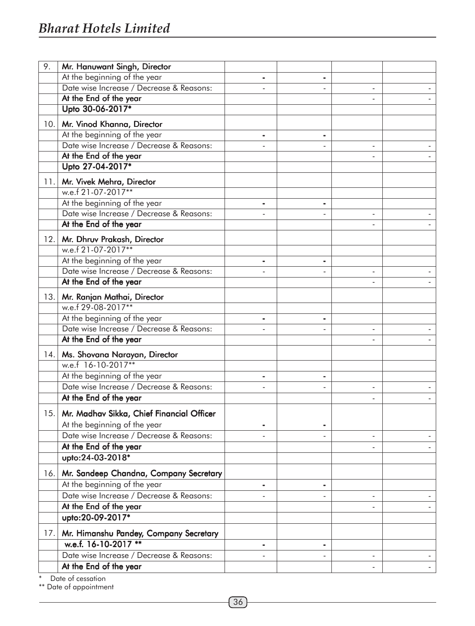| 9.  | Mr. Hanuwant Singh, Director                                             |                              |                |  |
|-----|--------------------------------------------------------------------------|------------------------------|----------------|--|
|     | At the beginning of the year                                             |                              |                |  |
|     | Date wise Increase / Decrease & Reasons:                                 |                              |                |  |
|     | At the End of the year                                                   |                              |                |  |
|     | Upto 30-06-2017*                                                         |                              |                |  |
| 10. | Mr. Vinod Khanna, Director                                               |                              |                |  |
|     | At the beginning of the year                                             |                              |                |  |
|     | Date wise Increase / Decrease & Reasons:                                 |                              |                |  |
|     | At the End of the year                                                   |                              |                |  |
|     | Upto 27-04-2017*                                                         |                              |                |  |
|     |                                                                          |                              |                |  |
| 11. | Mr. Vivek Mehra, Director<br>w.e.f 21-07-2017**                          |                              |                |  |
|     |                                                                          |                              |                |  |
|     | At the beginning of the year<br>Date wise Increase / Decrease & Reasons: | $\qquad \qquad \blacksquare$ |                |  |
|     |                                                                          |                              |                |  |
|     | At the End of the year                                                   |                              |                |  |
| 12. | Mr. Dhruv Prakash, Director                                              |                              |                |  |
|     | w.e.f 21-07-2017**                                                       |                              |                |  |
|     | At the beginning of the year                                             |                              |                |  |
|     | Date wise Increase / Decrease & Reasons:                                 |                              |                |  |
|     | At the End of the year                                                   |                              |                |  |
| 13. | Mr. Ranjan Mathai, Director                                              |                              |                |  |
|     | w.e.f 29-08-2017**                                                       |                              |                |  |
|     | At the beginning of the year                                             | $\qquad \qquad \blacksquare$ |                |  |
|     | Date wise Increase / Decrease & Reasons:                                 |                              |                |  |
|     | At the End of the year                                                   |                              |                |  |
| 14. | Ms. Shovana Narayan, Director                                            |                              |                |  |
|     | w.e.f 16-10-2017**                                                       |                              |                |  |
|     | At the beginning of the year                                             | $\qquad \qquad \blacksquare$ | $\blacksquare$ |  |
|     | Date wise Increase / Decrease & Reasons:                                 |                              |                |  |
|     | At the End of the year                                                   |                              |                |  |
| 15. | Mr. Madhav Sikka, Chief Financial Officer                                |                              |                |  |
|     | At the beginning of the year                                             |                              |                |  |
|     | Date wise Increase / Decrease & Reasons:                                 |                              |                |  |
|     | At the End of the year                                                   |                              |                |  |
|     | upto:24-03-2018*                                                         |                              |                |  |
| 16. | Mr. Sandeep Chandna, Company Secretary                                   |                              |                |  |
|     | At the beginning of the year                                             | $\blacksquare$               |                |  |
|     | Date wise Increase / Decrease & Reasons:                                 |                              |                |  |
|     | At the End of the year                                                   |                              |                |  |
|     | upto:20-09-2017*                                                         |                              |                |  |
| 17. | Mr. Himanshu Pandey, Company Secretary                                   |                              |                |  |
|     | w.e.f. 16-10-2017 **                                                     | $\overline{\phantom{0}}$     |                |  |
|     | Date wise Increase / Decrease & Reasons:                                 |                              |                |  |
|     | At the End of the year                                                   |                              |                |  |
|     | Date of cessation                                                        |                              |                |  |

\*\* Date of appointment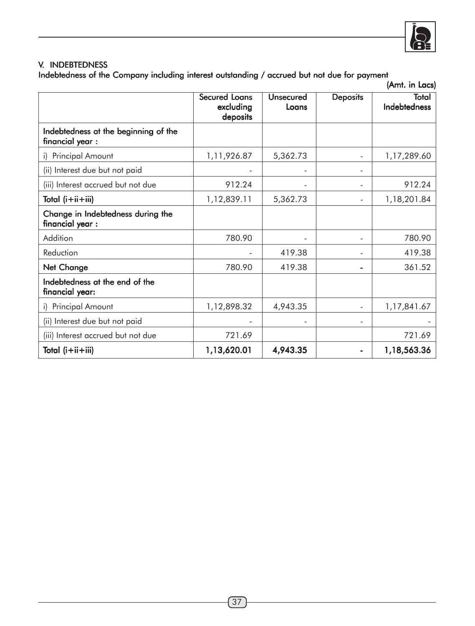

# V. INDEBTEDNESS

Indebtedness of the Company including interest outstanding / accrued but not due for payment

|                                                          |                                               |                          |                          | (Amt. in Lacs)               |
|----------------------------------------------------------|-----------------------------------------------|--------------------------|--------------------------|------------------------------|
|                                                          | <b>Secured Loans</b><br>excluding<br>deposits | Unsecured<br>Loans       | <b>Deposits</b>          | Total<br><b>Indebtedness</b> |
| Indebtedness at the beginning of the<br>financial year : |                                               |                          |                          |                              |
| Principal Amount<br>i)                                   | 1,11,926.87                                   | 5,362.73                 |                          | 1,17,289.60                  |
| (ii) Interest due but not paid                           |                                               | $\overline{\phantom{0}}$ |                          |                              |
| (iii) Interest accrued but not due                       | 912.24                                        | ۰                        |                          | 912.24                       |
| Total $(i+ii+iii)$                                       | 1,12,839.11                                   | 5,362.73                 |                          | 1,18,201.84                  |
| Change in Indebtedness during the<br>financial year:     |                                               |                          |                          |                              |
| Addition                                                 | 780.90                                        |                          |                          | 780.90                       |
| Reduction                                                |                                               | 419.38                   |                          | 419.38                       |
| <b>Net Change</b>                                        | 780.90                                        | 419.38                   |                          | 361.52                       |
| Indebtedness at the end of the<br>financial year:        |                                               |                          |                          |                              |
| i) Principal Amount                                      | 1,12,898.32                                   | 4,943.35                 |                          | 1,17,841.67                  |
| (ii) Interest due but not paid                           |                                               | $\overline{\phantom{a}}$ | $\overline{\phantom{a}}$ |                              |
| (iii) Interest accrued but not due                       | 721.69                                        |                          |                          | 721.69                       |
| Total $(i+ii+iii)$                                       | 1,13,620.01                                   | 4,943.35                 |                          | 1,18,563.36                  |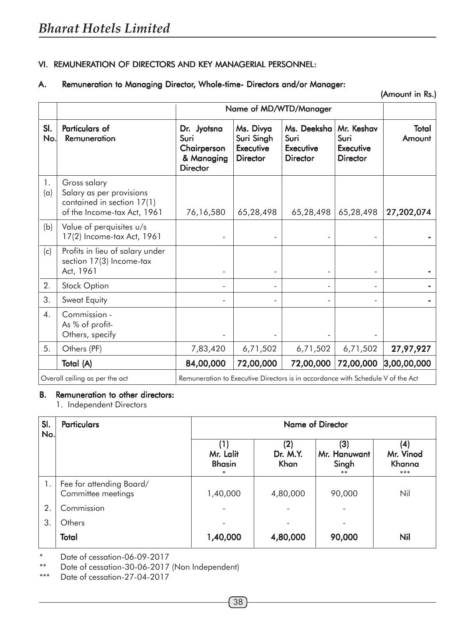# VI. REMUNERATION OF DIRECTORS AND KEY MANAGERIAL PERSONNEL:

# A. Remuneration to Managing Director, Whole-time- Directors and/or Manager:

(Amount in Rs.)

|                  |                                                                                                       |                                                                                 | Name of MD/WTD/Manager                                         |                                                            |                                                           |                 |
|------------------|-------------------------------------------------------------------------------------------------------|---------------------------------------------------------------------------------|----------------------------------------------------------------|------------------------------------------------------------|-----------------------------------------------------------|-----------------|
| SI.<br>No.       | Particulars of<br>Remuneration                                                                        | Dr. Jyotsna<br>Suri<br>Chairperson<br>& Managing<br><b>Director</b>             | Ms. Divya<br>Suri Singh<br><b>Executive</b><br><b>Director</b> | Ms. Deeksha<br>Suri<br><b>Executive</b><br><b>Director</b> | Mr. Keshav<br>Suri<br><b>Executive</b><br><b>Director</b> | Total<br>Amount |
| 1.<br>$(\alpha)$ | Gross salary<br>Salary as per provisions<br>contained in section 17(1)<br>of the Income-tax Act, 1961 | 76,16,580                                                                       | 65,28,498                                                      | 65,28,498                                                  | 65,28,498                                                 | 27,202,074      |
| (b)              | Value of perquisites u/s<br>17(2) Income-tax Act, 1961                                                |                                                                                 |                                                                |                                                            |                                                           |                 |
| (c)              | Profits in lieu of salary under<br>section 17(3) Income-tax<br>Act, 1961                              |                                                                                 | $\overline{a}$                                                 |                                                            |                                                           |                 |
| 2.               | Stock Option                                                                                          |                                                                                 |                                                                |                                                            |                                                           |                 |
| 3.               | Sweat Equity                                                                                          |                                                                                 |                                                                |                                                            |                                                           |                 |
| 4.               | Commission -<br>As % of profit-<br>Others, specify                                                    |                                                                                 |                                                                |                                                            |                                                           |                 |
| 5.               | Others (PF)                                                                                           | 7,83,420                                                                        | 6,71,502                                                       | 6,71,502                                                   | 6,71,502                                                  | 27,97,927       |
|                  | Total (A)                                                                                             | 84,00,000                                                                       | 72,00,000                                                      | 72,00,000                                                  | 72,00,000                                                 | 3,00,00,000     |
|                  | Overall ceiling as per the act                                                                        | Remuneration to Executive Directors is in accordance with Schedule V of the Act |                                                                |                                                            |                                                           |                 |

# B. Remuneration to other directors:

1. Independent Directors

| SI.<br>No. | <b>Particulars</b>                             | Name of Director                           |                         |                                       |                                   |  |  |
|------------|------------------------------------------------|--------------------------------------------|-------------------------|---------------------------------------|-----------------------------------|--|--|
|            |                                                | 71<br>Mr. Lalit<br><b>Bhasin</b><br>$\ast$ | (2)<br>Dr. M.Y.<br>Khan | (3)<br>Mr. Hanuwant<br>Singh<br>$***$ | (4)<br>Mr. Vinod<br>Khanna<br>*** |  |  |
| $\pm 1.$   | Fee for attending Board/<br>Committee meetings | 1,40,000                                   | 4,80,000                | 90,000                                | Nil                               |  |  |
| 2.         | Commission                                     |                                            |                         |                                       |                                   |  |  |
| 3.         | Others                                         |                                            |                         |                                       |                                   |  |  |
|            | Total                                          | 1,40,000                                   | 4,80,000                | 90,000                                | Nil                               |  |  |

\* Date of cessation-06-09-2017

\*\* Date of cessation-30-06-2017 (Non Independent)

\*\*\* Date of cessation-27-04-2017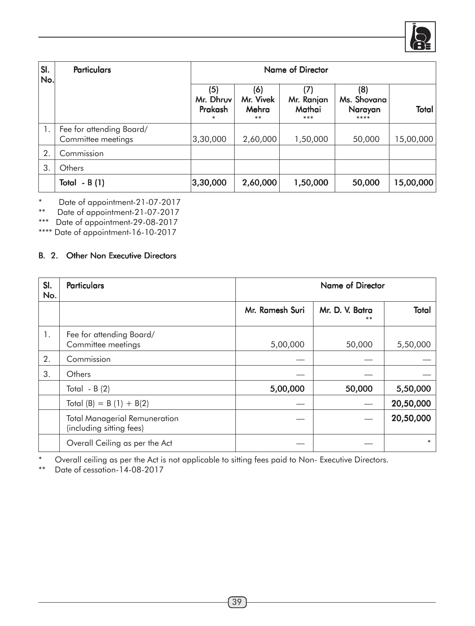

| SI.<br>No. | <b>Particulars</b>                             |                                       | <b>Name of Director</b>            |                             |                                       |           |  |
|------------|------------------------------------------------|---------------------------------------|------------------------------------|-----------------------------|---------------------------------------|-----------|--|
|            |                                                | (5)<br>Mr. Dhruv<br>Prakash<br>$\ast$ | (6)<br>Mr. Vivek<br>Mehra<br>$***$ | Mr. Ranjan<br>Mathai<br>*** | (8)<br>Ms. Shovana<br>Narayan<br>**** | Total     |  |
| 1.         | Fee for attending Board/<br>Committee meetings | 3,30,000                              | 2,60,000                           | 1,50,000                    | 50,000                                | 15,00,000 |  |
| 2.         | Commission                                     |                                       |                                    |                             |                                       |           |  |
| 3.         | Others                                         |                                       |                                    |                             |                                       |           |  |
|            | Total $- B(1)$                                 | 3,30,000                              | 2,60,000                           | 1,50,000                    | 50,000                                | 15,00,000 |  |

\* Date of appointment-21-07-2017<br>\*\* Date of appointment-21-07-2017

\*\* Date of appointment-21-07-2017<br>\*\*\* Date of appointment-29-08-2017

Date of appointment-29-08-2017

\*\*\*\* Date of appointment-16-10-2017

# B. 2. Other Non Executive Directors

| SI.<br>No. | <b>Particulars</b>                                               |                 | Name of Director         |           |  |  |  |
|------------|------------------------------------------------------------------|-----------------|--------------------------|-----------|--|--|--|
|            |                                                                  | Mr. Ramesh Suri | Mr. D. V. Batra<br>$***$ | Total     |  |  |  |
| 1.         | Fee for attending Board/<br>Committee meetings                   | 5,00,000        | 50,000                   | 5,50,000  |  |  |  |
| 2.         | Commission                                                       |                 |                          |           |  |  |  |
| 3.         | Others                                                           |                 |                          |           |  |  |  |
|            | Total - $B(2)$                                                   | 5,00,000        | 50,000                   | 5,50,000  |  |  |  |
|            | Total $(B) = B(1) + B(2)$                                        |                 |                          | 20,50,000 |  |  |  |
|            | <b>Total Managerial Remuneration</b><br>(including sitting fees) |                 |                          | 20,50,000 |  |  |  |
|            | Overall Ceiling as per the Act                                   |                 |                          | $\ast$    |  |  |  |

\* Overall ceiling as per the Act is not applicable to sitting fees paid to Non- Executive Directors.

\*\* Date of cessation-14-08-2017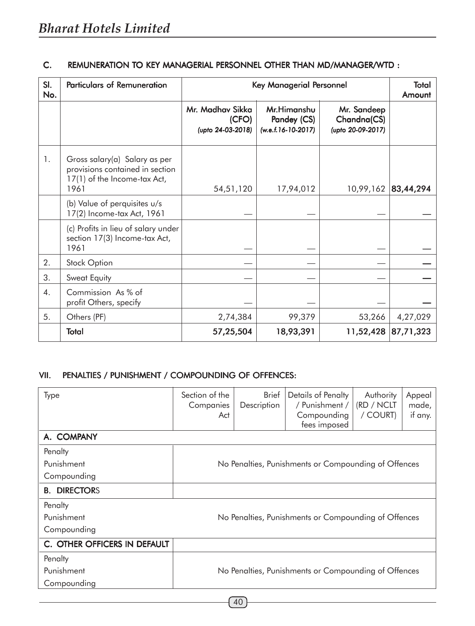| SI.<br>No. | <b>Particulars of Remuneration</b>                                                                       |                                                | <b>Key Managerial Personnel</b>                   |                                                 | Total<br>Amount     |
|------------|----------------------------------------------------------------------------------------------------------|------------------------------------------------|---------------------------------------------------|-------------------------------------------------|---------------------|
|            |                                                                                                          | Mr. Madhav Sikka<br>(CFO)<br>(upto 24-03-2018) | Mr.Himanshu<br>Pandey (CS)<br>(w.e.f. 16-10-2017) | Mr. Sandeep<br>Chandna(CS)<br>(upto 20-09-2017) |                     |
| 1.         | Gross salary(a) Salary as per<br>provisions contained in section<br>17(1) of the Income-tax Act,<br>1961 | 54,51,120                                      | 17,94,012                                         |                                                 | 10,99,162 83,44,294 |
|            | (b) Value of perquisites u/s<br>17(2) Income-tax Act, 1961                                               |                                                |                                                   |                                                 |                     |
|            | (c) Profits in lieu of salary under<br>section 17(3) Income-tax Act,<br>1961                             |                                                |                                                   |                                                 |                     |
| 2.         | <b>Stock Option</b>                                                                                      |                                                |                                                   |                                                 |                     |
| 3.         | Sweat Equity                                                                                             |                                                |                                                   |                                                 |                     |
| 4.         | Commission As % of<br>profit Others, specify                                                             |                                                |                                                   |                                                 |                     |
| 5.         | Others (PF)                                                                                              | 2,74,384                                       | 99,379                                            | 53,266                                          | 4,27,029            |
|            | Total                                                                                                    | 57,25,504                                      | 18,93,391                                         |                                                 | 11,52,428 87,71,323 |

# C. REMUNERATION TO KEY MANAGERIAL PERSONNEL OTHER THAN MD/MANAGER/WTD:

# VII. PENALTIES / PUNISHMENT / COMPOUNDING OF OFFENCES:

| Type                         | Section of the<br>Companies<br>Act                   | <b>Brief</b><br>Description | Details of Penalty<br>/ Punishment /<br>Compounding<br>fees imposed | Authority<br>(RD / NCLT<br>/ COURT) | Appeal<br>made,<br>if any. |
|------------------------------|------------------------------------------------------|-----------------------------|---------------------------------------------------------------------|-------------------------------------|----------------------------|
| A. COMPANY                   |                                                      |                             |                                                                     |                                     |                            |
| Penalty                      |                                                      |                             |                                                                     |                                     |                            |
| Punishment                   | No Penalties, Punishments or Compounding of Offences |                             |                                                                     |                                     |                            |
| Compounding                  |                                                      |                             |                                                                     |                                     |                            |
| <b>B. DIRECTORS</b>          |                                                      |                             |                                                                     |                                     |                            |
| Penalty                      |                                                      |                             |                                                                     |                                     |                            |
| Punishment                   | No Penalties, Punishments or Compounding of Offences |                             |                                                                     |                                     |                            |
| Compounding                  |                                                      |                             |                                                                     |                                     |                            |
| C. OTHER OFFICERS IN DEFAULT |                                                      |                             |                                                                     |                                     |                            |
| Penalty                      |                                                      |                             |                                                                     |                                     |                            |
| Punishment                   |                                                      |                             | No Penalties, Punishments or Compounding of Offences                |                                     |                            |
| Compounding                  |                                                      |                             |                                                                     |                                     |                            |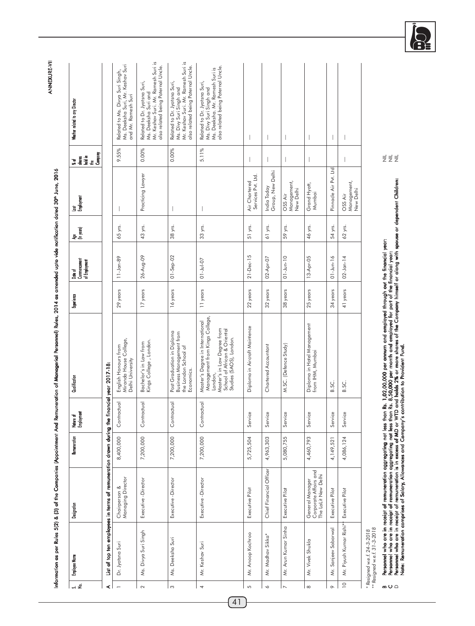| $\omega \stackrel{\bullet}{\approx}$ | Employee Name           | Designation                                                                                 | Remuneration | Nature of<br>Employment | Qualification                                                                                                                                                           | Experience | Date of<br>Commencement<br>of Employment | Age<br>(In years) | Lasl<br>Employment                  | Company<br>held in<br>shares<br>% af<br>£ | Whether related to any Director                                                                                                      |
|--------------------------------------|-------------------------|---------------------------------------------------------------------------------------------|--------------|-------------------------|-------------------------------------------------------------------------------------------------------------------------------------------------------------------------|------------|------------------------------------------|-------------------|-------------------------------------|-------------------------------------------|--------------------------------------------------------------------------------------------------------------------------------------|
| ⋖                                    |                         | List of top ten employees in terms of remuneration drawn during the financial year 2017-18: |              |                         |                                                                                                                                                                         |            |                                          |                   |                                     |                                           |                                                                                                                                      |
|                                      | Dr. Jyotsna Suri        | Chairperson &<br>Managing Director                                                          | 8,400,000    | Contractual             | Miranda House College,<br>English Honours from<br>Delhi University                                                                                                      | 29 years   | 11-Jan-89                                | 65 yrs.           | I                                   | 9.55%                                     | Ms. Deeksha Suri, Mr. Keshav Suri<br>Related to Ms. Divya Suri Singh,<br>and Mr. Ramesh Suri                                         |
| $\sim$                               | Ms. Divya Suri Singh    | Executive -Director                                                                         | 7,200,000    | Contractual             | Kings College, London.<br>Bachelor's in Law from                                                                                                                        | 17 years   | 26-Aug-09                                | 43 yrs.           | Practicing Lawyer                   | 0.00%                                     | Mr. Keshav Suri. Mr. Ramesh Suri is<br>also related being Paternal Uncle.<br>Related to Dr. Jyotsna Suri,<br>Ms. Deeksha Suri and    |
| $\infty$                             | Ms. Deeksha Suri        | Executive -Director                                                                         | 7,200,000    | Contractual             | Post Graduation in Diploma<br><b>Business Management from</b><br>the London School of<br>Economics.                                                                     | 16 years   | $01-$ Sep-02                             | 38 угз.           |                                     | 0.00%                                     | Mr. Keshav Suri. Mr. Ramesh Suri is<br>also related being Paternal Uncle.<br>Related to Dr. Jyotsna Suri,<br>Ms. Divy Suri Singh and |
| $\overline{4}$                       | Mr. Keshav Suri         | Executive -Director                                                                         | 7,200,000    | Contractual             | Management from Kings College,<br>Master's Degree in International<br>Master's in Law Degree from<br>School of African & Oriental<br>Studies (SAOS), London.<br>London, | 11 years   | $01 - J$ ul-07                           | 33 yrs.           | $\overline{\phantom{a}}$            | 5.11%                                     | also related being Paternal Uncle.<br>Ms. Divy Suri Singh and<br>Ms. Deeksha. Mr. Ramesh Suri is<br>Related to Dr. Jyotsna Suri,     |
| 5                                    | Mr. Anoop Kochroo       | Executive Pilot                                                                             | 5,725,504    | Service                 | Diploma in Aircraft Maintence                                                                                                                                           | 22 years   | 21-Dec-15                                | 51 yrs.           | Services Pvt. Ltd.<br>Air Chartered |                                           |                                                                                                                                      |
| $\circ$                              | Mr. Madhav Sikka*       | Chief Financial Officer                                                                     | 4,963,303    | Service                 | Chartered Accountant                                                                                                                                                    | 32 years   | 02-Apr-07                                | 61 yrs.           | Group, New Delhi<br>India Today     |                                           | I                                                                                                                                    |
| ∣∼                                   | Mr. Arun Kumar Sinha    | Executive Pilot                                                                             | 5,080,755    | Service                 | M.SC. (Defence Study)                                                                                                                                                   | 38 years   | $01 - Jun - 10$                          | 59 yrs.           | Management,<br>New Delhi<br>OSS Air |                                           |                                                                                                                                      |
| ${}^{\circ}$                         | Mr. Vivek Shukla        | General Manager<br>Corporate Affairs and<br>The LaLit New Delhi                             | 4,460,793    | Service                 | Diploma in Hotel Management<br>from IHM, Mumbai                                                                                                                         | 25 years   | 13-Apr-05                                | 46 yrs.           | Grand Hyatt,<br>Mumbai              | $\overline{\phantom{a}}$                  | $\overline{\phantom{a}}$                                                                                                             |
| $\circ$                              | Mr. Sanjeev Sabarwal    | Executive Pilot                                                                             | 4, 149, 521  | Service                 | B.SC.                                                                                                                                                                   | 34 years   | $01 - Jun-16$                            | 54 yrs.           | Pinnacle Air Pvt. Ltd.              |                                           |                                                                                                                                      |
| $\supseteq$                          | Mr. Piyush Kumar Rishi* | Executive Pilot                                                                             | 4,086,124    | Service                 | B.SC.                                                                                                                                                                   | 41 years   | $02 - Jan - 14$                          | 62 yrs.           | Management,<br>New Delhi<br>OSS Air | I                                         |                                                                                                                                      |

 $\sqrt{41}$ 

\* Resigned w.e.f. 24-3-2018<br>\*\* Resigned w.e.f. 31-3-2018 *\* Resigned w.e.f. 24-3-2018*

*\*\* Resigned w.e.f. 31-3-2018*

ക O ∩

Personnel who are in receipt of remuneration aggregating not less than Rs. 1,02,00,000 per annum and employed through out the financial year: NIL nancial

Personnel who are in receipt of remuneration aggregating not less than Rs. 8,50,000 per month and employed for part of the financial year: NIL cial

 $\mathsf D$  Personnel who are in receipt of remuneration is in excess of MD or WTD and holds 2% or more shares of the Company himself or along with spouse or dependent Children: NIL Personnel who are in receipt of remuneration aggregating not less than Rs. 1,02,00,000 per annum and employed through out the financial year:<br>Personnel who are in receipt of remuneration aggregating not less than Rs. 8,50, Note: Remuneration comprises of Salary, Allowances and Company's contribution to Provident Fund.

 $\vec{\Xi} \; \vec{\Xi} \; \vec{\Xi}$ 

ANNEXURE-VII ANNEXURE-VII

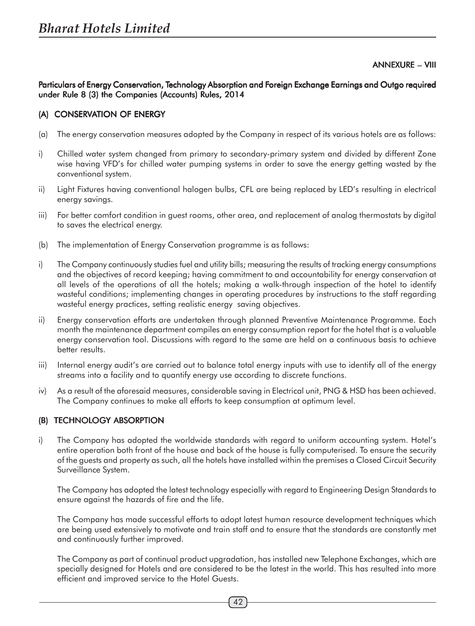# ANNEXURE – VIII

# Particulars of Energy Conservation, Technology Absorption and Foreign Exchange Earnings and Outgo required under Rule 8 (3) the Companies (Accounts) Rules, 2014

# (A) CONSERVATION OF ENERGY

- (a) The energy conservation measures adopted by the Company in respect of its various hotels are as follows:
- i) Chilled water system changed from primary to secondary-primary system and divided by different Zone wise having VFD's for chilled water pumping systems in order to save the energy getting wasted by the conventional system.
- ii) Light Fixtures having conventional halogen bulbs, CFL are being replaced by LED's resulting in electrical energy savings.
- iii) For better comfort condition in guest rooms, other area, and replacement of analog thermostats by digital to saves the electrical energy.
- (b) The implementation of Energy Conservation programme is as follows:
- i) The Company continuously studies fuel and utility bills; measuring the results of tracking energy consumptions and the objectives of record keeping; having commitment to and accountability for energy conservation at all levels of the operations of all the hotels; making a walk-through inspection of the hotel to identify wasteful conditions; implementing changes in operating procedures by instructions to the staff regarding wasteful energy practices, setting realistic energy saving objectives.
- ii) Energy conservation efforts are undertaken through planned Preventive Maintenance Programme. Each month the maintenance department compiles an energy consumption report for the hotel that is a valuable energy conservation tool. Discussions with regard to the same are held on a continuous basis to achieve better results.
- iii) Internal energy audit's are carried out to balance total energy inputs with use to identify all of the energy streams into a facility and to quantify energy use according to discrete functions.
- iv) As a result of the aforesaid measures, considerable saving in Electrical unit, PNG & HSD has been achieved. The Company continues to make all efforts to keep consumption at optimum level.

# (B) TECHNOLOGY ABSORPTION

i) The Company has adopted the worldwide standards with regard to uniform accounting system. Hotel's entire operation both front of the house and back of the house is fully computerised. To ensure the security of the guests and property as such, all the hotels have installed within the premises a Closed Circuit Security Surveillance System.

The Company has adopted the latest technology especially with regard to Engineering Design Standards to ensure against the hazards of fire and the life.

The Company has made successful efforts to adopt latest human resource development techniques which are being used extensively to motivate and train staff and to ensure that the standards are constantly met and continuously further improved.

The Company as part of continual product upgradation, has installed new Telephone Exchanges, which are specially designed for Hotels and are considered to be the latest in the world. This has resulted into more efficient and improved service to the Hotel Guests.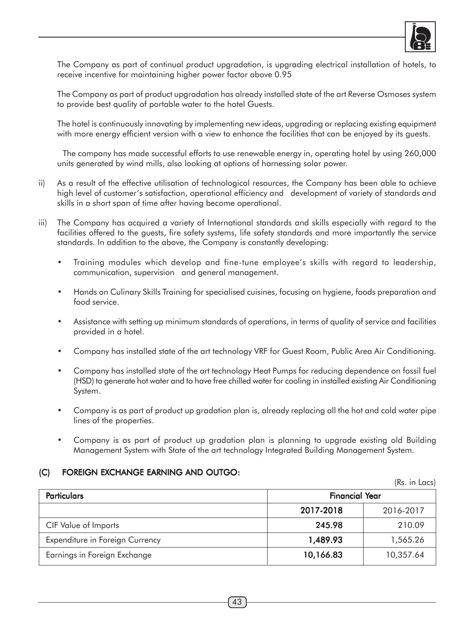

The Company as part of continual product upgradation, is upgrading electrical installation of hotels, to receive incentive for maintaining higher power factor above 0.95

The Company as part of product upgradation has already installed state of the art Reverse Osmoses system to provide best quality of portable water to the hotel Guests.

The hotel is continuously innovating by implementing new ideas, upgrading or replacing existing equipment with more energy efficient version with a view to enhance the facilities that can be enjoyed by its guests.

 The company has made successful efforts to use renewable energy in, operating hotel by using 260,000 units generated by wind mills, also looking at options of harnessing solar power.

- ii) As a result of the effective utilisation of technological resources, the Company has been able to achieve high level of customer's satisfaction, operational efficiency and development of variety of standards and skills in a short span of time after having become operational.
- iii) The Company has acquired a variety of International standards and skills especially with regard to the facilities offered to the guests, fire safety systems, life safety standards and more importantly the service standards. In addition to the above, the Company is constantly developing:
	- Training modules which develop and fine-tune employee's skills with regard to leadership, communication, supervision and general management.
	- Hands on Culinary Skills Training for specialised cuisines, focusing on hygiene, foods preparation and food service.
	- Assistance with setting up minimum standards of operations, in terms of quality of service and facilities provided in a hotel.
	- Company has installed state of the art technology VRF for Guest Room, Public Area Air Conditioning.
	- Company has installed state of the art technology Heat Pumps for reducing dependence on fossil fuel (HSD) to generate hot water and to have free chilled water for cooling in installed existing Air Conditioning System.
	- Company is as part of product up gradation plan is, already replacing all the hot and cold water pipe lines of the properties.
	- Company is as part of product up gradation plan is planning to upgrade existing old Building Management System with State of the art technology Integrated Building Management System.

# (C) FOREIGN EXCHANGE EARNING AND OUTGO:

(Rs. in Lacs) Particulars Financial Year (1999) and the contract of the contract of the contract of the contract of the contract of the contract of the contract of the contract of the contract of the contract of the contract of the cont 2017-2018 2016-2017 CIF Value of Imports 245.98 210.09 Expenditure in Foreign Currency and the second term of the 1,489.93 and 1,565.26 Earnings in Foreign Exchange 10,166.83 10,166.83 10,357.64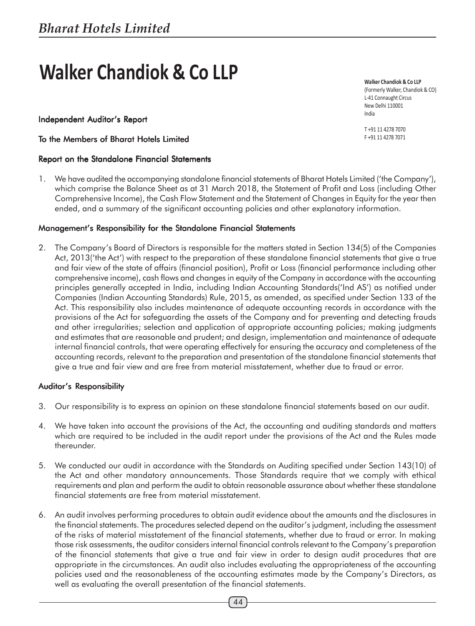# **Walker Chandiok & Co LLP**

#### Independent Auditor's Report

#### To the Members of Bharat Hotels Limited

#### Report on the Standalone Financial Statements

1. We have audited the accompanying standalone financial statements of Bharat Hotels Limited ('the Company'), which comprise the Balance Sheet as at 31 March 2018, the Statement of Profit and Loss (including Other Comprehensive Income), the Cash Flow Statement and the Statement of Changes in Equity for the year then ended, and a summary of the significant accounting policies and other explanatory information.

#### Management's Responsibility for the Standalone Financial Statements

2. The Company's Board of Directors is responsible for the matters stated in Section 134(5) of the Companies Act, 2013('the Act') with respect to the preparation of these standalone financial statements that give a true and fair view of the state of affairs (financial position), Profit or Loss (financial performance including other comprehensive income), cash flows and changes in equity of the Company in accordance with the accounting principles generally accepted in India, including Indian Accounting Standards('Ind AS') as notified under Companies (Indian Accounting Standards) Rule, 2015, as amended, as specified under Section 133 of the Act. This responsibility also includes maintenance of adequate accounting records in accordance with the provisions of the Act for safeguarding the assets of the Company and for preventing and detecting frauds and other irregularities; selection and application of appropriate accounting policies; making judgments and estimates that are reasonable and prudent; and design, implementation and maintenance of adequate internal financial controls, that were operating effectively for ensuring the accuracy and completeness of the accounting records, relevant to the preparation and presentation of the standalone financial statements that give a true and fair view and are free from material misstatement, whether due to fraud or error.

#### Auditor's Responsibility

- 3. Our responsibility is to express an opinion on these standalone financial statements based on our audit.
- 4. We have taken into account the provisions of the Act, the accounting and auditing standards and matters which are required to be included in the audit report under the provisions of the Act and the Rules made thereunder.
- 5. We conducted our audit in accordance with the Standards on Auditing specified under Section 143(10) of the Act and other mandatory announcements. Those Standards require that we comply with ethical requirements and plan and perform the audit to obtain reasonable assurance about whether these standalone financial statements are free from material misstatement.
- 6. An audit involves performing procedures to obtain audit evidence about the amounts and the disclosures in the financial statements. The procedures selected depend on the auditor's judgment, including the assessment of the risks of material misstatement of the financial statements, whether due to fraud or error. In making those risk assessments, the auditor considers internal financial controls relevant to the Company's preparation of the financial statements that give a true and fair view in order to design audit procedures that are appropriate in the circumstances. An audit also includes evaluating the appropriateness of the accounting policies used and the reasonableness of the accounting estimates made by the Company's Directors, as well as evaluating the overall presentation of the financial statements.

**Walker Chandiok & Co LLP** (Formerly Walker, Chandiok & CO) L-41 Connaught Circus New Delhi 110001 India

T +91 11 4278 7070 F +91 11 4278 7071

44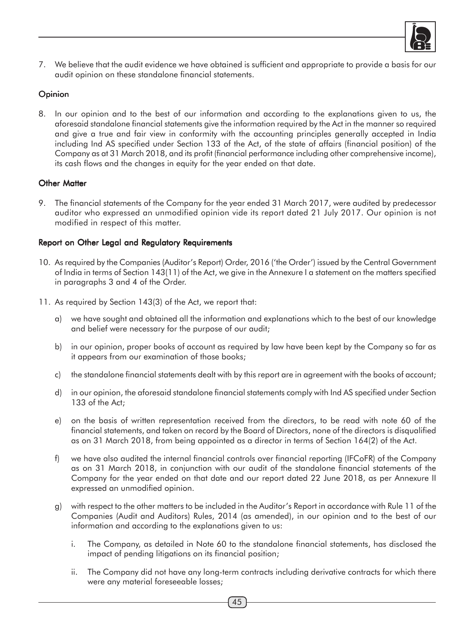

7. We believe that the audit evidence we have obtained is sufficient and appropriate to provide a basis for our audit opinion on these standalone financial statements.

# Opinion

8. In our opinion and to the best of our information and according to the explanations given to us, the aforesaid standalone financial statements give the information required by the Act in the manner so required and give a true and fair view in conformity with the accounting principles generally accepted in India including Ind AS specified under Section 133 of the Act, of the state of affairs (financial position) of the Company as at 31 March 2018, and its profit (financial performance including other comprehensive income), its cash flows and the changes in equity for the year ended on that date.

### **Other Matter**

9. The financial statements of the Company for the year ended 31 March 2017, were audited by predecessor auditor who expressed an unmodified opinion vide its report dated 21 July 2017. Our opinion is not modified in respect of this matter.

### Report on Other Legal and Regulatory Requirements

- 10. As required by the Companies (Auditor's Report) Order, 2016 ('the Order') issued by the Central Government of India in terms of Section 143(11) of the Act, we give in the Annexure I a statement on the matters specified in paragraphs 3 and 4 of the Order.
- 11. As required by Section 143(3) of the Act, we report that:
	- a) we have sought and obtained all the information and explanations which to the best of our knowledge and belief were necessary for the purpose of our audit;
	- b) in our opinion, proper books of account as required by law have been kept by the Company so far as it appears from our examination of those books;
	- c) the standalone financial statements dealt with by this report are in agreement with the books of account;
	- d) in our opinion, the aforesaid standalone financial statements comply with Ind AS specified under Section 133 of the Act;
	- e) on the basis of written representation received from the directors, to be read with note 60 of the financial statements, and taken on record by the Board of Directors, none of the directors is disqualified as on 31 March 2018, from being appointed as a director in terms of Section 164(2) of the Act.
	- f) we have also audited the internal financial controls over financial reporting (IFCoFR) of the Company as on 31 March 2018, in conjunction with our audit of the standalone financial statements of the Company for the year ended on that date and our report dated 22 June 2018, as per Annexure II expressed an unmodified opinion.
	- g) with respect to the other matters to be included in the Auditor's Report in accordance with Rule 11 of the Companies (Audit and Auditors) Rules, 2014 (as amended), in our opinion and to the best of our information and according to the explanations given to us:
		- i. The Company, as detailed in Note 60 to the standalone financial statements, has disclosed the impact of pending litigations on its financial position;
		- ii. The Company did not have any long-term contracts including derivative contracts for which there were any material foreseeable losses;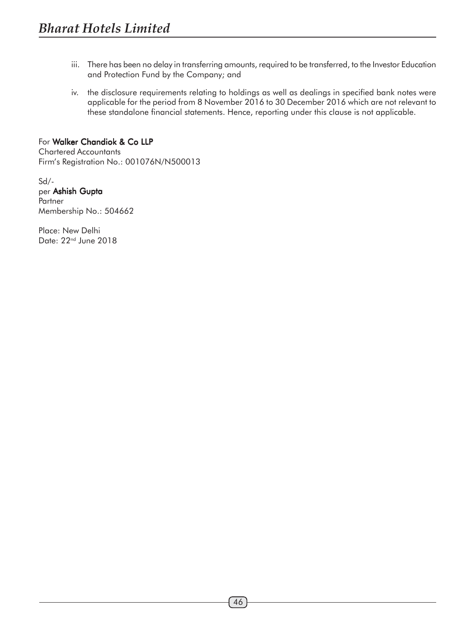- iii. There has been no delay in transferring amounts, required to be transferred, to the Investor Education and Protection Fund by the Company; and
- iv. the disclosure requirements relating to holdings as well as dealings in specified bank notes were applicable for the period from 8 November 2016 to 30 December 2016 which are not relevant to these standalone financial statements. Hence, reporting under this clause is not applicable.

For Walker Chandiok & Co LLP Chartered Accountants Firm's Registration No.: 001076N/N500013

Sd/ per Ashish Gupta **Partner** Membership No.: 504662

Place: New Delhi Date: 22<sup>nd</sup> June 2018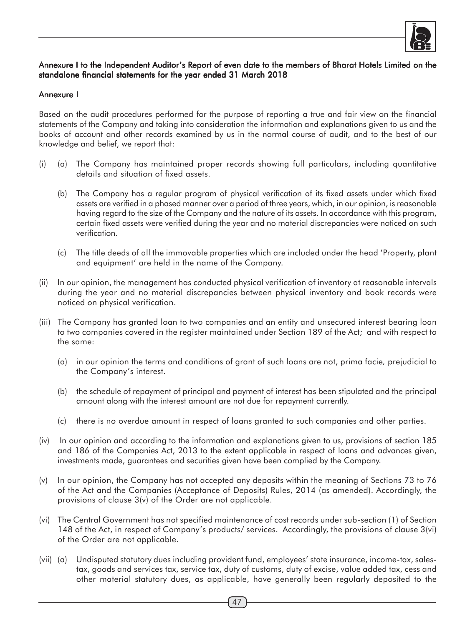

# Annexure I to the Independent Auditor's Report of even date to the members of Bharat Hotels Limited on the standalone financial statements for the year ended 31 March 2018

### Annexure I

Based on the audit procedures performed for the purpose of reporting a true and fair view on the financial statements of the Company and taking into consideration the information and explanations given to us and the books of account and other records examined by us in the normal course of audit, and to the best of our knowledge and belief, we report that:

- (i) (a) The Company has maintained proper records showing full particulars, including quantitative details and situation of fixed assets.
	- (b) The Company has a regular program of physical verification of its fixed assets under which fixed assets are verified in a phased manner over a period of three years, which, in our opinion, is reasonable having regard to the size of the Company and the nature of its assets. In accordance with this program, certain fixed assets were verified during the year and no material discrepancies were noticed on such verification.
	- (c) The title deeds of all the immovable properties which are included under the head 'Property, plant and equipment' are held in the name of the Company.
- (ii) In our opinion, the management has conducted physical verification of inventory at reasonable intervals during the year and no material discrepancies between physical inventory and book records were noticed on physical verification.
- (iii) The Company has granted loan to two companies and an entity and unsecured interest bearing loan to two companies covered in the register maintained under Section 189 of the Act; and with respect to the same:
	- (a) in our opinion the terms and conditions of grant of such loans are not, prima facie*,* prejudicial to the Company's interest.
	- (b) the schedule of repayment of principal and payment of interest has been stipulated and the principal amount along with the interest amount are not due for repayment currently.
	- (c) there is no overdue amount in respect of loans granted to such companies and other parties.
- (iv) In our opinion and according to the information and explanations given to us, provisions of section 185 and 186 of the Companies Act, 2013 to the extent applicable in respect of loans and advances given, investments made, guarantees and securities given have been complied by the Company.
- (v) In our opinion, the Company has not accepted any deposits within the meaning of Sections 73 to 76 of the Act and the Companies (Acceptance of Deposits) Rules, 2014 (as amended). Accordingly, the provisions of clause 3(v) of the Order are not applicable.
- (vi) The Central Government has not specified maintenance of cost records under sub-section (1) of Section 148 of the Act, in respect of Company's products/ services. Accordingly, the provisions of clause 3(vi) of the Order are not applicable.
- (vii) (a) Undisputed statutory dues including provident fund, employees' state insurance, income-tax, salestax, goods and services tax, service tax, duty of customs, duty of excise, value added tax, cess and other material statutory dues, as applicable, have generally been regularly deposited to the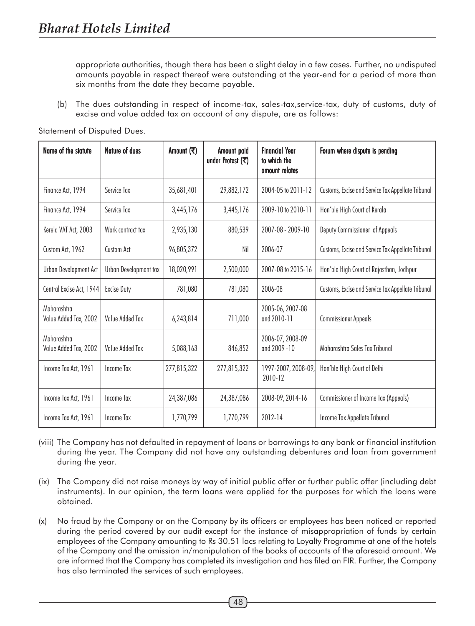appropriate authorities, though there has been a slight delay in a few cases. Further, no undisputed amounts payable in respect thereof were outstanding at the year-end for a period of more than six months from the date they became payable.

(b) The dues outstanding in respect of income-tax, sales-tax,service-tax, duty of customs, duty of excise and value added tax on account of any dispute, are as follows:

| Name of the statute                  | Nature of dues         | Amount (そ)  | Amount paid<br>under Protest (₹) | <b>Financial Year</b><br>to which the<br>amount relates | Forum where dispute is pending                     |
|--------------------------------------|------------------------|-------------|----------------------------------|---------------------------------------------------------|----------------------------------------------------|
| Finance Act, 1994                    | Service Tax            | 35,681,401  | 29,882,172                       | 2004-05 to 2011-12                                      | Customs, Excise and Service Tax Appellate Tribunal |
| Finance Act, 1994                    | Service Tax            | 3,445,176   | 3,445,176                        | 2009-10 to 2010-11                                      | Hon'ble High Court of Kerala                       |
| Kerela VAT Act, 2003                 | Work contract tax      | 2,935,130   | 880,539                          | 2007-08 - 2009-10                                       | Deputy Commissioner of Appeals                     |
| Custom Act, 1962                     | Custom Act             | 96,805,372  | Nil                              | 2006-07                                                 | Customs, Excise and Service Tax Appellate Tribunal |
| Urban Development Act                | Urban Development tax  | 18,020,991  | 2,500,000                        | 2007-08 to 2015-16                                      | Hon'ble High Court of Rajasthan, Jodhpur           |
| Central Excise Act, 1944             | Excise Duty            | 781,080     | 781,080                          | 2006-08                                                 | Customs, Excise and Service Tax Appellate Tribunal |
| Maharashtra<br>Value Added Tax, 2002 | <b>Value Added Tax</b> | 6,243,814   | 711,000                          | 2005-06, 2007-08<br>and 2010-11                         | <b>Commissioner Appeals</b>                        |
| Maharashtra<br>Value Added Tax, 2002 | <b>Value Added Tax</b> | 5,088,163   | 846,852                          | 2006-07, 2008-09<br>and 2009 - 10                       | Maharashtra Sales Tax Tribunal                     |
| Income Tax Act, 1961                 | Income Tax             | 277,815,322 | 277,815,322                      | 1997-2007, 2008-09,<br>2010-12                          | Hon'ble High Court of Delhi                        |
| Income Tax Act, 1961                 | Income Tax             | 24,387,086  | 24,387,086                       | 2008-09, 2014-16                                        | Commissioner of Income Tax (Appeals)               |
| Income Tax Act, 1961                 | <b>Income Tax</b>      | 1,770,799   | 1,770,799                        | 2012-14                                                 | Income Tax Appellate Tribunal                      |

Statement of Disputed Dues.

- (viii) The Company has not defaulted in repayment of loans or borrowings to any bank or financial institution during the year. The Company did not have any outstanding debentures and loan from government during the year.
- (ix) The Company did not raise moneys by way of initial public offer or further public offer (including debt instruments). In our opinion, the term loans were applied for the purposes for which the loans were obtained.
- (x) No fraud by the Company or on the Company by its officers or employees has been noticed or reported during the period covered by our audit except for the instance of misappropriation of funds by certain employees of the Company amounting to Rs 30.51 lacs relating to Loyalty Programme at one of the hotels of the Company and the omission in/manipulation of the books of accounts of the aforesaid amount. We are informed that the Company has completed its investigation and has filed an FIR. Further, the Company has also terminated the services of such employees.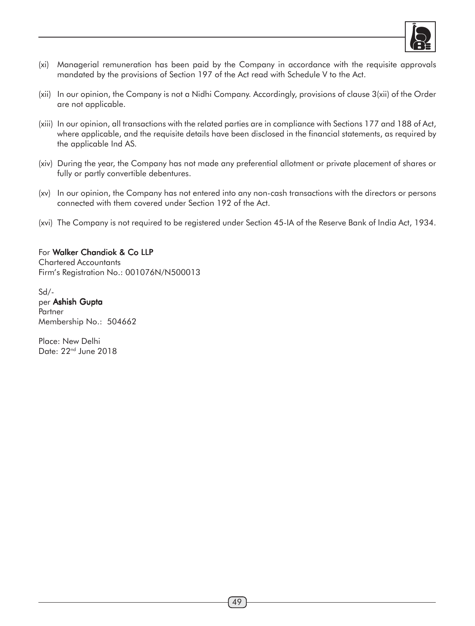

- (xi) Managerial remuneration has been paid by the Company in accordance with the requisite approvals mandated by the provisions of Section 197 of the Act read with Schedule V to the Act.
- (xii) In our opinion, the Company is not a Nidhi Company. Accordingly, provisions of clause 3(xii) of the Order are not applicable.
- (xiii) In our opinion, all transactions with the related parties are in compliance with Sections 177 and 188 of Act, where applicable, and the requisite details have been disclosed in the financial statements, as required by the applicable Ind AS.
- (xiv) During the year, the Company has not made any preferential allotment or private placement of shares or fully or partly convertible debentures.
- (xv) In our opinion, the Company has not entered into any non-cash transactions with the directors or persons connected with them covered under Section 192 of the Act.
- (xvi) The Company is not required to be registered under Section 45-IA of the Reserve Bank of India Act, 1934.

For Walker Chandiok & Co LLP Chartered Accountants Firm's Registration No.: 001076N/N500013

Sd/ per Ashish Gupta **Partner** Membership No.: 504662

Place: New Delhi Date: 22<sup>nd</sup> June 2018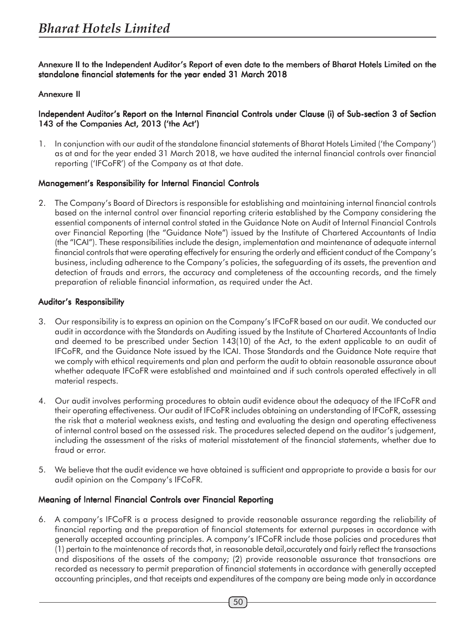Annexure II to the Independent Auditor's Report of even date to the members of Bharat Hotels Limited on the standalone financial statements for the year ended 31 March 2018

#### Annexure II

# Independent Auditor's Report on the Internal Financial Controls under Clause (i) of Sub-section 3 of Section 143 of the Companies Act, 2013 ('the Act')

1. In conjunction with our audit of the standalone financial statements of Bharat Hotels Limited ('the Company') as at and for the year ended 31 March 2018, we have audited the internal financial controls over financial reporting ('IFCoFR') of the Company as at that date.

### Management's Responsibility for Internal Financial Controls

2. The Company's Board of Directors is responsible for establishing and maintaining internal financial controls based on the internal control over financial reporting criteria established by the Company considering the essential components of internal control stated in the Guidance Note on Audit of Internal Financial Controls over Financial Reporting (the "Guidance Note") issued by the Institute of Chartered Accountants of India (the "ICAI"). These responsibilities include the design, implementation and maintenance of adequate internal financial controls that were operating effectively for ensuring the orderly and efficient conduct of the Company's business, including adherence to the Company's policies, the safeguarding of its assets, the prevention and detection of frauds and errors, the accuracy and completeness of the accounting records, and the timely preparation of reliable financial information, as required under the Act.

### Auditor's Responsibility

- 3. Our responsibility is to express an opinion on the Company's IFCoFR based on our audit. We conducted our audit in accordance with the Standards on Auditing issued by the Institute of Chartered Accountants of India and deemed to be prescribed under Section 143(10) of the Act, to the extent applicable to an audit of IFCoFR, and the Guidance Note issued by the ICAI. Those Standards and the Guidance Note require that we comply with ethical requirements and plan and perform the audit to obtain reasonable assurance about whether adequate IFCoFR were established and maintained and if such controls operated effectively in all material respects.
- 4. Our audit involves performing procedures to obtain audit evidence about the adequacy of the IFCoFR and their operating effectiveness. Our audit of IFCoFR includes obtaining an understanding of IFCoFR, assessing the risk that a material weakness exists, and testing and evaluating the design and operating effectiveness of internal control based on the assessed risk. The procedures selected depend on the auditor's judgement, including the assessment of the risks of material misstatement of the financial statements, whether due to fraud or error.
- 5. We believe that the audit evidence we have obtained is sufficient and appropriate to provide a basis for our audit opinion on the Company's IFCoFR.

#### Meaning of Internal Financial Controls over Financial Reporting

6. A company's IFCoFR is a process designed to provide reasonable assurance regarding the reliability of financial reporting and the preparation of financial statements for external purposes in accordance with generally accepted accounting principles. A company's IFCoFR include those policies and procedures that (1) pertain to the maintenance of records that, in reasonable detail,accurately and fairly reflect the transactions and dispositions of the assets of the company; (2) provide reasonable assurance that transactions are recorded as necessary to permit preparation of financial statements in accordance with generally accepted accounting principles, and that receipts and expenditures of the company are being made only in accordance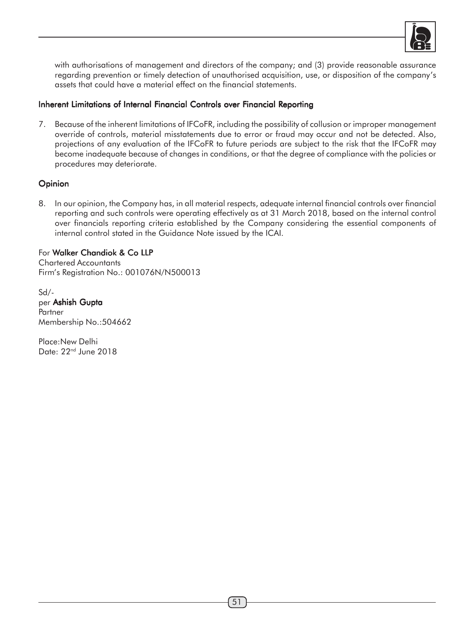

with authorisations of management and directors of the company; and (3) provide reasonable assurance regarding prevention or timely detection of unauthorised acquisition, use, or disposition of the company's assets that could have a material effect on the financial statements.

# Inherent Limitations of Internal Financial Controls over Financial Reporting

7. Because of the inherent limitations of IFCoFR, including the possibility of collusion or improper management override of controls, material misstatements due to error or fraud may occur and not be detected. Also, projections of any evaluation of the IFCoFR to future periods are subject to the risk that the IFCoFR may become inadequate because of changes in conditions, or that the degree of compliance with the policies or procedures may deteriorate.

# Opinion

8. In our opinion, the Company has, in all material respects, adequate internal financial controls over financial reporting and such controls were operating effectively as at 31 March 2018, based on the internal control over financials reporting criteria established by the Company considering the essential components of internal control stated in the Guidance Note issued by the ICAI.

# For Walker Chandiok & Co LLP

Chartered Accountants Firm's Registration No.: 001076N/N500013

Sd/ per Ashish Gupta **Partner** Membership No.:504662

Place:New Delhi Date: 22<sup>nd</sup> June 2018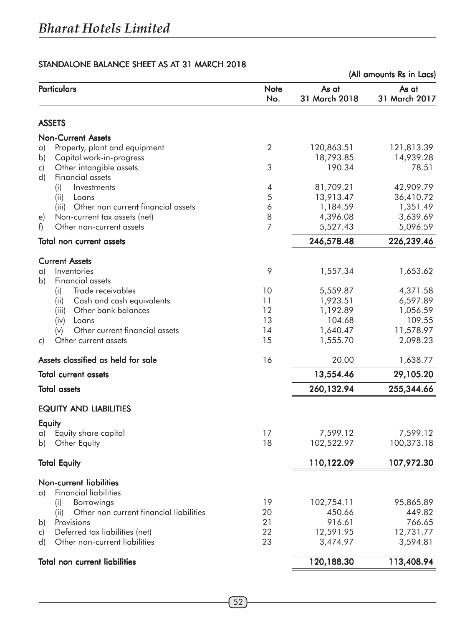# STANDALONE BALANCE SHEET AS AT 31 MARCH 2018

(All amounts Rs in Lacs)

| <b>Particulars</b>                              | <b>Note</b><br>No. | As at<br>31 March 2018 | As at<br>31 March 2017 |
|-------------------------------------------------|--------------------|------------------------|------------------------|
| <b>ASSETS</b>                                   |                    |                        |                        |
| <b>Non-Current Assets</b>                       |                    |                        |                        |
| Property, plant and equipment<br>a)             | $\overline{2}$     | 120,863.51             | 121,813.39             |
| Capital work-in-progress<br>b)                  |                    | 18,793.85              | 14,939.28              |
| Other intangible assets<br>$\mathsf{c})$        | 3                  | 190.34                 | 78.51                  |
| Financial assets<br>d)                          |                    |                        |                        |
| Investments<br>(i)                              | 4                  | 81,709.21              | 42,909.79              |
| (ii)<br>Loans                                   | 5                  | 13,913.47              | 36,410.72              |
| Other non current financial assets<br>(iii)     | 6                  | 1,184.59               | 1,351.49               |
| Non-current tax assets (net)<br>$\epsilon$      | 8                  | 4,396.08               | 3,639.69               |
| Other non-current assets<br>f)                  | 7                  | 5,527.43               | 5,096.59               |
| Total non current assets                        |                    | 246,578.48             | 226,239.46             |
| <b>Current Assets</b>                           |                    |                        |                        |
| Inventories<br>a)                               | 9                  | 1,557.34               | 1,653.62               |
| Financial assets<br>b)                          |                    |                        |                        |
| Trade receivables<br>(i)                        | 10                 | 5,559.87               | 4,371.58               |
| Cash and cash equivalents<br>(ii)               | 11                 | 1,923.51               | 6,597.89               |
| Other bank balances<br>(iii)                    | 12                 | 1,192.89               | 1,056.59               |
| (iv)<br>Loans                                   | 13                 | 104.68                 | 109.55                 |
| Other current financial assets<br>(v)           | 14                 | 1,640.47               | 11,578.97              |
| Other current assets<br>c)                      | 15                 | 1,555.70               | 2,098.23               |
| Assets classified as held for sale              | 16                 | 20.00                  | 1,638.77               |
| <b>Total current assets</b>                     |                    | 13,554.46              | 29,105.20              |
| <b>Total assets</b>                             |                    | 260,132.94             | 255,344.66             |
| <b>EQUITY AND LIABILITIES</b>                   |                    |                        |                        |
| <b>Equity</b>                                   |                    |                        |                        |
| Equity share capital<br>a)                      | 17                 | 7,599.12               | 7,599.12               |
| Other Equity<br>b)                              | 18                 | 102,522.97             | 100,373.18             |
| <b>Total Equity</b>                             |                    | 110,122.09             | 107,972.30             |
| <b>Non-current liabilities</b>                  |                    |                        |                        |
| <b>Financial liabilities</b><br>a)              |                    |                        |                        |
| Borrowings<br>(i)                               | 19                 | 102,754.11             | 95,865.89              |
| Other non current financial liabilities<br>(ii) | 20                 | 450.66                 | 449.82                 |
| Provisions<br>b)                                | 21                 | 916.61                 | 766.65                 |
| Deferred tax liabilities (net)<br>c)            | 22                 | 12,591.95              | 12,731.77              |
| Other non-current liabilities<br>$\mathsf{d}$   | 23                 | 3,474.97               | 3,594.81               |
| <b>Total non current liabilities</b>            |                    | 120,188.30             | 113,408.94             |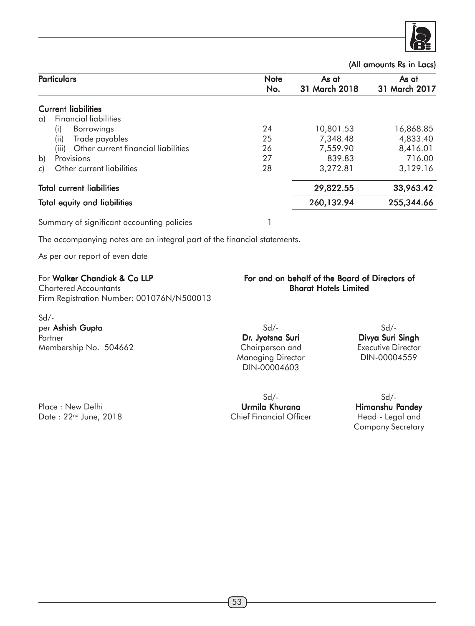

(All amounts Rs in Lacs)

| <b>Note</b><br>No. | As at<br>31 March 2018 | As at<br>31 March 2017 |
|--------------------|------------------------|------------------------|
|                    |                        |                        |
|                    |                        |                        |
| 24                 | 10,801.53              | 16,868.85              |
| 25                 | 7,348.48               | 4,833.40               |
| 26                 | 7,559.90               | 8,416.01               |
| 27                 | 839.83                 | 716.00                 |
| 28                 | 3,272.81               | 3,129.16               |
|                    | 29,822.55              | 33,963.42              |
|                    | 260,132.94             | 255,344.66             |
|                    |                        |                        |

Summary of significant accounting policies 1

The accompanying notes are an integral part of the financial statements.

As per our report of even date

For Walker Chandiok & Co LLP For and on behalf of the Board of Directors of Chartered Accountants Chartered Accountants Firm Registration Number: 001076N/N500013

Sd/-

per Ashish Gupta Sd/- Sd/- Gupta Partner **Dr. Jyotsna Suri . Dr. Divya Suri Singh** . Dr. Jyotsna Suri . Jyotsna Suri Singh . Divya Suri Singh Membership No. 504662 Chairperson and Executive Director

Managing Director DIN-00004559 DIN-00004603

Place : New Delhi Urmila Khurana Himanshu Pandey Date : 22<sup>nd</sup> June, 2018 **Chief Financial Officer** Head - Legal and

Sd/- Sd/-

Company Secretary

53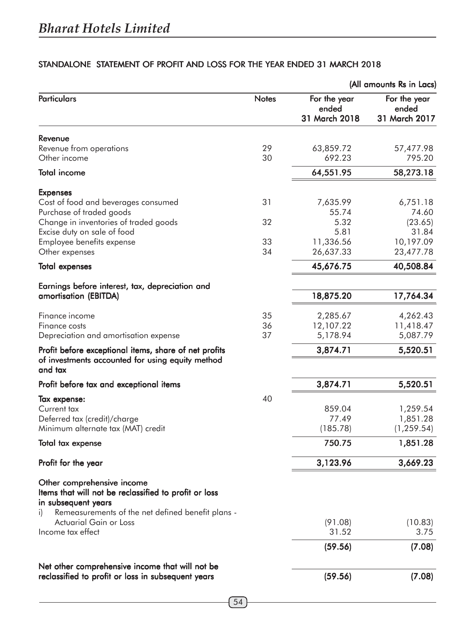# STANDALONE STATEMENT OF PROFIT AND LOSS FOR THE YEAR ENDED 31 MARCH 2018

|                                                                                                            |              |                                        | (All amounts Rs in Lacs)               |
|------------------------------------------------------------------------------------------------------------|--------------|----------------------------------------|----------------------------------------|
| <b>Particulars</b>                                                                                         | <b>Notes</b> | For the year<br>ended<br>31 March 2018 | For the year<br>ended<br>31 March 2017 |
| Revenue                                                                                                    |              |                                        |                                        |
| Revenue from operations                                                                                    | 29           | 63,859.72                              | 57,477.98                              |
| Other income                                                                                               | 30           | 692.23                                 | 795.20                                 |
| <b>Total income</b>                                                                                        |              | 64,551.95                              | 58,273.18                              |
| <b>Expenses</b>                                                                                            |              |                                        |                                        |
| Cost of food and beverages consumed                                                                        | 31           | 7,635.99                               | 6,751.18                               |
| Purchase of traded goods                                                                                   |              | 55.74                                  | 74.60                                  |
| Change in inventories of traded goods                                                                      | 32           | 5.32                                   | (23.65)                                |
| Excise duty on sale of food                                                                                |              | 5.81                                   | 31.84                                  |
| Employee benefits expense                                                                                  | 33           | 11,336.56                              | 10,197.09                              |
| Other expenses                                                                                             | 34           | 26,637.33                              | 23,477.78                              |
| <b>Total expenses</b>                                                                                      |              | 45,676.75                              | 40,508.84                              |
| Earnings before interest, tax, depreciation and                                                            |              |                                        |                                        |
| amortisation (EBITDA)                                                                                      |              | 18,875.20                              | 17,764.34                              |
| Finance income                                                                                             | 35           | 2,285.67                               | 4,262.43                               |
| Finance costs                                                                                              | 36           | 12,107.22                              | 11,418.47                              |
| Depreciation and amortisation expense                                                                      | 37           | 5,178.94                               | 5,087.79                               |
| Profit before exceptional items, share of net profits<br>of investments accounted for using equity method  |              | 3,874.71                               | 5,520.51                               |
| and tax                                                                                                    |              |                                        |                                        |
| Profit before tax and exceptional items                                                                    |              | 3,874.71                               | 5,520.51                               |
| Tax expense:                                                                                               | 40           |                                        |                                        |
| Current tax                                                                                                |              | 859.04                                 | 1,259.54                               |
| Deferred tax (credit)/charge                                                                               |              | 77.49                                  | 1,851.28                               |
| Minimum alternate tax (MAT) credit                                                                         |              | (185.78)                               | (1, 259.54)                            |
| Total tax expense                                                                                          |              | 750.75                                 | 1,851.28                               |
| Profit for the year                                                                                        |              | 3,123.96                               | 3,669.23                               |
| Other comprehensive income<br>Items that will not be reclassified to profit or loss<br>in subsequent years |              |                                        |                                        |
| Remeasurements of the net defined benefit plans -<br>$\vert$                                               |              |                                        |                                        |
| <b>Actuarial Gain or Loss</b><br>Income tax effect                                                         |              | (91.08)<br>31.52                       | (10.83)<br>3.75                        |
|                                                                                                            |              | (59.56)                                | (7.08)                                 |
|                                                                                                            |              |                                        |                                        |
| Net other comprehensive income that will not be<br>reclassified to profit or loss in subsequent years      |              | (59.56)                                | (7.08)                                 |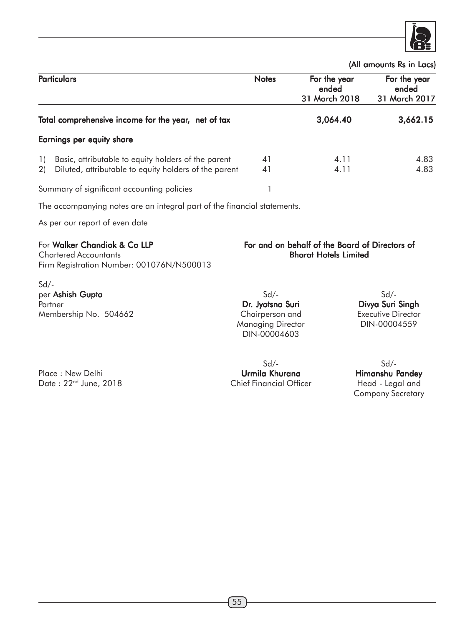

(All amounts Rs in Lacs)

|                        | <b>Particulars</b>                                                                                           | <b>Notes</b>                                                                       | For the year<br>ended<br>31 March 2018                                         | For the year<br>ended<br>31 March 2017                                  |
|------------------------|--------------------------------------------------------------------------------------------------------------|------------------------------------------------------------------------------------|--------------------------------------------------------------------------------|-------------------------------------------------------------------------|
|                        | Total comprehensive income for the year, net of tax                                                          |                                                                                    | 3,064.40                                                                       | 3,662.15                                                                |
|                        | Earnings per equity share                                                                                    |                                                                                    |                                                                                |                                                                         |
| $\left  \right $<br>2) | Basic, attributable to equity holders of the parent<br>Diluted, attributable to equity holders of the parent | 41<br>41                                                                           | 4.11<br>4.11                                                                   | 4.83<br>4.83                                                            |
|                        | Summary of significant accounting policies                                                                   |                                                                                    |                                                                                |                                                                         |
|                        | The accompanying notes are an integral part of the financial statements.                                     |                                                                                    |                                                                                |                                                                         |
|                        | As per our report of even date                                                                               |                                                                                    |                                                                                |                                                                         |
|                        | For Walker Chandiok & Co LLP<br><b>Chartered Accountants</b><br>Firm Registration Number: 001076N/N500013    |                                                                                    | For and on behalf of the Board of Directors of<br><b>Bharat Hotels Limited</b> |                                                                         |
| $Sd$ .                 | per Ashish Gupta<br>Partner<br>Membership No. 504662                                                         | $Sd$ .<br>Dr. Jyotsna Suri<br>Chairperson and<br>Managing Director<br>DIN-00004603 |                                                                                | $Sd$ -<br>Divya Suri Singh<br><b>Executive Director</b><br>DIN-00004559 |

Date :  $22<sup>nd</sup>$  June,  $2018$ 

Sd/- Sd/- Place : New Delhi Urmila Khurana Himanshu Pandey

Company Secretary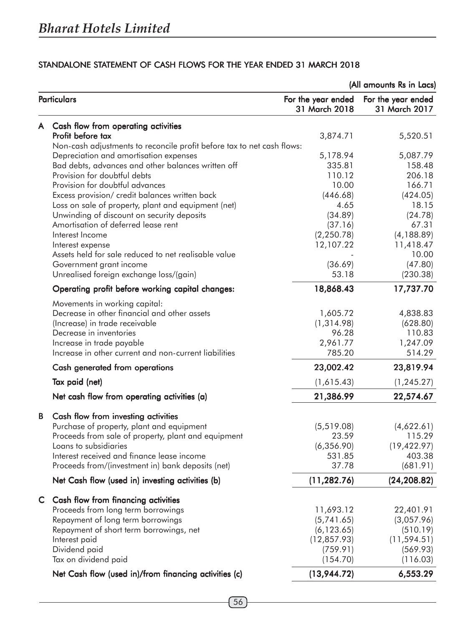# STANDALONE STATEMENT OF CASH FLOWS FOR THE YEAR ENDED 31 MARCH 2018

|                    |                                                                                    |                                     | (All amounts Rs in Lacs)            |
|--------------------|------------------------------------------------------------------------------------|-------------------------------------|-------------------------------------|
| <b>Particulars</b> |                                                                                    | For the year ended<br>31 March 2018 | For the year ended<br>31 March 2017 |
|                    | A Cash flow from operating activities                                              |                                     |                                     |
|                    | Profit before tax                                                                  | 3,874.71                            | 5,520.51                            |
|                    | Non-cash adjustments to reconcile profit before tax to net cash flows:             |                                     |                                     |
|                    | Depreciation and amortisation expenses                                             | 5,178.94                            | 5,087.79                            |
|                    | Bad debts, advances and other balances written off                                 | 335.81                              | 158.48                              |
|                    | Provision for doubtful debts                                                       | 110.12                              | 206.18                              |
|                    | Provision for doubtful advances                                                    | 10.00                               | 166.71                              |
|                    | Excess provision/ credit balances written back                                     | (446.68)                            | (424.05)                            |
|                    | Loss on sale of property, plant and equipment (net)                                | 4.65                                | 18.15                               |
|                    | Unwinding of discount on security deposits                                         | (34.89)                             | (24.78)                             |
|                    | Amortisation of deferred lease rent                                                | (37.16)                             | 67.31                               |
|                    | Interest Income                                                                    | (2, 250.78)                         | (4, 188.89)                         |
|                    | Interest expense<br>Assets held for sale reduced to net realisable value           | 12,107.22                           | 11,418.47<br>10.00                  |
|                    | Government grant income                                                            | (36.69)                             | (47.80)                             |
|                    | Unrealised foreign exchange loss/(gain)                                            | 53.18                               | (230.38)                            |
|                    |                                                                                    |                                     |                                     |
|                    | Operating profit before working capital changes:                                   | 18,868.43                           | 17,737.70                           |
|                    | Movements in working capital:                                                      |                                     |                                     |
|                    | Decrease in other financial and other assets                                       | 1,605.72                            | 4,838.83                            |
|                    | (Increase) in trade receivable                                                     | (1,314.98)                          | (628.80)                            |
|                    | Decrease in inventories                                                            | 96.28                               | 110.83                              |
|                    | Increase in trade payable<br>Increase in other current and non-current liabilities | 2,961.77<br>785.20                  | 1,247.09<br>514.29                  |
|                    |                                                                                    |                                     |                                     |
|                    | Cash generated from operations                                                     | 23,002.42                           | 23,819.94                           |
|                    | Tax paid (net)                                                                     | (1,615.43)                          | (1, 245.27)                         |
|                    | Net cash flow from operating activities (a)                                        | 21,386.99                           | 22,574.67                           |
| В                  | Cash flow from investing activities                                                |                                     |                                     |
|                    | Purchase of property, plant and equipment                                          | (5,519.08)                          | (4,622.61)                          |
|                    | Proceeds from sale of property, plant and equipment                                | 23.59                               | 115.29                              |
|                    | Loans to subsidiaries                                                              | (6, 356.90)                         | (19, 422.97)                        |
|                    | Interest received and finance lease income                                         | 531.85                              | 403.38                              |
|                    | Proceeds from/(investment in) bank deposits (net)                                  | 37.78                               | (681.91)                            |
|                    | Net Cash flow (used in) investing activities (b)                                   | (11, 282.76)                        | (24, 208.82)                        |
| C.                 | Cash flow from financing activities                                                |                                     |                                     |
|                    | Proceeds from long term borrowings                                                 | 11,693.12                           | 22,401.91                           |
|                    | Repayment of long term borrowings                                                  | (5,741.65)                          | (3,057.96)                          |
|                    | Repayment of short term borrowings, net                                            | (6, 123.65)                         | (510.19)                            |
|                    | Interest paid                                                                      | (12, 857.93)                        | (11, 594.51)                        |
|                    | Dividend paid                                                                      | (759.91)                            | (569.93)                            |
|                    | Tax on dividend paid                                                               | (154.70)                            | (116.03)                            |
|                    | Net Cash flow (used in)/from financing activities (c)                              | (13,944.72)                         | 6,553.29                            |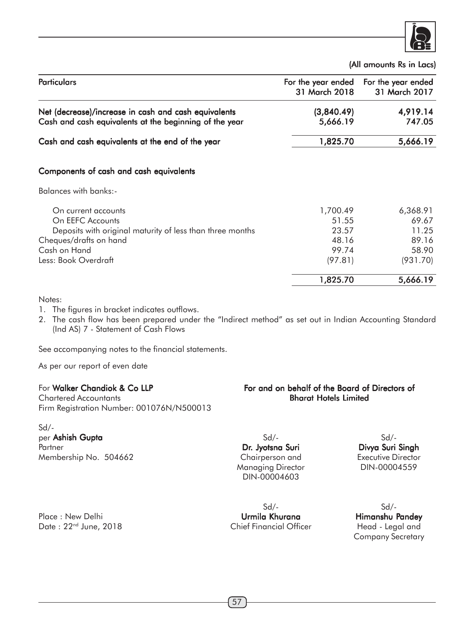

(All amounts Rs in Lacs)

| <b>Particulars</b>                                                                                                                                                     | For the year ended<br>31 March 2018                     | For the year ended<br>31 March 2017                      |
|------------------------------------------------------------------------------------------------------------------------------------------------------------------------|---------------------------------------------------------|----------------------------------------------------------|
| Net (decrease)/increase in cash and cash equivalents<br>Cash and cash equivalents at the beginning of the year                                                         | (3,840.49)<br>5,666.19                                  | 4,919.14<br>747.05                                       |
| Cash and cash equivalents at the end of the year                                                                                                                       | 1,825.70                                                | 5,666.19                                                 |
| Components of cash and cash equivalents                                                                                                                                |                                                         |                                                          |
| Balances with banks:-                                                                                                                                                  |                                                         |                                                          |
| On current accounts<br>On EEFC Accounts<br>Deposits with original maturity of less than three months<br>Cheques/drafts on hand<br>Cash on Hand<br>Less: Book Overdraft | 1,700.49<br>51.55<br>23.57<br>48.16<br>99.74<br>(97.81) | 6,368.91<br>69.67<br>11.25<br>89.16<br>58.90<br>(931.70) |
|                                                                                                                                                                        | 1,825.70                                                | 5,666.19                                                 |

#### Notes:

1. The figures in bracket indicates outflows.

2. The cash flow has been prepared under the "Indirect method" as set out in Indian Accounting Standard (Ind AS) 7 - Statement of Cash Flows

See accompanying notes to the financial statements.

As per our report of even date

Chartered Accountants Bharat Hotels Limited Firm Registration Number: 001076N/N500013

#### Sd/-

per Ashish Gupta Sd/- Sd/- Gupta Partner **Dr. Jyotsna Suri . Dr. Divya Suri Singh** Membership No. 504662 Chairperson and Executive Director

For Walker Chandiok & Co LLP For and on behalf of the Board of Directors of

Managing Director **DIN-00004559** DIN-00004603

Sd/- Sd/- Place : New Delhi **New York Communist Communist Communist Communist Communist Communist Communist Communist Communist Communist Communist Communist Communist Communist Communist Communist Communist Communist Communist Comm** Date :  $22^{nd}$  June, 2018 Chief Financial Officer Head - Legal and

Company Secretary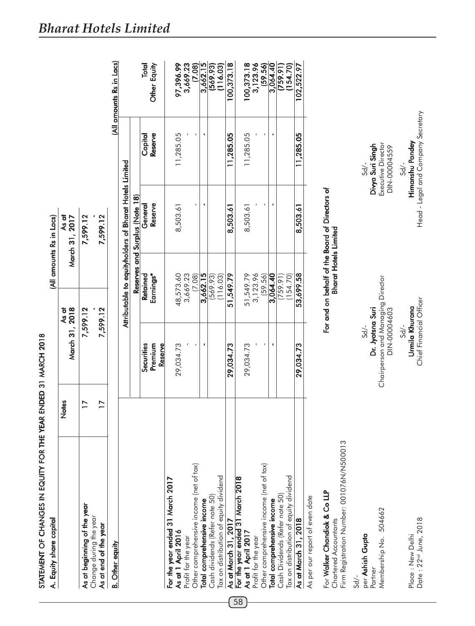| A. Equity share capital                                                                            |                |                                                                       |                       | (All amounts Rs in Lacs)                                                       |                                                        |                          |
|----------------------------------------------------------------------------------------------------|----------------|-----------------------------------------------------------------------|-----------------------|--------------------------------------------------------------------------------|--------------------------------------------------------|--------------------------|
|                                                                                                    | <b>Notes</b>   | March 31, 2018                                                        | As at                 | March 31, 2017<br>ರ<br>ಸ                                                       |                                                        |                          |
| As at beginning of the year                                                                        | $\overline{1}$ |                                                                       | 7,599.12              | 7,599.12                                                                       |                                                        |                          |
| Change during the year<br>As at end of the year                                                    | $\overline{1}$ |                                                                       | 7,599.12              | 7,599.12                                                                       |                                                        |                          |
| <b>B.</b> Other equity                                                                             |                |                                                                       |                       |                                                                                |                                                        | (All amounts Rs in Lacs) |
|                                                                                                    |                |                                                                       |                       | Attributable to equityholders of Bharat Hotels Limited                         |                                                        |                          |
|                                                                                                    |                |                                                                       |                       | Reserves and Surplus (Note 18)                                                 |                                                        |                          |
|                                                                                                    |                | Securities                                                            | Retained              | General                                                                        | Capital                                                | Total                    |
|                                                                                                    |                | Premium<br>Reserve                                                    | Earnings*             | Reserve                                                                        | Reserve                                                | Other Equity             |
| For the year ended 31 March 2017<br>As at 1 April 2016                                             |                | 29,034.73                                                             | 48,573.60             | 8,503.61                                                                       | 11,285.05                                              | 97,396.99                |
| Profit for the year                                                                                |                |                                                                       | 3,669.23              |                                                                                |                                                        | 3,669.23                 |
| Other comprehensive income (net of tax)                                                            |                |                                                                       | (7.08)                | ٠                                                                              |                                                        | (7.08)                   |
| Total comprehensive income                                                                         |                |                                                                       | 3,662.15              | J                                                                              | D                                                      | 3,662.15                 |
| Cash dividends (Refer note 50)                                                                     |                |                                                                       | (569.93)              |                                                                                |                                                        | (569.93)                 |
| Tax on distribution of equity dividend<br>As at March 31, 2017                                     |                | 29,034.73                                                             | 51,549.79<br>(116.03) | 8,503.61                                                                       | 11,285.05                                              | 100,373.18<br>116.03     |
|                                                                                                    |                |                                                                       |                       |                                                                                |                                                        |                          |
| For the year ended 31 March 2018<br>As at 1 April 2017                                             |                | 29,034.73                                                             | 51,549.79             | 8,503.61                                                                       | 11,285.05                                              | 100,373.18               |
| Profit for the year                                                                                |                |                                                                       | 3,123.96              |                                                                                |                                                        | 3,123.96                 |
| Other comprehensive income (net of tax)                                                            |                |                                                                       | (59.56)               |                                                                                |                                                        | (59.56)                  |
| Total comprehensive income                                                                         |                |                                                                       | 3,064.40              | $\blacksquare$                                                                 |                                                        | 3,064.40                 |
| Tax on distribution of equity dividend<br>Cash Dividends (Refer note 50)                           |                |                                                                       | (759.91)<br>(154.70)  |                                                                                |                                                        | (759.91)<br>154.70)      |
| As at March 31, 2018                                                                               |                | 29,034.73                                                             | 53,699.58             | 8,503.61                                                                       | 11,285.05                                              | 102,522.97               |
| As per our report of even date                                                                     |                |                                                                       |                       |                                                                                |                                                        |                          |
| Firm Registration Number: 001076N/N500013<br>For Walker Chandiok & Co LLP<br>Chartered Accountants |                |                                                                       |                       | For and on behalf of the Board of Directors of<br><b>Bharat Hotels Limited</b> |                                                        |                          |
| $Sd$ /-                                                                                            |                |                                                                       |                       |                                                                                |                                                        |                          |
| per Ashish Gupta                                                                                   |                | $Sd$ -                                                                |                       |                                                                                | $Sd$ /-                                                |                          |
| Membership No. 504662<br>Partner                                                                   |                | Chairperson and Managing Director<br>DIN-00004603<br>Dr. Jyotsna Suri |                       |                                                                                | Executive Director<br>Divya Suri Singh<br>DIN-00004559 |                          |
| Place: New Delhi                                                                                   |                | Urmila Khurana<br>$Sd$ /-                                             |                       |                                                                                | Himanshu Pandey<br>$Sd/-$                              |                          |

STATEMENT OF CHANGES IN EQUITY FOR THE YEAR ENDED 31 MARCH 2018

STATEMENT OF CHANGES IN EQUITY FOR THE YEAR ENDED 31 MARCH 2018

58

Place : New Delhi<br>Date : 22<sup>nd</sup> June, 2018

**Urmila Khurana**<br>Chief Financial Officer

**Himanshu Pandey**<br>Head - Legal and Company Secretary Date : 22nd June, 2018 Chief Financial Officer Head - Legal and Company Secretary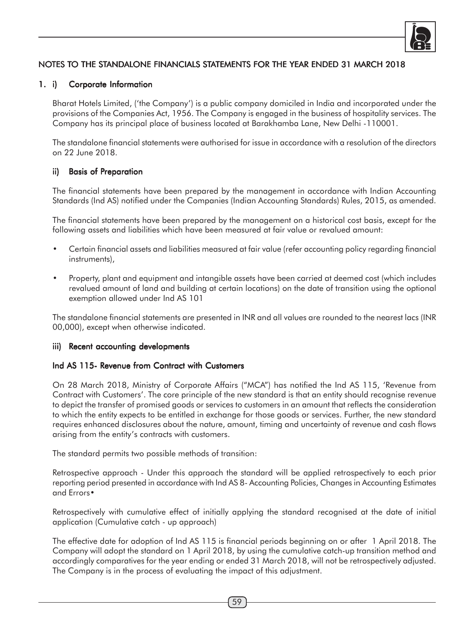

# NOTES TO THE STANDALONE FINANCIALS STATEMENTS FOR THE YEAR ENDED 31 MARCH 2018

# 1. i) Corporate Information

Bharat Hotels Limited, ('the Company') is a public company domiciled in India and incorporated under the provisions of the Companies Act, 1956. The Company is engaged in the business of hospitality services. The Company has its principal place of business located at Barakhamba Lane, New Delhi -110001.

The standalone financial statements were authorised for issue in accordance with a resolution of the directors on 22 June 2018.

# ii) Basis of Preparation

The financial statements have been prepared by the management in accordance with Indian Accounting Standards (Ind AS) notified under the Companies (Indian Accounting Standards) Rules, 2015, as amended.

The financial statements have been prepared by the management on a historical cost basis, except for the following assets and liabilities which have been measured at fair value or revalued amount:

- Certain financial assets and liabilities measured at fair value (refer accounting policy regarding financial instruments),
- Property, plant and equipment and intangible assets have been carried at deemed cost (which includes revalued amount of land and building at certain locations) on the date of transition using the optional exemption allowed under Ind AS 101

The standalone financial statements are presented in INR and all values are rounded to the nearest lacs (INR 00,000), except when otherwise indicated.

#### iii) Recent accounting developments

# Ind AS 115- Revenue from Contract with Customers

On 28 March 2018, Ministry of Corporate Affairs ("MCA") has notified the Ind AS 115, 'Revenue from Contract with Customers'. The core principle of the new standard is that an entity should recognise revenue to depict the transfer of promised goods or services to customers in an amount that reflects the consideration to which the entity expects to be entitled in exchange for those goods or services. Further, the new standard requires enhanced disclosures about the nature, amount, timing and uncertainty of revenue and cash flows arising from the entity's contracts with customers.

The standard permits two possible methods of transition:

Retrospective approach - Under this approach the standard will be applied retrospectively to each prior reporting period presented in accordance with Ind AS 8- Accounting Policies, Changes in Accounting Estimates and Errors•

Retrospectively with cumulative effect of initially applying the standard recognised at the date of initial application (Cumulative catch - up approach)

The effective date for adoption of Ind AS 115 is financial periods beginning on or after 1 April 2018. The Company will adopt the standard on 1 April 2018, by using the cumulative catch-up transition method and accordingly comparatives for the year ending or ended 31 March 2018, will not be retrospectively adjusted. The Company is in the process of evaluating the impact of this adjustment.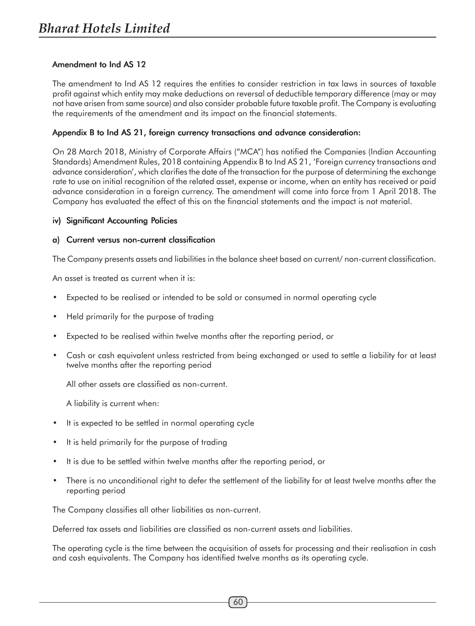# Amendment to Ind AS 12

The amendment to Ind AS 12 requires the entities to consider restriction in tax laws in sources of taxable profit against which entity may make deductions on reversal of deductible temporary difference (may or may not have arisen from same source) and also consider probable future taxable profit. The Company is evaluating the requirements of the amendment and its impact on the financial statements.

# Appendix B to Ind AS 21, foreign currency transactions and advance consideration:

On 28 March 2018, Ministry of Corporate Affairs ("MCA") has notified the Companies (Indian Accounting Standards) Amendment Rules, 2018 containing Appendix B to Ind AS 21, 'Foreign currency transactions and advance consideration', which clarifies the date of the transaction for the purpose of determining the exchange rate to use on initial recognition of the related asset, expense or income, when an entity has received or paid advance consideration in a foreign currency. The amendment will come into force from 1 April 2018. The Company has evaluated the effect of this on the financial statements and the impact is not material.

# iv) Significant Accounting Policies

### a) Current versus non-current classification

The Company presents assets and liabilities in the balance sheet based on current/ non-current classification.

An asset is treated as current when it is:

- Expected to be realised or intended to be sold or consumed in normal operating cycle
- Held primarily for the purpose of trading
- Expected to be realised within twelve months after the reporting period, or
- Cash or cash equivalent unless restricted from being exchanged or used to settle a liability for at least twelve months after the reporting period

All other assets are classified as non-current.

A liability is current when:

- It is expected to be settled in normal operating cycle
- It is held primarily for the purpose of trading
- It is due to be settled within twelve months after the reporting period, or
- There is no unconditional right to defer the settlement of the liability for at least twelve months after the reporting period

The Company classifies all other liabilities as non-current.

Deferred tax assets and liabilities are classified as non-current assets and liabilities.

The operating cycle is the time between the acquisition of assets for processing and their realisation in cash and cash equivalents. The Company has identified twelve months as its operating cycle.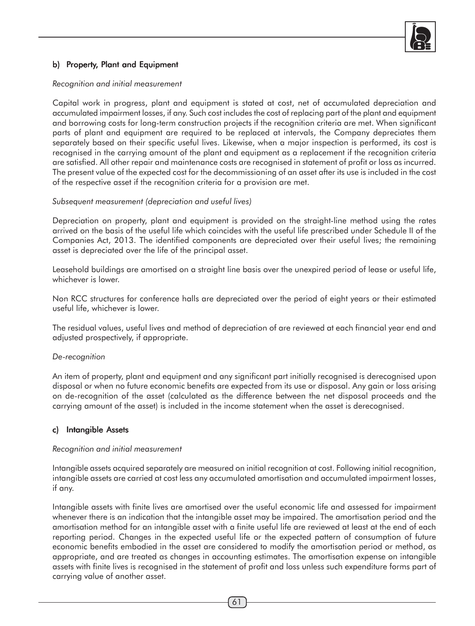

# b) Property, Plant and Equipment

#### *Recognition and initial measurement*

Capital work in progress, plant and equipment is stated at cost, net of accumulated depreciation and accumulated impairment losses, if any. Such cost includes the cost of replacing part of the plant and equipment and borrowing costs for long-term construction projects if the recognition criteria are met. When significant parts of plant and equipment are required to be replaced at intervals, the Company depreciates them separately based on their specific useful lives. Likewise, when a major inspection is performed, its cost is recognised in the carrying amount of the plant and equipment as a replacement if the recognition criteria are satisfied. All other repair and maintenance costs are recognised in statement of profit or loss as incurred. The present value of the expected cost for the decommissioning of an asset after its use is included in the cost of the respective asset if the recognition criteria for a provision are met.

#### *Subsequent measurement (depreciation and useful lives)*

Depreciation on property, plant and equipment is provided on the straight-line method using the rates arrived on the basis of the useful life which coincides with the useful life prescribed under Schedule II of the Companies Act, 2013. The identified components are depreciated over their useful lives; the remaining asset is depreciated over the life of the principal asset.

Leasehold buildings are amortised on a straight line basis over the unexpired period of lease or useful life, whichever is lower.

Non RCC structures for conference halls are depreciated over the period of eight years or their estimated useful life, whichever is lower.

The residual values, useful lives and method of depreciation of are reviewed at each financial year end and adjusted prospectively, if appropriate.

#### *De-recognition*

An item of property, plant and equipment and any significant part initially recognised is derecognised upon disposal or when no future economic benefits are expected from its use or disposal. Any gain or loss arising on de-recognition of the asset (calculated as the difference between the net disposal proceeds and the carrying amount of the asset) is included in the income statement when the asset is derecognised.

#### c) Intangible Assets

#### *Recognition and initial measurement*

Intangible assets acquired separately are measured on initial recognition at cost. Following initial recognition, intangible assets are carried at cost less any accumulated amortisation and accumulated impairment losses, if any.

Intangible assets with finite lives are amortised over the useful economic life and assessed for impairment whenever there is an indication that the intangible asset may be impaired. The amortisation period and the amortisation method for an intangible asset with a finite useful life are reviewed at least at the end of each reporting period. Changes in the expected useful life or the expected pattern of consumption of future economic benefits embodied in the asset are considered to modify the amortisation period or method, as appropriate, and are treated as changes in accounting estimates. The amortisation expense on intangible assets with finite lives is recognised in the statement of profit and loss unless such expenditure forms part of carrying value of another asset.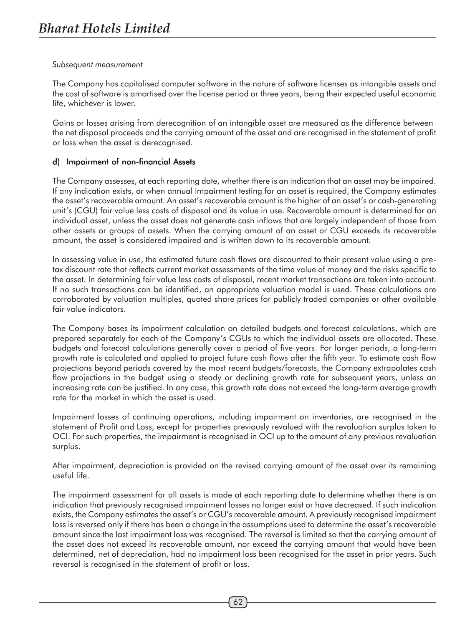#### *Subsequent measurement*

The Company has capitalised computer software in the nature of software licenses as intangible assets and the cost of software is amortised over the license period or three years, being their expected useful economic life, whichever is lower.

Gains or losses arising from derecognition of an intangible asset are measured as the difference between the net disposal proceeds and the carrying amount of the asset and are recognised in the statement of profit or loss when the asset is derecognised.

# d) Impairment of non-financial Assets

The Company assesses, at each reporting date, whether there is an indication that an asset may be impaired. If any indication exists, or when annual impairment testing for an asset is required, the Company estimates the asset's recoverable amount. An asset's recoverable amount is the higher of an asset's or cash-generating unit's (CGU) fair value less costs of disposal and its value in use. Recoverable amount is determined for an individual asset, unless the asset does not generate cash inflows that are largely independent of those from other assets or groups of assets. When the carrying amount of an asset or CGU exceeds its recoverable amount, the asset is considered impaired and is written down to its recoverable amount.

In assessing value in use, the estimated future cash flows are discounted to their present value using a pretax discount rate that reflects current market assessments of the time value of money and the risks specific to the asset. In determining fair value less costs of disposal, recent market transactions are taken into account. If no such transactions can be identified, an appropriate valuation model is used. These calculations are corroborated by valuation multiples, quoted share prices for publicly traded companies or other available fair value indicators.

The Company bases its impairment calculation on detailed budgets and forecast calculations, which are prepared separately for each of the Company's CGUs to which the individual assets are allocated. These budgets and forecast calculations generally cover a period of five years. For longer periods, a long-term growth rate is calculated and applied to project future cash flows after the fifth year. To estimate cash flow projections beyond periods covered by the most recent budgets/forecasts, the Company extrapolates cash flow projections in the budget using a steady or declining growth rate for subsequent years, unless an increasing rate can be justified. In any case, this growth rate does not exceed the long-term average growth rate for the market in which the asset is used.

Impairment losses of continuing operations, including impairment on inventories, are recognised in the statement of Profit and Loss, except for properties previously revalued with the revaluation surplus taken to OCI. For such properties, the impairment is recognised in OCI up to the amount of any previous revaluation surplus.

After impairment, depreciation is provided on the revised carrying amount of the asset over its remaining useful life.

The impairment assessment for all assets is made at each reporting date to determine whether there is an indication that previously recognised impairment losses no longer exist or have decreased. If such indication exists, the Company estimates the asset's or CGU's recoverable amount. A previously recognised impairment loss is reversed only if there has been a change in the assumptions used to determine the asset's recoverable amount since the last impairment loss was recognised. The reversal is limited so that the carrying amount of the asset does not exceed its recoverable amount, nor exceed the carrying amount that would have been determined, net of depreciation, had no impairment loss been recognised for the asset in prior years. Such reversal is recognised in the statement of profit or loss.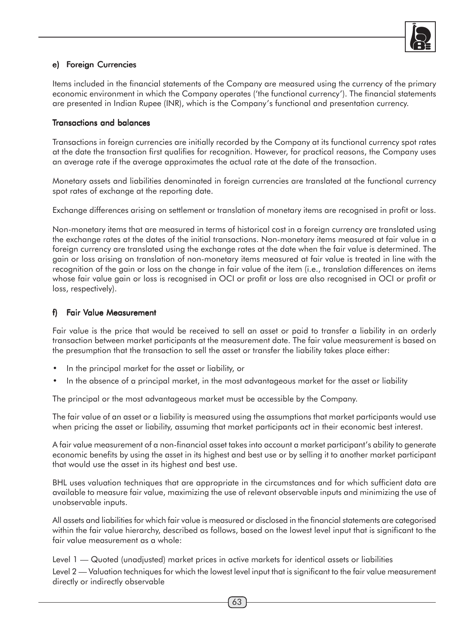

# e) Foreign Currencies

Items included in the financial statements of the Company are measured using the currency of the primary economic environment in which the Company operates ('the functional currency'). The financial statements are presented in Indian Rupee (INR), which is the Company's functional and presentation currency.

#### Transactions and balances

Transactions in foreign currencies are initially recorded by the Company at its functional currency spot rates at the date the transaction first qualifies for recognition. However, for practical reasons, the Company uses an average rate if the average approximates the actual rate at the date of the transaction.

Monetary assets and liabilities denominated in foreign currencies are translated at the functional currency spot rates of exchange at the reporting date.

Exchange differences arising on settlement or translation of monetary items are recognised in profit or loss.

Non-monetary items that are measured in terms of historical cost in a foreign currency are translated using the exchange rates at the dates of the initial transactions. Non-monetary items measured at fair value in a foreign currency are translated using the exchange rates at the date when the fair value is determined. The gain or loss arising on translation of non-monetary items measured at fair value is treated in line with the recognition of the gain or loss on the change in fair value of the item (i.e., translation differences on items whose fair value gain or loss is recognised in OCI or profit or loss are also recognised in OCI or profit or loss, respectively).

# f) Fair Value Measurement

Fair value is the price that would be received to sell an asset or paid to transfer a liability in an orderly transaction between market participants at the measurement date. The fair value measurement is based on the presumption that the transaction to sell the asset or transfer the liability takes place either:

- In the principal market for the asset or liability, or
- In the absence of a principal market, in the most advantageous market for the asset or liability

The principal or the most advantageous market must be accessible by the Company.

The fair value of an asset or a liability is measured using the assumptions that market participants would use when pricing the asset or liability, assuming that market participants act in their economic best interest.

A fair value measurement of a non-financial asset takes into account a market participant's ability to generate economic benefits by using the asset in its highest and best use or by selling it to another market participant that would use the asset in its highest and best use.

BHL uses valuation techniques that are appropriate in the circumstances and for which sufficient data are available to measure fair value, maximizing the use of relevant observable inputs and minimizing the use of unobservable inputs.

All assets and liabilities for which fair value is measured or disclosed in the financial statements are categorised within the fair value hierarchy, described as follows, based on the lowest level input that is significant to the fair value measurement as a whole:

Level 1 — Quoted (unadjusted) market prices in active markets for identical assets or liabilities

Level 2 — Valuation techniques for which the lowest level input that is significant to the fair value measurement directly or indirectly observable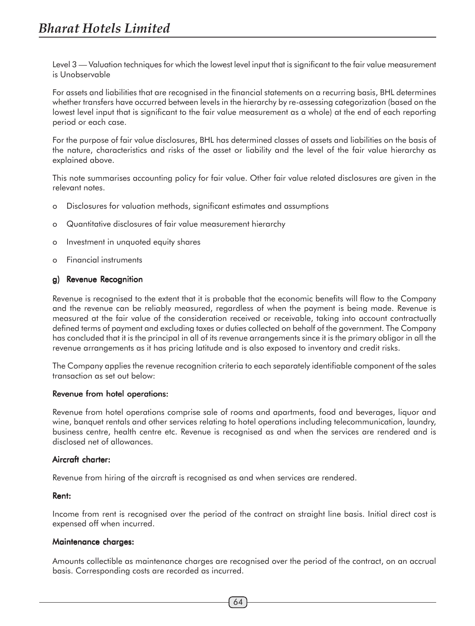Level 3 — Valuation techniques for which the lowest level input that is significant to the fair value measurement is Unobservable

For assets and liabilities that are recognised in the financial statements on a recurring basis, BHL determines whether transfers have occurred between levels in the hierarchy by re-assessing categorization (based on the lowest level input that is significant to the fair value measurement as a whole) at the end of each reporting period or each case.

For the purpose of fair value disclosures, BHL has determined classes of assets and liabilities on the basis of the nature, characteristics and risks of the asset or liability and the level of the fair value hierarchy as explained above.

This note summarises accounting policy for fair value. Other fair value related disclosures are given in the relevant notes.

- o Disclosures for valuation methods, significant estimates and assumptions
- o Quantitative disclosures of fair value measurement hierarchy
- o Investment in unquoted equity shares
- o Financial instruments

#### g) Revenue Recognition

Revenue is recognised to the extent that it is probable that the economic benefits will flow to the Company and the revenue can be reliably measured, regardless of when the payment is being made. Revenue is measured at the fair value of the consideration received or receivable, taking into account contractually defined terms of payment and excluding taxes or duties collected on behalf of the government. The Company has concluded that it is the principal in all of its revenue arrangements since it is the primary obligor in all the revenue arrangements as it has pricing latitude and is also exposed to inventory and credit risks.

The Company applies the revenue recognition criteria to each separately identifiable component of the sales transaction as set out below:

#### Revenue from hotel operations:

Revenue from hotel operations comprise sale of rooms and apartments, food and beverages, liquor and wine, banquet rentals and other services relating to hotel operations including telecommunication, laundry, business centre, health centre etc. Revenue is recognised as and when the services are rendered and is disclosed net of allowances.

#### Aircraft charter:

Revenue from hiring of the aircraft is recognised as and when services are rendered.

#### Rent:

Income from rent is recognised over the period of the contract on straight line basis. Initial direct cost is expensed off when incurred.

#### Maintenance charges:

Amounts collectible as maintenance charges are recognised over the period of the contract, on an accrual basis. Corresponding costs are recorded as incurred.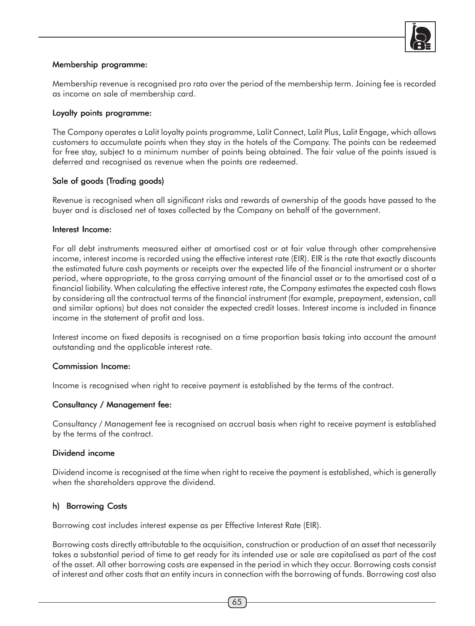

#### Membership programme:

Membership revenue is recognised pro rata over the period of the membership term. Joining fee is recorded as income on sale of membership card.

#### Loyalty points programme:

The Company operates a Lalit loyalty points programme, Lalit Connect, Lalit Plus, Lalit Engage, which allows customers to accumulate points when they stay in the hotels of the Company. The points can be redeemed for free stay, subject to a minimum number of points being obtained. The fair value of the points issued is deferred and recognised as revenue when the points are redeemed.

# Sale of goods (Trading goods)

Revenue is recognised when all significant risks and rewards of ownership of the goods have passed to the buyer and is disclosed net of taxes collected by the Company on behalf of the government.

#### Interest Income:

For all debt instruments measured either at amortised cost or at fair value through other comprehensive income, interest income is recorded using the effective interest rate (EIR). EIR is the rate that exactly discounts the estimated future cash payments or receipts over the expected life of the financial instrument or a shorter period, where appropriate, to the gross carrying amount of the financial asset or to the amortised cost of a financial liability. When calculating the effective interest rate, the Company estimates the expected cash flows by considering all the contractual terms of the financial instrument (for example, prepayment, extension, call and similar options) but does not consider the expected credit losses. Interest income is included in finance income in the statement of profit and loss.

Interest income on fixed deposits is recognised on a time proportion basis taking into account the amount outstanding and the applicable interest rate.

#### Commission Income:

Income is recognised when right to receive payment is established by the terms of the contract.

# Consultancy / Management fee:

Consultancy / Management fee is recognised on accrual basis when right to receive payment is established by the terms of the contract.

#### Dividend income

Dividend income is recognised at the time when right to receive the payment is established, which is generally when the shareholders approve the dividend.

# h) Borrowing Costs

Borrowing cost includes interest expense as per Effective Interest Rate (EIR).

Borrowing costs directly attributable to the acquisition, construction or production of an asset that necessarily takes a substantial period of time to get ready for its intended use or sale are capitalised as part of the cost of the asset. All other borrowing costs are expensed in the period in which they occur. Borrowing costs consist of interest and other costs that an entity incurs in connection with the borrowing of funds. Borrowing cost also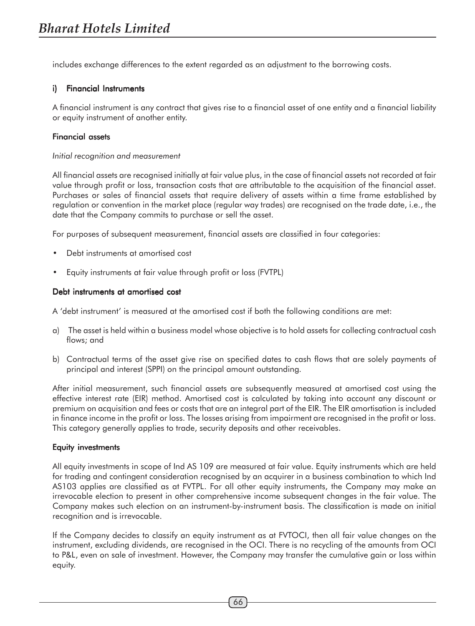includes exchange differences to the extent regarded as an adjustment to the borrowing costs.

### i) Financial Instruments

A financial instrument is any contract that gives rise to a financial asset of one entity and a financial liability or equity instrument of another entity.

#### Financial assets

#### *Initial recognition and measurement*

All financial assets are recognised initially at fair value plus, in the case of financial assets not recorded at fair value through profit or loss, transaction costs that are attributable to the acquisition of the financial asset. Purchases or sales of financial assets that require delivery of assets within a time frame established by regulation or convention in the market place (regular way trades) are recognised on the trade date, i.e., the date that the Company commits to purchase or sell the asset.

For purposes of subsequent measurement, financial assets are classified in four categories:

- Debt instruments at amortised cost
- Equity instruments at fair value through profit or loss (FVTPL)

#### Debt instruments at amortised cost

A 'debt instrument' is measured at the amortised cost if both the following conditions are met:

- a) The asset is held within a business model whose objective is to hold assets for collecting contractual cash flows; and
- b) Contractual terms of the asset give rise on specified dates to cash flows that are solely payments of principal and interest (SPPI) on the principal amount outstanding.

After initial measurement, such financial assets are subsequently measured at amortised cost using the effective interest rate (EIR) method. Amortised cost is calculated by taking into account any discount or premium on acquisition and fees or costs that are an integral part of the EIR. The EIR amortisation is included in finance income in the profit or loss. The losses arising from impairment are recognised in the profit or loss. This category generally applies to trade, security deposits and other receivables.

# Equity investments

All equity investments in scope of Ind AS 109 are measured at fair value. Equity instruments which are held for trading and contingent consideration recognised by an acquirer in a business combination to which Ind AS103 applies are classified as at FVTPL. For all other equity instruments, the Company may make an irrevocable election to present in other comprehensive income subsequent changes in the fair value. The Company makes such election on an instrument-by-instrument basis. The classification is made on initial recognition and is irrevocable.

If the Company decides to classify an equity instrument as at FVTOCI, then all fair value changes on the instrument, excluding dividends, are recognised in the OCI. There is no recycling of the amounts from OCI to P&L, even on sale of investment. However, the Company may transfer the cumulative gain or loss within equity.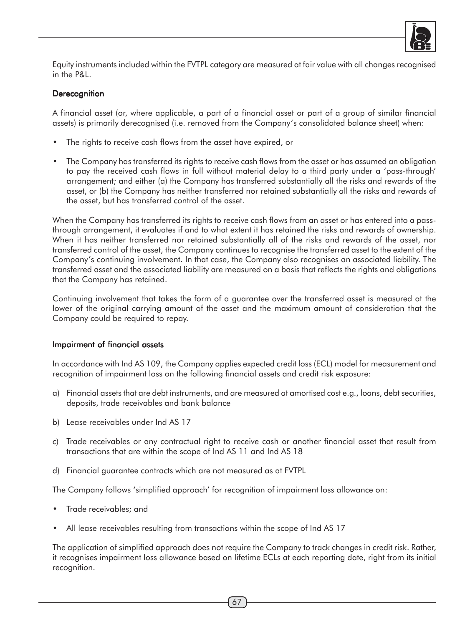

Equity instruments included within the FVTPL category are measured at fair value with all changes recognised in the P&L.

### **Derecognition**

A financial asset (or, where applicable, a part of a financial asset or part of a group of similar financial assets) is primarily derecognised (i.e. removed from the Company's consolidated balance sheet) when:

- The rights to receive cash flows from the asset have expired, or
- The Company has transferred its rights to receive cash flows from the asset or has assumed an obligation to pay the received cash flows in full without material delay to a third party under a 'pass-through' arrangement; and either (a) the Company has transferred substantially all the risks and rewards of the asset, or (b) the Company has neither transferred nor retained substantially all the risks and rewards of the asset, but has transferred control of the asset.

When the Company has transferred its rights to receive cash flows from an asset or has entered into a passthrough arrangement, it evaluates if and to what extent it has retained the risks and rewards of ownership. When it has neither transferred nor retained substantially all of the risks and rewards of the asset, nor transferred control of the asset, the Company continues to recognise the transferred asset to the extent of the Company's continuing involvement. In that case, the Company also recognises an associated liability. The transferred asset and the associated liability are measured on a basis that reflects the rights and obligations that the Company has retained.

Continuing involvement that takes the form of a guarantee over the transferred asset is measured at the lower of the original carrying amount of the asset and the maximum amount of consideration that the Company could be required to repay.

#### Impairment of financial assets

In accordance with Ind AS 109, the Company applies expected credit loss (ECL) model for measurement and recognition of impairment loss on the following financial assets and credit risk exposure:

- a) Financial assets that are debt instruments, and are measured at amortised cost e.g., loans, debt securities, deposits, trade receivables and bank balance
- b) Lease receivables under Ind AS 17
- c) Trade receivables or any contractual right to receive cash or another financial asset that result from transactions that are within the scope of Ind AS 11 and Ind AS 18
- d) Financial guarantee contracts which are not measured as at FVTPL

The Company follows 'simplified approach' for recognition of impairment loss allowance on:

- Trade receivables; and
- All lease receivables resulting from transactions within the scope of Ind AS 17

The application of simplified approach does not require the Company to track changes in credit risk. Rather, it recognises impairment loss allowance based on lifetime ECLs at each reporting date, right from its initial recognition.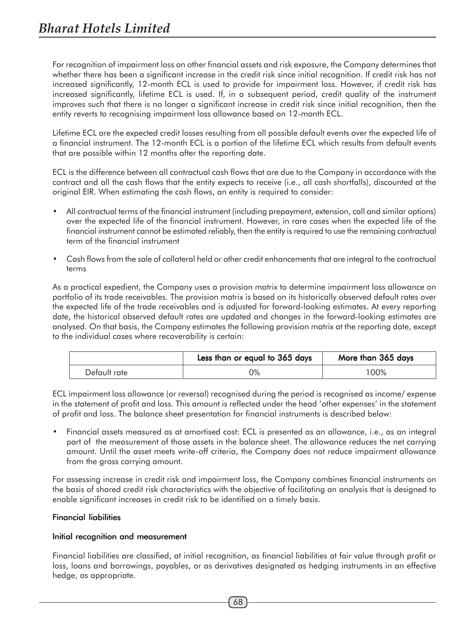For recognition of impairment loss on other financial assets and risk exposure, the Company determines that whether there has been a significant increase in the credit risk since initial recognition. If credit risk has not increased significantly, 12-month ECL is used to provide for impairment loss. However, if credit risk has increased significantly, lifetime ECL is used. If, in a subsequent period, credit quality of the instrument improves such that there is no longer a significant increase in credit risk since initial recognition, then the entity reverts to recognising impairment loss allowance based on 12-month ECL.

Lifetime ECL are the expected credit losses resulting from all possible default events over the expected life of a financial instrument. The 12-month ECL is a portion of the lifetime ECL which results from default events that are possible within 12 months after the reporting date.

ECL is the difference between all contractual cash flows that are due to the Company in accordance with the contract and all the cash flows that the entity expects to receive (i.e., all cash shortfalls), discounted at the original EIR. When estimating the cash flows, an entity is required to consider:

- All contractual terms of the financial instrument (including prepayment, extension, call and similar options) over the expected life of the financial instrument. However, in rare cases when the expected life of the financial instrument cannot be estimated reliably, then the entity is required to use the remaining contractual term of the financial instrument
- Cash flows from the sale of collateral held or other credit enhancements that are integral to the contractual terms

As a practical expedient, the Company uses a provision matrix to determine impairment loss allowance on portfolio of its trade receivables. The provision matrix is based on its historically observed default rates over the expected life of the trade receivables and is adjusted for forward-looking estimates. At every reporting date, the historical observed default rates are updated and changes in the forward-looking estimates are analysed. On that basis, the Company estimates the following provision matrix at the reporting date, except to the individual cases where recoverability is certain:

|              | Less than or equal to 365 days | More than 365 days |
|--------------|--------------------------------|--------------------|
| Default rate | ን%                             | 100%               |

ECL impairment loss allowance (or reversal) recognised during the period is recognised as income/ expense in the statement of profit and loss. This amount is reflected under the head 'other expenses' in the statement of profit and loss. The balance sheet presentation for financial instruments is described below:

• Financial assets measured as at amortised cost: ECL is presented as an allowance, i.e., as an integral part of the measurement of those assets in the balance sheet. The allowance reduces the net carrying amount. Until the asset meets write-off criteria, the Company does not reduce impairment allowance from the gross carrying amount.

For assessing increase in credit risk and impairment loss, the Company combines financial instruments on the basis of shared credit risk characteristics with the objective of facilitating an analysis that is designed to enable significant increases in credit risk to be identified on a timely basis.

# Financial liabilities

#### Initial recognition and measurement

Financial liabilities are classified, at initial recognition, as financial liabilities at fair value through profit or loss, loans and borrowings, payables, or as derivatives designated as hedging instruments in an effective hedge, as appropriate.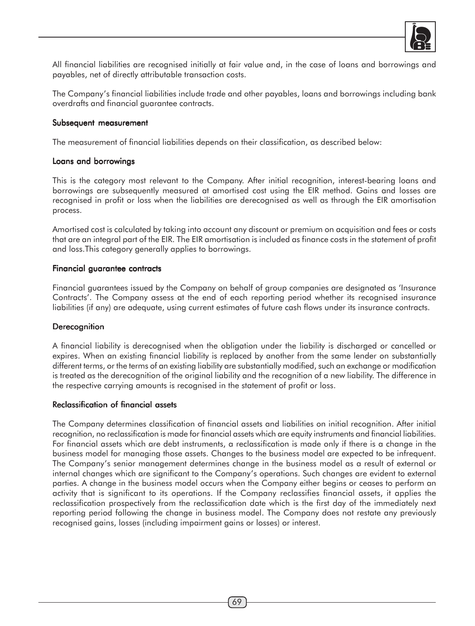

All financial liabilities are recognised initially at fair value and, in the case of loans and borrowings and payables, net of directly attributable transaction costs.

The Company's financial liabilities include trade and other payables, loans and borrowings including bank overdrafts and financial guarantee contracts.

#### Subsequent measurement

The measurement of financial liabilities depends on their classification, as described below:

#### Loans and borrowings

This is the category most relevant to the Company. After initial recognition, interest-bearing loans and borrowings are subsequently measured at amortised cost using the EIR method. Gains and losses are recognised in profit or loss when the liabilities are derecognised as well as through the EIR amortisation process.

Amortised cost is calculated by taking into account any discount or premium on acquisition and fees or costs that are an integral part of the EIR. The EIR amortisation is included as finance costs in the statement of profit and loss.This category generally applies to borrowings.

#### Financial guarantee contracts

Financial guarantees issued by the Company on behalf of group companies are designated as 'Insurance Contracts'. The Company assess at the end of each reporting period whether its recognised insurance liabilities (if any) are adequate, using current estimates of future cash flows under its insurance contracts.

#### **Derecognition**

A financial liability is derecognised when the obligation under the liability is discharged or cancelled or expires. When an existing financial liability is replaced by another from the same lender on substantially different terms, or the terms of an existing liability are substantially modified, such an exchange or modification is treated as the derecognition of the original liability and the recognition of a new liability. The difference in the respective carrying amounts is recognised in the statement of profit or loss.

#### Reclassification of financial assets

The Company determines classification of financial assets and liabilities on initial recognition. After initial recognition, no reclassification is made for financial assets which are equity instruments and financial liabilities. For financial assets which are debt instruments, a reclassification is made only if there is a change in the business model for managing those assets. Changes to the business model are expected to be infrequent. The Company's senior management determines change in the business model as a result of external or internal changes which are significant to the Company's operations. Such changes are evident to external parties. A change in the business model occurs when the Company either begins or ceases to perform an activity that is significant to its operations. If the Company reclassifies financial assets, it applies the reclassification prospectively from the reclassification date which is the first day of the immediately next reporting period following the change in business model. The Company does not restate any previously recognised gains, losses (including impairment gains or losses) or interest.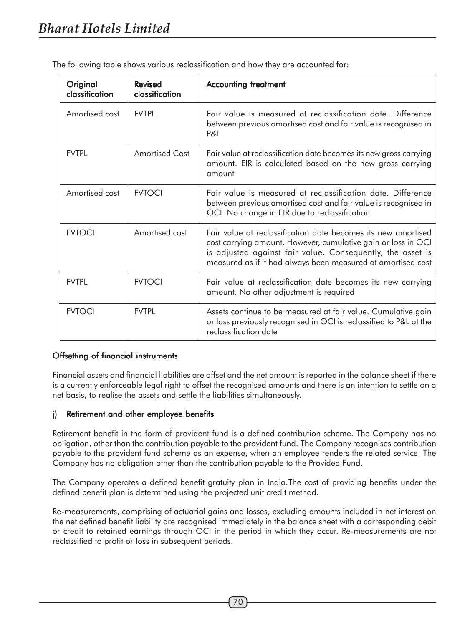| Original<br>classification | Revised<br>classification | <b>Accounting treatment</b>                                                                                                                                                                                                                                  |
|----------------------------|---------------------------|--------------------------------------------------------------------------------------------------------------------------------------------------------------------------------------------------------------------------------------------------------------|
| Amortised cost             | <b>FVTPL</b>              | Fair value is measured at reclassification date. Difference<br>between previous amortised cost and fair value is recognised in<br>P&L                                                                                                                        |
| <b>FVTPL</b>               | Amortised Cost            | Fair value at reclassification date becomes its new gross carrying<br>amount. EIR is calculated based on the new gross carrying<br>amount                                                                                                                    |
| Amortised cost             | <b>FVTOCI</b>             | Fair value is measured at reclassification date. Difference<br>between previous amortised cost and fair value is recognised in<br>OCI. No change in EIR due to reclassification                                                                              |
| <b>FVTOCI</b>              | Amortised cost            | Fair value at reclassification date becomes its new amortised<br>cost carrying amount. However, cumulative gain or loss in OCI<br>is adjusted against fair value. Consequently, the asset is<br>measured as if it had always been measured at amortised cost |
| <b>FVTPL</b>               | <b>FVTOCI</b>             | Fair value at reclassification date becomes its new carrying<br>amount. No other adjustment is required                                                                                                                                                      |
| <b>FVTOCI</b>              | <b>FVTPL</b>              | Assets continue to be measured at fair value. Cumulative gain<br>or loss previously recognised in OCI is reclassified to P&L at the<br>reclassification date                                                                                                 |

The following table shows various reclassification and how they are accounted for:

# Offsetting of financial instruments

Financial assets and financial liabilities are offset and the net amount is reported in the balance sheet if there is a currently enforceable legal right to offset the recognised amounts and there is an intention to settle on a net basis, to realise the assets and settle the liabilities simultaneously.

# j) Retirement and other employee benefits

Retirement benefit in the form of provident fund is a defined contribution scheme. The Company has no obligation, other than the contribution payable to the provident fund. The Company recognises contribution payable to the provident fund scheme as an expense, when an employee renders the related service. The Company has no obligation other than the contribution payable to the Provided Fund.

The Company operates a defined benefit gratuity plan in India.The cost of providing benefits under the defined benefit plan is determined using the projected unit credit method.

Re-measurements, comprising of actuarial gains and losses, excluding amounts included in net interest on the net defined benefit liability are recognised immediately in the balance sheet with a corresponding debit or credit to retained earnings through OCI in the period in which they occur. Re-measurements are not reclassified to profit or loss in subsequent periods.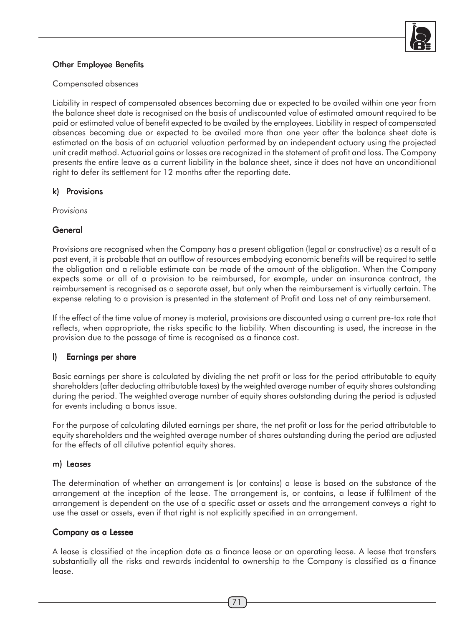

# Other Employee Benefits

Compensated absences

Liability in respect of compensated absences becoming due or expected to be availed within one year from the balance sheet date is recognised on the basis of undiscounted value of estimated amount required to be paid or estimated value of benefit expected to be availed by the employees. Liability in respect of compensated absences becoming due or expected to be availed more than one year after the balance sheet date is estimated on the basis of an actuarial valuation performed by an independent actuary using the projected unit credit method. Actuarial gains or losses are recognized in the statement of profit and loss. The Company presents the entire leave as a current liability in the balance sheet, since it does not have an unconditional right to defer its settlement for 12 months after the reporting date.

# k) Provisions

*Provisions*

# **General**

Provisions are recognised when the Company has a present obligation (legal or constructive) as a result of a past event, it is probable that an outflow of resources embodying economic benefits will be required to settle the obligation and a reliable estimate can be made of the amount of the obligation. When the Company expects some or all of a provision to be reimbursed, for example, under an insurance contract, the reimbursement is recognised as a separate asset, but only when the reimbursement is virtually certain. The expense relating to a provision is presented in the statement of Profit and Loss net of any reimbursement.

If the effect of the time value of money is material, provisions are discounted using a current pre-tax rate that reflects, when appropriate, the risks specific to the liability. When discounting is used, the increase in the provision due to the passage of time is recognised as a finance cost.

# l) Earnings per share

Basic earnings per share is calculated by dividing the net profit or loss for the period attributable to equity shareholders (after deducting attributable taxes) by the weighted average number of equity shares outstanding during the period. The weighted average number of equity shares outstanding during the period is adjusted for events including a bonus issue.

For the purpose of calculating diluted earnings per share, the net profit or loss for the period attributable to equity shareholders and the weighted average number of shares outstanding during the period are adjusted for the effects of all dilutive potential equity shares.

# m) Leases

The determination of whether an arrangement is (or contains) a lease is based on the substance of the arrangement at the inception of the lease. The arrangement is, or contains, a lease if fulfilment of the arrangement is dependent on the use of a specific asset or assets and the arrangement conveys a right to use the asset or assets, even if that right is not explicitly specified in an arrangement.

# Company as a Lessee

A lease is classified at the inception date as a finance lease or an operating lease. A lease that transfers substantially all the risks and rewards incidental to ownership to the Company is classified as a finance lease.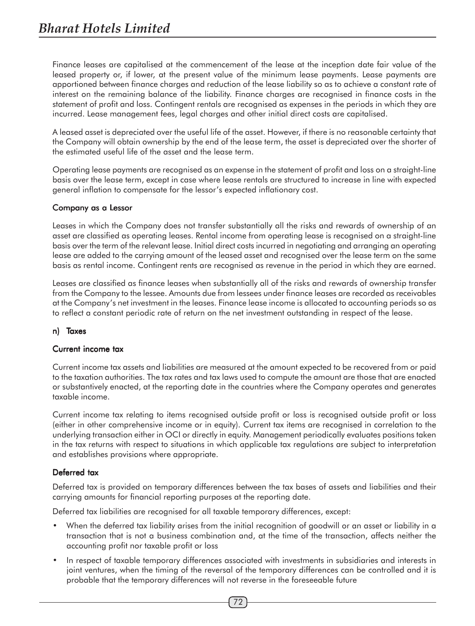Finance leases are capitalised at the commencement of the lease at the inception date fair value of the leased property or, if lower, at the present value of the minimum lease payments. Lease payments are apportioned between finance charges and reduction of the lease liability so as to achieve a constant rate of interest on the remaining balance of the liability. Finance charges are recognised in finance costs in the statement of profit and loss. Contingent rentals are recognised as expenses in the periods in which they are incurred. Lease management fees, legal charges and other initial direct costs are capitalised.

A leased asset is depreciated over the useful life of the asset. However, if there is no reasonable certainty that the Company will obtain ownership by the end of the lease term, the asset is depreciated over the shorter of the estimated useful life of the asset and the lease term.

Operating lease payments are recognised as an expense in the statement of profit and loss on a straight-line basis over the lease term, except in case where lease rentals are structured to increase in line with expected general inflation to compensate for the lessor's expected inflationary cost.

# Company as a Lessor

Leases in which the Company does not transfer substantially all the risks and rewards of ownership of an asset are classified as operating leases. Rental income from operating lease is recognised on a straight-line basis over the term of the relevant lease. Initial direct costs incurred in negotiating and arranging an operating lease are added to the carrying amount of the leased asset and recognised over the lease term on the same basis as rental income. Contingent rents are recognised as revenue in the period in which they are earned.

Leases are classified as finance leases when substantially all of the risks and rewards of ownership transfer from the Company to the lessee. Amounts due from lessees under finance leases are recorded as receivables at the Company's net investment in the leases. Finance lease income is allocated to accounting periods so as to reflect a constant periodic rate of return on the net investment outstanding in respect of the lease.

#### n) Taxes

#### Current income tax

Current income tax assets and liabilities are measured at the amount expected to be recovered from or paid to the taxation authorities. The tax rates and tax laws used to compute the amount are those that are enacted or substantively enacted, at the reporting date in the countries where the Company operates and generates taxable income.

Current income tax relating to items recognised outside profit or loss is recognised outside profit or loss (either in other comprehensive income or in equity). Current tax items are recognised in correlation to the underlying transaction either in OCI or directly in equity. Management periodically evaluates positions taken in the tax returns with respect to situations in which applicable tax regulations are subject to interpretation and establishes provisions where appropriate.

# Deferred tax

Deferred tax is provided on temporary differences between the tax bases of assets and liabilities and their carrying amounts for financial reporting purposes at the reporting date.

Deferred tax liabilities are recognised for all taxable temporary differences, except:

- When the deferred tax liability arises from the initial recognition of goodwill or an asset or liability in a transaction that is not a business combination and, at the time of the transaction, affects neither the accounting profit nor taxable profit or loss
- In respect of taxable temporary differences associated with investments in subsidiaries and interests in joint ventures, when the timing of the reversal of the temporary differences can be controlled and it is probable that the temporary differences will not reverse in the foreseeable future

72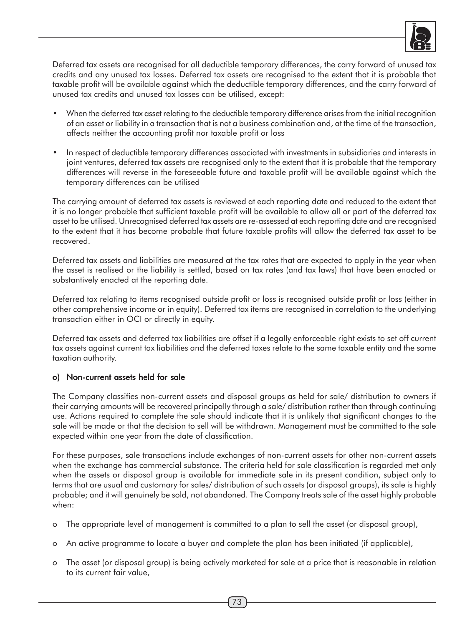

Deferred tax assets are recognised for all deductible temporary differences, the carry forward of unused tax credits and any unused tax losses. Deferred tax assets are recognised to the extent that it is probable that taxable profit will be available against which the deductible temporary differences, and the carry forward of unused tax credits and unused tax losses can be utilised, except:

- When the deferred tax asset relating to the deductible temporary difference arises from the initial recognition of an asset or liability in a transaction that is not a business combination and, at the time of the transaction, affects neither the accounting profit nor taxable profit or loss
- In respect of deductible temporary differences associated with investments in subsidiaries and interests in joint ventures, deferred tax assets are recognised only to the extent that it is probable that the temporary differences will reverse in the foreseeable future and taxable profit will be available against which the temporary differences can be utilised

The carrying amount of deferred tax assets is reviewed at each reporting date and reduced to the extent that it is no longer probable that sufficient taxable profit will be available to allow all or part of the deferred tax asset to be utilised. Unrecognised deferred tax assets are re-assessed at each reporting date and are recognised to the extent that it has become probable that future taxable profits will allow the deferred tax asset to be recovered.

Deferred tax assets and liabilities are measured at the tax rates that are expected to apply in the year when the asset is realised or the liability is settled, based on tax rates (and tax laws) that have been enacted or substantively enacted at the reporting date.

Deferred tax relating to items recognised outside profit or loss is recognised outside profit or loss (either in other comprehensive income or in equity). Deferred tax items are recognised in correlation to the underlying transaction either in OCI or directly in equity.

Deferred tax assets and deferred tax liabilities are offset if a legally enforceable right exists to set off current tax assets against current tax liabilities and the deferred taxes relate to the same taxable entity and the same taxation authority.

#### o) Non-current assets held for sale

The Company classifies non-current assets and disposal groups as held for sale/ distribution to owners if their carrying amounts will be recovered principally through a sale/ distribution rather than through continuing use. Actions required to complete the sale should indicate that it is unlikely that significant changes to the sale will be made or that the decision to sell will be withdrawn. Management must be committed to the sale expected within one year from the date of classification.

For these purposes, sale transactions include exchanges of non-current assets for other non-current assets when the exchange has commercial substance. The criteria held for sale classification is regarded met only when the assets or disposal group is available for immediate sale in its present condition, subject only to terms that are usual and customary for sales/ distribution of such assets (or disposal groups), its sale is highly probable; and it will genuinely be sold, not abandoned. The Company treats sale of the asset highly probable when:

- o The appropriate level of management is committed to a plan to sell the asset (or disposal group),
- o An active programme to locate a buyer and complete the plan has been initiated (if applicable),
- o The asset (or disposal group) is being actively marketed for sale at a price that is reasonable in relation to its current fair value,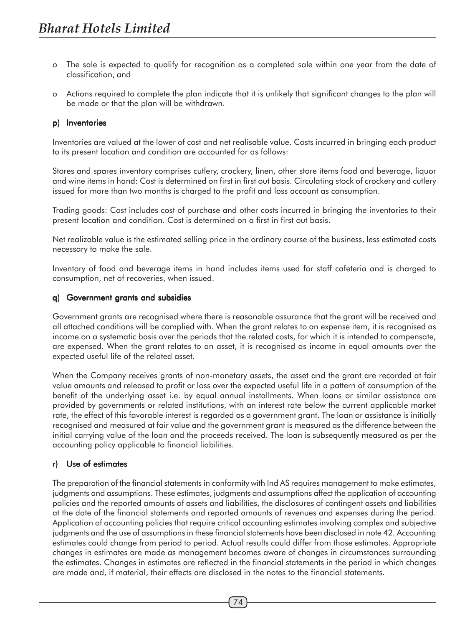- o The sale is expected to qualify for recognition as a completed sale within one year from the date of classification, and
- o Actions required to complete the plan indicate that it is unlikely that significant changes to the plan will be made or that the plan will be withdrawn.

#### p) Inventories

Inventories are valued at the lower of cost and net realisable value. Costs incurred in bringing each product to its present location and condition are accounted for as follows:

Stores and spares inventory comprises cutlery, crockery, linen, other store items food and beverage, liquor and wine items in hand: Cost is determined on first in first out basis. Circulating stock of crockery and cutlery issued for more than two months is charged to the profit and loss account as consumption.

Trading goods: Cost includes cost of purchase and other costs incurred in bringing the inventories to their present location and condition. Cost is determined on a first in first out basis.

Net realizable value is the estimated selling price in the ordinary course of the business, less estimated costs necessary to make the sale.

Inventory of food and beverage items in hand includes items used for staff cafeteria and is charged to consumption, net of recoveries, when issued.

#### q) Government grants and subsidies

Government grants are recognised where there is reasonable assurance that the grant will be received and all attached conditions will be complied with. When the grant relates to an expense item, it is recognised as income on a systematic basis over the periods that the related costs, for which it is intended to compensate, are expensed. When the grant relates to an asset, it is recognised as income in equal amounts over the expected useful life of the related asset.

When the Company receives grants of non-monetary assets, the asset and the grant are recorded at fair value amounts and released to profit or loss over the expected useful life in a pattern of consumption of the benefit of the underlying asset i.e. by equal annual installments. When loans or similar assistance are provided by governments or related institutions, with an interest rate below the current applicable market rate, the effect of this favorable interest is regarded as a government grant. The loan or assistance is initially recognised and measured at fair value and the government grant is measured as the difference between the initial carrying value of the loan and the proceeds received. The loan is subsequently measured as per the accounting policy applicable to financial liabilities.

#### r) Use of estimates

The preparation of the financial statements in conformity with Ind AS requires management to make estimates, judgments and assumptions. These estimates, judgments and assumptions affect the application of accounting policies and the reported amounts of assets and liabilities, the disclosures of contingent assets and liabilities at the date of the financial statements and reported amounts of revenues and expenses during the period. Application of accounting policies that require critical accounting estimates involving complex and subjective judgments and the use of assumptions in these financial statements have been disclosed in note 42. Accounting estimates could change from period to period. Actual results could differ from those estimates. Appropriate changes in estimates are made as management becomes aware of changes in circumstances surrounding the estimates. Changes in estimates are reflected in the financial statements in the period in which changes are made and, if material, their effects are disclosed in the notes to the financial statements.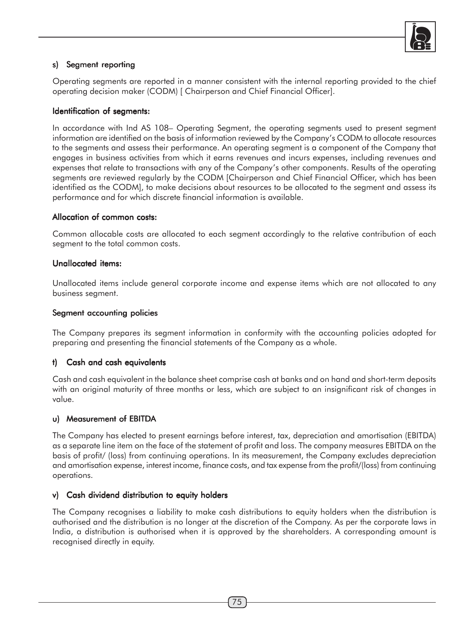

#### s) Segment reporting

Operating segments are reported in a manner consistent with the internal reporting provided to the chief operating decision maker (CODM) [ Chairperson and Chief Financial Officer].

#### Identification of segments:

In accordance with Ind AS 108– Operating Segment, the operating segments used to present segment information are identified on the basis of information reviewed by the Company's CODM to allocate resources to the segments and assess their performance. An operating segment is a component of the Company that engages in business activities from which it earns revenues and incurs expenses, including revenues and expenses that relate to transactions with any of the Company's other components. Results of the operating segments are reviewed regularly by the CODM [Chairperson and Chief Financial Officer, which has been identified as the CODM], to make decisions about resources to be allocated to the segment and assess its performance and for which discrete financial information is available.

#### Allocation of common costs:

Common allocable costs are allocated to each segment accordingly to the relative contribution of each segment to the total common costs.

#### Unallocated items: Unallocated items:

Unallocated items include general corporate income and expense items which are not allocated to any business segment.

#### Segment accounting policies

The Company prepares its segment information in conformity with the accounting policies adopted for preparing and presenting the financial statements of the Company as a whole.

#### t) Cash and cash equivalents

Cash and cash equivalent in the balance sheet comprise cash at banks and on hand and short-term deposits with an original maturity of three months or less, which are subject to an insignificant risk of changes in value.

#### u) Measurement of EBITDA

The Company has elected to present earnings before interest, tax, depreciation and amortisation (EBITDA) as a separate line item on the face of the statement of profit and loss. The company measures EBITDA on the basis of profit/ (loss) from continuing operations. In its measurement, the Company excludes depreciation and amortisation expense, interest income, finance costs, and tax expense from the profit/(loss) from continuing operations.

#### v) Cash dividend distribution to equity holders

The Company recognises a liability to make cash distributions to equity holders when the distribution is authorised and the distribution is no longer at the discretion of the Company. As per the corporate laws in India, a distribution is authorised when it is approved by the shareholders. A corresponding amount is recognised directly in equity.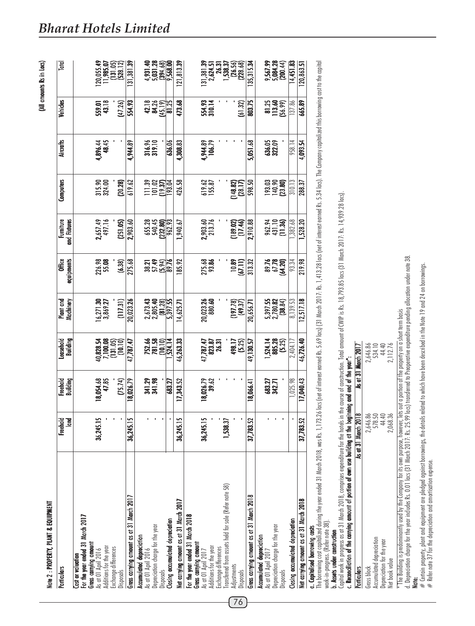## Note 2 : PROPERTY, PLANT & EQUIPMENT Note 2 : PROPERTY,

| Particulars                                                                                                                                                                                                                                                      | Freehold<br><b>land</b> | Freehold<br>Building | Building<br>Leasehold              | Plant and<br>Machinery           | <b>Office</b><br>aquipments | Furniture<br>and Fixtures             | Computers                                    | <b>Aircrafts</b>   | Vehides                    | <b>Total</b>                                                   |
|------------------------------------------------------------------------------------------------------------------------------------------------------------------------------------------------------------------------------------------------------------------|-------------------------|----------------------|------------------------------------|----------------------------------|-----------------------------|---------------------------------------|----------------------------------------------|--------------------|----------------------------|----------------------------------------------------------------|
| For the year ended 31 March 2017<br>Gross carrying amount<br>As at 01 April 2016<br>Cost or valuation                                                                                                                                                            |                         |                      |                                    |                                  |                             |                                       |                                              |                    |                            |                                                                |
|                                                                                                                                                                                                                                                                  | 36,245.1                |                      |                                    |                                  |                             |                                       |                                              |                    |                            |                                                                |
| Additions for the year                                                                                                                                                                                                                                           |                         | 18,054.68            | 40,828.54                          | 16,271.30<br>3,869.27            | 226.98                      | 2,657.49<br>497.16                    | 315.90<br>324.00                             | 4,896.44<br>48.45  | 559.01<br>43.18            | 120,055.49<br>11,985.07                                        |
| Exchange differences<br>Disposals                                                                                                                                                                                                                                |                         | (75.74)              | (131.05)<br>(10.10)                | (117.31)                         | (6.38)                      | (251.05)                              | (20.28)                                      |                    | (47.26)                    | $(131.05)$<br>$(528.12)$                                       |
| Gross carrying amount as at 31 March 2017                                                                                                                                                                                                                        | ю<br>36,245.            | 8,026.79             | 47,787.47                          | 20,023.26                        | 275.68                      | 2,903.60                              | 619.62                                       | 4,944.89           | 554.93                     | 31,381.39                                                      |
|                                                                                                                                                                                                                                                                  |                         |                      |                                    |                                  |                             |                                       |                                              |                    |                            |                                                                |
|                                                                                                                                                                                                                                                                  |                         | 341.98               |                                    |                                  |                             |                                       |                                              | 316.96             |                            |                                                                |
| <b>Accumulated depreciation</b><br>As at 01 April 2016<br>Depreciation charge for the year<br>Disposals                                                                                                                                                          |                         |                      | 752.66<br>781.58<br>(10.10)        | 2,673.43<br>2,805.40<br>(81.28)  | 38.78<br>35.89.78<br>36.98  | 65.28<br>540.45<br>(232.80)<br>962.93 | 11 02 02<br>10 03 02<br>19 03 04<br>19 03 04 |                    | 42.18<br>84.26<br>(45.19)  | 4,931.40<br>5,031.28<br>(394.68)<br>9,568.00                   |
| Closing accumulated depreciation                                                                                                                                                                                                                                 |                         | 683.27               | $\frac{1}{241}$                    | 5.397.55                         |                             |                                       |                                              | 636.06             | $\frac{1}{25}$             |                                                                |
| Vet carrying amount as at 31 March 2017                                                                                                                                                                                                                          | ю<br>36,245.            | 17,343.52            | 46,263.33                          | 14,625.71                        | 185.92                      | 1,940.67                              | 426.58                                       | 4,308.83           | 473.68                     | 121,813.39                                                     |
| For the year ended 31 March 2018                                                                                                                                                                                                                                 |                         |                      |                                    |                                  |                             |                                       |                                              |                    |                            |                                                                |
| <b>Gross carrying amount</b><br>As at 01 April 2017                                                                                                                                                                                                              |                         |                      |                                    |                                  |                             |                                       |                                              |                    |                            |                                                                |
|                                                                                                                                                                                                                                                                  | 36,245.1                | 18,026.79<br>39.62   | $47,787,47$<br>$823,87$<br>$26,31$ | 20,023.26<br>880.60              | 275.68                      | 2,903.60                              | 619.62<br>155.87                             | 4,944.89<br>106.79 | 554.93<br>310.14           | $\begin{array}{c} 131,381.39 \\ 2,624.51 \\ 26.31 \end{array}$ |
| Additions for the year<br>Exchange differences                                                                                                                                                                                                                   |                         |                      |                                    |                                  |                             |                                       |                                              |                    |                            |                                                                |
| Transferred from assets held for sale (Refer note 58)                                                                                                                                                                                                            | 1,538.37                |                      |                                    |                                  |                             |                                       |                                              |                    |                            |                                                                |
| Adjustments                                                                                                                                                                                                                                                      |                         |                      |                                    |                                  |                             |                                       |                                              |                    |                            |                                                                |
| <b>Disposals</b>                                                                                                                                                                                                                                                 |                         |                      | 498.17<br>(5.25)                   | $(197.78)$<br>$(49.37)$          | $\frac{10.89}{(67.11)}$     | $\frac{189.02}{(17.46)}$              | $(148.82)$<br>$(28.17)$                      |                    | (61.32)                    | $\frac{1,538.37}{(26.56)}$                                     |
| Gross carrying amount as at 31 March 2018                                                                                                                                                                                                                        | ទ<br>37,783.            | ╦<br>8,066.          | 49,130.57                          | 20,656.7                         | 313.32                      | 2,910.88                              | 598.50                                       | 5,051.68           | 803.75                     | 35,315.3                                                       |
| Accumulated depreciation                                                                                                                                                                                                                                         |                         |                      |                                    |                                  |                             |                                       |                                              |                    |                            |                                                                |
|                                                                                                                                                                                                                                                                  |                         | 683.77               |                                    |                                  |                             |                                       |                                              | 636.05<br>322.09   |                            |                                                                |
| As at 01 April 2017<br>Depreciation charge for the year<br>Disposals                                                                                                                                                                                             |                         |                      | $524.14$<br>85.28<br>(5.25)        | 5,397.55<br>2,780.84)<br>(38.84) | 89.76<br>67.78<br>64.20)    | 982.94<br>431.136)<br>(11.36)         | 193.03<br>140.90<br>(23.80)                  |                    | 81.25<br>113.60<br>(56.99) | 9,567.99<br>5,084.28<br>(200.44)                               |
| Closing accumulated depreciation                                                                                                                                                                                                                                 |                         | .025.98              | 2.404.17                           | 8,139.53                         | 93.34                       | ,382.68                               | 310.13                                       | 958.14             | 137.86                     | 4,451.83                                                       |
| Net carrying amount as at 31 March 2018                                                                                                                                                                                                                          | 37,783.52               | 17,040.43            | 46,726.40                          | 12,517.18                        | 219.98                      | 528.20                                | 288.37                                       | 4,093.54           | 665.89                     | 20,863.51                                                      |
| The borrowing cost capitalized during the year ended 31 March 2018, was Rs. 5, 1,73.26 los (interest earned Rs. 5, 2018, S. 1, 2, 2018, 1, 2, 28 los S. 1, 13, 28 los Grim firest annew contailized this borrowing cost to the<br>a. Capitalised borrowing costs |                         |                      |                                    |                                  |                             |                                       |                                              |                    |                            |                                                                |

76

The borrowing ast capitalized during the year onded 31 March 2013, Volta(1732.6 lot of interest earch (31, 13, 28 March 2017; Rs. 1, 413, 28 locs (net of interest earned Rs. 5.34 locs). The Company capitalized this borrowi work-in-progress. (Refer note 38). work-in-progress. (Refer note 38).

### b. Assets under construction b. Assets under construction

Capital work in progress as at 31 March 2018, comprises expenditure for the hotels in the course of construction. Total amount of CNIP is Rs. 18,793.85 lacs (31 March 2017: Rs. 14,939.28 lacs).<br>c. Reconciliation of the car Capital work in progress as at 31 March 2018, comprises expenditure for the hotels in the course of construction. Total amount of CWIP is Rs. 18,793.85 lacs (31 March 2017: Rs. 14,939.28 lacs).

# As at 31 March 2017 c. Reconciliation of the carrying amount of portion of own use building at the beginning and end of the year\*: As at 31 March 2018 Particulars

| Particulars               | As at 31 March 2018                                                                            | As at 31 March 2017 |
|---------------------------|------------------------------------------------------------------------------------------------|---------------------|
| Gross block               | 2,646.86                                                                                       |                     |
| Accumulated denreciation. | 578.50                                                                                         | 2,646.86<br>534.10  |
| Depreciation for the vear | 44.40                                                                                          | 44.40               |
| Net book valur            | 2,068.36                                                                                       | 2,112.76            |
| ing Ruilding is r         | y used by the Lompony for its own purpose. Dowever lets out a portion of the property on a sho |                     |

ort term basis \* The Building is predominantly used by the Company for its own purpose, however, lets out a portion of the property on a short term basis

nne wurding is precommunity oser by nie company or ns vom porpose, nowerer, reis our portrior or me property on a suori remi wass<br>d. Depreciation charge for the year includes Rs. O.OT lacs (31 March 2017: Rs. 25.99 lacs) t d. Depreciation charge for the year includes Rs. 0.01 lacs (31 March 2017: Rs. 25.99 lacs) transferred to Preoperative expenditure pending allocation under note 38.

**Note:**<br># Certain property, plant and equipment are pledged against borrowings, the details related to which have been described in the Note 19 and 24 on borrowings.<br># Refer note 37 for the depreciation and amortisation e # Certain property, plant and equipment are pledged against borrowings, the details related to which have been described in the Note 19 and 24 on borrowings.  $\#$  Refer note 37 for the depreciation and amortisation expense.

#### *Bharat Hotels Limited*

(All amounts Rs in Lacs)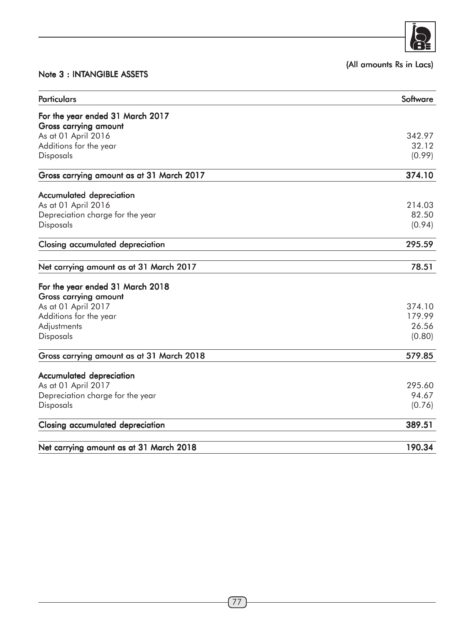#### Note 3 : INTANGIBLE ASSETS

| <b>Particulars</b>                        | <b>Software</b> |
|-------------------------------------------|-----------------|
| For the year ended 31 March 2017          |                 |
| <b>Gross carrying amount</b>              |                 |
| As at 01 April 2016                       | 342.97          |
| Additions for the year                    | 32.12           |
| Disposals                                 | (0.99)          |
| Gross carrying amount as at 31 March 2017 | 374.10          |
| <b>Accumulated depreciation</b>           |                 |
| As at 01 April 2016                       | 214.03          |
| Depreciation charge for the year          | 82.50           |
| <b>Disposals</b>                          | (0.94)          |
| <b>Closing accumulated depreciation</b>   | 295.59          |
| Net carrying amount as at 31 March 2017   | 78.51           |
| For the year ended 31 March 2018          |                 |
| <b>Gross carrying amount</b>              |                 |
| As at 01 April 2017                       | 374.10          |
| Additions for the year                    | 179.99          |
| Adjustments                               | 26.56           |
| <b>Disposals</b>                          | (0.80)          |
| Gross carrying amount as at 31 March 2018 | 579.85          |
| <b>Accumulated depreciation</b>           |                 |
| As at 01 April 2017                       | 295.60          |
| Depreciation charge for the year          | 94.67           |
| Disposals                                 | (0.76)          |
| <b>Closing accumulated depreciation</b>   | 389.51          |
| Net carrying amount as at 31 March 2018   | 190.34          |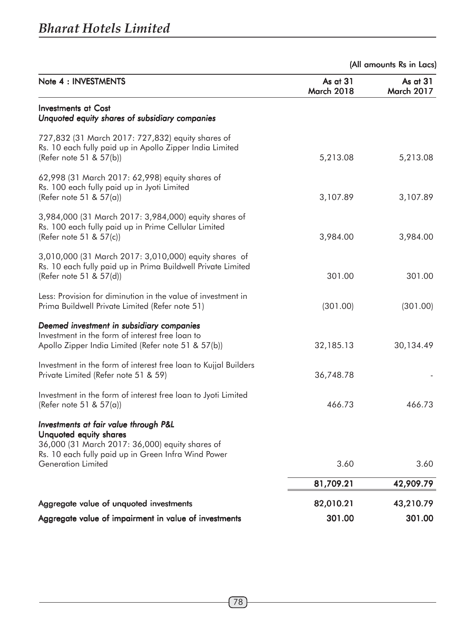| Note 4 : INVESTMENTS                                                                                                                                                      | As at 31<br><b>March 2018</b> | As at 31<br><b>March 2017</b> |
|---------------------------------------------------------------------------------------------------------------------------------------------------------------------------|-------------------------------|-------------------------------|
| <b>Investments at Cost</b><br>Unquoted equity shares of subsidiary companies                                                                                              |                               |                               |
| 727,832 (31 March 2017: 727,832) equity shares of<br>Rs. 10 each fully paid up in Apollo Zipper India Limited<br>(Refer note 51 & 57(b))                                  | 5,213.08                      | 5,213.08                      |
| 62,998 (31 March 2017: 62,998) equity shares of<br>Rs. 100 each fully paid up in Jyoti Limited<br>(Refer note 51 & 57(a))                                                 | 3,107.89                      | 3,107.89                      |
| 3,984,000 (31 March 2017: 3,984,000) equity shares of<br>Rs. 100 each fully paid up in Prime Cellular Limited<br>(Refer note 51 & 57(c))                                  | 3,984.00                      | 3,984.00                      |
| 3,010,000 (31 March 2017: 3,010,000) equity shares of<br>Rs. 10 each fully paid up in Prima Buildwell Private Limited<br>(Refer note 51 & 57(d))                          | 301.00                        | 301.00                        |
| Less: Provision for diminution in the value of investment in<br>Prima Buildwell Private Limited (Refer note 51)                                                           | (301.00)                      | (301.00)                      |
| Deemed investment in subsidiary companies<br>Investment in the form of interest free loan to<br>Apollo Zipper India Limited (Refer note 51 & 57(b))                       | 32,185.13                     | 30,134.49                     |
| Investment in the form of interest free loan to Kujjal Builders<br>Private Limited (Refer note 51 & 59)                                                                   | 36,748.78                     |                               |
| Investment in the form of interest free loan to Jyoti Limited<br>(Refer note 51 & 57(a))                                                                                  | 466.73                        | 466.73                        |
| Investments at fair value through P&L<br>Unquoted equity shares<br>36,000 (31 March 2017: 36,000) equity shares of<br>Rs. 10 each fully paid up in Green Infra Wind Power |                               |                               |
| <b>Generation Limited</b>                                                                                                                                                 | 3.60                          | 3.60                          |
|                                                                                                                                                                           | 81,709.21                     | 42,909.79                     |
| Aggregate value of unquoted investments                                                                                                                                   | 82,010.21                     | 43,210.79                     |
| Aggregate value of impairment in value of investments                                                                                                                     | 301.00                        | 301.00                        |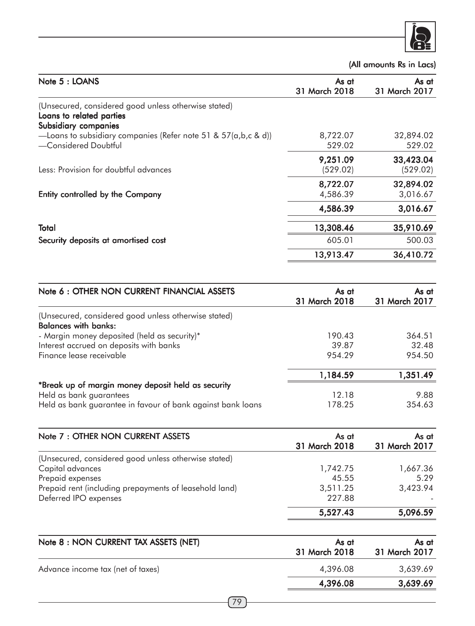

| Note 5 : LOANS                                                                                                  | As at<br>31 March 2018 | As at<br>31 March 2017 |
|-----------------------------------------------------------------------------------------------------------------|------------------------|------------------------|
| (Unsecured, considered good unless otherwise stated)<br>Loans to related parties<br><b>Subsidiary companies</b> |                        |                        |
| —Loans to subsidiary companies (Refer note 51 & 57( $a,b,c$ & d))<br>-Considered Doubtful                       | 8,722.07<br>529.02     | 32,894.02<br>529.02    |
| Less: Provision for doubtful advances                                                                           | 9,251.09<br>(529.02)   | 33,423.04<br>(529.02)  |
| Entity controlled by the Company                                                                                | 8,722.07<br>4,586.39   | 32,894.02<br>3,016.67  |
|                                                                                                                 | 4,586.39               | 3,016.67               |
| Total                                                                                                           | 13,308.46              | 35,910.69              |
| Security deposits at amortised cost                                                                             | 605.01                 | 500.03                 |
|                                                                                                                 | 13,913.47              | 36,410.72              |

| Note 6: OTHER NON CURRENT FINANCIAL ASSETS                  | As at         | As at         |
|-------------------------------------------------------------|---------------|---------------|
|                                                             | 31 March 2018 | 31 March 2017 |
| (Unsecured, considered good unless otherwise stated)        |               |               |
| <b>Balances with banks:</b>                                 |               |               |
| - Margin money deposited (held as security)*                | 190.43        | 364.51        |
| Interest accrued on deposits with banks                     | 39.87         | 32.48         |
| Finance lease receivable                                    | 954.29        | 954.50        |
|                                                             | 1,184.59      | 1,351.49      |
| *Break up of margin money deposit held as security          |               |               |
| Held as bank guarantees                                     | 12.18         | 9.88          |
| Held as bank guarantee in favour of bank against bank loans | 178.25        | 354.63        |

| Note 7: OTHER NON CURRENT ASSETS                       | As at         | As at         |
|--------------------------------------------------------|---------------|---------------|
|                                                        | 31 March 2018 | 31 March 2017 |
| (Unsecured, considered good unless otherwise stated)   |               |               |
| Capital advances                                       | 1,742.75      | 1,667.36      |
| Prepaid expenses                                       | 45.55         | 5.29          |
| Prepaid rent (including prepayments of leasehold land) | 3,511.25      | 3,423.94      |
| Deferred IPO expenses                                  | 227.88        |               |
|                                                        | 5,527.43      | 5,096.59      |

| Note 8 : NON CURRENT TAX ASSETS (NET) | As at<br>31 March 2018 | As at<br>31 March 2017 |
|---------------------------------------|------------------------|------------------------|
| Advance income tax (net of taxes)     | 4,396.08               | 3,639.69               |
|                                       | 4,396.08               | 3,639.69               |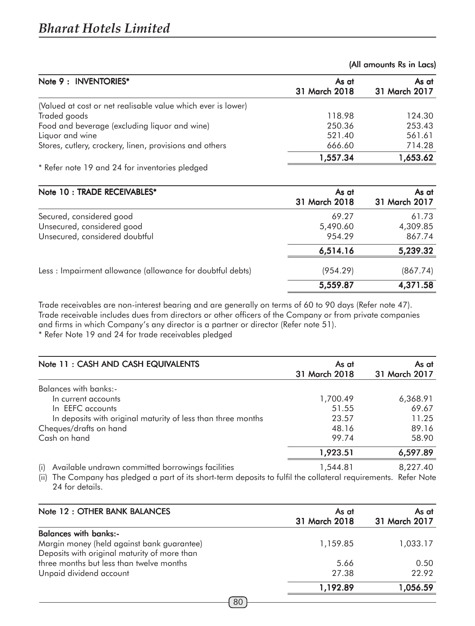| Note 9: INVENTORIES*                                         | As at         | As at         |
|--------------------------------------------------------------|---------------|---------------|
|                                                              | 31 March 2018 | 31 March 2017 |
| (Valued at cost or net realisable value which ever is lower) |               |               |
| Traded goods                                                 | 118.98        | 124.30        |
| Food and beverage (excluding liquor and wine)                | 250.36        | 253.43        |
| Liquor and wine                                              | 521.40        | 561.61        |
| Stores, cutlery, crockery, linen, provisions and others      | 666.60        | 714.28        |
|                                                              | 1,557.34      | 1,653.62      |

\* Refer note 19 and 24 for inventories pledged

| Note 10 : TRADE RECEIVABLES*                               | As at<br>31 March 2018 | As at<br>31 March 2017 |
|------------------------------------------------------------|------------------------|------------------------|
| Secured, considered good                                   | 69.27                  | 61.73                  |
| Unsecured, considered good                                 | 5,490.60               | 4,309.85               |
| Unsecured, considered doubtful                             | 954.29                 | 867.74                 |
|                                                            | 6,514.16               | 5,239.32               |
| Less : Impairment allowance (allowance for doubtful debts) | (954.29)               | (867.74)               |
|                                                            | 5,559.87               | 4,371.58               |

Trade receivables are non-interest bearing and are generally on terms of 60 to 90 days (Refer note 47). Trade receivable includes dues from directors or other officers of the Company or from private companies and firms in which Company's any director is a partner or director (Refer note 51).

\* Refer Note 19 and 24 for trade receivables pledged

| Note 11: CASH AND CASH EQUIVALENTS                           | As at<br>31 March 2018 | As at<br>31 March 2017 |
|--------------------------------------------------------------|------------------------|------------------------|
| Balances with banks:-                                        |                        |                        |
| In current accounts                                          | 1,700.49               | 6,368.91               |
| In EEFC accounts                                             | 51.55                  | 69.67                  |
| In deposits with original maturity of less than three months | 23.57                  | 11.25                  |
| Cheques/drafts on hand                                       | 48.16                  | 89.16                  |
| Cash on hand                                                 | 99.74                  | 58.90                  |
|                                                              | 1,923.51               | 6,597.89               |
| (i) Available undrawn committed borrowings facilities        | 1,544.81               | 8,227.40               |

(ii) The Company has pledged a part of its short-term deposits to fulfil the collateral requirements. Refer Note 24 for details.

| Note 12: OTHER BANK BALANCES                 | As at         | As at         |
|----------------------------------------------|---------------|---------------|
|                                              | 31 March 2018 | 31 March 2017 |
| <b>Balances with banks:-</b>                 |               |               |
| Margin money (held against bank guarantee)   | 1,159.85      | 1,033.17      |
| Deposits with original maturity of more than |               |               |
| three months but less than twelve months     | 5.66          | 0.50          |
| Unpaid dividend account                      | 27.38         | 22.92         |
|                                              | 1,192.89      | 1,056.59      |

80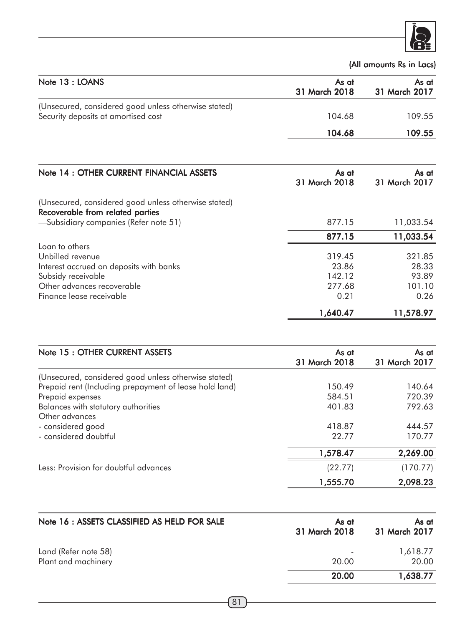

| Note 13 : LOANS                                                                             | As at<br>31 March 2018 | As at<br>31 March 2017 |
|---------------------------------------------------------------------------------------------|------------------------|------------------------|
| (Unsecured, considered good unless otherwise stated)<br>Security deposits at amortised cost | 104.68                 | 109.55                 |
|                                                                                             | 104.68                 | 109.55                 |

| Note 14 : OTHER CURRENT FINANCIAL ASSETS             | As at<br>31 March 2018 | As at<br>31 March 2017 |
|------------------------------------------------------|------------------------|------------------------|
| (Unsecured, considered good unless otherwise stated) |                        |                        |
| Recoverable from related parties                     |                        |                        |
| -Subsidiary companies (Refer note 51)                | 877.15                 | 11,033.54              |
|                                                      | 877.15                 | 11,033.54              |
| Loan to others                                       |                        |                        |
| Unbilled revenue                                     | 319.45                 | 321.85                 |
| Interest accrued on deposits with banks              | 23.86                  | 28.33                  |
| Subsidy receivable                                   | 142.12                 | 93.89                  |
| Other advances recoverable                           | 277.68                 | 101.10                 |
| Finance lease receivable                             | 0.21                   | 0.26                   |
|                                                      | 1,640.47               | 11,578.97              |

| Note 15: OTHER CURRENT ASSETS                          | As at         | As at         |
|--------------------------------------------------------|---------------|---------------|
|                                                        | 31 March 2018 | 31 March 2017 |
| (Unsecured, considered good unless otherwise stated)   |               |               |
| Prepaid rent (Including prepayment of lease hold land) | 150.49        | 140.64        |
| Prepaid expenses                                       | 584.51        | 720.39        |
| Balances with statutory authorities                    | 401.83        | 792.63        |
| Other advances                                         |               |               |
| - considered good                                      | 418.87        | 444.57        |
| - considered doubtful                                  | 22.77         | 170.77        |
|                                                        | 1,578.47      | 2,269.00      |
| Less: Provision for doubtful advances                  | (22.77)       | (170.77)      |
|                                                        | 1,555.70      | 2,098.23      |

| Note 16 : ASSETS CLASSIFIED AS HELD FOR SALE | As at         | As at         |  |
|----------------------------------------------|---------------|---------------|--|
|                                              | 31 March 2018 | 31 March 2017 |  |
| Land (Refer note 58)                         |               | 1,618.77      |  |
| Plant and machinery                          | 20.00         | 20.00         |  |
|                                              | 20.00         | 1,638.77      |  |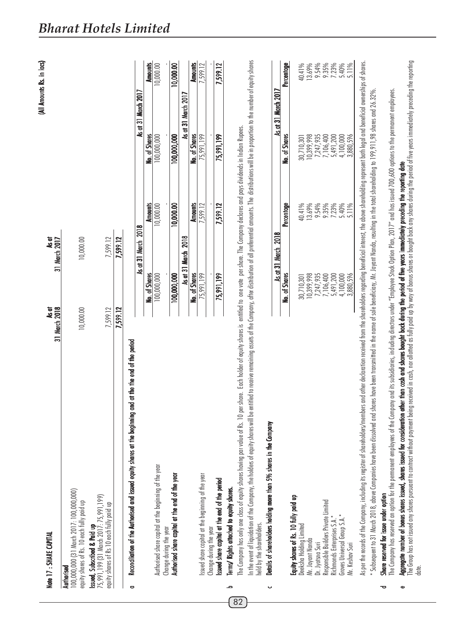|                | Note 17 : SHARE CAPITAL                                                                                                                                                                                                                                                                                                                                                                                                                                                      | ង<br>ខ                   | ង<br>ខ                    |                  |                          | (All Amounts Rs. in lacs) |
|----------------|------------------------------------------------------------------------------------------------------------------------------------------------------------------------------------------------------------------------------------------------------------------------------------------------------------------------------------------------------------------------------------------------------------------------------------------------------------------------------|--------------------------|---------------------------|------------------|--------------------------|---------------------------|
|                | Authorised                                                                                                                                                                                                                                                                                                                                                                                                                                                                   | 31 March 2018            | 31 March 2017             |                  |                          |                           |
|                | 100,000,000 (31 March 2017: 100,000,000)<br>equity shares of Rs. 10 each fully paid up                                                                                                                                                                                                                                                                                                                                                                                       | 10,000.00                | 10,000.00                 |                  |                          |                           |
|                | <b>Issued, Subscribed &amp; Paid up</b><br>75,991,199 (31 March 2017: 75,991,199)<br>equity shares of Rs 10 each fully paid up                                                                                                                                                                                                                                                                                                                                               | 7,599.12                 | 7,599.12                  |                  |                          |                           |
|                |                                                                                                                                                                                                                                                                                                                                                                                                                                                                              | 7,599.12                 | 7,599.12                  |                  |                          |                           |
| $\blacksquare$ | Reconciliation of the Authorised and issued equity shares at the beginning and at the the end of the period                                                                                                                                                                                                                                                                                                                                                                  |                          |                           |                  |                          |                           |
|                |                                                                                                                                                                                                                                                                                                                                                                                                                                                                              |                          | 31 March<br>$\frac{1}{2}$ | 2018             | ē<br>تھ                  | 31 March 2017             |
|                |                                                                                                                                                                                                                                                                                                                                                                                                                                                                              | No. of Shares            |                           | Amounts          | No. of Shares            | Amounts                   |
|                | Authorised share capital at the beginning of the year                                                                                                                                                                                                                                                                                                                                                                                                                        | 100,000,000              |                           | 10,000.00        | 100,000,000              | 10,000.00                 |
|                | Authorised share capital at the end of the year<br>Change during the year                                                                                                                                                                                                                                                                                                                                                                                                    | 100,000,000              |                           | 10,000.00        | 100,000,000              | 10,000.00                 |
|                |                                                                                                                                                                                                                                                                                                                                                                                                                                                                              |                          | 2018<br>As at 31 March    |                  | 31 March 2017<br>ls at   |                           |
|                |                                                                                                                                                                                                                                                                                                                                                                                                                                                                              | No. of Shares            |                           | Amounts          | No. of Shares            | <b>Amounts</b>            |
|                | Issued share capital at the beginning of the year                                                                                                                                                                                                                                                                                                                                                                                                                            | 75,991,199               |                           | 7,599.12         | 75,991,199               | 599.12                    |
|                | Change during the year                                                                                                                                                                                                                                                                                                                                                                                                                                                       |                          |                           |                  |                          |                           |
|                | Issued share capital at the end of the period                                                                                                                                                                                                                                                                                                                                                                                                                                | 75,991,199               |                           | 599.12           | 75,991,199               | 7,599.12                  |
|                | Terms/ Rights attached to equity shares.                                                                                                                                                                                                                                                                                                                                                                                                                                     |                          |                           |                  |                          |                           |
|                | In the event of liquidation of the Company, the holders of equity shares will be entitled to receive remaining assets of the Company, after distribution of all preferential amounts. The distributions will be in proportion<br>The Company has only one dass of equity shares hoving par value of Rs. 10 per share. Each holder of equity shares is entitled to one vote per share. The Company declares and pays dividends in Indian Rupees.<br>held by the shareholders. |                          |                           |                  |                          |                           |
|                | Details of shareholders holding more than 5% shares in the Compan                                                                                                                                                                                                                                                                                                                                                                                                            |                          |                           |                  |                          |                           |
|                |                                                                                                                                                                                                                                                                                                                                                                                                                                                                              |                          | 2018<br>March<br>$kst$ 31 |                  | ಹ<br>ë<br>چ              | March 201                 |
|                |                                                                                                                                                                                                                                                                                                                                                                                                                                                                              | No. of Shares            |                           | Percentage       | No. of Shares            | Percentage                |
|                | Equity shares of Rs. 10 fully paid up                                                                                                                                                                                                                                                                                                                                                                                                                                        |                          |                           |                  |                          |                           |
|                | Deeksha Holding Limited<br>Mr. Jayant Nanda                                                                                                                                                                                                                                                                                                                                                                                                                                  | 10,399,998<br>30,710,301 |                           | 13.69%<br>40.41% | 10,399,998<br>30,710,301 | 40.41%<br>13.69%          |
|                | Dr. Jyotsna Suri                                                                                                                                                                                                                                                                                                                                                                                                                                                             | 7,247,935                |                           |                  | 7,247,935                | 9.54%                     |
|                | Responsible Builders Private Limited                                                                                                                                                                                                                                                                                                                                                                                                                                         | 7,106,400                |                           | 9.54%<br>9.35%   | 7,106,400                | 9.35%                     |
|                | Richmonds Enterprises S.A                                                                                                                                                                                                                                                                                                                                                                                                                                                    | 5,491,200                |                           | 7.23%            | 5,491,200                | 7.23%                     |
|                | Groves Universal Group S.A.*                                                                                                                                                                                                                                                                                                                                                                                                                                                 | 4,100,000<br>3,880,596   |                           | 5.40%            | 4,100,000                | 5.40%                     |
|                | Mr. Keshav Suri                                                                                                                                                                                                                                                                                                                                                                                                                                                              |                          |                           | 5.11%            | 3,880,596                | 5.11%                     |
|                | As per the records of the Company, including its register of shareholders/members and other declaration neesived from the shareholders regarding beneficial interest, the above shareholding represent both legal and benefici                                                                                                                                                                                                                                               |                          |                           |                  |                          |                           |
|                | and shares have been transmitted in the name of sole beneficiony, Mr. Jayant Nanda, resulting in the total shareholding to 199,911,98 shares and 26.32%<br>* Subsequent to 31 March 2018, above Companies have been dissolved                                                                                                                                                                                                                                                |                          |                           |                  |                          |                           |
|                | The Company has reserved an option for the permanent employees of the Company and its ubsidiaries, including directors under "Employee Stock Option Plan, 2017" and has issued 700,600 options to the permanent employees.<br>Share reserved for issue under option                                                                                                                                                                                                          |                          |                           |                  |                          |                           |
| Ф              | The Group has not issued any shares pursuant to contract without payment being received in cash, nor allotted as fully paid up by way of bonus shares or bought back any shares during the period of five years immediately pr<br>Aggregate number of bonus shares issued, shares issued for consideration other than cash and shares bought back during the period of five years immediately preceding the reporting date<br>date.                                          |                          |                           |                  |                          |                           |

*Bharat Hotels Limited*

82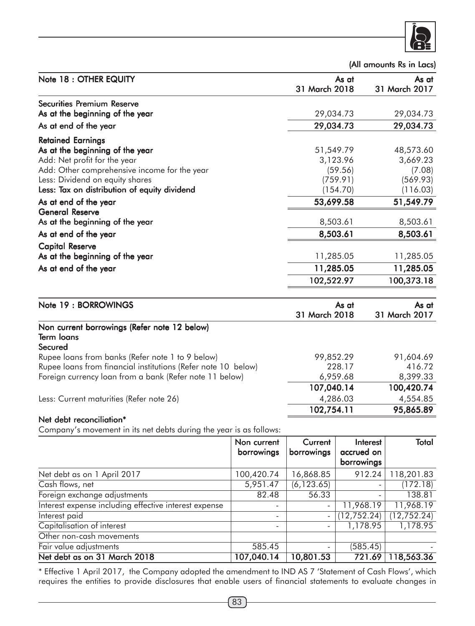

| Note 18 : OTHER EQUITY                                             | As at                  | As at                  |
|--------------------------------------------------------------------|------------------------|------------------------|
|                                                                    | 31 March 2018          | 31 March 2017          |
| <b>Securities Premium Reserve</b>                                  |                        |                        |
| As at the beginning of the year                                    | 29,034.73              | 29,034.73              |
| As at end of the year                                              | 29,034.73              | 29,034.73              |
| <b>Retained Earnings</b>                                           |                        |                        |
| As at the beginning of the year                                    | 51,549.79              | 48,573.60              |
| Add: Net profit for the year                                       | 3,123.96               | 3,669.23               |
| Add: Other comprehensive income for the year                       | (59.56)                | (7.08)                 |
| Less: Dividend on equity shares                                    | (759.91)               | (569.93)               |
| Less: Tax on distribution of equity dividend                       | (154.70)               | (116.03)               |
| As at end of the year                                              | 53,699.58              | 51,549.79              |
| <b>General Reserve</b>                                             |                        |                        |
| As at the beginning of the year                                    | 8,503.61               | 8,503.61               |
| As at end of the year                                              | 8,503.61               | 8,503.61               |
| <b>Capital Reserve</b>                                             |                        |                        |
| As at the beginning of the year                                    | 11,285.05              | 11,285.05              |
| As at end of the year                                              | 11,285.05              | 11,285.05              |
|                                                                    | 102,522.97             | 100,373.18             |
|                                                                    |                        |                        |
| Note 19: BORROWINGS                                                | As at<br>31 March 2018 | As at<br>31 March 2017 |
| Non current borrowings (Refer note 12 below)                       |                        |                        |
| <b>Term loans</b>                                                  |                        |                        |
| Secured                                                            |                        |                        |
| Rupee loans from banks (Refer note 1 to 9 below)                   | 99,852.29              | 91,604.69              |
| Rupee loans from financial institutions (Refer note 10 below)      | 228.17                 | 416.72                 |
| Foreign currency loan from a bank (Refer note 11 below)            | 6,959.68               | 8,399.33               |
|                                                                    | 107,040.14             | 100,420.74             |
| Less: Current maturities (Refer note 26)                           | 4,286.03               | 4,554.85               |
|                                                                    | 102,754.11             | 95,865.89              |
| Net debt reconciliation*                                           |                        |                        |
| Company's movement in its not dobts during the year is as follows: |                        |                        |

Company's movement in its net debts during the year is as follows:

|                                                       | Non current<br>borrowings | Current<br>borrowings    | <b>Interest</b><br>accrued on | Total        |
|-------------------------------------------------------|---------------------------|--------------------------|-------------------------------|--------------|
|                                                       |                           |                          | borrowings                    |              |
| Net debt as on 1 April 2017                           | 100,420.74                | 16,868.85                | 912.24                        | 118,201.83   |
| Cash flows, net                                       | 5,951.47                  | (6, 123.65)              |                               | (172.18)     |
| Foreign exchange adjustments                          | 82.48                     | 56.33                    | ۰                             | 138.81       |
| Interest expense including effective interest expense |                           | $\overline{\phantom{a}}$ | 11,968.19                     | 11,968.19    |
| Interest paid                                         | ۰                         | $\overline{\phantom{a}}$ | 12,752.24                     | (12, 752.24) |
| Capitalisation of interest                            |                           |                          | 1,178.95                      | 1,178.95     |
| Other non-cash movements                              |                           |                          |                               |              |
| Fair value adjustments                                | 585.45                    |                          | (585.45)                      |              |
| Net debt as on 31 March 2018                          | 107,040.14                | 10,801.53                | 721.69                        | 118,563.36   |

\* Effective 1 April 2017, the Company adopted the amendment to IND AS 7 'Statement of Cash Flows', which requires the entities to provide disclosures that enable users of financial statements to evaluate changes in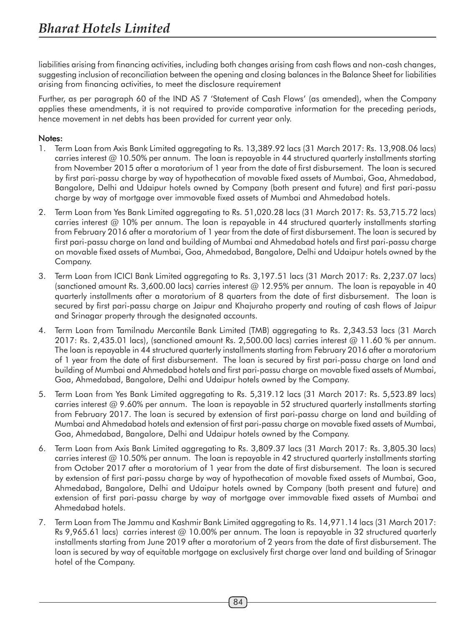liabilities arising from financing activities, including both changes arising from cash flows and non-cash changes, suggesting inclusion of reconciliation between the opening and closing balances in the Balance Sheet for liabilities arising from financing activities, to meet the disclosure requirement

Further, as per paragraph 60 of the IND AS 7 'Statement of Cash Flows' (as amended), when the Company applies these amendments, it is not required to provide comparative information for the preceding periods, hence movement in net debts has been provided for current year only.

#### Notes:

- 1. Term Loan from Axis Bank Limited aggregating to Rs. 13,389.92 lacs (31 March 2017: Rs. 13,908.06 lacs) carries interest @ 10.50% per annum. The loan is repayable in 44 structured quarterly installments starting from November 2015 after a moratorium of 1 year from the date of first disbursement. The loan is secured by first pari-passu charge by way of hypothecation of movable fixed assets of Mumbai, Goa, Ahmedabad, Bangalore, Delhi and Udaipur hotels owned by Company (both present and future) and first pari-passu charge by way of mortgage over immovable fixed assets of Mumbai and Ahmedabad hotels.
- 2. Term Loan from Yes Bank Limited aggregating to Rs. 51,020.28 lacs (31 March 2017: Rs. 53,715.72 lacs) carries interest @ 10% per annum. The loan is repayable in 44 structured quarterly installments starting from February 2016 after a moratorium of 1 year from the date of first disbursement. The loan is secured by first pari-passu charge on land and building of Mumbai and Ahmedabad hotels and first pari-passu charge on movable fixed assets of Mumbai, Goa, Ahmedabad, Bangalore, Delhi and Udaipur hotels owned by the Company.
- 3. Term Loan from ICICI Bank Limited aggregating to Rs. 3,197.51 lacs (31 March 2017: Rs. 2,237.07 lacs) (sanctioned amount Rs. 3,600.00 lacs) carries interest @ 12.95% per annum. The loan is repayable in 40 quarterly installments after a moratorium of 8 quarters from the date of first disbursement. The loan is secured by first pari-passu charge on Jaipur and Khajuraho property and routing of cash flows of Jaipur and Srinagar property through the designated accounts.
- 4. Term Loan from Tamilnadu Mercantile Bank Limited (TMB) aggregating to Rs. 2,343.53 lacs (31 March 2017: Rs. 2,435.01 lacs), (sanctioned amount Rs. 2,500.00 lacs) carries interest @ 11.60 % per annum. The loan is repayable in 44 structured quarterly installments starting from February 2016 after a moratorium of 1 year from the date of first disbursement. The loan is secured by first pari-passu charge on land and building of Mumbai and Ahmedabad hotels and first pari-passu charge on movable fixed assets of Mumbai, Goa, Ahmedabad, Bangalore, Delhi and Udaipur hotels owned by the Company.
- 5. Term Loan from Yes Bank Limited aggregating to Rs. 5,319.12 lacs (31 March 2017: Rs. 5,523.89 lacs) carries interest @ 9.60% per annum. The loan is repayable in 52 structured quarterly installments starting from February 2017. The loan is secured by extension of first pari-passu charge on land and building of Mumbai and Ahmedabad hotels and extension of first pari-passu charge on movable fixed assets of Mumbai, Goa, Ahmedabad, Bangalore, Delhi and Udaipur hotels owned by the Company.
- 6. Term Loan from Axis Bank Limited aggregating to Rs. 3,809.37 lacs (31 March 2017: Rs. 3,805.30 lacs) carries interest @ 10.50% per annum. The loan is repayable in 42 structured quarterly installments starting from October 2017 after a moratorium of 1 year from the date of first disbursement. The loan is secured by extension of first pari-passu charge by way of hypothecation of movable fixed assets of Mumbai, Goa, Ahmedabad, Bangalore, Delhi and Udaipur hotels owned by Company (both present and future) and extension of first pari-passu charge by way of mortgage over immovable fixed assets of Mumbai and Ahmedabad hotels.
- 7. Term Loan from The Jammu and Kashmir Bank Limited aggregating to Rs. 14,971.14 lacs (31 March 2017: Rs 9,965.61 lacs) carries interest @ 10.00% per annum. The loan is repayable in 32 structured quarterly installments starting from June 2019 after a moratorium of 2 years from the date of first disbursement. The loan is secured by way of equitable mortgage on exclusively first charge over land and building of Srinagar hotel of the Company.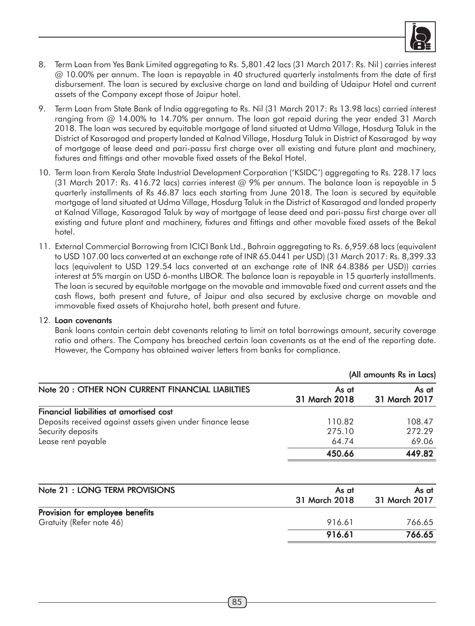

- 8. Term Loan from Yes Bank Limited aggregating to Rs. 5,801.42 lacs (31 March 2017: Rs. Nil ) carries interest @ 10.00% per annum. The loan is repayable in 40 structured quarterly instalments from the date of first disbursement. The loan is secured by exclusive charge on land and building of Udaipur Hotel and current assets of the Company except those of Jaipur hotel.
- 9. Term Loan from State Bank of India aggregating to Rs. Nil (31 March 2017: Rs 13.98 lacs) carried interest ranging from @ 14.00% to 14.70% per annum. The loan got repaid during the year ended 31 March 2018. The loan was secured by equitable mortgage of land situated at Udma Village, Hosdurg Taluk in the District of Kasaragod and property landed at Kalnad Village, Hosdurg Taluk in District of Kasaragod by way of mortgage of lease deed and pari-passu first charge over all existing and future plant and machinery, fixtures and fittings and other movable fixed assets of the Bekal Hotel.
- 10. Term loan from Kerala State Industrial Development Corporation ('KSIDC') aggregating to Rs. 228.17 lacs (31 March 2017: Rs. 416.72 lacs) carries interest @ 9% per annum. The balance loan is repayable in 5 quarterly installments of Rs 46.87 lacs each starting from June 2018. The loan is secured by equitable mortgage of land situated at Udma Village, Hosdurg Taluk in the District of Kasaragod and landed property at Kalnad Village, Kasaragod Taluk by way of mortgage of lease deed and pari-passu first charge over all existing and future plant and machinery, fixtures and fittings and other movable fixed assets of the Bekal hotel.
- 11. External Commercial Borrowing from ICICI Bank Ltd., Bahrain aggregating to Rs. 6,959.68 lacs (equivalent to USD 107.00 lacs converted at an exchange rate of INR 65.0441 per USD) (31 March 2017: Rs. 8,399.33 lacs (equivalent to USD 129.54 lacs converted at an exchange rate of INR 64.8386 per USD)) carries interest at 5% margin on USD 6-months LIBOR. The balance loan is repayable in 15 quarterly installments. The loan is secured by equitable mortgage on the movable and immovable fixed and current assets and the cash flows, both present and future, of Jaipur and also secured by exclusive charge on movable and immovable fixed assets of Khajuraho hotel, both present and future.

#### 12. Loan covenants

Bank loans contain certain debt covenants relating to limit on total borrowings amount, security coverage ratio and others. The Company has breached certain loan covenants as at the end of the reporting date. However, the Company has obtained waiver letters from banks for compliance.

|                                                            |                        | (All amounts Rs in Lacs) |
|------------------------------------------------------------|------------------------|--------------------------|
| Note 20: OTHER NON CURRENT FINANCIAL LIABILTIES            | As at<br>31 March 2018 | As at<br>31 March 2017   |
| Financial liabilities at amortised cost                    |                        |                          |
| Deposits received against assets given under finance lease | 110.82                 | 108.47                   |
| Security deposits                                          | 275.10                 | 272.29                   |
| Lease rent payable                                         | 64.74                  | 69.06                    |
|                                                            | 450.66                 | 449.82                   |
|                                                            |                        |                          |
| Note 21: LONG TERM PROVISIONS                              | As at                  | As at                    |
|                                                            | 31 March 2018          | 31 March 2017            |
| Provision for employee benefits                            |                        |                          |
| Gratuity (Refer note 46)                                   | 916.61                 | 766.65                   |
|                                                            | 916.61                 | 766.65                   |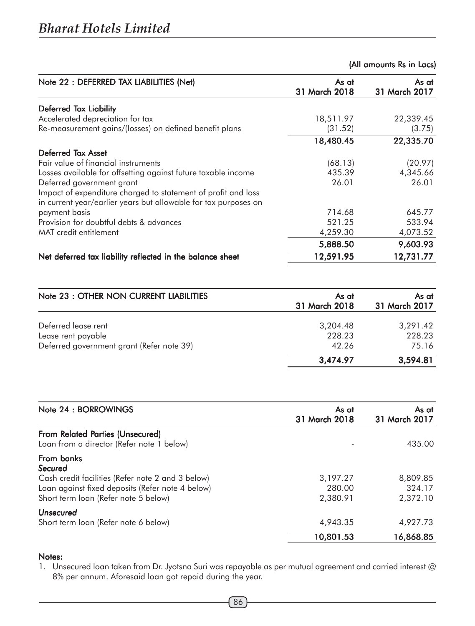Note 22 : DEFERRED TAX LIABILITIES (Net) AX LIABILITIES (Net)As at As at 31 March 2018 31 March 2017 Deferred Tax Liability Accelerated depreciation for tax 18,511.97 22,339.45 Re-measurement gains/(losses) on defined benefit plans (31.52) (3.75) 18,480.45 22,335.70 Deferred Tax Asset Fair value of financial instruments (68.13) (20.97) Losses available for offsetting against future taxable income 435.39 4,345.66 Deferred government grant 26.01 26.01 26.01 Impact of expenditure charged to statement of profit and loss in current year/earlier years but allowable for tax purposes on payment basis 645.77 Provision for doubtful debts & advances 621.25 533.94 MAT credit entitlement 4,259.30 4,073.52 5,888.50 9,603.93 Net deferred tax liability reflected in the balance sheet 12,591.95 12,731.77

|  | (All amounts Rs in Lacs) |  |  |  |  |
|--|--------------------------|--|--|--|--|
|--|--------------------------|--|--|--|--|

| Note 23 : OTHER NON CURRENT LIABILITIES   | As at         | As at         |
|-------------------------------------------|---------------|---------------|
|                                           | 31 March 2018 | 31 March 2017 |
| Deferred lease rent                       | 3,204.48      | 3,291.42      |
| Lease rent payable                        | 228.23        | 228.23        |
| Deferred government grant (Refer note 39) | 42.26         | 75.16         |
|                                           | 3,474.97      | 3,594.81      |

| Note 24 : BORROWINGS                              | As at         | As at         |
|---------------------------------------------------|---------------|---------------|
|                                                   | 31 March 2018 | 31 March 2017 |
| <b>From Related Parties (Unsecured)</b>           |               |               |
| Loan from a director (Refer note 1 below)         |               | 435.00        |
| From banks                                        |               |               |
| <b>Secured</b>                                    |               |               |
| Cash credit facilities (Refer note 2 and 3 below) | 3,197.27      | 8,809.85      |
| Loan against fixed deposits (Refer note 4 below)  | 280.00        | 324.17        |
| Short term loan (Refer note 5 below)              | 2,380.91      | 2,372.10      |
| Unsecured                                         |               |               |
| Short term loan (Refer note 6 below)              | 4,943.35      | 4,927.73      |
|                                                   | 10,801.53     | 16,868.85     |

#### Notes:

1. Unsecured loan taken from Dr. Jyotsna Suri was repayable as per mutual agreement and carried interest @ 8% per annum. Aforesaid loan got repaid during the year.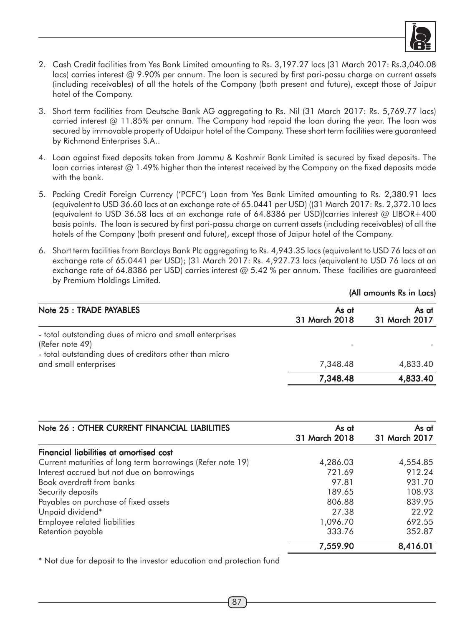

- 2. Cash Credit facilities from Yes Bank Limited amounting to Rs. 3,197.27 lacs (31 March 2017: Rs.3,040.08 lacs) carries interest @ 9.90% per annum. The loan is secured by first pari-passu charge on current assets (including receivables) of all the hotels of the Company (both present and future), except those of Jaipur hotel of the Company.
- 3. Short term facilities from Deutsche Bank AG aggregating to Rs. Nil (31 March 2017: Rs. 5,769.77 lacs) carried interest  $@11.85\%$  per annum. The Company had repaid the loan during the year. The loan was secured by immovable property of Udaipur hotel of the Company. These short term facilities were guaranteed by Richmond Enterprises S.A..
- 4. Loan against fixed deposits taken from Jammu & Kashmir Bank Limited is secured by fixed deposits. The loan carries interest @ 1.49% higher than the interest received by the Company on the fixed deposits made with the bank.
- 5. Packing Credit Foreign Currency ('PCFC') Loan from Yes Bank Limited amounting to Rs. 2,380.91 lacs (equivalent to USD 36.60 lacs at an exchange rate of 65.0441 per USD) ((31 March 2017: Rs. 2,372.10 lacs (equivalent to USD 36.58 lacs at an exchange rate of 64.8386 per USD))carries interest @ LIBOR+400 basis points. The loan is secured by first pari-passu charge on current assets (including receivables) of all the hotels of the Company (both present and future), except those of Jaipur hotel of the Company.
- 6. Short term facilities from Barclays Bank Plc aggregating to Rs. 4,943.35 lacs (equivalent to USD 76 lacs at an exchange rate of 65.0441 per USD); (31 March 2017: Rs. 4,927.73 lacs (equivalent to USD 76 lacs at an exchange rate of 64.8386 per USD) carries interest @ 5.42 % per annum. These facilities are guaranteed by Premium Holdings Limited.

| Note 25 : TRADE PAYABLES                                | As at         | As at         |
|---------------------------------------------------------|---------------|---------------|
|                                                         | 31 March 2018 | 31 March 2017 |
| - total outstanding dues of micro and small enterprises |               |               |
| (Refer note 49)                                         |               |               |
| - total outstanding dues of creditors other than micro  |               |               |
| and small enterprises                                   | 7,348.48      | 4,833.40      |
|                                                         | 7,348.48      | 4,833.40      |

| Note 26 : OTHER CURRENT FINANCIAL LIABILITIES              | As at         | As at         |
|------------------------------------------------------------|---------------|---------------|
|                                                            | 31 March 2018 | 31 March 2017 |
| Financial liabilities at amortised cost                    |               |               |
| Current maturities of long term borrowings (Refer note 19) | 4,286.03      | 4,554.85      |
| Interest accrued but not due on borrowings                 | 721.69        | 912.24        |
| Book overdraft from banks                                  | 97.81         | 931.70        |
| Security deposits                                          | 189.65        | 108.93        |
| Payables on purchase of fixed assets                       | 806.88        | 839.95        |
| Unpaid dividend*                                           | 27.38         | 22.92         |
| Employee related liabilities                               | 1,096.70      | 692.55        |
| Retention payable                                          | 333.76        | 352.87        |
|                                                            | 7,559.90      | 8,416.01      |

\* Not due for deposit to the investor education and protection fund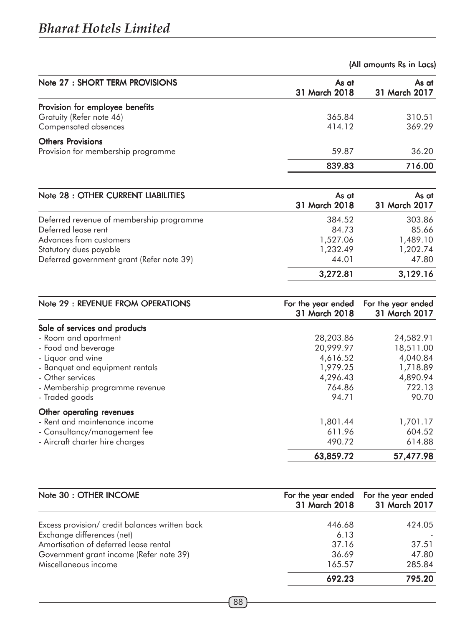| Note 27 : SHORT TERM PROVISIONS    | As at         | As at         |
|------------------------------------|---------------|---------------|
|                                    | 31 March 2018 | 31 March 2017 |
| Provision for employee benefits    |               |               |
| Gratuity (Refer note 46)           | 365.84        | 310.51        |
| Compensated absences               | 414.12        | 369.29        |
| <b>Others Provisions</b>           |               |               |
| Provision for membership programme | 59.87         | 36.20         |
|                                    | 839,83        | 716,00        |

| Note 28 : OTHER CURRENT LIABILITIES                | As at         | As at         |
|----------------------------------------------------|---------------|---------------|
|                                                    | 31 March 2018 | 31 March 2017 |
| Deferred revenue of membership programme           | 384.52        | 303.86        |
| Deferred lease rent                                | 84.73         | 85.66         |
| Advances from customers                            | 1,527.06      | 1,489.10      |
| Statutory dues payable                             | 1,232.49      | 1,202.74      |
| Deferred government grant (Refer note 39)<br>44.01 | 47.80         |               |
|                                                    | 3,272.81      | 3,129.16      |

| Note 29 : REVENUE FROM OPERATIONS | For the year ended<br>31 March 2018 | For the year ended<br>31 March 2017 |
|-----------------------------------|-------------------------------------|-------------------------------------|
| Sale of services and products     |                                     |                                     |
| - Room and apartment              | 28,203.86                           | 24,582.91                           |
| - Food and beverage               | 20,999.97                           | 18,511.00                           |
| - Liquor and wine                 | 4,616.52                            | 4,040.84                            |
| - Banquet and equipment rentals   | 1,979.25                            | 1,718.89                            |
| - Other services                  | 4,296.43                            | 4,890.94                            |
| - Membership programme revenue    | 764.86                              | 722.13                              |
| - Traded goods                    | 94.71                               | 90.70                               |
| Other operating revenues          |                                     |                                     |
| - Rent and maintenance income     | 1,801.44                            | 1,701.17                            |
| - Consultancy/management fee      | 611.96                              | 604.52                              |
| - Aircraft charter hire charges   | 490.72                              | 614.88                              |
|                                   | 63,859.72                           | 57,477.98                           |

| Note 30 : OTHER INCOME                         | 31 March 2018 | For the year ended For the year ended<br>31 March 2017 |
|------------------------------------------------|---------------|--------------------------------------------------------|
| Excess provision/ credit balances written back | 446.68        | 424.05                                                 |
| Exchange differences (net)                     | 6.13          |                                                        |
| Amortisation of deferred lease rental          | 37.16         | 37.51                                                  |
| Government grant income (Refer note 39)        | 36.69         | 47.80                                                  |
| Miscellaneous income                           | 165.57        | 285.84                                                 |
|                                                | 692.23        | 795.20                                                 |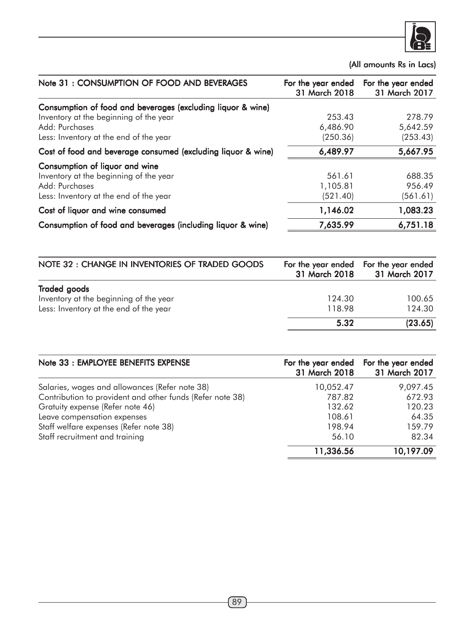

| Note 31: CONSUMPTION OF FOOD AND BEVERAGES                   | 31 March 2018 | For the year ended For the year ended<br>31 March 2017 |
|--------------------------------------------------------------|---------------|--------------------------------------------------------|
| Consumption of food and beverages (excluding liquor & wine)  |               |                                                        |
| Inventory at the beginning of the year                       | 253.43        | 278.79                                                 |
| Add: Purchases                                               | 6,486.90      | 5,642.59                                               |
| Less: Inventory at the end of the year                       | (250.36)      | (253.43)                                               |
| Cost of food and beverage consumed (excluding liquor & wine) | 6,489.97      | 5,667.95                                               |
| Consumption of liquor and wine                               |               |                                                        |
| Inventory at the beginning of the year                       | 561.61        | 688.35                                                 |
| Add: Purchases                                               | 1,105.81      | 956.49                                                 |
| Less: Inventory at the end of the year                       | (521.40)      | (561.61)                                               |
| Cost of liquor and wine consumed                             | 1,146.02      | 1,083.23                                               |
| Consumption of food and beverages (including liquor & wine)  | 7,635.99      | 6,751.18                                               |

| NOTE 32 : CHANGE IN INVENTORIES OF TRADED GOODS | 31 March 2018 | For the year ended For the year ended<br>31 March 2017 |
|-------------------------------------------------|---------------|--------------------------------------------------------|
| Traded goods                                    |               |                                                        |
| Inventory at the beginning of the year          | 124.30        | 100.65                                                 |
| Less: Inventory at the end of the year          | 118.98        | 124.30                                                 |
|                                                 | 5.32          | (23.65)                                                |

| Note 33 : EMPLOYEE BENEFITS EXPENSE                       | 31 March 2018 | For the year ended For the year ended<br>31 March 2017 |
|-----------------------------------------------------------|---------------|--------------------------------------------------------|
| Salaries, wages and allowances (Refer note 38)            | 10,052.47     | 9,097.45                                               |
| Contribution to provident and other funds (Refer note 38) | 787.82        | 672.93                                                 |
| Gratuity expense (Refer note 46)                          | 132.62        | 120.23                                                 |
| Leave compensation expenses                               | 108.61        | 64.35                                                  |
| Staff welfare expenses (Refer note 38)                    | 198.94        | 159.79                                                 |
| Staff recruitment and training                            | 56.10         | 82.34                                                  |
|                                                           | 11,336.56     | 10,197.09                                              |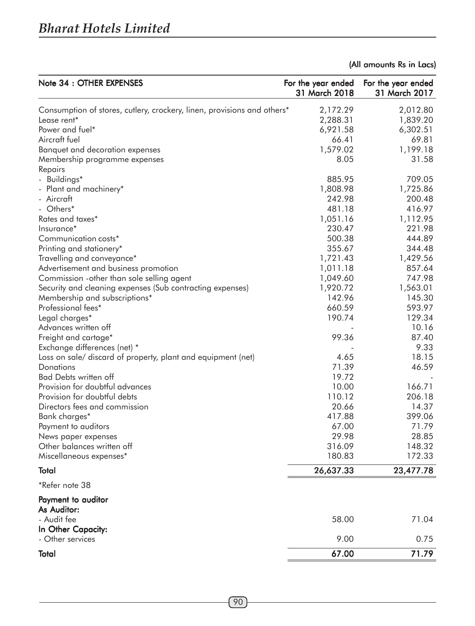| Note 34 : OTHER EXPENSES                                                | 31 March 2018 | For the year ended For the year ended<br>31 March 2017 |
|-------------------------------------------------------------------------|---------------|--------------------------------------------------------|
| Consumption of stores, cutlery, crockery, linen, provisions and others* | 2,172.29      | 2,012.80                                               |
| Lease rent*                                                             | 2,288.31      | 1,839.20                                               |
| Power and fuel*                                                         | 6,921.58      | 6,302.51                                               |
| Aircraft fuel                                                           | 66.41         | 69.81                                                  |
| Banquet and decoration expenses                                         | 1,579.02      | 1,199.18                                               |
| Membership programme expenses                                           | 8.05          | 31.58                                                  |
| Repairs                                                                 |               |                                                        |
| - Buildings*                                                            | 885.95        | 709.05                                                 |
| - Plant and machinery*                                                  | 1,808.98      | 1,725.86                                               |
| - Aircraft                                                              | 242.98        | 200.48                                                 |
| - Others*                                                               | 481.18        | 416.97                                                 |
| Rates and taxes*                                                        | 1,051.16      | 1,112.95                                               |
| Insurance*                                                              | 230.47        | 221.98                                                 |
| Communication costs*                                                    | 500.38        | 444.89                                                 |
| Printing and stationery*                                                | 355.67        | 344.48                                                 |
| Travelling and conveyance*                                              | 1,721.43      | 1,429.56                                               |
| Advertisement and business promotion                                    | 1,011.18      | 857.64                                                 |
| Commission - other than sole selling agent                              | 1,049.60      | 747.98                                                 |
| Security and cleaning expenses (Sub contracting expenses)               | 1,920.72      | 1,563.01                                               |
| Membership and subscriptions*                                           | 142.96        | 145.30                                                 |
| Professional fees*                                                      | 660.59        | 593.97                                                 |
| Legal charges*                                                          | 190.74        | 129.34                                                 |
| Advances written off                                                    |               | 10.16                                                  |
| Freight and cartage*                                                    | 99.36         | 87.40                                                  |
| Exchange differences (net) *                                            |               | 9.33                                                   |
| Loss on sale/ discard of property, plant and equipment (net)            | 4.65          | 18.15                                                  |
| Donations                                                               | 71.39         | 46.59                                                  |
| <b>Bad Debts written off</b>                                            | 19.72         |                                                        |
| Provision for doubtful advances                                         | 10.00         | 166.71                                                 |
| Provision for doubtful debts                                            | 110.12        | 206.18                                                 |
| Directors fees and commission                                           | 20.66         | 14.37                                                  |
| Bank charges*                                                           | 417.88        | 399.06                                                 |
| Payment to auditors                                                     | 67.00         | 71.79                                                  |
| News paper expenses                                                     | 29.98         | 28.85                                                  |
| Other balances written off                                              | 316.09        | 148.32                                                 |
| Miscellaneous expenses*                                                 | 180.83        | 172.33                                                 |
| <b>Total</b>                                                            | 26,637.33     | 23,477.78                                              |
| *Refer note 38                                                          |               |                                                        |
| Payment to auditor                                                      |               |                                                        |
| As Auditor:                                                             |               |                                                        |
| - Audit fee                                                             | 58.00         | 71.04                                                  |
| In Other Capacity:                                                      |               |                                                        |
| - Other services                                                        | 9.00          | 0.75                                                   |
| <b>Total</b>                                                            | 67.00         | 71.79                                                  |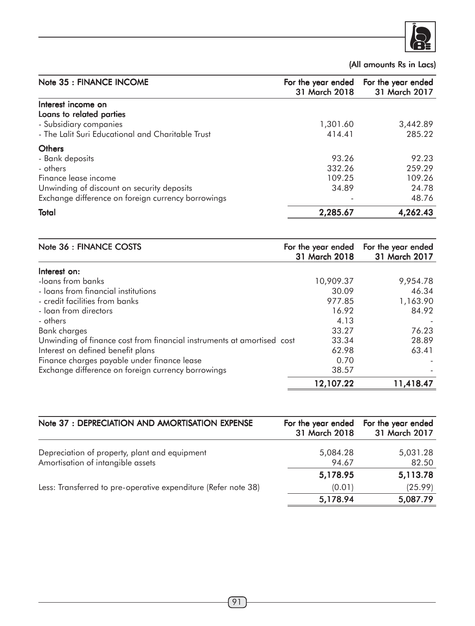

| Note 35 : FINANCE INCOME                           | For the year ended<br>31 March 2018 | For the year ended<br>31 March 2017 |
|----------------------------------------------------|-------------------------------------|-------------------------------------|
| Interest income on                                 |                                     |                                     |
| Loans to related parties                           |                                     |                                     |
| - Subsidiary companies                             | 1,301.60                            | 3,442.89                            |
| - The Lalit Suri Educational and Charitable Trust  | 414.41                              | 285.22                              |
| <b>Others</b>                                      |                                     |                                     |
| - Bank deposits                                    | 93.26                               | 92.23                               |
| - others                                           | 332.26                              | 259.29                              |
| Finance lease income                               | 109.25                              | 109.26                              |
| Unwinding of discount on security deposits         | 34.89                               | 24.78                               |
| Exchange difference on foreign currency borrowings |                                     | 48.76                               |
| Total                                              | 2,285.67                            | 4,262.43                            |

| Note 36 : FINANCE COSTS                                                | For the year ended<br>31 March 2018 | For the year ended<br>31 March 2017 |
|------------------------------------------------------------------------|-------------------------------------|-------------------------------------|
| Interest on:                                                           |                                     |                                     |
| -loans from banks                                                      | 10,909.37                           | 9,954.78                            |
| - loans from financial institutions                                    | 30.09                               | 46.34                               |
| - credit facilities from banks                                         | 977.85                              | 1,163.90                            |
| - Ioan from directors                                                  | 16.92                               | 84.92                               |
| - others                                                               | 4.13                                |                                     |
| <b>Bank charges</b>                                                    | 33.27                               | 76.23                               |
| Unwinding of finance cost from financial instruments at amortised cost | 33.34                               | 28.89                               |
| Interest on defined benefit plans                                      | 62.98                               | 63.41                               |
| Finance charges payable under finance lease                            | 0.70                                |                                     |
| Exchange difference on foreign currency borrowings                     | 38.57                               |                                     |
|                                                                        | 12,107.22                           | 11,418.47                           |

| Note 37 : DEPRECIATION AND AMORTISATION EXPENSE                | For the year ended<br>31 March 2018 | For the year ended<br>31 March 2017 |
|----------------------------------------------------------------|-------------------------------------|-------------------------------------|
| Depreciation of property, plant and equipment                  | 5,084.28                            | 5,031.28                            |
| Amortisation of intangible assets                              | 94.67                               | 82.50                               |
|                                                                | 5,178.95                            | 5,113.78                            |
| Less: Transferred to pre-operative expenditure (Refer note 38) | (0.01)                              | (25.99)                             |
|                                                                | 5,178.94                            | 5,087.79                            |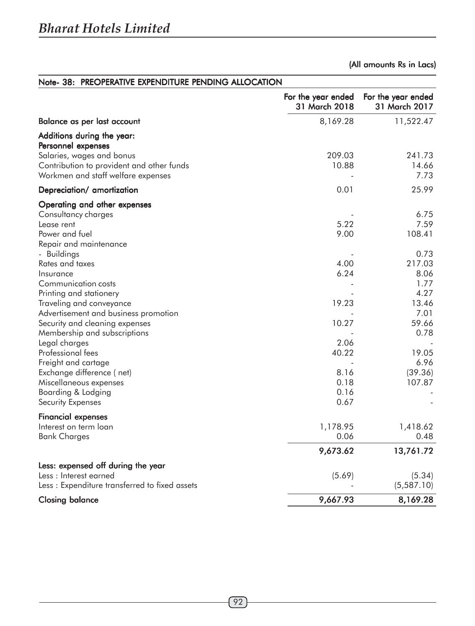#### Note- 38: PREOPERATIVE EXPENDITURE PENDING ALLOCATION

|                                                                                                               | 31 March 2018    | For the year ended For the year ended<br>31 March 2017 |
|---------------------------------------------------------------------------------------------------------------|------------------|--------------------------------------------------------|
| <b>Balance as per last account</b>                                                                            | 8,169.28         | 11,522.47                                              |
| Additions during the year:<br>Personnel expenses                                                              |                  |                                                        |
| Salaries, wages and bonus<br>Contribution to provident and other funds<br>Workmen and staff welfare expenses  | 209.03<br>10.88  | 241.73<br>14.66<br>7.73                                |
| Depreciation/ amortization                                                                                    | 0.01             | 25.99                                                  |
| Operating and other expenses<br>Consultancy charges                                                           |                  | 6.75                                                   |
| Lease rent<br>Power and fuel                                                                                  | 5.22<br>9.00     | 7.59<br>108.41                                         |
| Repair and maintenance<br>- Buildings<br>Rates and taxes                                                      | 4.00             | 0.73<br>217.03                                         |
| Insurance<br>Communication costs                                                                              | 6.24             | 8.06<br>1.77                                           |
| Printing and stationery<br>Traveling and conveyance                                                           | 19.23            | 4.27<br>13.46<br>7.01                                  |
| Advertisement and business promotion<br>Security and cleaning expenses<br>Membership and subscriptions        | 10.27            | 59.66<br>0.78                                          |
| Legal charges<br>Professional fees                                                                            | 2.06<br>40.22    | 19.05                                                  |
| Freight and cartage<br>Exchange difference (net)<br>Miscellaneous expenses                                    | 8.16<br>0.18     | 6.96<br>(39.36)<br>107.87                              |
| Boarding & Lodging<br><b>Security Expenses</b>                                                                | 0.16<br>0.67     |                                                        |
| <b>Financial expenses</b>                                                                                     |                  |                                                        |
| Interest on term loan<br><b>Bank Charges</b>                                                                  | 1,178.95<br>0.06 | 1,418.62<br>0.48                                       |
|                                                                                                               | 9,673.62         | 13,761.72                                              |
| Less: expensed off during the year<br>Less : Interest earned<br>Less: Expenditure transferred to fixed assets | (5.69)           | (5.34)<br>(5,587.10)                                   |
| <b>Closing balance</b>                                                                                        | 9,667.93         | 8,169.28                                               |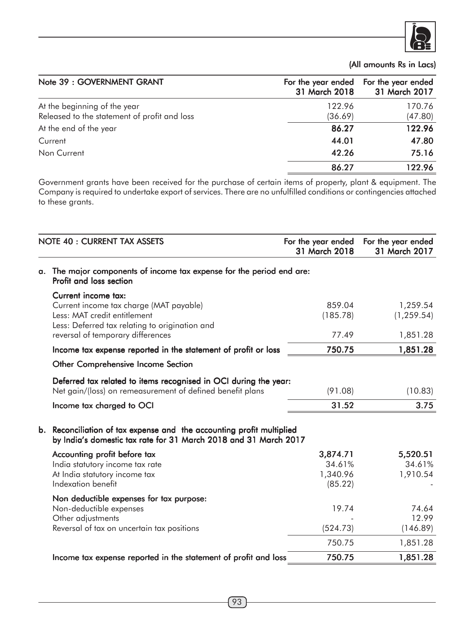

| Note 39 : GOVERNMENT GRANT                                                   | 31 March 2018     | For the year ended For the year ended<br>31 March 2017 |
|------------------------------------------------------------------------------|-------------------|--------------------------------------------------------|
| At the beginning of the year<br>Released to the statement of profit and loss | 122.96<br>(36.69) | 170.76<br>(47.80)                                      |
| At the end of the year                                                       | 86.27             | 122.96                                                 |
| Current                                                                      | 44.01             | 47.80                                                  |
| Non Current                                                                  | 42.26             | 75.16                                                  |
|                                                                              | 86.27             | 122.96                                                 |

Government grants have been received for the purchase of certain items of property, plant & equipment. The Company is required to undertake export of services. There are no unfulfilled conditions or contingencies attached to these grants.

| <b>NOTE 40: CURRENT TAX ASSETS</b>                                                                                                                                                    | For the year ended<br>31 March 2018       | For the year ended<br>31 March 2017    |
|---------------------------------------------------------------------------------------------------------------------------------------------------------------------------------------|-------------------------------------------|----------------------------------------|
| a. The major components of income tax expense for the period end are:<br><b>Profit and loss section</b>                                                                               |                                           |                                        |
| Current income tax:<br>Current income tax charge (MAT payable)<br>Less: MAT credit entitlement<br>Less: Deferred tax relating to origination and<br>reversal of temporary differences | 859.04<br>(185.78)<br>77.49               | 1,259.54<br>(1, 259.54)<br>1,851.28    |
| Income tax expense reported in the statement of profit or loss                                                                                                                        | 750.75                                    | 1,851.28                               |
| <b>Other Comprehensive Income Section</b>                                                                                                                                             |                                           |                                        |
| Deferred tax related to items recognised in OCI during the year:<br>Net gain/(loss) on remeasurement of defined benefit plans                                                         | (91.08)                                   | (10.83)                                |
| Income tax charged to OCI                                                                                                                                                             | 31.52                                     | 3.75                                   |
| b. Reconciliation of tax expense and the accounting profit multiplied<br>by India's domestic tax rate for 31 March 2018 and 31 March 2017                                             |                                           |                                        |
| Accounting profit before tax<br>India statutory income tax rate<br>At India statutory income tax<br>Indexation benefit                                                                | 3,874.71<br>34.61%<br>1,340.96<br>(85.22) | 5,520.51<br>34.61%<br>1,910.54         |
| Non deductible expenses for tax purpose:<br>Non-deductible expenses<br>Other adjustments<br>Reversal of tax on uncertain tax positions                                                | 19.74<br>(524.73)<br>750.75               | 74.64<br>12.99<br>(146.89)<br>1,851.28 |
| Income tax expense reported in the statement of profit and loss                                                                                                                       | 750,75                                    | 1,851.28                               |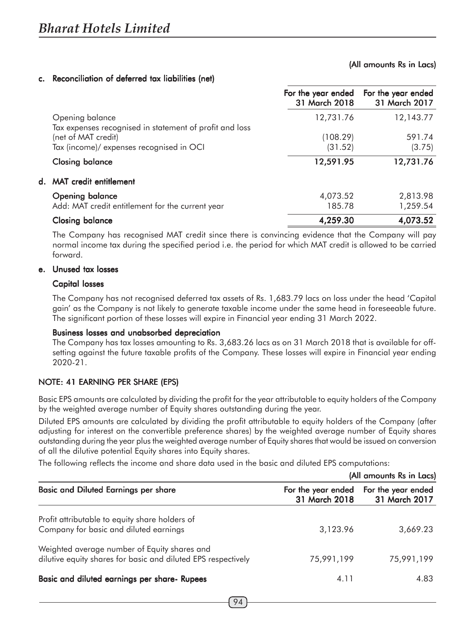#### c. Reconciliation of deferred tax liabilities (net)

|                                                                            | 31 March 2018 | For the year ended For the year ended<br>31 March 2017 |
|----------------------------------------------------------------------------|---------------|--------------------------------------------------------|
| Opening balance<br>Tax expenses recognised in statement of profit and loss | 12,731.76     | 12,143.77                                              |
| (net of MAT credit)                                                        | (108.29)      | 591.74                                                 |
| Tax (income)/ expenses recognised in OCI                                   | (31.52)       | (3.75)                                                 |
| <b>Closing balance</b>                                                     | 12,591.95     | 12,731.76                                              |
| d. MAT credit entitlement                                                  |               |                                                        |
| <b>Opening balance</b>                                                     | 4,073.52      | 2,813.98                                               |
| Add: MAT credit entitlement for the current year                           | 185.78        | 1,259.54                                               |
| <b>Closing balance</b>                                                     | 4,259.30      | 4,073.52                                               |

The Company has recognised MAT credit since there is convincing evidence that the Company will pay normal income tax during the specified period i.e. the period for which MAT credit is allowed to be carried forward.

#### e. Unused tax losses

#### Capital losses

The Company has not recognised deferred tax assets of Rs. 1,683.79 lacs on loss under the head 'Capital gain' as the Company is not likely to generate taxable income under the same head in foreseeable future. The significant portion of these losses will expire in Financial year ending 31 March 2022.

#### Business losses and unabsorbed depreciation

The Company has tax losses amounting to Rs. 3,683.26 lacs as on 31 March 2018 that is available for offsetting against the future taxable profits of the Company. These losses will expire in Financial year ending 2020-21.

#### NOTE: 41 EARNING PER SHARE (EPS)

Basic EPS amounts are calculated by dividing the profit for the year attributable to equity holders of the Company by the weighted average number of Equity shares outstanding during the year.

Diluted EPS amounts are calculated by dividing the profit attributable to equity holders of the Company (after adjusting for interest on the convertible preference shares) by the weighted average number of Equity shares outstanding during the year plus the weighted average number of Equity shares that would be issued on conversion of all the dilutive potential Equity shares into Equity shares.

The following reflects the income and share data used in the basic and diluted EPS computations:

|                                                                                                               | (All amounts Rs in Lacs)            |                                     |  |  |
|---------------------------------------------------------------------------------------------------------------|-------------------------------------|-------------------------------------|--|--|
| <b>Basic and Diluted Earnings per share</b>                                                                   | For the year ended<br>31 March 2018 | For the year ended<br>31 March 2017 |  |  |
| Profit attributable to equity share holders of<br>Company for basic and diluted earnings                      | 3,123.96                            | 3,669.23                            |  |  |
| Weighted average number of Equity shares and<br>dilutive equity shares for basic and diluted EPS respectively | 75,991,199                          | 75,991,199                          |  |  |
| Basic and diluted earnings per share- Rupees                                                                  | 4.11                                | 4.83                                |  |  |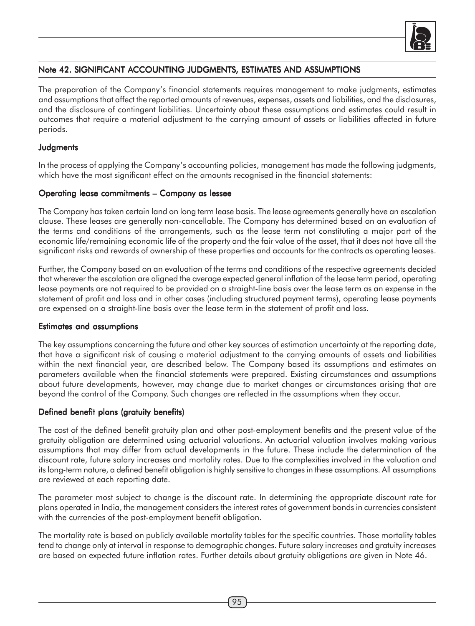

#### Note 42. Note 42. SIGNIFICANT ACCOUNTING JUDGMENTS, ESTIMATES AND ASSUMPTIONS

The preparation of the Company's financial statements requires management to make judgments, estimates and assumptions that affect the reported amounts of revenues, expenses, assets and liabilities, and the disclosures, and the disclosure of contingent liabilities. Uncertainty about these assumptions and estimates could result in outcomes that require a material adjustment to the carrying amount of assets or liabilities affected in future periods.

#### **Judgments**

In the process of applying the Company's accounting policies, management has made the following judgments, which have the most significant effect on the amounts recognised in the financial statements:

#### Operating lease commitments – Company as lessee

The Company has taken certain land on long term lease basis. The lease agreements generally have an escalation clause. These leases are generally non-cancellable. The Company has determined based on an evaluation of the terms and conditions of the arrangements, such as the lease term not constituting a major part of the economic life/remaining economic life of the property and the fair value of the asset, that it does not have all the significant risks and rewards of ownership of these properties and accounts for the contracts as operating leases.

Further, the Company based on an evaluation of the terms and conditions of the respective agreements decided that wherever the escalation are aligned the average expected general inflation of the lease term period, operating lease payments are not required to be provided on a straight-line basis over the lease term as an expense in the statement of profit and loss and in other cases (including structured payment terms), operating lease payments are expensed on a straight-line basis over the lease term in the statement of profit and loss.

#### Estimates and assumptions

The key assumptions concerning the future and other key sources of estimation uncertainty at the reporting date, that have a significant risk of causing a material adjustment to the carrying amounts of assets and liabilities within the next financial year, are described below. The Company based its assumptions and estimates on parameters available when the financial statements were prepared. Existing circumstances and assumptions about future developments, however, may change due to market changes or circumstances arising that are beyond the control of the Company. Such changes are reflected in the assumptions when they occur.

#### Defined benefit plans (gratuity benefits)

The cost of the defined benefit gratuity plan and other post-employment benefits and the present value of the gratuity obligation are determined using actuarial valuations. An actuarial valuation involves making various assumptions that may differ from actual developments in the future. These include the determination of the discount rate, future salary increases and mortality rates. Due to the complexities involved in the valuation and its long-term nature, a defined benefit obligation is highly sensitive to changes in these assumptions. All assumptions are reviewed at each reporting date.

The parameter most subject to change is the discount rate. In determining the appropriate discount rate for plans operated in India, the management considers the interest rates of government bonds in currencies consistent with the currencies of the post-employment benefit obligation.

The mortality rate is based on publicly available mortality tables for the specific countries. Those mortality tables tend to change only at interval in response to demographic changes. Future salary increases and gratuity increases are based on expected future inflation rates. Further details about gratuity obligations are given in Note 46.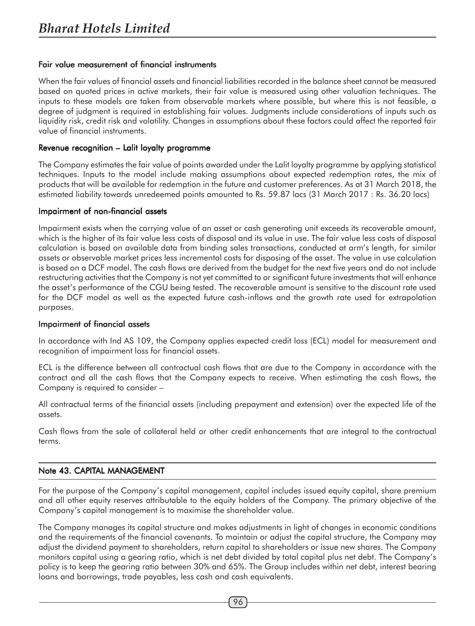#### Fair value measurement of financial instruments

When the fair values of financial assets and financial liabilities recorded in the balance sheet cannot be measured based on quoted prices in active markets, their fair value is measured using other valuation techniques. The inputs to these models are taken from observable markets where possible, but where this is not feasible, a degree of judgment is required in establishing fair values. Judgments include considerations of inputs such as liquidity risk, credit risk and volatility. Changes in assumptions about these factors could affect the reported fair value of financial instruments.

#### Revenue recognition – Lalit loyalty programme

The Company estimates the fair value of points awarded under the Lalit loyalty programme by applying statistical techniques. Inputs to the model include making assumptions about expected redemption rates, the mix of products that will be available for redemption in the future and customer preferences. As at 31 March 2018, the estimated liability towards unredeemed points amounted to Rs. 59.87 lacs (31 March 2017 : Rs. 36.20 lacs)

#### Impairment of non-financial assets

Impairment exists when the carrying value of an asset or cash generating unit exceeds its recoverable amount, which is the higher of its fair value less costs of disposal and its value in use. The fair value less costs of disposal calculation is based on available data from binding sales transactions, conducted at arm's length, for similar assets or observable market prices less incremental costs for disposing of the asset. The value in use calculation is based on a DCF model. The cash flows are derived from the budget for the next five years and do not include restructuring activities that the Company is not yet committed to or significant future investments that will enhance the asset's performance of the CGU being tested. The recoverable amount is sensitive to the discount rate used for the DCF model as well as the expected future cash-inflows and the growth rate used for extrapolation purposes.

#### Impairment of financial assets

In accordance with Ind AS 109, the Company applies expected credit loss (ECL) model for measurement and recognition of impairment loss for financial assets.

ECL is the difference between all contractual cash flows that are due to the Company in accordance with the contract and all the cash flows that the Company expects to receive. When estimating the cash flows, the Company is required to consider –

All contractual terms of the financial assets (including prepayment and extension) over the expected life of the assets.

Cash flows from the sale of collateral held or other credit enhancements that are integral to the contractual terms.

#### Note 43. CAPITAL MANAGEMENT

For the purpose of the Company's capital management, capital includes issued equity capital, share premium and all other equity reserves attributable to the equity holders of the Company. The primary objective of the Company's capital management is to maximise the shareholder value.

The Company manages its capital structure and makes adjustments in light of changes in economic conditions and the requirements of the financial covenants. To maintain or adjust the capital structure, the Company may adjust the dividend payment to shareholders, return capital to shareholders or issue new shares. The Company monitors capital using a gearing ratio, which is net debt divided by total capital plus net debt. The Company's policy is to keep the gearing ratio between 30% and 65%. The Group includes within net debt, interest bearing loans and borrowings, trade payables, less cash and cash equivalents.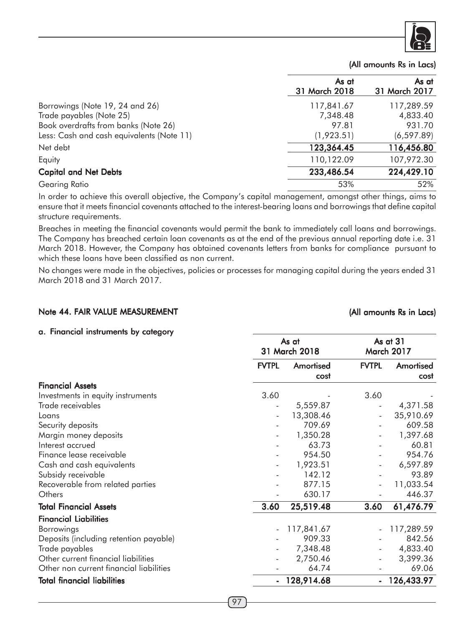

|                                           | As at<br>31 March 2018 | As at<br>31 March 2017 |
|-------------------------------------------|------------------------|------------------------|
| Borrowings (Note 19, 24 and 26)           | 117,841.67             | 117,289.59             |
| Trade payables (Note 25)                  | 7,348.48               | 4,833.40               |
| Book overdrafts from banks (Note 26)      | 97.81                  | 931.70                 |
| Less: Cash and cash equivalents (Note 11) | (1,923.51)             | (6, 597.89)            |
| Net debt                                  | 123,364.45             | 116,456.80             |
| Equity                                    | 110,122.09             | 107,972.30             |
| <b>Capital and Net Debts</b>              | 233,486.54             | 224,429.10             |
| Gearing Ratio                             | 53%                    | 52%                    |

In order to achieve this overall objective, the Company's capital management, amongst other things, aims to ensure that it meets financial covenants attached to the interest-bearing loans and borrowings that define capital structure requirements.

Breaches in meeting the financial covenants would permit the bank to immediately call loans and borrowings. The Company has breached certain loan covenants as at the end of the previous annual reporting date i.e. 31 March 2018. However, the Company has obtained covenants letters from banks for compliance pursuant to which these loans have been classified as non current.

No changes were made in the objectives, policies or processes for managing capital during the years ended 31 March 2018 and 31 March 2017.

#### Note 44. FAIR VALUE MEASUREMENT

#### (All amounts Rs in Lacs)

#### a. Financial instruments by category

|                                         |              | As at<br>31 March 2018 |                          | As at 31<br><b>March 2017</b> |
|-----------------------------------------|--------------|------------------------|--------------------------|-------------------------------|
|                                         | <b>FVTPL</b> | Amortised<br>cost      | <b>FVTPL</b>             | Amortised<br>cost             |
| <b>Financial Assets</b>                 |              |                        |                          |                               |
| Investments in equity instruments       | 3.60         |                        | 3.60                     |                               |
| Trade receivables                       |              | 5,559.87               | $\overline{\phantom{0}}$ | 4,371.58                      |
| Loans                                   |              | 13,308.46              | $\overline{\phantom{0}}$ | 35,910.69                     |
| Security deposits                       |              | 709.69                 |                          | 609.58                        |
| Margin money deposits                   |              | 1,350.28               |                          | 1,397.68                      |
| Interest accrued                        |              | 63.73                  |                          | 60.81                         |
| Finance lease receivable                |              | 954.50                 |                          | 954.76                        |
| Cash and cash equivalents               |              | 1,923.51               |                          | 6,597.89                      |
| Subsidy receivable                      |              | 142.12                 |                          | 93.89                         |
| Recoverable from related parties        |              | 877.15                 |                          | 11,033.54                     |
| Others                                  |              | 630.17                 |                          | 446.37                        |
| <b>Total Financial Assets</b>           | 3.60         | 25,519.48              | 3.60                     | 61,476.79                     |
| <b>Financial Liabilities</b>            |              |                        |                          |                               |
| <b>Borrowings</b>                       |              | 117,841.67             |                          | 117,289.59                    |
| Deposits (including retention payable)  |              | 909.33                 |                          | 842.56                        |
| Trade payables                          |              | 7,348.48               | -                        | 4,833.40                      |
| Other current financial liabilities     |              | 2,750.46               |                          | 3,399.36                      |
| Other non current financial liabilities |              | 64.74                  |                          | 69.06                         |
| <b>Total financial liabilities</b>      |              | 128,914.68             |                          | 126,433.97                    |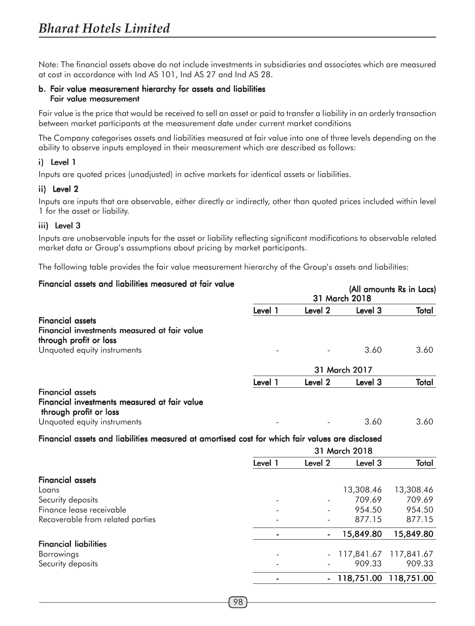Note: The financial assets above do not include investments in subsidiaries and associates which are measured at cost in accordance with Ind AS 101, Ind AS 27 and Ind AS 28.

#### b. Fair value measurement hierarchy for assets and liabilities Fair value measurement

Fair value is the price that would be received to sell an asset or paid to transfer a liability in an orderly transaction between market participants at the measurement date under current market conditions

The Company categorises assets and liabilities measured at fair value into one of three levels depending on the ability to observe inputs employed in their measurement which are described as follows:

#### i) Level 1

Inputs are quoted prices (unadjusted) in active markets for identical assets or liabilities.

#### ii) Level 2

Inputs are inputs that are observable, either directly or indirectly, other than quoted prices included within level 1 for the asset or liability.

#### iii) Level 3

Inputs are unobservable inputs for the asset or liability reflecting significant modifications to observable related market data or Group's assumptions about pricing by market participants.

The following table provides the fair value measurement hierarchy of the Group's assets and liabilities:

#### Financial assets and liabilities measured at fair value

| ringhcial assets and liabilities measured at fair value                                                                          |         |                              | 31 March 2018            | (All amounts Rs in Lacs) |
|----------------------------------------------------------------------------------------------------------------------------------|---------|------------------------------|--------------------------|--------------------------|
|                                                                                                                                  | Level 1 | Level 2                      | Level <sub>3</sub>       | Total                    |
| <b>Financial assets</b><br>Financial investments measured at fair value<br>through profit or loss                                |         |                              |                          |                          |
| Unquoted equity instruments                                                                                                      |         |                              | 3.60                     | 3.60                     |
|                                                                                                                                  |         |                              | 31 March 2017            |                          |
|                                                                                                                                  | Level 1 | Level <sub>2</sub>           | Level 3                  | <b>Total</b>             |
| <b>Financial assets</b><br>Financial investments measured at fair value<br>through profit or loss<br>Unquoted equity instruments |         |                              | 3.60                     | 3.60                     |
|                                                                                                                                  |         |                              |                          |                          |
|                                                                                                                                  |         |                              |                          |                          |
| Financial assets and liabilities measured at amortised cost for which fair values are disclosed                                  |         |                              |                          |                          |
|                                                                                                                                  | Level 1 | Level 2                      | 31 March 2018<br>Level 3 | <b>Total</b>             |
|                                                                                                                                  |         |                              |                          |                          |
| <b>Financial assets</b><br>Loans                                                                                                 |         |                              | 13,308.46                | 13,308.46                |
| Security deposits                                                                                                                |         |                              | 709.69                   | 709.69                   |
| Finance lease receivable                                                                                                         |         |                              | 954.50                   | 954.50                   |
| Recoverable from related parties                                                                                                 |         |                              | 877.15                   | 877.15                   |
|                                                                                                                                  | -       | $\qquad \qquad \blacksquare$ | 15,849.80                | 15,849.80                |
| <b>Financial liabilities</b>                                                                                                     |         |                              |                          |                          |
| Borrowings                                                                                                                       |         |                              | 117,841.67               | 117,841.67               |
| Security deposits                                                                                                                |         |                              | 909.33                   | 909.33                   |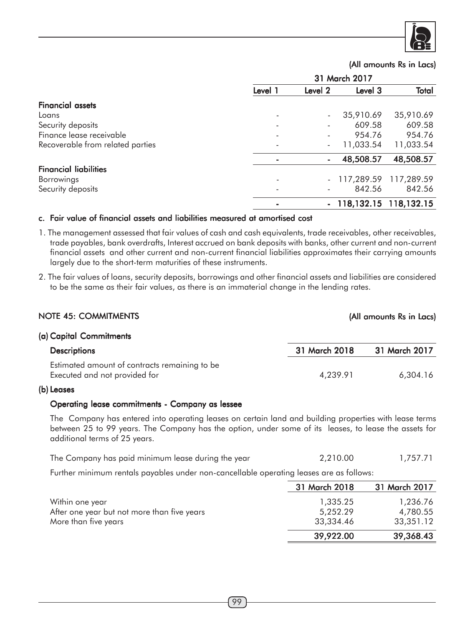

|                                  | 31 March 2017 |                          |                          |            |
|----------------------------------|---------------|--------------------------|--------------------------|------------|
|                                  | Level 1       | Level 2                  | Level 3                  | Total      |
| <b>Financial assets</b>          |               |                          |                          |            |
| Loans                            |               |                          | 35,910.69                | 35,910.69  |
| Security deposits                |               |                          | 609.58                   | 609.58     |
| Finance lease receivable         |               |                          | 954.76                   | 954.76     |
| Recoverable from related parties |               |                          | 11,033.54                | 11,033.54  |
|                                  |               | $\overline{\phantom{a}}$ | 48,508.57                | 48,508.57  |
| <b>Financial liabilities</b>     |               |                          |                          |            |
| <b>Borrowings</b>                |               |                          | $-117,289.59$            | 117,289.59 |
| Security deposits                |               |                          | 842.56                   | 842.56     |
|                                  |               |                          | $-118,132.15$ 118,132.15 |            |

#### c. Fair value of financial assets and liabilities measured at amortised cost

- 1. The management assessed that fair values of cash and cash equivalents, trade receivables, other receivables, trade payables, bank overdrafts, Interest accrued on bank deposits with banks, other current and non-current financial assets and other current and non-current financial liabilities approximates their carrying amounts largely due to the short-term maturities of these instruments.
- 2. The fair values of loans, security deposits, borrowings and other financial assets and liabilities are considered to be the same as their fair values, as there is an immaterial change in the lending rates.

| <b>NOTE 45: COMMITMENTS</b>                                                    | (All amounts Rs in Lacs) |               |
|--------------------------------------------------------------------------------|--------------------------|---------------|
| (a) Capital Commitments                                                        |                          |               |
| <b>Descriptions</b>                                                            | 31 March 2018            | 31 March 2017 |
| Estimated amount of contracts remaining to be<br>Executed and not provided for | 4,239.91                 | 6,304.16      |
| (b) Leases                                                                     |                          |               |
| $\sim$ $\sim$<br>$\sim$ $\sim$ $\sim$ $\sim$                                   |                          |               |

#### Operating lease commitments - Company as lessee

The Company has entered into operating leases on certain land and building properties with lease terms between 25 to 99 years. The Company has the option, under some of its leases, to lease the assets for additional terms of 25 years.

| The Company has paid minimum lease during the year | 2,210.00 | 1,757.71 |
|----------------------------------------------------|----------|----------|
|----------------------------------------------------|----------|----------|

Further minimum rentals payables under non-cancellable operating leases are as follows:

|                                             | 31 March 2018 | 31 March 2017 |
|---------------------------------------------|---------------|---------------|
| Within one year                             | 1,335.25      | 1,236.76      |
| After one year but not more than five years | 5,252.29      | 4,780.55      |
| More than five years                        | 33,334.46     | 33,351.12     |
|                                             | 39,922.00     | 39,368.43     |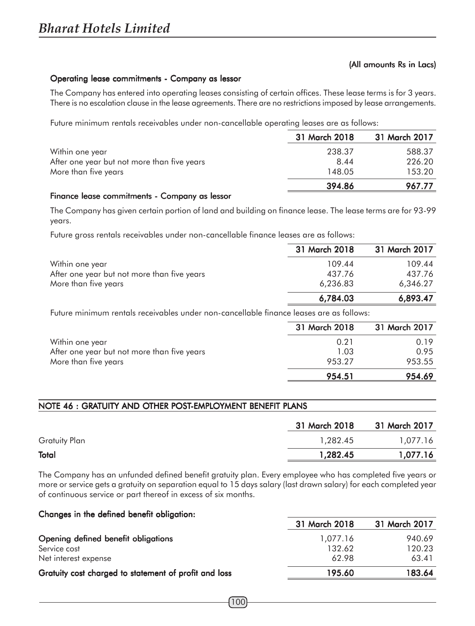#### Operating lease commitments - Company as lessor

The Company has entered into operating leases consisting of certain offices. These lease terms is for 3 years. There is no escalation clause in the lease agreements. There are no restrictions imposed by lease arrangements.

Future minimum rentals receivables under non-cancellable operating leases are as follows:

|                                             | 31 March 2018 | 31 March 2017 |
|---------------------------------------------|---------------|---------------|
| Within one year                             | 238.37        | 588.37        |
| After one year but not more than five years | 8.44          | 226.20        |
| More than five years                        | 148.05        | 153.20        |
|                                             | 394.86        | 967.77        |

#### Finance lease commitments - Company as lessor

The Company has given certain portion of land and building on finance lease. The lease terms are for 93-99 years.

Future gross rentals receivables under non-cancellable finance leases are as follows:

|                                             | 31 March 2018 | 31 March 2017 |
|---------------------------------------------|---------------|---------------|
| Within one year                             | 109.44        | 109.44        |
| After one year but not more than five years | 437.76        | 437.76        |
| More than five years                        | 6,236.83      | 6,346.27      |
|                                             | 6.784.03      | 6,893.47      |

Future minimum rentals receivables under non-cancellable finance leases are as follows:

|                                             | 31 March 2018 | 31 March 2017 |
|---------------------------------------------|---------------|---------------|
| Within one year                             | 0.21          | 0 19          |
| After one year but not more than five years | 1.03          | 0.95          |
| More than five years                        | 953.27        | 953.55        |
|                                             | 954.51        | 954.69        |

#### NOTE 46 : GRATUITY AND OTHER POST-EMPLOYMENT BENEFIT PLANS

|               | 31 March 2018 | 31 March 2017 |
|---------------|---------------|---------------|
| Gratuity Plan | 1,282.45      | 1.077.16      |
| <b>Total</b>  | 1,282.45      | 1,077.16      |

The Company has an unfunded defined benefit gratuity plan. Every employee who has completed five years or more or service gets a gratuity on separation equal to 15 days salary (last drawn salary) for each completed year of continuous service or part thereof in excess of six months.

| Changes in the defined benefit obligation:            |               |               |
|-------------------------------------------------------|---------------|---------------|
|                                                       | 31 March 2018 | 31 March 2017 |
| Opening defined benefit obligations                   | 1,077.16      | 940.69        |
| Service cost                                          | 132.62        | 120.23        |
| Net interest expense                                  | 62.98         | 63.41         |
| Gratuity cost charged to statement of profit and loss | 195.60        | 183.64        |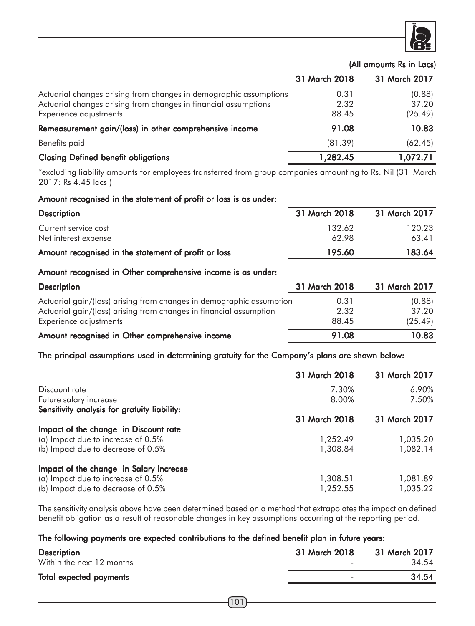

|                                                                   | (All amounts Rs in Lacs |               |
|-------------------------------------------------------------------|-------------------------|---------------|
|                                                                   | 31 March 2018           | 31 March 2017 |
| Actuarial changes arising from changes in demographic assumptions | 0.31                    | (0.88)        |
| Actuarial changes arising from changes in financial assumptions   | 2.32                    | 37.20         |
| Experience adjustments                                            | 88.45                   | (25.49)       |
| Remeasurement gain/(loss) in other comprehensive income           | 91.08                   | 10.83         |
| Benefits paid                                                     | (81.39)                 | (62.45)       |
| <b>Closing Defined benefit obligations</b>                        | 1,282.45                | 1,072.71      |

\*excluding liability amounts for employees transferred from group companies amounting to Rs. Nil (31 March 2017: Rs 4.45 lacs )

#### Amount recognised in the statement of profit or loss is as under:

| <b>Description</b>                                   | 31 March 2018   | 31 March 2017   |
|------------------------------------------------------|-----------------|-----------------|
| Current service cost<br>Net interest expense         | 132.62<br>62.98 | 120.23<br>63.41 |
| Amount recognised in the statement of profit or loss | 195.60          | 183.64          |

#### Amount recognised in Other comprehensive income is as under:

| <b>Description</b>                                                   | 31 March 2018 | 31 March 2017 |
|----------------------------------------------------------------------|---------------|---------------|
| Actuarial gain/(loss) arising from changes in demographic assumption | 0.31          | (0.88)        |
| Actuarial gain/(loss) arising from changes in financial assumption   | 2.32          | 37.20         |
| Experience adjustments                                               | 88.45         | (25.49)       |
| Amount recognised in Other comprehensive income                      | 91.08         | 10.83         |

#### The principal assumptions used in determining gratuity for the Company's plans are shown below:

|                                              | 31 March 2018 | 31 March 2017 |
|----------------------------------------------|---------------|---------------|
| Discount rate                                | 7.30%         | 6.90%         |
| Future salary increase                       | 8.00%         | 7.50%         |
| Sensitivity analysis for gratuity liability: |               |               |
|                                              | 31 March 2018 | 31 March 2017 |
| Impact of the change in Discount rate        |               |               |
| (a) Impact due to increase of 0.5%           | 1,252.49      | 1,035.20      |
| (b) Impact due to decrease of 0.5%           | 1,308.84      | 1,082.14      |
| Impact of the change in Salary increase      |               |               |
| (a) Impact due to increase of 0.5%           | 1,308.51      | 1,081.89      |
| (b) Impact due to decrease of 0.5%           | 1,252.55      | 1,035.22      |

The sensitivity analysis above have been determined based on a method that extrapolates the impact on defined benefit obligation as a result of reasonable changes in key assumptions occurring at the reporting period.

#### The following payments are expected contributions to the defined benefit plan in future years:

| <b>Description</b>             | 31 March 2018 | 31 March 2017 |
|--------------------------------|---------------|---------------|
| Within the next 12 months      |               | 34.54         |
| <b>Total expected payments</b> |               | 34.54         |
|                                |               |               |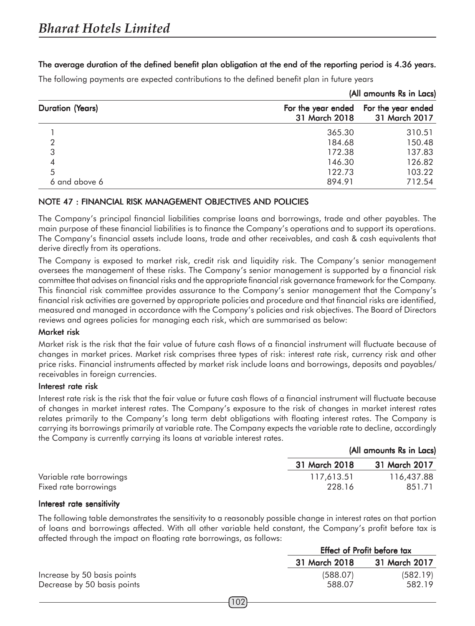#### The average duration of the defined benefit plan obligation at the end of the reporting period is 4.36 years.

(All amounts Rs in Lacs)

The following payments are expected contributions to the defined benefit plan in future years

|                         |               | INII UIIIUUIIIS NS III LUCSI                           |  |  |
|-------------------------|---------------|--------------------------------------------------------|--|--|
| <b>Duration (Years)</b> | 31 March 2018 | For the year ended For the year ended<br>31 March 2017 |  |  |
|                         | 365.30        | 310.51                                                 |  |  |
| 2                       | 184.68        | 150.48                                                 |  |  |
| 3                       | 172.38        | 137.83                                                 |  |  |
| 4                       | 146.30        | 126.82                                                 |  |  |
| 5                       | 122.73        | 103.22                                                 |  |  |
| 6 and above 6           | 894.91        | 712.54                                                 |  |  |

#### NOTE 47 : FINANCIAL RISK MANAGEMENT OBJECTIVES AND POLICIES

The Company's principal financial liabilities comprise loans and borrowings, trade and other payables. The main purpose of these financial liabilities is to finance the Company's operations and to support its operations. The Company's financial assets include loans, trade and other receivables, and cash & cash equivalents that derive directly from its operations.

The Company is exposed to market risk, credit risk and liquidity risk. The Company's senior management oversees the management of these risks. The Company's senior management is supported by a financial risk committee that advises on financial risks and the appropriate financial risk governance framework for the Company. This financial risk committee provides assurance to the Company's senior management that the Company's financial risk activities are governed by appropriate policies and procedure and that financial risks are identified, measured and managed in accordance with the Company's policies and risk objectives. The Board of Directors reviews and agrees policies for managing each risk, which are summarised as below:

#### Market risk

Market risk is the risk that the fair value of future cash flows of a financial instrument will fluctuate because of changes in market prices. Market risk comprises three types of risk: interest rate risk, currency risk and other price risks. Financial instruments affected by market risk include loans and borrowings, deposits and payables/ receivables in foreign currencies.

#### Interest rate risk

Interest rate risk is the risk that the fair value or future cash flows of a financial instrument will fluctuate because of changes in market interest rates. The Company's exposure to the risk of changes in market interest rates relates primarily to the Company's long term debt obligations with floating interest rates. The Company is carrying its borrowings primarily at variable rate. The Company expects the variable rate to decline, accordingly the Company is currently carrying its loans at variable interest rates.

|                          | (All amounts Rs in Lacs) |               |
|--------------------------|--------------------------|---------------|
|                          | 31 March 2018            | 31 March 2017 |
| Variable rate borrowings | 117,613.51               | 116,437.88    |
| Fixed rate borrowings    | 228.16                   | 851.71        |

#### Interest rate sensitivity

The following table demonstrates the sensitivity to a reasonably possible change in interest rates on that portion of loans and borrowings affected. With all other variable held constant, the Company's profit before tax is affected through the impact on floating rate borrowings, as follows:

|                             | <b>Effect of Profit before tax</b> |               |
|-----------------------------|------------------------------------|---------------|
|                             | 31 March 2018                      | 31 March 2017 |
| Increase by 50 basis points | (588.07)                           | (582.19)      |
| Decrease by 50 basis points | 588.07                             | 582.19        |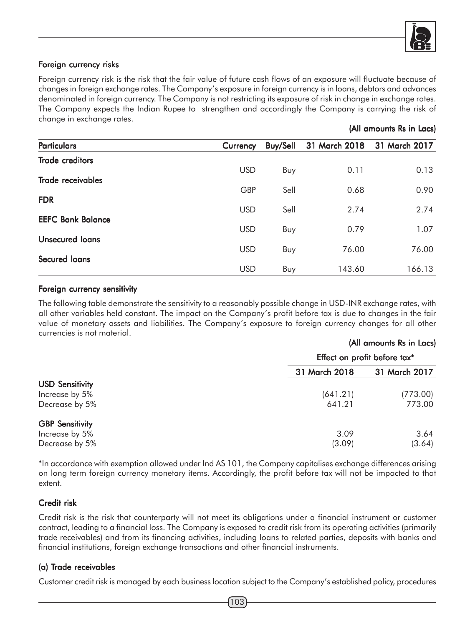

#### Foreign currency risks

Foreign currency risk is the risk that the fair value of future cash flows of an exposure will fluctuate because of changes in foreign exchange rates. The Company's exposure in foreign currency is in loans, debtors and advances denominated in foreign currency. The Company is not restricting its exposure of risk in change in exchange rates. The Company expects the Indian Rupee to strengthen and accordingly the Company is carrying the risk of change in exchange rates.

|                          |            |                 |               | (All amounts Rs in Lacs) |
|--------------------------|------------|-----------------|---------------|--------------------------|
| <b>Particulars</b>       | Currency   | <b>Buy/Sell</b> | 31 March 2018 | 31 March 2017            |
| <b>Trade creditors</b>   | <b>USD</b> | Buy             | 0.11          | 0.13                     |
| Trade receivables        | GBP        | Sell            | 0.68          | 0.90                     |
| <b>FDR</b>               |            |                 |               |                          |
| <b>EEFC Bank Balance</b> | <b>USD</b> | Sell            | 2.74          | 2.74                     |
| <b>Unsecured loans</b>   | <b>USD</b> | Buy             | 0.79          | 1.07                     |
| <b>Secured loans</b>     | <b>USD</b> | Buy             | 76.00         | 76.00                    |
|                          | <b>USD</b> | Buy             | 143.60        | 166.13                   |

#### Foreign currency sensitivity

The following table demonstrate the sensitivity to a reasonably possible change in USD-INR exchange rates, with all other variables held constant. The impact on the Company's profit before tax is due to changes in the fair value of monetary assets and liabilities. The Company's exposure to foreign currency changes for all other currencies is not material.

|                                                            | (All amounts Rs in Lacs)     |                    |
|------------------------------------------------------------|------------------------------|--------------------|
|                                                            | Effect on profit before tax* |                    |
|                                                            | 31 March 2018                | 31 March 2017      |
| <b>USD Sensitivity</b><br>Increase by 5%<br>Decrease by 5% | (641.21)<br>641.21           | (773.00)<br>773.00 |
| <b>GBP</b> Sensitivity<br>Increase by 5%<br>Decrease by 5% | 3.09<br>(3.09)               | 3.64<br>(3.64)     |

\*In accordance with exemption allowed under Ind AS 101, the Company capitalises exchange differences arising on long term foreign currency monetary items. Accordingly, the profit before tax will not be impacted to that extent.

#### Credit risk

Credit risk is the risk that counterparty will not meet its obligations under a financial instrument or customer contract, leading to a financial loss. The Company is exposed to credit risk from its operating activities (primarily trade receivables) and from its financing activities, including loans to related parties, deposits with banks and financial institutions, foreign exchange transactions and other financial instruments.

#### (a) Trade receivables

Customer credit risk is managed by each business location subject to the Company's established policy, procedures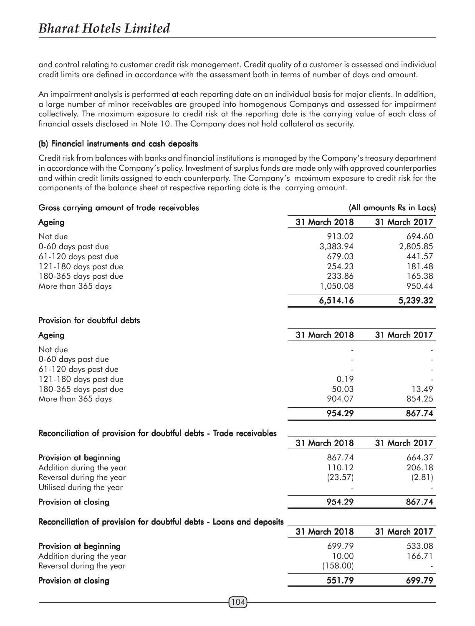and control relating to customer credit risk management. Credit quality of a customer is assessed and individual credit limits are defined in accordance with the assessment both in terms of number of days and amount.

An impairment analysis is performed at each reporting date on an individual basis for major clients. In addition, a large number of minor receivables are grouped into homogenous Companys and assessed for impairment collectively. The maximum exposure to credit risk at the reporting date is the carrying value of each class of financial assets disclosed in Note 10. The Company does not hold collateral as security.

#### (b) Financial instruments and cash deposits

Credit risk from balances with banks and financial institutions is managed by the Company's treasury department in accordance with the Company's policy. Investment of surplus funds are made only with approved counterparties and within credit limits assigned to each counterparty. The Company's maximum exposure to credit risk for the components of the balance sheet at respective reporting date is the carrying amount.

| Gross carrying amount of trade receivables |               | (All amounts Rs in Lacs) |
|--------------------------------------------|---------------|--------------------------|
| Ageing                                     | 31 March 2018 | 31 March 2017            |
| Not due                                    | 913.02        | 694.60                   |
| 0-60 days past due                         | 3,383.94      | 2,805.85                 |
| 61-120 days past due                       | 679.03        | 441.57                   |
| 121-180 days past due                      | 254.23        | 181.48                   |
| 180-365 days past due                      | 233.86        | 165.38                   |
| More than 365 days                         | 1,050.08      | 950.44                   |
|                                            | 6,514.16      | 5,239.32                 |

#### Provision for doubtful debts

| Ageing                | 31 March 2018 | 31 March 2017 |
|-----------------------|---------------|---------------|
| Not due               |               |               |
| 0-60 days past due    |               |               |
| 61-120 days past due  |               |               |
| 121-180 days past due | 0.19          |               |
| 180-365 days past due | 50.03         | 13.49         |
| More than 365 days    | 904.07        | 854.25        |
|                       | 954.29        | 867.74        |

| Reconciliation of provision for doubtful debts - Trade receivables |               |               |
|--------------------------------------------------------------------|---------------|---------------|
|                                                                    | 31 March 2018 | 31 March 2017 |
| Provision at beginning                                             | 867.74        | 664.37        |
| Addition during the year                                           | 110.12        | 206.18        |
| Reversal during the year                                           | (23.57)       | (2.81)        |
| Utilised during the year                                           |               |               |
| Provision at closing                                               | 954.29        | 867.74        |

#### Reconciliation of provision for doubtful debts - Loans and deposits 31 March 2018 31 March 2017 Provision at beginning and the state of the state of the state of the state of the state of the state of the state of the state of the state of the state of the state of the state of the state of the state of the state of Addition during the year 10.00 166.71 Reversal during the year (158.00)  $(158.00)$ Provision at closing 699.79 699.79 699.79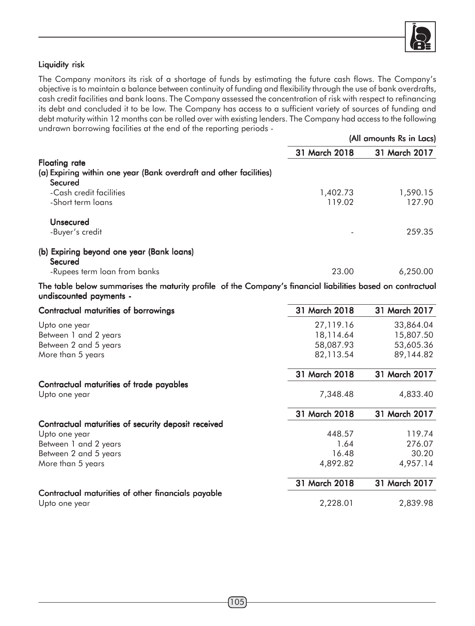

#### Liquidity risk

The Company monitors its risk of a shortage of funds by estimating the future cash flows. The Company's objective is to maintain a balance between continuity of funding and flexibility through the use of bank overdrafts, cash credit facilities and bank loans. The Company assessed the concentration of risk with respect to refinancing its debt and concluded it to be low. The Company has access to a sufficient variety of sources of funding and debt maturity within 12 months can be rolled over with existing lenders. The Company had access to the following undrawn borrowing facilities at the end of the reporting periods -

|                                                                    | (All amounts Rs in Lacs) |               |
|--------------------------------------------------------------------|--------------------------|---------------|
|                                                                    | 31 March 2018            | 31 March 2017 |
| <b>Floating rate</b>                                               |                          |               |
| (a) Expiring within one year (Bank overdraft and other facilities) |                          |               |
| <b>Secured</b>                                                     |                          |               |
| -Cash credit facilities                                            | 1,402.73                 | 1,590.15      |
| -Short term loans                                                  | 119.02                   | 127.90        |
| Unsecured                                                          |                          |               |
| -Buyer's credit                                                    |                          | 259.35        |
| (b) Expiring beyond one year (Bank loans)<br><b>Secured</b>        |                          |               |
| -Rupees term loan from banks                                       | 23.00                    | 6,250.00      |

#### The table below summarises the maturity profile of the Company's financial liabilities based on contractual undiscounted payments -

| Contractual maturities of borrowings                | 31 March 2018 | 31 March 2017 |
|-----------------------------------------------------|---------------|---------------|
| Upto one year                                       | 27,119.16     | 33,864.04     |
| Between 1 and 2 years                               | 18,114.64     | 15,807.50     |
| Between 2 and 5 years                               | 58,087.93     | 53,605.36     |
| More than 5 years                                   | 82,113.54     | 89,144.82     |
|                                                     | 31 March 2018 | 31 March 2017 |
| Contractual maturities of trade payables            |               |               |
| Upto one year                                       | 7,348.48      | 4,833.40      |
|                                                     | 31 March 2018 | 31 March 2017 |
| Contractual maturities of security deposit received |               |               |
| Upto one year                                       | 448.57        | 119.74        |
| Between 1 and 2 years                               | 1.64          | 276.07        |
| Between 2 and 5 years                               | 16.48         | 30.20         |
| More than 5 years                                   | 4,892.82      | 4,957.14      |
|                                                     | 31 March 2018 | 31 March 2017 |
| Contractual maturities of other financials payable  |               |               |
| Upto one year                                       | 2,228.01      | 2,839.98      |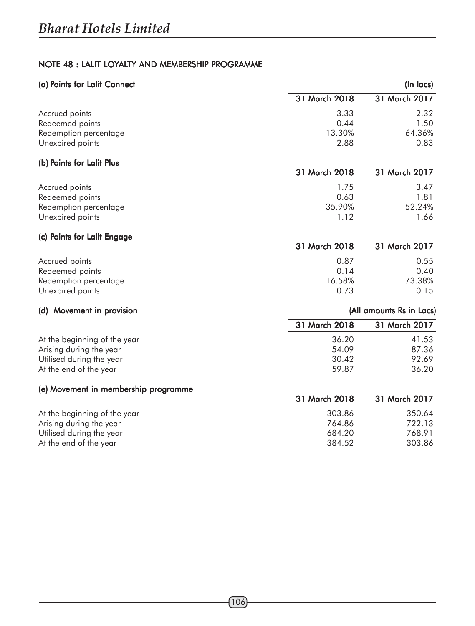#### NOTE 48 : LALIT LOYALTY AND MEMBERSHIP PROGRAMME

#### (a) Points for Lalit Connect alit Connect (In lacs) (In lacs)

|                           | 31 March 2018 | 31 March 2017 |
|---------------------------|---------------|---------------|
| Accrued points            | 3.33          | 2.32          |
| Redeemed points           | 0.44          | 1.50          |
| Redemption percentage     | 13.30%        | 64.36%        |
| Unexpired points          | 2.88          | 0.83          |
| (b) Points for Lalit Plus |               |               |
|                           | 31 March 2018 | 31 March 2017 |
| Accrued points            | 1.75          | 3.47          |
| Redeemed points           | 0.63          | 1.81          |
| Redemption percentage     | 35.90%        | 52.24%        |
| Unexpired points          | 1.12          | 1.66          |
|                           |               |               |

| 31 March 2018 | 31 March 2017 |
|---------------|---------------|
| 0.87          | 0.55          |
| 0.14          | 0.40          |
| 16.58%        | 73.38%        |
| 0.73          | 0.15          |
|               |               |

#### (d) Movement in provision (All amounts Rs in Lacs)

(c) Points for Lalit Engage

|                              | 31 March 2018 | 31 March 2017 |
|------------------------------|---------------|---------------|
| At the beginning of the year | 36.20         | 41.53         |
| Arising during the year      | 54.09         | 87.36         |
| Utilised during the year     | 30.42         | 92.69         |
| At the end of the year       | 59.87         | 36.20         |

#### (e) Movement in membership programme

|                              | 31 March 2018 | 31 March 2017 |
|------------------------------|---------------|---------------|
| At the beginning of the year | 303.86        | 350.64        |
| Arising during the year      | 764.86        | 722.13        |
| Utilised during the year     | 684.20        | 768.91        |
| At the end of the year       | 384.52        | 303.86        |
|                              |               |               |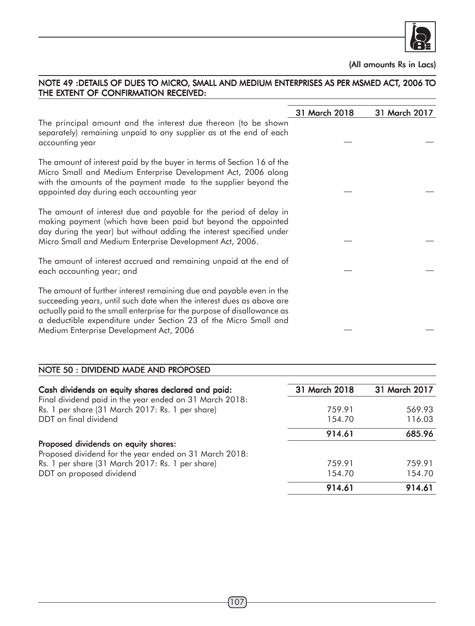

#### NOTE 49 : DETAILS OF DUES TO MICRO, SMALL AND MEDIUM ENTERPRISES AS PER MSMED ACT, 2006 TO THE EXTENT OF CONFIRMATION RECEIVED:

|                                                                                                                                                                                                                                                                                                                                          | 31 March 2018 | 31 March 2017 |
|------------------------------------------------------------------------------------------------------------------------------------------------------------------------------------------------------------------------------------------------------------------------------------------------------------------------------------------|---------------|---------------|
| The principal amount and the interest due thereon (to be shown<br>separately) remaining unpaid to any supplier as at the end of each<br>accounting year                                                                                                                                                                                  |               |               |
| The amount of interest paid by the buyer in terms of Section 16 of the<br>Micro Small and Medium Enterprise Development Act, 2006 along<br>with the amounts of the payment made to the supplier beyond the<br>appointed day during each accounting year                                                                                  |               |               |
| The amount of interest due and payable for the period of delay in<br>making payment (which have been paid but beyond the appointed<br>day during the year) but without adding the interest specified under<br>Micro Small and Medium Enterprise Development Act, 2006.                                                                   |               |               |
| The amount of interest accrued and remaining unpaid at the end of<br>each accounting year; and                                                                                                                                                                                                                                           |               |               |
| The amount of further interest remaining due and payable even in the<br>succeeding years, until such date when the interest dues as above are<br>actually paid to the small enterprise for the purpose of disallowance as<br>a deductible expenditure under Section 23 of the Micro Small and<br>Medium Enterprise Development Act, 2006 |               |               |

#### NOTE 50 : DIVIDEND MADE AND PROPOSED

| Cash dividends on equity shares declared and paid:                                                          | 31 March 2018 | 31 March 2017 |
|-------------------------------------------------------------------------------------------------------------|---------------|---------------|
| Final dividend paid in the year ended on 31 March 2018:<br>Rs. 1 per share (31 March 2017: Rs. 1 per share) | 759.91        | 569.93        |
| DDT on final dividend                                                                                       | 154.70        | 116.03        |
|                                                                                                             | 914.61        | 685.96        |
| Proposed dividends on equity shares:                                                                        |               |               |
| Proposed dividend for the year ended on 31 March 2018:                                                      |               |               |
| Rs. 1 per share (31 March 2017: Rs. 1 per share)                                                            | 759.91        | 759.91        |
| DDT on proposed dividend                                                                                    | 154.70        | 154.70        |
|                                                                                                             | 914.61        | 914.61        |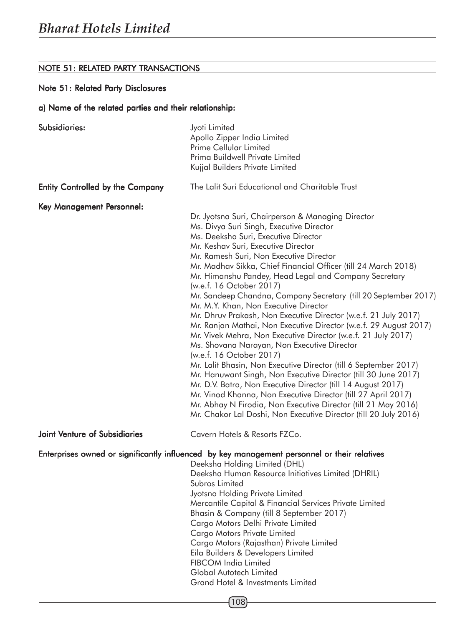#### NOTE 51: RELATED PARTY TRANSACTIONS

#### Note 51: Related Party Disclosures

#### a) Name of the related parties and their relationship:

| <b>Subsidiaries:</b>                    | Jyoti Limited<br>Apollo Zipper India Limited<br>Prime Cellular Limited<br>Prima Buildwell Private Limited<br>Kujjal Builders Private Limited                                                                                                                                                                                                                                                                                                                                                                                                                                                                                                                                                                                                                                                                                                                                                                                                                                                                                                                                                                                                                                                |
|-----------------------------------------|---------------------------------------------------------------------------------------------------------------------------------------------------------------------------------------------------------------------------------------------------------------------------------------------------------------------------------------------------------------------------------------------------------------------------------------------------------------------------------------------------------------------------------------------------------------------------------------------------------------------------------------------------------------------------------------------------------------------------------------------------------------------------------------------------------------------------------------------------------------------------------------------------------------------------------------------------------------------------------------------------------------------------------------------------------------------------------------------------------------------------------------------------------------------------------------------|
| <b>Entity Controlled by the Company</b> | The Lalit Suri Educational and Charitable Trust                                                                                                                                                                                                                                                                                                                                                                                                                                                                                                                                                                                                                                                                                                                                                                                                                                                                                                                                                                                                                                                                                                                                             |
| Key Management Personnel:               |                                                                                                                                                                                                                                                                                                                                                                                                                                                                                                                                                                                                                                                                                                                                                                                                                                                                                                                                                                                                                                                                                                                                                                                             |
|                                         | Dr. Jyotsna Suri, Chairperson & Managing Director<br>Ms. Divya Suri Singh, Executive Director<br>Ms. Deeksha Suri, Executive Director<br>Mr. Keshav Suri, Executive Director<br>Mr. Ramesh Suri, Non Executive Director<br>Mr. Madhav Sikka, Chief Financial Officer (till 24 March 2018)<br>Mr. Himanshu Pandey, Head Legal and Company Secretary<br>(w.e.f. 16 October 2017)<br>Mr. Sandeep Chandna, Company Secretary (till 20 September 2017)<br>Mr. M.Y. Khan, Non Executive Director<br>Mr. Dhruv Prakash, Non Executive Director (w.e.f. 21 July 2017)<br>Mr. Ranjan Mathai, Non Executive Director (w.e.f. 29 August 2017)<br>Mr. Vivek Mehra, Non Executive Director (w.e.f. 21 July 2017)<br>Ms. Shovana Narayan, Non Executive Director<br>(w.e.f. 16 October 2017)<br>Mr. Lalit Bhasin, Non Executive Director (till 6 September 2017)<br>Mr. Hanuwant Singh, Non Executive Director (till 30 June 2017)<br>Mr. D.V. Batra, Non Executive Director (till 14 August 2017)<br>Mr. Vinod Khanna, Non Executive Director (till 27 April 2017)<br>Mr. Abhay N Firodia, Non Executive Director (till 21 May 2016)<br>Mr. Chakor Lal Doshi, Non Executive Director (till 20 July 2016) |
| <b>Joint Venture of Subsidiaries</b>    | Cavern Hotels & Resorts FZCo.                                                                                                                                                                                                                                                                                                                                                                                                                                                                                                                                                                                                                                                                                                                                                                                                                                                                                                                                                                                                                                                                                                                                                               |
|                                         | Enterprises owned or significantly influenced by key management personnel or their relatives<br>Deeksha Holding Limited (DHL)<br>Deeksha Human Resource Initiatives Limited (DHRIL)<br>Subros Limited<br>Jyotsna Holding Private Limited<br>Mercantile Capital & Financial Services Private Limited<br>Bhasin & Company (till 8 September 2017)<br>Cargo Motors Delhi Private Limited<br>Cargo Motors Private Limited<br>Cargo Motors (Rajasthan) Private Limited<br>Eila Builders & Developers Limited<br><b>FIBCOM India Limited</b><br>Global Autotech Limited<br>Grand Hotel & Investments Limited                                                                                                                                                                                                                                                                                                                                                                                                                                                                                                                                                                                      |

 $(108)$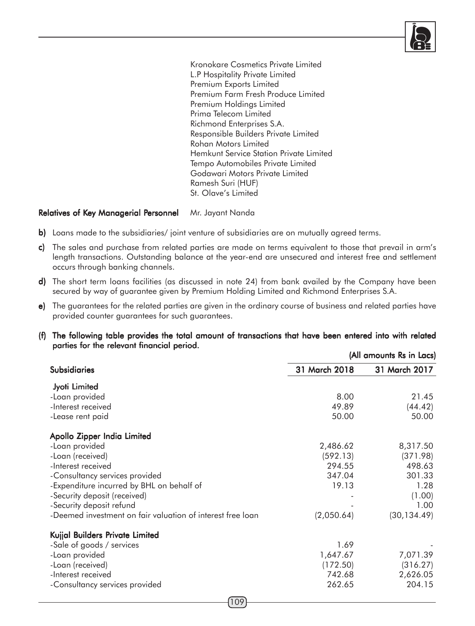

Kronokare Cosmetics Private Limited L.P Hospitality Private Limited Premium Exports Limited Premium Farm Fresh Produce Limited Premium Holdings Limited Prima Telecom Limited Richmond Enterprises S.A. Responsible Builders Private Limited Rohan Motors Limited Hemkunt Service Station Private Limited Tempo Automobiles Private Limited Godawari Motors Private Limited Ramesh Suri (HUF) St. Olave's Limited

#### Relatives of Key Managerial Personnel Mr. Jayant Nanda

- b) Loans made to the subsidiaries/ joint venture of subsidiaries are on mutually agreed terms.
- c) The sales and purchase from related parties are made on terms equivalent to those that prevail in arm's length transactions. Outstanding balance at the year-end are unsecured and interest free and settlement occurs through banking channels.
- d) The short term loans facilities (as discussed in note 24) from bank availed by the Company have been secured by way of guarantee given by Premium Holding Limited and Richmond Enterprises S.A.
- e) The guarantees for the related parties are given in the ordinary course of business and related parties have provided counter guarantees for such guarantees.

#### (f) The following table provides the total amount of transactions that have been entered into with related parties for the relevant financial period.

|                                                            |               | (All amounts Rs in Lacs) |
|------------------------------------------------------------|---------------|--------------------------|
| <b>Subsidiaries</b>                                        | 31 March 2018 | 31 March 2017            |
| Jyoti Limited                                              |               |                          |
| -Loan provided                                             | 8.00          | 21.45                    |
| -Interest received                                         | 49.89         | (44.42)                  |
| -Lease rent paid                                           | 50.00         | 50.00                    |
| Apollo Zipper India Limited                                |               |                          |
| -Loan provided                                             | 2,486.62      | 8,317.50                 |
| -Loan (received)                                           | (592.13)      | (371.98)                 |
| -Interest received                                         | 294.55        | 498.63                   |
| -Consultancy services provided                             | 347.04        | 301.33                   |
| -Expenditure incurred by BHL on behalf of                  | 19.13         | 1.28                     |
| -Security deposit (received)                               |               | (1.00)                   |
| -Security deposit refund                                   |               | 1.00                     |
| -Deemed investment on fair valuation of interest free loan | (2,050.64)    | (30, 134.49)             |
| Kujjal Builders Private Limited                            |               |                          |
| -Sale of goods / services                                  | 1.69          |                          |
| -Loan provided                                             | 1,647.67      | 7,071.39                 |
| -Loan (received)                                           | (172.50)      | (316.27)                 |
| -Interest received                                         | 742.68        | 2,626.05                 |
| -Consultancy services provided                             | 262.65        | 204.15                   |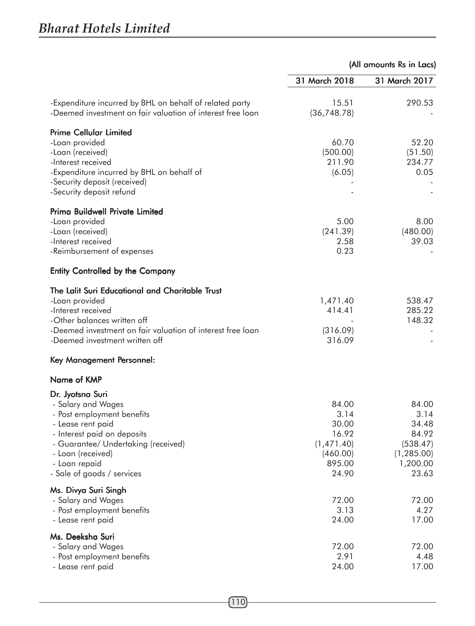|                                                                                                                       |                       | (All amounts Rs in Lacs) |
|-----------------------------------------------------------------------------------------------------------------------|-----------------------|--------------------------|
|                                                                                                                       | 31 March 2018         | 31 March 2017            |
| -Expenditure incurred by BHL on behalf of related party<br>-Deemed investment on fair valuation of interest free loan | 15.51<br>(36, 748.78) | 290.53                   |
| <b>Prime Cellular Limited</b>                                                                                         |                       |                          |
| -Loan provided                                                                                                        | 60.70                 | 52.20                    |
| -Loan (received)<br>-Interest received                                                                                | (500.00)<br>211.90    | (51.50)<br>234.77        |
| -Expenditure incurred by BHL on behalf of                                                                             | (6.05)                | 0.05                     |
| -Security deposit (received)                                                                                          |                       |                          |
| -Security deposit refund                                                                                              |                       |                          |
| Prima Buildwell Private Limited                                                                                       |                       |                          |
| -Loan provided                                                                                                        | 5.00                  | 8.00                     |
| -Loan (received)<br>-Interest received                                                                                | (241.39)<br>2.58      | (480.00)<br>39.03        |
| -Reimbursement of expenses                                                                                            | 0.23                  |                          |
|                                                                                                                       |                       |                          |
| <b>Entity Controlled by the Company</b>                                                                               |                       |                          |
| The Lalit Suri Educational and Charitable Trust                                                                       |                       |                          |
| -Loan provided                                                                                                        | 1,471.40              | 538.47                   |
| -Interest received<br>-Other balances written off                                                                     | 414.41                | 285.22<br>148.32         |
| -Deemed investment on fair valuation of interest free loan                                                            | (316.09)              |                          |
| -Deemed investment written off                                                                                        | 316.09                |                          |
| Key Management Personnel:                                                                                             |                       |                          |
| Name of KMP                                                                                                           |                       |                          |
| Dr. Jyotsna Suri                                                                                                      |                       |                          |
| - Salary and Wages                                                                                                    | 84.00                 | 84.00                    |
| - Post employment benefits                                                                                            | 3.14                  | 3.14                     |
| - Lease rent paid<br>- Interest paid on deposits                                                                      | 30.00<br>16.92        | 34.48<br>84.92           |
| - Guarantee/ Undertaking (received)                                                                                   | (1, 471.40)           | (538.47)                 |
| - Loan (received)                                                                                                     | (460.00)              | (1, 285.00)              |
| - Loan repaid                                                                                                         | 895.00                | 1,200.00                 |
| - Sale of goods / services                                                                                            | 24.90                 | 23.63                    |
| Ms. Divya Suri Singh<br>- Salary and Wages                                                                            | 72.00                 | 72.00                    |
| - Post employment benefits                                                                                            | 3.13                  | 4.27                     |
| - Lease rent paid                                                                                                     | 24.00                 | 17.00                    |
| Ms. Deeksha Suri                                                                                                      |                       |                          |
| - Salary and Wages                                                                                                    | 72.00                 | 72.00                    |
| - Post employment benefits<br>- Lease rent paid                                                                       | 2.91<br>24.00         | 4.48<br>17.00            |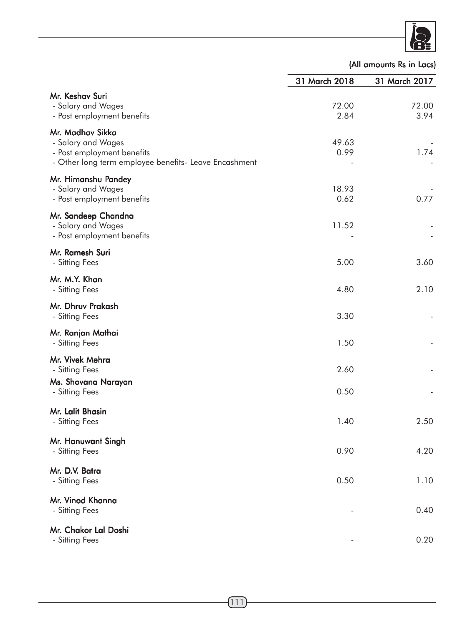

(All amounts Rs in Lacs)

|                                                                                                                               | 31 March 2018 | 31 March 2017 |
|-------------------------------------------------------------------------------------------------------------------------------|---------------|---------------|
| Mr. Keshav Suri<br>- Salary and Wages<br>- Post employment benefits                                                           | 72.00<br>2.84 | 72.00<br>3.94 |
| Mr. Madhav Sikka<br>- Salary and Wages<br>- Post employment benefits<br>- Other long term employee benefits- Leave Encashment | 49.63<br>0.99 | 1.74          |
| Mr. Himanshu Pandey<br>- Salary and Wages<br>- Post employment benefits                                                       | 18.93<br>0.62 | 0.77          |
| Mr. Sandeep Chandna<br>- Salary and Wages<br>- Post employment benefits                                                       | 11.52         |               |
| Mr. Ramesh Suri<br>- Sitting Fees                                                                                             | 5.00          | 3.60          |
| Mr. M.Y. Khan<br>- Sitting Fees                                                                                               | 4.80          | 2.10          |
| Mr. Dhruv Prakash<br>- Sitting Fees                                                                                           | 3.30          |               |
| Mr. Ranjan Mathai<br>- Sitting Fees                                                                                           | 1.50          |               |
| Mr. Vivek Mehra<br>- Sitting Fees                                                                                             | 2.60          |               |
| Ms. Shovana Narayan<br>- Sitting Fees                                                                                         | 0.50          |               |
| Mr. Lalit Bhasin<br>- Sitting Fees                                                                                            | 1.40          | 2.50          |
| Mr. Hanuwant Singh<br>- Sitting Fees                                                                                          | 0.90          | 4.20          |
| Mr. D.V. Batra<br>- Sitting Fees                                                                                              | 0.50          | 1.10          |
| Mr. Vinod Khanna<br>- Sitting Fees                                                                                            |               | 0.40          |
| Mr. Chakor Lal Doshi<br>- Sitting Fees                                                                                        |               | 0.20          |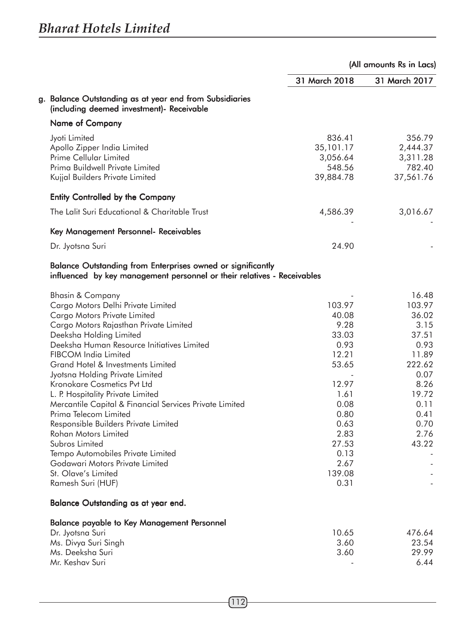|                                                                                                                                               |                                                        | (All amounts Rs in Lacs)                              |
|-----------------------------------------------------------------------------------------------------------------------------------------------|--------------------------------------------------------|-------------------------------------------------------|
|                                                                                                                                               | 31 March 2018                                          | 31 March 2017                                         |
| g. Balance Outstanding as at year end from Subsidiaries<br>(including deemed investment)- Receivable                                          |                                                        |                                                       |
| <b>Name of Company</b>                                                                                                                        |                                                        |                                                       |
| Jyoti Limited<br>Apollo Zipper India Limited<br>Prime Cellular Limited<br>Prima Buildwell Private Limited<br>Kujjal Builders Private Limited  | 836.41<br>35,101.17<br>3,056.64<br>548.56<br>39,884.78 | 356.79<br>2,444.37<br>3,311.28<br>782.40<br>37,561.76 |
| <b>Entity Controlled by the Company</b>                                                                                                       |                                                        |                                                       |
| The Lalit Suri Educational & Charitable Trust                                                                                                 | 4,586.39                                               | 3,016.67                                              |
| Key Management Personnel- Receivables                                                                                                         |                                                        |                                                       |
| Dr. Jyotsna Suri                                                                                                                              | 24.90                                                  |                                                       |
| <b>Balance Outstanding from Enterprises owned or significantly</b><br>influenced by key management personnel or their relatives - Receivables |                                                        |                                                       |
| <b>Bhasin &amp; Company</b>                                                                                                                   |                                                        | 16.48                                                 |
| Cargo Motors Delhi Private Limited                                                                                                            | 103.97                                                 | 103.97                                                |
| Cargo Motors Private Limited                                                                                                                  | 40.08                                                  | 36.02                                                 |
| Cargo Motors Rajasthan Private Limited                                                                                                        | 9.28                                                   | 3.15                                                  |
| Deeksha Holding Limited                                                                                                                       | 33.03                                                  | 37.51                                                 |
| Deeksha Human Resource Initiatives Limited<br><b>FIBCOM</b> India Limited                                                                     | 0.93<br>12.21                                          | 0.93<br>11.89                                         |
| <b>Grand Hotel &amp; Investments Limited</b>                                                                                                  | 53.65                                                  | 222.62                                                |
| Jyotsna Holding Private Limited                                                                                                               |                                                        | 0.07                                                  |
| <b>Kronokare Cosmetics Pvt Ltd</b>                                                                                                            | 12.97                                                  | 8.26                                                  |
| L. P. Hospitality Private Limited                                                                                                             | 1.61                                                   | 19.72                                                 |
| Mercantile Capital & Financial Services Private Limited                                                                                       | 0.08                                                   | 0.11                                                  |
| Prima Telecom Limited                                                                                                                         | 0.80                                                   | 0.41                                                  |
| Responsible Builders Private Limited                                                                                                          | 0.63                                                   | 0.70                                                  |
| <b>Rohan Motors Limited</b>                                                                                                                   | 2.83                                                   | 2.76                                                  |
| Subros Limited                                                                                                                                | 27.53                                                  | 43.22                                                 |
| Tempo Automobiles Private Limited                                                                                                             | 0.13                                                   |                                                       |
| Godawari Motors Private Limited                                                                                                               | 2.67                                                   |                                                       |
| St. Olave's Limited<br>Ramesh Suri (HUF)                                                                                                      | 139.08<br>0.31                                         |                                                       |
| Balance Outstanding as at year end.                                                                                                           |                                                        |                                                       |
| <b>Balance payable to Key Management Personnel</b>                                                                                            |                                                        |                                                       |
| Dr. Jyotsna Suri                                                                                                                              | 10.65                                                  | 476.64                                                |
| Ms. Divya Suri Singh                                                                                                                          | 3.60                                                   | 23.54                                                 |
| Ms. Deeksha Suri                                                                                                                              | 3.60                                                   | 29.99                                                 |
| Mr. Keshav Suri                                                                                                                               |                                                        | 6.44                                                  |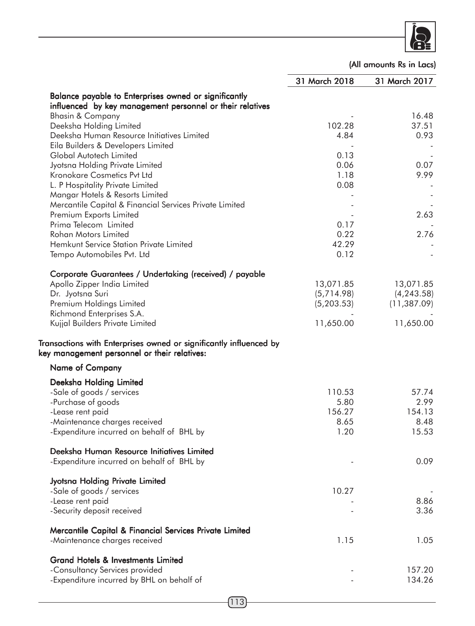

(All amounts Rs in Lacs)

|                                                                                                                                              | 31 March 2018 | 31 March 2017 |
|----------------------------------------------------------------------------------------------------------------------------------------------|---------------|---------------|
| Balance payable to Enterprises owned or significantly<br>influenced by key management personnel or their relatives                           |               |               |
| <b>Bhasin &amp; Company</b>                                                                                                                  |               | 16.48         |
| Deeksha Holding Limited                                                                                                                      | 102.28        | 37.51         |
| Deeksha Human Resource Initiatives Limited                                                                                                   | 4.84          | 0.93          |
| Eila Builders & Developers Limited                                                                                                           |               |               |
| Global Autotech Limited                                                                                                                      | 0.13          |               |
| Jyotsna Holding Private Limited                                                                                                              | 0.06          | 0.07          |
| Kronokare Cosmetics Pvt Ltd                                                                                                                  | 1.18          | 9.99          |
| L. P Hospitality Private Limited                                                                                                             | 0.08          |               |
| Mangar Hotels & Resorts Limited                                                                                                              |               |               |
| Mercantile Capital & Financial Services Private Limited                                                                                      |               |               |
| Premium Exports Limited                                                                                                                      |               | 2.63          |
| Prima Telecom Limited                                                                                                                        | 0.17          |               |
| <b>Rohan Motors Limited</b>                                                                                                                  | 0.22          | 2.76          |
| Hemkunt Service Station Private Limited                                                                                                      | 42.29         |               |
| Tempo Automobiles Pvt. Ltd                                                                                                                   | 0.12          |               |
| Corporate Guarantees / Undertaking (received) / payable                                                                                      |               |               |
| Apollo Zipper India Limited                                                                                                                  | 13,071.85     | 13,071.85     |
| Dr. Jyotsna Suri                                                                                                                             | (5,714.98)    | (4, 243.58)   |
| Premium Holdings Limited                                                                                                                     | (5,203.53)    | (11, 387.09)  |
| Richmond Enterprises S.A.                                                                                                                    |               |               |
| Kujjal Builders Private Limited                                                                                                              | 11,650.00     | 11,650.00     |
| Transactions with Enterprises owned or significantly influenced by<br>key management personnel or their relatives:<br><b>Name of Company</b> |               |               |
| <b>Deeksha Holding Limited</b>                                                                                                               |               |               |
| -Sale of goods / services                                                                                                                    | 110.53        | 57.74         |
| -Purchase of goods                                                                                                                           | 5.80          | 2.99          |
| -Lease rent paid                                                                                                                             | 156.27        | 154.13        |
| -Maintenance charges received                                                                                                                | 8.65          | 8.48          |
| -Expenditure incurred on behalf of BHL by                                                                                                    | 1.20          | 15.53         |
| Deeksha Human Resource Initiatives Limited                                                                                                   |               |               |
| -Expenditure incurred on behalf of BHL by                                                                                                    |               | 0.09          |
| Jyotsna Holding Private Limited                                                                                                              |               |               |
| -Sale of goods / services                                                                                                                    | 10.27         |               |
| -Lease rent paid                                                                                                                             |               | 8.86          |
| -Security deposit received                                                                                                                   |               | 3.36          |
| <b>Mercantile Capital &amp; Financial Services Private Limited</b>                                                                           |               |               |
| -Maintenance charges received                                                                                                                | 1.15          | 1.05          |
| <b>Grand Hotels &amp; Investments Limited</b>                                                                                                |               |               |
| -Consultancy Services provided                                                                                                               |               | 157.20        |
| -Expenditure incurred by BHL on behalf of                                                                                                    |               | 134.26        |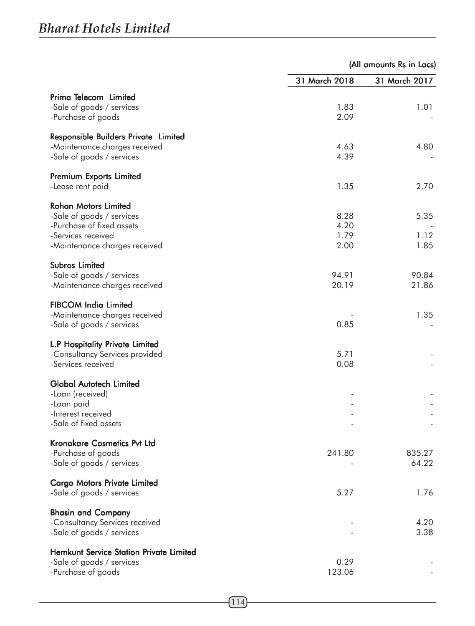## *Bharat Hotels Limited*

|                                                |               | (All amounts Rs in Lacs) |
|------------------------------------------------|---------------|--------------------------|
|                                                | 31 March 2018 | 31 March 2017            |
| Prima Telecom Limited                          |               |                          |
| -Sale of goods / services                      | 1.83          | 1.01                     |
| -Purchase of goods                             | 2.09          |                          |
| <b>Responsible Builders Private Limited</b>    |               |                          |
| -Maintenance charges received                  | 4.63          | 4.80                     |
| -Sale of goods / services                      | 4.39          |                          |
|                                                |               |                          |
| Premium Exports Limited                        |               |                          |
| -Lease rent paid                               | 1.35          | 2.70                     |
| <b>Rohan Motors Limited</b>                    |               |                          |
| -Sale of goods / services                      | 8.28          | 5.35                     |
| -Purchase of fixed assets                      | 4.20          |                          |
| -Services received                             | 1.79          | 1.12                     |
| -Maintenance charges received                  | 2.00          | 1.85                     |
| <b>Subros Limited</b>                          |               |                          |
| -Sale of goods / services                      | 94.91         | 90.84                    |
| -Maintenance charges received                  | 20.19         | 21.86                    |
|                                                |               |                          |
| <b>FIBCOM India Limited</b>                    |               |                          |
| -Maintenance charges received                  |               | 1.35                     |
| -Sale of goods / services                      | 0.85          |                          |
| <b>L.P Hospitality Private Limited</b>         |               |                          |
| -Consultancy Services provided                 | 5.71          |                          |
| -Services received                             | 0.08          |                          |
| <b>Global Autotech Limited</b>                 |               |                          |
| -Loan (received)                               |               |                          |
| -Loan paid                                     |               |                          |
| -Interest received                             |               |                          |
| -Sale of fixed assets                          |               |                          |
| <b>Kronokare Cosmetics Pvt Ltd</b>             |               |                          |
| -Purchase of goods                             | 241.80        | 835.27                   |
| -Sale of goods / services                      |               | 64.22                    |
| <b>Cargo Motors Private Limited</b>            |               |                          |
| -Sale of goods / services                      | 5.27          | 1.76                     |
|                                                |               |                          |
| <b>Bhasin and Company</b>                      |               |                          |
| -Consultancy Services received                 |               | 4.20                     |
| -Sale of goods / services                      |               | 3.38                     |
| <b>Hemkunt Service Station Private Limited</b> |               |                          |
| -Sale of goods / services                      | 0.29          |                          |
| -Purchase of goods                             | 123.06        |                          |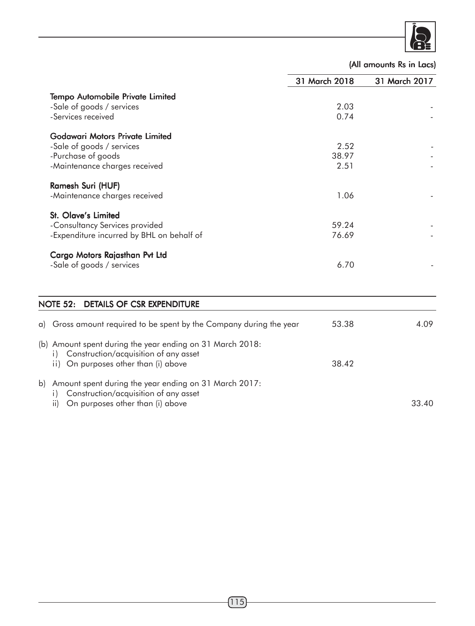

(All amounts Rs in Lacs)

|                                                                                                          | 31 March 2018 | 31 March 2017 |
|----------------------------------------------------------------------------------------------------------|---------------|---------------|
| Tempo Automobile Private Limited<br>-Sale of goods / services<br>-Services received                      | 2.03<br>0.74  |               |
|                                                                                                          |               |               |
| <b>Godawari Motors Private Limited</b>                                                                   |               |               |
| -Sale of goods / services                                                                                | 2.52<br>38.97 |               |
| -Purchase of goods<br>-Maintenance charges received                                                      | 2.51          |               |
|                                                                                                          |               |               |
| Ramesh Suri (HUF)<br>-Maintenance charges received                                                       | 1.06          |               |
| <b>St. Olave's Limited</b>                                                                               |               |               |
| -Consultancy Services provided                                                                           | 59.24         |               |
| -Expenditure incurred by BHL on behalf of                                                                | 76.69         |               |
| Cargo Motors Rajasthan Pvt Ltd                                                                           |               |               |
| -Sale of goods / services                                                                                | 6.70          |               |
|                                                                                                          |               |               |
| <b>NOTE 52:</b><br><b>DETAILS OF CSR EXPENDITURE</b>                                                     |               |               |
| a) Gross amount required to be spent by the Company during the year                                      | 53.38         | 4.09          |
| (b) Amount spent during the year ending on 31 March 2018:<br>Construction/acquisition of any asset<br>i) |               |               |
| ii) On purposes other than (i) above                                                                     | 38.42         |               |
| b) Amount spent during the year ending on 31 March 2017:                                                 |               |               |
| Construction/acquisition of any asset<br>i)                                                              |               |               |
| On purposes other than (i) above<br>ii)                                                                  |               | 33.40         |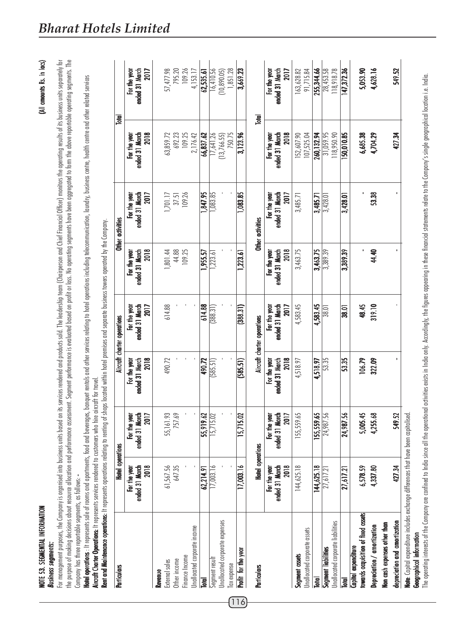| I<br>١<br>i | ; |
|-------------|---|
|             |   |

# (All amounts Rs. in lacs)

the purpose of making decisions about resource allocation and performance assument be select incological base. No operating segments have been aggregated to form the above reportable operating segments. The For management purposes, the Company is organised into business units based on its services rendered and products sold. The leadership team (Chairperson and Chief Financial Officer) monitors the operating results of its bu For management purposes, the Company is organised into business units based on its services rended and products sold. The leadership team (Chairperson and Chief Financial Officer) monitors the operating results of its busi the purpose of making decisions about essourion and performance assessment. Segment performance is evaluated bon profit or loss. No operating segments have been aggregated to form the above reportable operating segments. T Company has three reportable segments, as follows: -Company has three reportable segments, as follows: -

**Hotel operations** : It represents sale of rooms and apartments, food and beverages, banquert entils and other services relating to hotel operations including telecommunication, loundry, business centre, health centre and **Hotel operations** : It represents sale of rooms and aportments, food and beverages, banquet rentals and other services redating to hotel operations including telecommunication, business centre, health centre and other rel Aircraft Charter Operations: It represents services rendered to customers who hire aircraft for travel. Aircraft Charter Operations: It represents services rendered to customers who hire aircraft for travel.

Rent and Maintenance operations: It represents operations relating to renting of shops located within hotel premises and separate business towers operated by the Company. **Rent and Maintenance operations:** It represents operations relating to renting of shops located within hotel premises and separate business towers operated by the Company.

| Particulars                                                                                  | <b>Hotel</b> operations                |                                         |                                        | Aircraft charter operations            |                                        | Other activities                       | <b>Total</b>                           |                                        |
|----------------------------------------------------------------------------------------------|----------------------------------------|-----------------------------------------|----------------------------------------|----------------------------------------|----------------------------------------|----------------------------------------|----------------------------------------|----------------------------------------|
|                                                                                              | 2018<br>ended 31 March<br>For the year | ended 31 March<br>2017<br>the year<br>로 | 2018<br>ended 31 March<br>For the year | ended 31 March<br>2017<br>For the year | 2018<br>ended 31 March<br>For the year | ended 31 March<br>2017<br>For the year | 2018<br>ended 31 March<br>For the year | ended 31 March<br>2017<br>For the year |
| Revenue                                                                                      |                                        |                                         |                                        |                                        |                                        |                                        |                                        |                                        |
| External sales                                                                               | 61,567.56                              | 55,161.93                               | 490.72                                 | 614.88                                 | 1,801.44                               | 1,701.17                               | 63,859.72                              | 57,477.98                              |
| Other income                                                                                 | 647.35                                 | 757.69                                  |                                        |                                        | 44.88                                  | 37.51                                  | 692.23                                 | 795.20                                 |
| Finance Income                                                                               |                                        |                                         |                                        |                                        | 109.25                                 | 109.26                                 | 109.25                                 | 109.26                                 |
| Unallocated corporate income                                                                 |                                        |                                         |                                        |                                        |                                        |                                        | 2,176.42                               | 4,153.17                               |
| <b>Lotal</b>                                                                                 | 62,214.91                              | 919.62<br>55                            | 490.72                                 | 614.88                                 | 1,955.57                               | 1,847.95                               | 66,837.62                              | 62,535.6                               |
| Segment result                                                                               | $17,003.\overline{16}$                 | 715.02<br>$\overline{c}$                | (585.51)                               | (388.31)                               | 1,223.6                                | 1,083.85                               | 17,641.26                              | 16,410.56                              |
| Unallocated corporate expenses                                                               |                                        |                                         |                                        |                                        |                                        |                                        | (13,766.55)                            | (10, 890.05)                           |
| lax expense                                                                                  |                                        |                                         |                                        |                                        |                                        |                                        | 750.75                                 | 1,851.28                               |
| Profit for the year                                                                          | 17,003.16                              | 15,715.02                               | (585.51)                               | (388.31)                               | 1,223.61                               | 1,083.85                               | 3,123.96                               | 3,669.23                               |
| Particulars                                                                                  | <b>Hotel operations</b>                |                                         |                                        | Aircraft charter operations            |                                        | Other activities                       | Total                                  |                                        |
|                                                                                              | For the year                           | the year<br>호                           | For the year                           | For the year                           | For the year                           | For the year                           | For the year                           | For the year                           |
|                                                                                              | 2018<br>ended 31 March                 | ended 31 March<br>2017                  | 2018<br>ended 31 March                 | ended 31 March<br>2017                 | 2018<br>ended 31 March                 | ended 31 March<br>2017                 | 2018<br>ended 31 March                 | ended 31 March<br>2017                 |
| Segment assets                                                                               | 144,625.18                             | 559.65<br>155                           | 4,518.97                               | 4,583.45                               | 3,463.75                               | 3,485.71                               | 152,607.90                             | 163,628.82                             |
| Unallocated corporate assets                                                                 |                                        |                                         |                                        |                                        |                                        |                                        | 107,525.04                             | 91,715.84                              |
| <b>Total</b>                                                                                 | 144,625.18                             | 559.65<br>155                           | 4,518.97                               | 4,583.45                               | 3,463.75                               | 3,485.71                               | 260,132.94                             | 255,344.66                             |
| Segment liabilities                                                                          | 27,617.21                              | 987.56<br>24                            | 53.35                                  | 38.01                                  | 3,389.39                               | 3,428.0                                | 31,059.95                              | 28,453.58                              |
| Unallocated corporate liabilities                                                            |                                        |                                         |                                        |                                        |                                        |                                        | 118,950.90                             | 118,918.78                             |
| <b>Tag</b>                                                                                   | 27,617.21                              | ,987.56<br>$\mathbf{z}$                 | 53.35                                  | 38.01                                  | 3,389.39                               | 3,428.01                               | 50,010.85                              | 47,372.36                              |
| Capital expenditure                                                                          |                                        |                                         |                                        |                                        |                                        |                                        |                                        |                                        |
| towards acquisition of fixed assets                                                          | 6,578.59                               | ,005.45                                 | 106.79                                 | 48.45                                  |                                        |                                        | 6,685.38                               | 5,053.90                               |
| Depreciation / amortization                                                                  | 4,337.80                               | ,255.68                                 | 322.09                                 | 319.10                                 | 44.40                                  | 53.38                                  | 4,704.29                               | 4,628.16                               |
| Non cash expenses other than                                                                 |                                        |                                         |                                        |                                        |                                        |                                        |                                        |                                        |
| depreciation and amortization                                                                | 427.34                                 | 549.52                                  |                                        |                                        |                                        |                                        | 427.34                                 | 549.52                                 |
| Note: Capital expenditure includes exchange differences that have been capitalised<br>ر<br>د |                                        |                                         |                                        |                                        |                                        |                                        |                                        |                                        |

116

# **COLDEDIAL IBJICABLESS** Geographical information

The operating interests of the Company are confined to India since all the operational activities exists in India only. Accordingly, the figures appearing in these financial statements relate to the Company's single geogra The operating interests of the Company are confined to India since all the operational activities exists in India only. Accordingly, the figures oppearing in these financial stretures to the Company's single geographical l

### *Bharat Hotels Limited*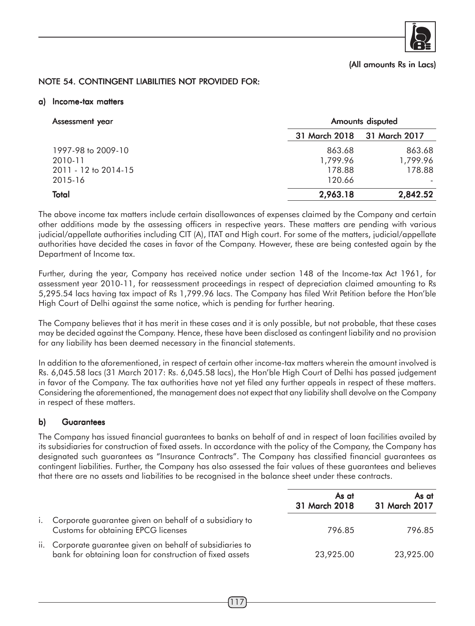#### NOTE 54. CONTINGENT LIABILITIES NOT PROVIDED FOR:

#### a) Income-tax matters

| Assessment year      |          | <b>Amounts disputed</b>     |
|----------------------|----------|-----------------------------|
|                      |          | 31 March 2018 31 March 2017 |
| 1997-98 to 2009-10   | 863.68   | 863.68                      |
| 2010-11              | 1,799.96 | 1,799.96                    |
| 2011 - 12 to 2014-15 | 178.88   | 178.88                      |
| 2015-16              | 120.66   |                             |
| Total                | 2,963.18 | 2,842.52                    |

The above income tax matters include certain disallowances of expenses claimed by the Company and certain other additions made by the assessing officers in respective years. These matters are pending with various judicial/appellate authorities including CIT (A), ITAT and High court. For some of the matters, judicial/appellate authorities have decided the cases in favor of the Company. However, these are being contested again by the Department of Income tax.

Further, during the year, Company has received notice under section 148 of the Income-tax Act 1961, for assessment year 2010-11, for reassessment proceedings in respect of depreciation claimed amounting to Rs 5,295.54 lacs having tax impact of Rs 1,799.96 lacs. The Company has filed Writ Petition before the Hon'ble High Court of Delhi against the same notice, which is pending for further hearing.

The Company believes that it has merit in these cases and it is only possible, but not probable, that these cases may be decided against the Company. Hence, these have been disclosed as contingent liability and no provision for any liability has been deemed necessary in the financial statements.

In addition to the aforementioned, in respect of certain other income-tax matters wherein the amount involved is Rs. 6,045.58 lacs (31 March 2017: Rs. 6,045.58 lacs), the Hon'ble High Court of Delhi has passed judgement in favor of the Company. The tax authorities have not yet filed any further appeals in respect of these matters. Considering the aforementioned, the management does not expect that any liability shall devolve on the Company in respect of these matters.

#### b) Guarantees

The Company has issued financial guarantees to banks on behalf of and in respect of loan facilities availed by its subsidiaries for construction of fixed assets. In accordance with the policy of the Company, the Company has designated such guarantees as "Insurance Contracts". The Company has classified financial guarantees as contingent liabilities. Further, the Company has also assessed the fair values of these guarantees and believes that there are no assets and liabilities to be recognised in the balance sheet under these contracts.

|    |                                                                                                                        | As at<br>31 March 2018 | As at<br>31 March 2017 |
|----|------------------------------------------------------------------------------------------------------------------------|------------------------|------------------------|
| i. | Corporate guarantee given on behalf of a subsidiary to<br>Customs for obtaining EPCG licenses                          | 796.85                 | 796.85                 |
|    | ii. Corporate guarantee given on behalf of subsidiaries to<br>bank for obtaining loan for construction of fixed assets | 23,925.00              | 23,925.00              |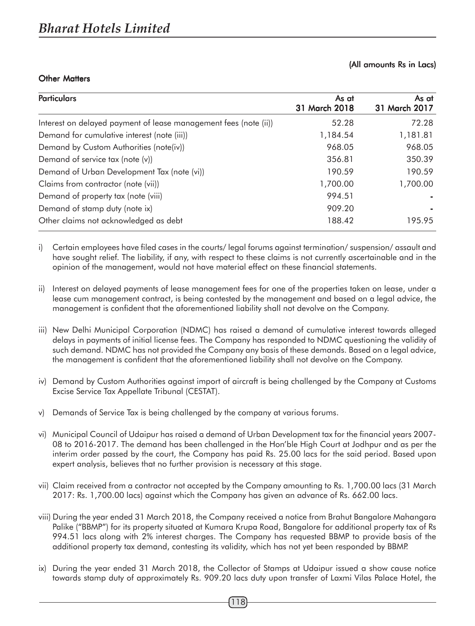#### (All amounts Rs in Lacs)

#### **Other Matters**

| <b>Particulars</b>                                               | As at<br>31 March 2018 | As at<br>31 March 2017 |
|------------------------------------------------------------------|------------------------|------------------------|
| Interest on delayed payment of lease management fees (note (ii)) | 52.28                  | 72.28                  |
| Demand for cumulative interest (note (iii))                      | 1,184.54               | 1,181.81               |
| Demand by Custom Authorities (note(iv))                          | 968.05                 | 968.05                 |
| Demand of service tax (note (v))                                 | 356.81                 | 350.39                 |
| Demand of Urban Development Tax (note (vi))                      | 190.59                 | 190.59                 |
| Claims from contractor (note (vii))                              | 1,700.00               | 1,700.00               |
| Demand of property tax (note (viii)                              | 994.51                 |                        |
| Demand of stamp duty (note ix)                                   | 909.20                 |                        |
| Other claims not acknowledged as debt                            | 188.42                 | 195.95                 |

i) Certain employees have filed cases in the courts/ legal forums against termination/ suspension/ assault and have sought relief. The liability, if any, with respect to these claims is not currently ascertainable and in the opinion of the management, would not have material effect on these financial statements.

- ii) Interest on delayed payments of lease management fees for one of the properties taken on lease, under a lease cum management contract, is being contested by the management and based on a legal advice, the management is confident that the aforementioned liability shall not devolve on the Company.
- iii) New Delhi Municipal Corporation (NDMC) has raised a demand of cumulative interest towards alleged delays in payments of initial license fees. The Company has responded to NDMC questioning the validity of such demand. NDMC has not provided the Company any basis of these demands. Based on a legal advice, the management is confident that the aforementioned liability shall not devolve on the Company.
- iv) Demand by Custom Authorities against import of aircraft is being challenged by the Company at Customs Excise Service Tax Appellate Tribunal (CESTAT).
- v) Demands of Service Tax is being challenged by the company at various forums.
- vi) Municipal Council of Udaipur has raised a demand of Urban Development tax for the financial years 2007- 08 to 2016-2017. The demand has been challenged in the Hon'ble High Court at Jodhpur and as per the interim order passed by the court, the Company has paid Rs. 25.00 lacs for the said period. Based upon expert analysis, believes that no further provision is necessary at this stage.
- vii) Claim received from a contractor not accepted by the Company amounting to Rs. 1,700.00 lacs (31 March 2017: Rs. 1,700.00 lacs) against which the Company has given an advance of Rs. 662.00 lacs.
- viii) During the year ended 31 March 2018, the Company received a notice from Brahut Bangalore Mahangara Palike ("BBMP") for its property situated at Kumara Krupa Road, Bangalore for additional property tax of Rs 994.51 lacs along with 2% interest charges. The Company has requested BBMP to provide basis of the additional property tax demand, contesting its validity, which has not yet been responded by BBMP.
- ix) During the year ended 31 March 2018, the Collector of Stamps at Udaipur issued a show cause notice towards stamp duty of approximately Rs. 909.20 lacs duty upon transfer of Laxmi Vilas Palace Hotel, the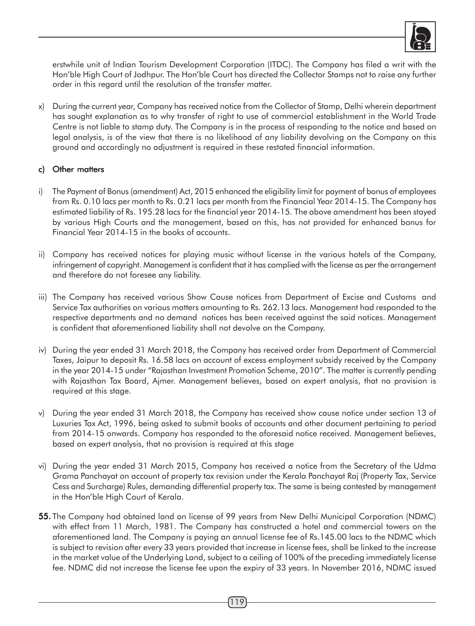

erstwhile unit of Indian Tourism Development Corporation (ITDC). The Company has filed a writ with the Hon'ble High Court of Jodhpur. The Hon'ble Court has directed the Collector Stamps not to raise any further order in this regard until the resolution of the transfer matter.

x) During the current year, Company has received notice from the Collector of Stamp, Delhi wherein department has sought explanation as to why transfer of right to use of commercial establishment in the World Trade Centre is not liable to stamp duty. The Company is in the process of responding to the notice and based on legal analysis, is of the view that there is no likelihood of any liability devolving on the Company on this ground and accordingly no adjustment is required in these restated financial information.

#### c) Other matters

- i) The Payment of Bonus (amendment) Act, 2015 enhanced the eligibility limit for payment of bonus of employees from Rs. 0.10 lacs per month to Rs. 0.21 lacs per month from the Financial Year 2014-15. The Company has estimated liability of Rs. 195.28 lacs for the financial year 2014-15. The above amendment has been stayed by various High Courts and the management, based on this, has not provided for enhanced bonus for Financial Year 2014-15 in the books of accounts.
- ii) Company has received notices for playing music without license in the various hotels of the Company, infringement of copyright. Management is confident that it has complied with the license as per the arrangement and therefore do not foresee any liability.
- iii) The Company has received various Show Cause notices from Department of Excise and Customs and Service Tax authorities on various matters amounting to Rs. 262.13 lacs. Management had responded to the respective departments and no demand notices has been received against the said notices. Management is confident that aforementioned liability shall not devolve on the Company.
- iv) During the year ended 31 March 2018, the Company has received order from Department of Commercial Taxes, Jaipur to deposit Rs. 16.58 lacs on account of excess employment subsidy received by the Company in the year 2014-15 under "Rajasthan Investment Promotion Scheme, 2010". The matter is currently pending with Rajasthan Tax Board, Ajmer. Management believes, based on expert analysis, that no provision is required at this stage.
- v) During the year ended 31 March 2018, the Company has received show cause notice under section 13 of Luxuries Tax Act, 1996, being asked to submit books of accounts and other document pertaining to period from 2014-15 onwards. Company has responded to the aforesaid notice received. Management believes, based on expert analysis, that no provision is required at this stage
- vi) During the year ended 31 March 2015, Company has received a notice from the Secretary of the Udma Grama Panchayat on account of property tax revision under the Kerala Panchayat Raj (Property Tax, Service Cess and Surcharge) Rules, demanding differential property tax. The same is being contested by management in the Hon'ble High Court of Kerala.
- 55. The Company had obtained land on license of 99 years from New Delhi Municipal Corporation (NDMC) with effect from 11 March, 1981. The Company has constructed a hotel and commercial towers on the aforementioned land. The Company is paying an annual license fee of Rs.145.00 lacs to the NDMC which is subject to revision after every 33 years provided that increase in license fees, shall be linked to the increase in the market value of the Underlying Land, subject to a ceiling of 100% of the preceding immediately license fee. NDMC did not increase the license fee upon the expiry of 33 years. In November 2016, NDMC issued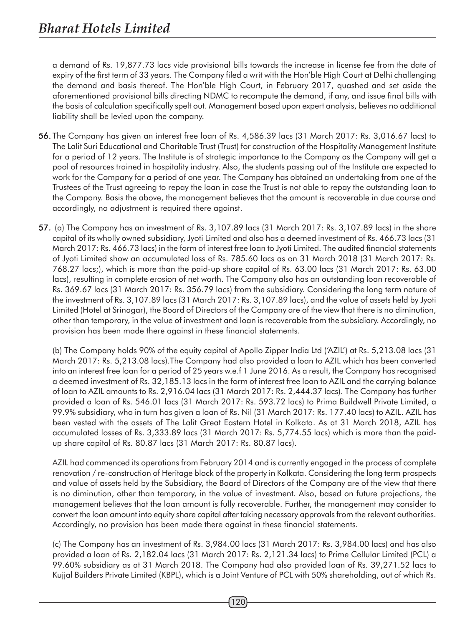a demand of Rs. 19,877.73 lacs vide provisional bills towards the increase in license fee from the date of expiry of the first term of 33 years. The Company filed a writ with the Hon'ble High Court at Delhi challenging the demand and basis thereof. The Hon'ble High Court, in February 2017, quashed and set aside the aforementioned provisional bills directing NDMC to recompute the demand, if any, and issue final bills with the basis of calculation specifically spelt out. Management based upon expert analysis, believes no additional liability shall be levied upon the company.

- **56.** The Company has given an interest free loan of Rs. 4,586.39 lacs (31 March 2017: Rs. 3,016.67 lacs) to The Lalit Suri Educational and Charitable Trust (Trust) for construction of the Hospitality Management Institute for a period of 12 years. The Institute is of strategic importance to the Company as the Company will get a pool of resources trained in hospitality industry. Also, the students passing out of the Institute are expected to work for the Company for a period of one year. The Company has obtained an undertaking from one of the Trustees of the Trust agreeing to repay the loan in case the Trust is not able to repay the outstanding loan to the Company. Basis the above, the management believes that the amount is recoverable in due course and accordingly, no adjustment is required there against.
- 57. (a) The Company has an investment of Rs. 3,107.89 lacs (31 March 2017: Rs. 3,107.89 lacs) in the share capital of its wholly owned subsidiary, Jyoti Limited and also has a deemed investment of Rs. 466.73 lacs (31 March 2017: Rs. 466.73 lacs) in the form of interest free loan to Jyoti Limited. The audited financial statements of Jyoti Limited show an accumulated loss of Rs. 785.60 lacs as on 31 March 2018 (31 March 2017: Rs. 768.27 lacs;), which is more than the paid-up share capital of Rs. 63.00 lacs (31 March 2017: Rs. 63.00 lacs), resulting in complete erosion of net worth. The Company also has an outstanding loan recoverable of Rs. 369.67 lacs (31 March 2017: Rs. 356.79 lacs) from the subsidiary. Considering the long term nature of the investment of Rs. 3,107.89 lacs (31 March 2017: Rs. 3,107.89 lacs), and the value of assets held by Jyoti Limited (Hotel at Srinagar), the Board of Directors of the Company are of the view that there is no diminution, other than temporary, in the value of investment and loan is recoverable from the subsidiary. Accordingly, no provision has been made there against in these financial statements.

(b) The Company holds 90% of the equity capital of Apollo Zipper India Ltd ('AZIL') at Rs. 5,213.08 lacs (31 March 2017: Rs. 5,213.08 lacs).The Company had also provided a loan to AZIL which has been converted into an interest free loan for a period of 25 years w.e.f 1 June 2016. As a result, the Company has recognised a deemed investment of Rs. 32,185.13 lacs in the form of interest free loan to AZIL and the carrying balance of loan to AZIL amounts to Rs. 2,916.04 lacs (31 March 2017: Rs. 2,444.37 lacs). The Company has further provided a loan of Rs. 546.01 lacs (31 March 2017: Rs. 593.72 lacs) to Prima Buildwell Private Limited, a 99.9% subsidiary, who in turn has given a loan of Rs. Nil (31 March 2017: Rs. 177.40 lacs) to AZIL. AZIL has been vested with the assets of The Lalit Great Eastern Hotel in Kolkata. As at 31 March 2018, AZIL has accumulated losses of Rs. 3,333.89 lacs (31 March 2017: Rs. 5,774.55 lacs) which is more than the paidup share capital of Rs. 80.87 lacs (31 March 2017: Rs. 80.87 lacs).

AZIL had commenced its operations from February 2014 and is currently engaged in the process of complete renovation / re-construction of Heritage block of the property in Kolkata. Considering the long term prospects and value of assets held by the Subsidiary, the Board of Directors of the Company are of the view that there is no diminution, other than temporary, in the value of investment. Also, based on future projections, the management believes that the loan amount is fully recoverable. Further, the management may consider to convert the loan amount into equity share capital after taking necessary approvals from the relevant authorities. Accordingly, no provision has been made there against in these financial statements.

(c) The Company has an investment of Rs. 3,984.00 lacs (31 March 2017: Rs. 3,984.00 lacs) and has also provided a loan of Rs. 2,182.04 lacs (31 March 2017: Rs. 2,121.34 lacs) to Prime Cellular Limited (PCL) a 99.60% subsidiary as at 31 March 2018. The Company had also provided loan of Rs. 39,271.52 lacs to Kujjal Builders Private Limited (KBPL), which is a Joint Venture of PCL with 50% shareholding, out of which Rs.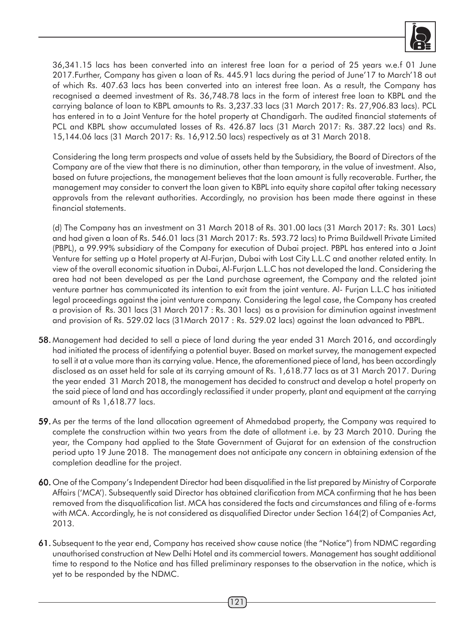

36,341.15 lacs has been converted into an interest free loan for a period of 25 years w.e.f 01 June 2017.Further, Company has given a loan of Rs. 445.91 lacs during the period of June'17 to March'18 out of which Rs. 407.63 lacs has been converted into an interest free loan. As a result, the Company has recognised a deemed investment of Rs. 36,748.78 lacs in the form of interest free loan to KBPL and the carrying balance of loan to KBPL amounts to Rs. 3,237.33 lacs (31 March 2017: Rs. 27,906.83 lacs). PCL has entered in to a Joint Venture for the hotel property at Chandigarh. The audited financial statements of PCL and KBPL show accumulated losses of Rs. 426.87 lacs (31 March 2017: Rs. 387.22 lacs) and Rs. 15,144.06 lacs (31 March 2017: Rs. 16,912.50 lacs) respectively as at 31 March 2018.

Considering the long term prospects and value of assets held by the Subsidiary, the Board of Directors of the Company are of the view that there is no diminution, other than temporary, in the value of investment. Also, based on future projections, the management believes that the loan amount is fully recoverable. Further, the management may consider to convert the loan given to KBPL into equity share capital after taking necessary approvals from the relevant authorities. Accordingly, no provision has been made there against in these financial statements.

(d) The Company has an investment on 31 March 2018 of Rs. 301.00 lacs (31 March 2017: Rs. 301 Lacs) and had given a loan of Rs. 546.01 lacs (31 March 2017: Rs. 593.72 lacs) to Prima Buildwell Private Limited (PBPL), a 99.99% subsidiary of the Company for execution of Dubai project. PBPL has entered into a Joint Venture for setting up a Hotel property at Al-Furjan, Dubai with Lost City L.L.C and another related entity. In view of the overall economic situation in Dubai, Al-Furjan L.L.C has not developed the land. Considering the area had not been developed as per the Land purchase agreement, the Company and the related joint venture partner has communicated its intention to exit from the joint venture. Al- Furjan L.L.C has initiated legal proceedings against the joint venture company. Considering the legal case, the Company has created a provision of Rs. 301 lacs (31 March 2017 : Rs. 301 lacs) as a provision for diminution against investment and provision of Rs. 529.02 lacs (31March 2017 : Rs. 529.02 lacs) against the loan advanced to PBPL.

- 58. Management had decided to sell a piece of land during the year ended 31 March 2016, and accordingly 58. had initiated the process of identifying a potential buyer. Based on market survey, the management expected to sell it at a value more than its carrying value. Hence, the aforementioned piece of land, has been accordingly disclosed as an asset held for sale at its carrying amount of Rs. 1,618.77 lacs as at 31 March 2017. During the year ended 31 March 2018, the management has decided to construct and develop a hotel property on the said piece of land and has accordingly reclassified it under property, plant and equipment at the carrying amount of Rs 1,618.77 lacs.
- 59. As per the terms of the land allocation agreement of Ahmedabad property, the Company was required to 59. complete the construction within two years from the date of allotment i.e. by 23 March 2010. During the year, the Company had applied to the State Government of Gujarat for an extension of the construction period upto 19 June 2018. The management does not anticipate any concern in obtaining extension of the completion deadline for the project.
- 60. One of the Company's Independent Director had been disqualified in the list prepared by Ministry of Corporate 60. Affairs ('MCA'). Subsequently said Director has obtained clarification from MCA confirming that he has been removed from the disqualification list. MCA has considered the facts and circumstances and filing of e-forms with MCA. Accordingly, he is not considered as disqualified Director under Section 164(2) of Companies Act, 2013.
- 61. Subsequent to the year end, Company has received show cause notice (the "Notice") from NDMC regarding unauthorised construction at New Delhi Hotel and its commercial towers. Management has sought additional time to respond to the Notice and has filled preliminary responses to the observation in the notice, which is yet to be responded by the NDMC.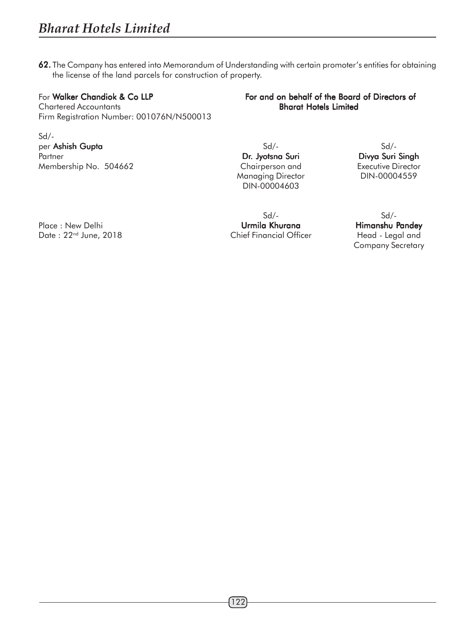62. The Company has entered into Memorandum of Understanding with certain promoter's entities for obtaining 62. the license of the land parcels for construction of property.

#### For Walker Chandiok & Co LLP For and on behalf of the Board of Directors of

Chartered Accountants Bharat Hotels Limited Firm Registration Number: 001076N/N500013

Sd/ per Ashish Gupta Sd/- Sd/- Ashish Gupta Partner **Dr. Jyotsna Suri . Dr. Divya Suri Singh** . Dr. Jyotsna Suri . Divya Suri Singh Membership No. 504662 Chairperson and Executive Director

Managing Director **DIN-00004559** DIN-00004603

Sd/- Sd/-

Place : New Delhi **National Accord Control Control Urmila Khurana Himanshu Pandey** Date : 22<sup>nd</sup> June, 2018 **Chief Financial Officer** Head - Legal and

Company Secretary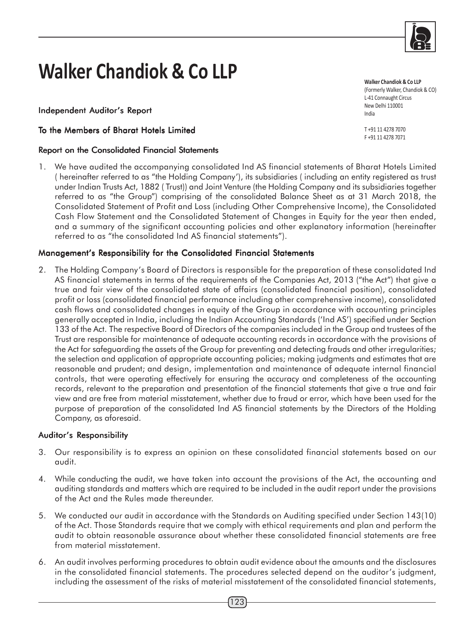

# **Walker Chandiok & Co LLP**

#### Independent Auditor's Report

#### To the Members of Bharat Hotels Limited

#### Report on the Consolidated Financial Statements

1. We have audited the accompanying consolidated Ind AS financial statements of Bharat Hotels Limited ( hereinafter referred to as "the Holding Company'), its subsidiaries ( including an entity registered as trust under Indian Trusts Act, 1882 ( Trust)) and Joint Venture (the Holding Company and its subsidiaries together referred to as "the Group") comprising of the consolidated Balance Sheet as at 31 March 2018, the Consolidated Statement of Profit and Loss (including Other Comprehensive Income), the Consolidated Cash Flow Statement and the Consolidated Statement of Changes in Equity for the year then ended, and a summary of the significant accounting policies and other explanatory information (hereinafter referred to as "the consolidated Ind AS financial statements").

#### Management's Responsibility for the Consolidated Financial Statements

2. The Holding Company's Board of Directors is responsible for the preparation of these consolidated Ind AS financial statements in terms of the requirements of the Companies Act, 2013 ("the Act") that give a true and fair view of the consolidated state of affairs (consolidated financial position), consolidated profit or loss (consolidated financial performance including other comprehensive income), consolidated cash flows and consolidated changes in equity of the Group in accordance with accounting principles generally accepted in India, including the Indian Accounting Standards ('Ind AS') specified under Section 133 of the Act. The respective Board of Directors of the companies included in the Group and trustees of the Trust are responsible for maintenance of adequate accounting records in accordance with the provisions of the Act for safeguarding the assets of the Group for preventing and detecting frauds and other irregularities; the selection and application of appropriate accounting policies; making judgments and estimates that are reasonable and prudent; and design, implementation and maintenance of adequate internal financial controls, that were operating effectively for ensuring the accuracy and completeness of the accounting records, relevant to the preparation and presentation of the financial statements that give a true and fair view and are free from material misstatement, whether due to fraud or error, which have been used for the purpose of preparation of the consolidated Ind AS financial statements by the Directors of the Holding Company, as aforesaid.

#### Auditor's Responsibility

- 3. Our responsibility is to express an opinion on these consolidated financial statements based on our audit.
- 4. While conducting the audit, we have taken into account the provisions of the Act, the accounting and auditing standards and matters which are required to be included in the audit report under the provisions of the Act and the Rules made thereunder.
- 5. We conducted our audit in accordance with the Standards on Auditing specified under Section 143(10) of the Act. Those Standards require that we comply with ethical requirements and plan and perform the audit to obtain reasonable assurance about whether these consolidated financial statements are free from material misstatement.
- 6. An audit involves performing procedures to obtain audit evidence about the amounts and the disclosures in the consolidated financial statements. The procedures selected depend on the auditor's judgment, including the assessment of the risks of material misstatement of the consolidated financial statements,

**Walker Chandiok & Co LLP** (Formerly Walker, Chandiok & CO) L-41 Connaught Circus New Delhi 110001 India

T +91 11 4278 7070 F +91 11 4278 7071

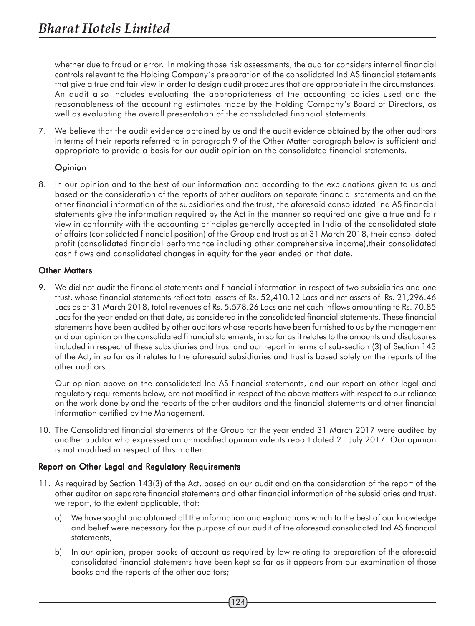whether due to fraud or error. In making those risk assessments, the auditor considers internal financial controls relevant to the Holding Company's preparation of the consolidated Ind AS financial statements that give a true and fair view in order to design audit procedures that are appropriate in the circumstances. An audit also includes evaluating the appropriateness of the accounting policies used and the reasonableness of the accounting estimates made by the Holding Company's Board of Directors, as well as evaluating the overall presentation of the consolidated financial statements.

7. We believe that the audit evidence obtained by us and the audit evidence obtained by the other auditors in terms of their reports referred to in paragraph 9 of the Other Matter paragraph below is sufficient and appropriate to provide a basis for our audit opinion on the consolidated financial statements.

#### Opinion

8. In our opinion and to the best of our information and according to the explanations given to us and based on the consideration of the reports of other auditors on separate financial statements and on the other financial information of the subsidiaries and the trust, the aforesaid consolidated Ind AS financial statements give the information required by the Act in the manner so required and give a true and fair view in conformity with the accounting principles generally accepted in India of the consolidated state of affairs (consolidated financial position) of the Group and trust as at 31 March 2018, their consolidated profit (consolidated financial performance including other comprehensive income),their consolidated cash flows and consolidated changes in equity for the year ended on that date.

#### **Other Matters**

9. We did not audit the financial statements and financial information in respect of two subsidiaries and one trust, whose financial statements reflect total assets of Rs. 52,410.12 Lacs and net assets of Rs. 21,296.46 Lacs as at 31 March 2018, total revenues of Rs. 5,578.26 Lacs and net cash inflows amounting to Rs. 70.85 Lacs for the year ended on that date, as considered in the consolidated financial statements. These financial statements have been audited by other auditors whose reports have been furnished to us by the management and our opinion on the consolidated financial statements, in so far as it relates to the amounts and disclosures included in respect of these subsidiaries and trust and our report in terms of sub-section (3) of Section 143 of the Act, in so far as it relates to the aforesaid subsidiaries and trust is based solely on the reports of the other auditors.

Our opinion above on the consolidated Ind AS financial statements, and our report on other legal and regulatory requirements below, are not modified in respect of the above matters with respect to our reliance on the work done by and the reports of the other auditors and the financial statements and other financial information certified by the Management.

10. The Consolidated financial statements of the Group for the year ended 31 March 2017 were audited by another auditor who expressed an unmodified opinion vide its report dated 21 July 2017. Our opinion is not modified in respect of this matter.

#### Report on Other Legal and Regulatory Requirements

- 11. As required by Section 143(3) of the Act, based on our audit and on the consideration of the report of the other auditor on separate financial statements and other financial information of the subsidiaries and trust, we report, to the extent applicable, that:
	- a) We have sought and obtained all the information and explanations which to the best of our knowledge and belief were necessary for the purpose of our audit of the aforesaid consolidated Ind AS financial statements;
	- b) In our opinion, proper books of account as required by law relating to preparation of the aforesaid consolidated financial statements have been kept so far as it appears from our examination of those books and the reports of the other auditors;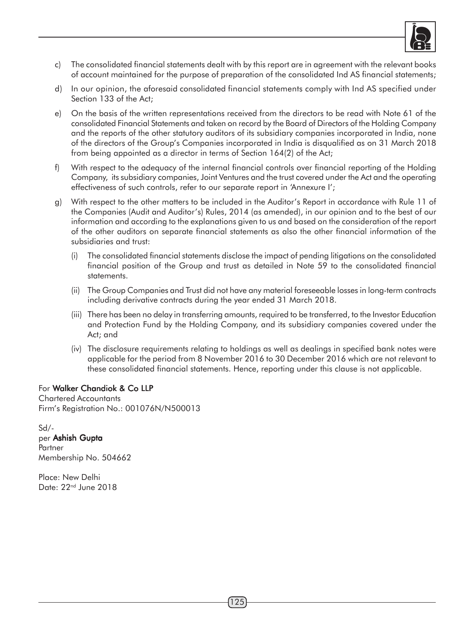

- c) The consolidated financial statements dealt with by this report are in agreement with the relevant books of account maintained for the purpose of preparation of the consolidated Ind AS financial statements;
- d) In our opinion, the aforesaid consolidated financial statements comply with Ind AS specified under Section 133 of the Act;
- e) On the basis of the written representations received from the directors to be read with Note 61 of the consolidated Financial Statements and taken on record by the Board of Directors of the Holding Company and the reports of the other statutory auditors of its subsidiary companies incorporated in India, none of the directors of the Group's Companies incorporated in India is disqualified as on 31 March 2018 from being appointed as a director in terms of Section 164(2) of the Act;
- f) With respect to the adequacy of the internal financial controls over financial reporting of the Holding Company, its subsidiary companies, Joint Ventures and the trust covered under the Act and the operating effectiveness of such controls, refer to our separate report in 'Annexure I';
- g) With respect to the other matters to be included in the Auditor's Report in accordance with Rule 11 of the Companies (Audit and Auditor's) Rules, 2014 (as amended), in our opinion and to the best of our information and according to the explanations given to us and based on the consideration of the report of the other auditors on separate financial statements as also the other financial information of the subsidiaries and trust:
	- (i) The consolidated financial statements disclose the impact of pending litigations on the consolidated financial position of the Group and trust as detailed in Note 59 to the consolidated financial statements.
	- (ii) The Group Companies and Trust did not have any material foreseeable losses in long-term contracts including derivative contracts during the year ended 31 March 2018.
	- (iii) There has been no delay in transferring amounts, required to be transferred, to the Investor Education and Protection Fund by the Holding Company, and its subsidiary companies covered under the Act; and
	- (iv) The disclosure requirements relating to holdings as well as dealings in specified bank notes were applicable for the period from 8 November 2016 to 30 December 2016 which are not relevant to these consolidated financial statements. Hence, reporting under this clause is not applicable.

#### For Walker Chandiok & Co LLP

Chartered Accountants Firm's Registration No.: 001076N/N500013

Sd/ per Ashish Gupta **Partner** Membership No. 504662

Place: New Delhi Date: 22nd June 2018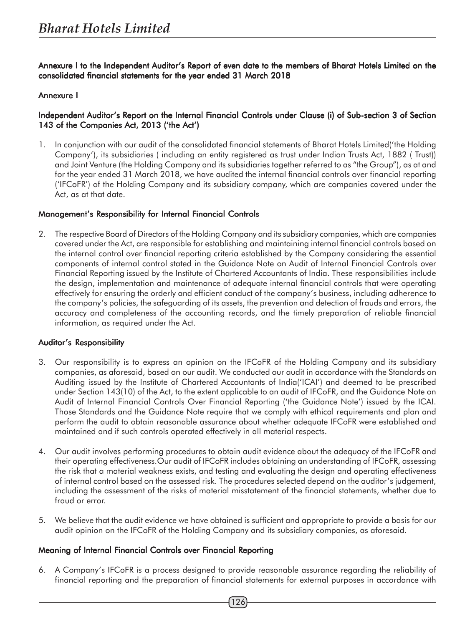Annexure I to the Independent Auditor's Report of even date to the members of Bharat Hotels Limited on the consolidated financial statements for the year ended 31 March 2018

#### Annexure I

#### Independent Auditor's Report on the Internal Financial Controls under Clause (i) of Sub-section 3 of Section 143 of the Companies Act, 2013 ('the Act')

1. In conjunction with our audit of the consolidated financial statements of Bharat Hotels Limited('the Holding Company'), its subsidiaries ( including an entity registered as trust under Indian Trusts Act, 1882 ( Trust)) and Joint Venture (the Holding Company and its subsidiaries together referred to as "the Group"), as at and for the year ended 31 March 2018, we have audited the internal financial controls over financial reporting ('IFCoFR') of the Holding Company and its subsidiary company, which are companies covered under the Act, as at that date.

#### Management's Responsibility for Internal Financial Controls

2. The respective Board of Directors of the Holding Company and its subsidiary companies, which are companies covered under the Act, are responsible for establishing and maintaining internal financial controls based on the internal control over financial reporting criteria established by the Company considering the essential components of internal control stated in the Guidance Note on Audit of Internal Financial Controls over Financial Reporting issued by the Institute of Chartered Accountants of India. These responsibilities include the design, implementation and maintenance of adequate internal financial controls that were operating effectively for ensuring the orderly and efficient conduct of the company's business, including adherence to the company's policies, the safeguarding of its assets, the prevention and detection of frauds and errors, the accuracy and completeness of the accounting records, and the timely preparation of reliable financial information, as required under the Act.

#### Auditor's Responsibility

- 3. Our responsibility is to express an opinion on the IFCoFR of the Holding Company and its subsidiary companies, as aforesaid, based on our audit. We conducted our audit in accordance with the Standards on Auditing issued by the Institute of Chartered Accountants of India('ICAI') and deemed to be prescribed under Section 143(10) of the Act, to the extent applicable to an audit of IFCoFR, and the Guidance Note on Audit of Internal Financial Controls Over Financial Reporting ('the Guidance Note') issued by the ICAI. Those Standards and the Guidance Note require that we comply with ethical requirements and plan and perform the audit to obtain reasonable assurance about whether adequate IFCoFR were established and maintained and if such controls operated effectively in all material respects.
- 4. Our audit involves performing procedures to obtain audit evidence about the adequacy of the IFCoFR and their operating effectiveness.Our audit of IFCoFR includes obtaining an understanding of IFCoFR, assessing the risk that a material weakness exists, and testing and evaluating the design and operating effectiveness of internal control based on the assessed risk. The procedures selected depend on the auditor's judgement, including the assessment of the risks of material misstatement of the financial statements, whether due to fraud or error.
- 5. We believe that the audit evidence we have obtained is sufficient and appropriate to provide a basis for our audit opinion on the IFCoFR of the Holding Company and its subsidiary companies, as aforesaid.

#### Meaning of Internal Financial Controls over Financial Reporting

6. A Company's IFCoFR is a process designed to provide reasonable assurance regarding the reliability of financial reporting and the preparation of financial statements for external purposes in accordance with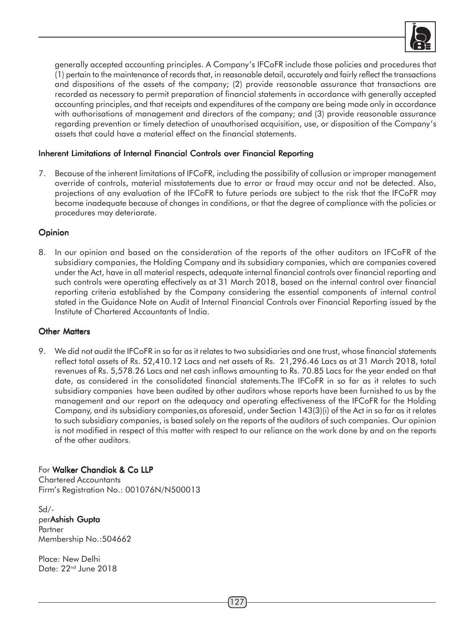

generally accepted accounting principles. A Company's IFCoFR include those policies and procedures that (1) pertain to the maintenance of records that, in reasonable detail, accurately and fairly reflect the transactions and dispositions of the assets of the company; (2) provide reasonable assurance that transactions are recorded as necessary to permit preparation of financial statements in accordance with generally accepted accounting principles, and that receipts and expenditures of the company are being made only in accordance with authorisations of management and directors of the company; and (3) provide reasonable assurance regarding prevention or timely detection of unauthorised acquisition, use, or disposition of the Company's assets that could have a material effect on the financial statements.

#### Inherent Limitations of Internal Financial Controls over Financial Reporting

7. Because of the inherent limitations of IFCoFR, including the possibility of collusion or improper management override of controls, material misstatements due to error or fraud may occur and not be detected. Also, projections of any evaluation of the IFCoFR to future periods are subject to the risk that the IFCoFR may become inadequate because of changes in conditions, or that the degree of compliance with the policies or procedures may deteriorate.

#### Opinion

8. In our opinion and based on the consideration of the reports of the other auditors on IFCoFR of the subsidiary companies, the Holding Company and its subsidiary companies, which are companies covered under the Act, have in all material respects, adequate internal financial controls over financial reporting and such controls were operating effectively as at 31 March 2018, based on the internal control over financial reporting criteria established by the Company considering the essential components of internal control stated in the Guidance Note on Audit of Internal Financial Controls over Financial Reporting issued by the Institute of Chartered Accountants of India.

#### **Other Matters**

9. We did not audit the IFCoFR in so far as it relates to two subsidiaries and one trust, whose financial statements reflect total assets of Rs. 52,410.12 Lacs and net assets of Rs. 21,296.46 Lacs as at 31 March 2018, total revenues of Rs. 5,578.26 Lacs and net cash inflows amounting to Rs. 70.85 Lacs for the year ended on that date, as considered in the consolidated financial statements.The IFCoFR in so far as it relates to such subsidiary companies have been audited by other auditors whose reports have been furnished to us by the management and our report on the adequacy and operating effectiveness of the IFCoFR for the Holding Company, and its subsidiary companies,as aforesaid, under Section 143(3)(i) of the Act in so far as it relates to such subsidiary companies, is based solely on the reports of the auditors of such companies. Our opinion is not modified in respect of this matter with respect to our reliance on the work done by and on the reports of the other auditors.

#### For Walker Chandiok & Co LLP

Chartered Accountants Firm's Registration No.: 001076N/N500013

Sd/ perAshish Gupta **Partner** Membership No.:504662

Place: New Delhi Date: 22<sup>nd</sup> June 2018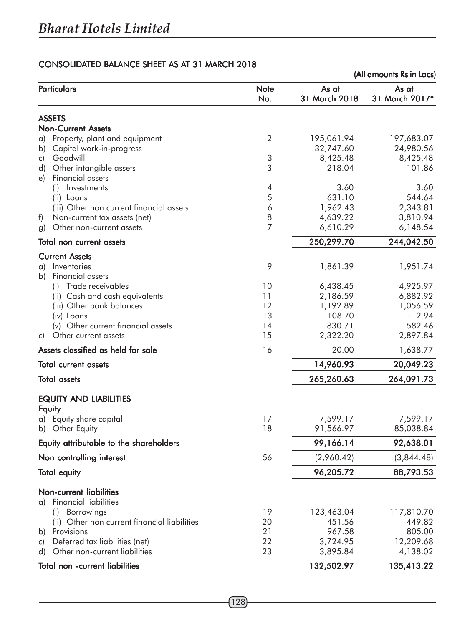#### CONSOLIDATED BALANCE SHEET AS AT 31 MARCH 2018

|                                                              |                    |                        | (All amounts Rs in Lacs) |
|--------------------------------------------------------------|--------------------|------------------------|--------------------------|
| <b>Particulars</b>                                           | <b>Note</b><br>No. | As at<br>31 March 2018 | As at<br>31 March 2017*  |
| <b>ASSETS</b>                                                |                    |                        |                          |
| <b>Non-Current Assets</b>                                    |                    |                        |                          |
| Property, plant and equipment<br>a)                          | $\overline{2}$     | 195,061.94             | 197,683.07               |
| Capital work-in-progress<br>b)                               |                    | 32,747.60              | 24,980.56                |
| Goodwill<br>C)                                               | 3                  | 8,425.48               | 8,425.48                 |
| Other intangible assets<br>d)                                | 3                  | 218.04                 | 101.86                   |
| <b>Financial assets</b><br>e)                                |                    |                        |                          |
| Investments<br>(i)                                           | 4                  | 3.60                   | 3.60                     |
| (ii) Loans                                                   | 5                  | 631.10                 | 544.64                   |
| (iii) Other non current financial assets                     | 6                  | 1,962.43               | 2,343.81                 |
| f)<br>Non-current tax assets (net)                           | 8                  | 4,639.22               | 3,810.94                 |
| Other non-current assets<br>g)                               | 7                  | 6,610.29               | 6,148.54                 |
| Total non current assets                                     |                    | 250,299.70             | 244,042.50               |
| <b>Current Assets</b>                                        |                    |                        |                          |
| Inventories<br>a)                                            | 9                  | 1,861.39               | 1,951.74                 |
| <b>Financial assets</b><br>b)                                |                    |                        |                          |
| Trade receivables<br>(i)                                     | 10                 | 6,438.45               | 4,925.97                 |
| (ii) Cash and cash equivalents                               | 11                 | 2,186.59               | 6,882.92                 |
| (iii) Other bank balances                                    | 12                 | 1,192.89               | 1,056.59                 |
| (iv) Loans                                                   | 13                 | 108.70                 | 112.94                   |
| (v) Other current financial assets                           | 14                 | 830.71                 | 582.46                   |
| Other current assets<br>C)                                   | 15                 | 2,322.20               | 2,897.84                 |
| Assets classified as held for sale                           | 16                 | 20.00                  | 1,638.77                 |
| <b>Total current assets</b>                                  |                    | 14,960.93              | 20,049.23                |
| <b>Total assets</b>                                          |                    | 265,260.63             | 264,091.73               |
| <b>EQUITY AND LIABILITIES</b>                                |                    |                        |                          |
| Equity                                                       |                    |                        |                          |
| Equity share capital<br>a)                                   | 17                 | 7,599.17               | 7,599.17                 |
| Other Equity<br>b)                                           | 18                 | 91,566.97              | 85,038.84                |
| Equity attributable to the shareholders                      |                    | 99,166.14              | 92,638.01                |
| Non controlling interest                                     | 56                 | (2,960.42)             | (3,844.48)               |
| <b>Total equity</b>                                          |                    | 96,205.72              | 88,793.53                |
|                                                              |                    |                        |                          |
| <b>Non-current liabilities</b>                               |                    |                        |                          |
| <b>Financial liabilities</b><br>a)                           |                    |                        |                          |
| Borrowings<br>(i)<br>Other non current financial liabilities | 19                 | 123,463.04<br>451.56   | 117,810.70<br>449.82     |
| (ii)<br>Provisions                                           | 20<br>21           | 967.58                 | 805.00                   |
| b)<br>Deferred tax liabilities (net)                         | 22                 | 3,724.95               | 12,209.68                |
| C)<br>Other non-current liabilities<br>d)                    | 23                 | 3,895.84               | 4,138.02                 |
|                                                              |                    |                        |                          |
| <b>Total non -current liabilities</b>                        |                    | 132,502.97             | 135,413.22               |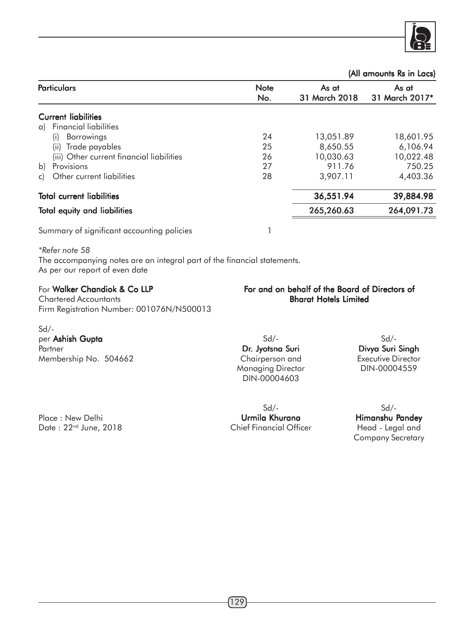

| <b>Particulars</b> |                                           | <b>Note</b><br>No. | As at<br>31 March 2018 | As at<br>31 March 2017* |
|--------------------|-------------------------------------------|--------------------|------------------------|-------------------------|
|                    | <b>Current liabilities</b>                |                    |                        |                         |
| a)                 | <b>Financial liabilities</b>              |                    |                        |                         |
| (i)                | <b>Borrowings</b>                         | 24                 | 13,051.89              | 18,601.95               |
| (ii)               | Trade payables                            | 25                 | 8,650.55               | 6,106.94                |
|                    | (iii) Other current financial liabilities | 26                 | 10,030.63              | 10,022.48               |
| b)                 | Provisions                                | 27                 | 911.76                 | 750.25                  |
| C)                 | Other current liabilities                 | 28                 | 3,907.11               | 4,403.36                |
|                    | <b>Total current liabilities</b>          |                    | 36,551.94              | 39,884.98               |
|                    | <b>Total equity and liabilities</b>       |                    | 265,260.63             | 264,091.73              |
|                    |                                           |                    |                        |                         |

Summary of significant accounting policies 1

*\*Refer note 58*

The accompanying notes are an integral part of the financial statements. As per our report of even date

#### For Walker Chandiok & Co LLP For and on behalf of the Board of Directors of

Chartered Accountants Bharat Hotels Limited Firm Registration Number: 001076N/N500013

Sd/-

per Ashish Gupta Sd/- Sd/- Gupta Partner **Dr. Jyotsna Suri . Dr. Divya Suri Singh** Membership No. 504662 Chairperson and Executive Director

Place : New Delhi Urmila Khurana Himanshu Pandey Date : 22<sup>nd</sup> June, 2018 **Chief Financial Officer** Head - Legal and

Managing Director DIN-00004559 DIN-00004603

Sd/- Sd/-

Company Secretary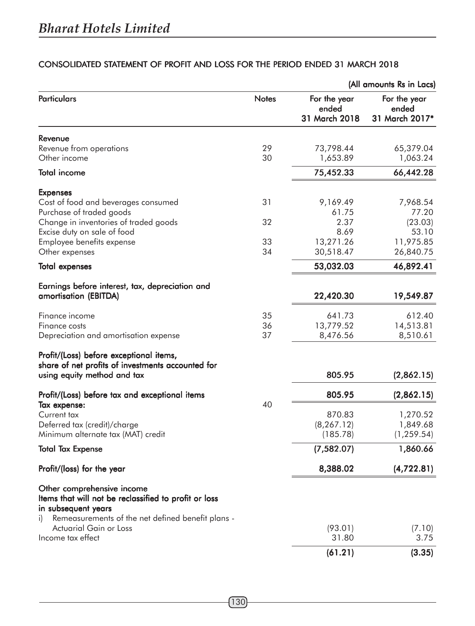#### CONSOLIDATED STATEMENT OF PROFIT AND LOSS FOR THE PERIOD ENDED 31 MARCH 2018

|                                                                                                                             |              |                                        | (All amounts Rs in Lacs)                |
|-----------------------------------------------------------------------------------------------------------------------------|--------------|----------------------------------------|-----------------------------------------|
| <b>Particulars</b>                                                                                                          | <b>Notes</b> | For the year<br>ended<br>31 March 2018 | For the year<br>ended<br>31 March 2017* |
| Revenue                                                                                                                     |              |                                        |                                         |
| Revenue from operations                                                                                                     | 29           | 73,798.44                              | 65,379.04                               |
| Other income                                                                                                                | 30           | 1,653.89                               | 1,063.24                                |
| <b>Total income</b>                                                                                                         |              | 75,452.33                              | 66,442.28                               |
| <b>Expenses</b>                                                                                                             |              |                                        |                                         |
| Cost of food and beverages consumed                                                                                         | 31           | 9,169.49                               | 7,968.54                                |
| Purchase of traded goods                                                                                                    |              | 61.75                                  | 77.20                                   |
| Change in inventories of traded goods                                                                                       | 32           | 2.37                                   | (23.03)                                 |
| Excise duty on sale of food                                                                                                 |              | 8.69                                   | 53.10                                   |
| Employee benefits expense                                                                                                   | 33           | 13,271.26                              | 11,975.85                               |
| Other expenses                                                                                                              | 34           | 30,518.47                              | 26,840.75                               |
| <b>Total expenses</b>                                                                                                       |              | 53,032.03                              | 46,892.41                               |
| Earnings before interest, tax, depreciation and                                                                             |              |                                        |                                         |
| amortisation (EBITDA)                                                                                                       |              | 22,420.30                              | 19,549.87                               |
| Finance income                                                                                                              | 35           | 641.73                                 | 612.40                                  |
| Finance costs                                                                                                               | 36           | 13,779.52                              | 14,513.81                               |
| Depreciation and amortisation expense                                                                                       | 37           | 8,476.56                               | 8,510.61                                |
| Profit/(Loss) before exceptional items,<br>share of net profits of investments accounted for<br>using equity method and tax |              | 805.95                                 | (2,862.15)                              |
| Profit/(Loss) before tax and exceptional items                                                                              |              | 805.95                                 | (2,862.15)                              |
| Tax expense:                                                                                                                | 40           |                                        |                                         |
| Current tax                                                                                                                 |              | 870.83                                 | 1,270.52                                |
| Deferred tax (credit)/charge                                                                                                |              | (8, 267.12)                            | 1,849.68                                |
| Minimum alternate tax (MAT) credit                                                                                          |              | (185.78)                               | (1, 259.54)                             |
| <b>Total Tax Expense</b>                                                                                                    |              | (7,582.07)                             | 1,860.66                                |
| Profit/(loss) for the year                                                                                                  |              | 8,388.02                               | (4,722.81)                              |
| Other comprehensive income<br>Items that will not be reclassified to profit or loss<br>in subsequent years                  |              |                                        |                                         |
| Remeasurements of the net defined benefit plans -<br>i)                                                                     |              |                                        |                                         |
| <b>Actuarial Gain or Loss</b>                                                                                               |              | (93.01)                                | (7.10)                                  |
| Income tax effect                                                                                                           |              | 31.80                                  | 3.75                                    |
|                                                                                                                             |              | (61.21)                                | (3.35)                                  |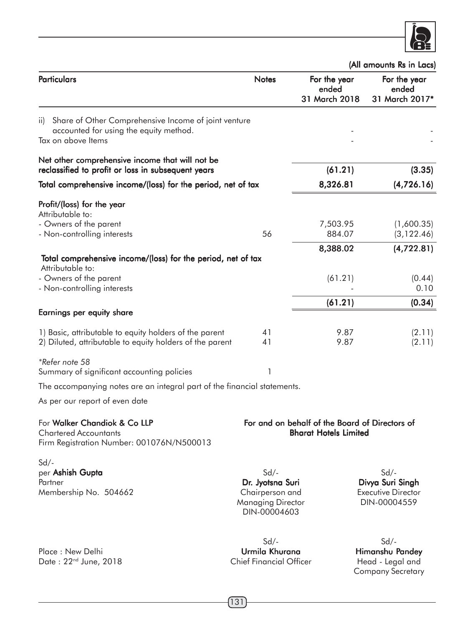

(All amounts Rs in Lacs)

| <b>Particulars</b>                                                                                                          | <b>Notes</b>                                                                       | For the year<br>ended<br>31 March 2018                                         | For the year<br>ended<br>31 March 2017*                                 |
|-----------------------------------------------------------------------------------------------------------------------------|------------------------------------------------------------------------------------|--------------------------------------------------------------------------------|-------------------------------------------------------------------------|
| Share of Other Comprehensive Income of joint venture<br>ii)<br>accounted for using the equity method.<br>Tax on above Items |                                                                                    |                                                                                |                                                                         |
| Net other comprehensive income that will not be<br>reclassified to profit or loss in subsequent years                       |                                                                                    | (61.21)                                                                        | (3.35)                                                                  |
| Total comprehensive income/(loss) for the period, net of tax                                                                |                                                                                    | 8,326.81                                                                       | (4,726.16)                                                              |
| Profit/(loss) for the year<br>Attributable to:                                                                              |                                                                                    |                                                                                |                                                                         |
| - Owners of the parent<br>- Non-controlling interests                                                                       | 56                                                                                 | 7,503.95<br>884.07                                                             | (1,600.35)<br>(3, 122.46)                                               |
|                                                                                                                             |                                                                                    | 8,388.02                                                                       | (4,722.81)                                                              |
| Total comprehensive income/(loss) for the period, net of tax<br>Attributable to:                                            |                                                                                    |                                                                                |                                                                         |
| - Owners of the parent<br>- Non-controlling interests                                                                       |                                                                                    | (61.21)                                                                        | (0.44)<br>0.10                                                          |
|                                                                                                                             |                                                                                    | (61.21)                                                                        | (0.34)                                                                  |
| Earnings per equity share                                                                                                   |                                                                                    |                                                                                |                                                                         |
| 1) Basic, attributable to equity holders of the parent<br>2) Diluted, attributable to equity holders of the parent          | 41<br>41                                                                           | 9.87<br>9.87                                                                   | (2.11)<br>(2.11)                                                        |
| *Refer note 58<br>Summary of significant accounting policies                                                                |                                                                                    |                                                                                |                                                                         |
| The accompanying notes are an integral part of the financial statements.                                                    |                                                                                    |                                                                                |                                                                         |
| As per our report of even date                                                                                              |                                                                                    |                                                                                |                                                                         |
| For Walker Chandiok & Co LLP<br><b>Chartered Accountants</b><br>Firm Registration Number: 001076N/N500013                   |                                                                                    | For and on behalf of the Board of Directors of<br><b>Bharat Hotels Limited</b> |                                                                         |
| $Sd$ .                                                                                                                      |                                                                                    |                                                                                |                                                                         |
| per Ashish Gupta<br>Partner<br>Membership No. 504662                                                                        | $Sd$ .<br>Dr. Jyotsna Suri<br>Chairperson and<br>Managing Director<br>DIN-00004603 |                                                                                | $Sd$ .<br>Divya Suri Singh<br><b>Executive Director</b><br>DIN-00004559 |
| Place · New Delhi                                                                                                           | $Sd$ .<br><b>Urmila Khurana</b>                                                    |                                                                                | $Sd$ .<br>Himanshu Pandev                                               |

Place : New Delhi<br>Date : 22<sup>nd</sup> June, 2018

**Urmila Khurana**<br>Chief Financial Officer

Himanshu Pandey<br>Head - Legal and<br>Company Secretary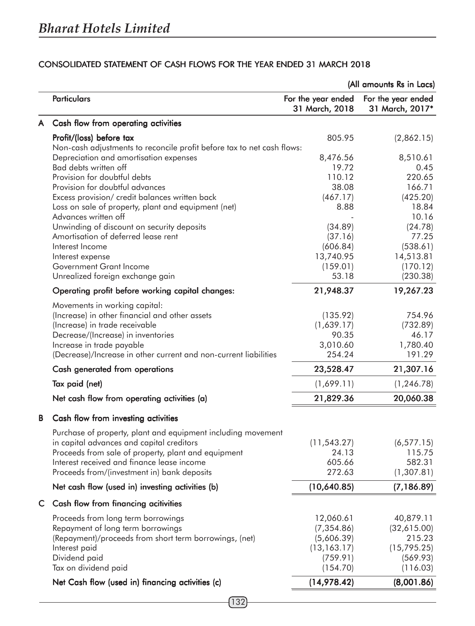#### CONSOLIDATED STATEMENT OF CASH FLOWS FOR THE YEAR ENDED 31 MARCH 2018

(All amounts Rs in Lacs)

|    | <b>Particulars</b>                                                     | For the year ended<br>31 March, 2018 | For the year ended<br>31 March, 2017* |
|----|------------------------------------------------------------------------|--------------------------------------|---------------------------------------|
| A. | Cash flow from operating activities                                    |                                      |                                       |
|    | Profit/(loss) before tax                                               | 805.95                               | (2,862.15)                            |
|    | Non-cash adjustments to reconcile profit before tax to net cash flows: |                                      |                                       |
|    | Depreciation and amortisation expenses                                 | 8,476.56                             | 8,510.61                              |
|    | Bad debts written off                                                  | 19.72                                | 0.45                                  |
|    | Provision for doubtful debts                                           | 110.12                               | 220.65                                |
|    | Provision for doubtful advances                                        | 38.08                                | 166.71                                |
|    | Excess provision/ credit balances written back                         | (467.17)                             | (425.20)                              |
|    | Loss on sale of property, plant and equipment (net)                    | 8.88                                 | 18.84                                 |
|    | Advances written off                                                   |                                      | 10.16                                 |
|    | Unwinding of discount on security deposits                             | (34.89)                              | (24.78)                               |
|    | Amortisation of deferred lease rent                                    | (37.16)                              | 77.25                                 |
|    | Interest Income                                                        | (606.84)                             | (538.61)                              |
|    | Interest expense                                                       | 13,740.95                            | 14,513.81                             |
|    | Government Grant Income                                                | (159.01)                             | (170.12)                              |
|    | Unrealized foreign exchange gain                                       | 53.18                                | (230.38)                              |
|    | Operating profit before working capital changes:                       | 21,948.37                            | 19,267.23                             |
|    | Movements in working capital:                                          |                                      |                                       |
|    | (Increase) in other financial and other assets                         | (135.92)                             | 754.96                                |
|    | (Increase) in trade receivable                                         | (1,639.17)                           | (732.89)                              |
|    | Decrease/(Increase) in inventories                                     | 90.35                                | 46.17                                 |
|    | Increase in trade payable                                              | 3,010.60                             | 1,780.40                              |
|    | (Decrease)/Increase in other current and non-current liabilities       | 254.24                               | 191.29                                |
|    | Cash generated from operations                                         | 23,528.47                            | 21,307.16                             |
|    | Tax paid (net)                                                         | (1,699.11)                           | (1, 246.78)                           |
|    | Net cash flow from operating activities (a)                            | 21,829.36                            | 20,060.38                             |
| B  | Cash flow from investing activities                                    |                                      |                                       |
|    | Purchase of property, plant and equipment including movement           |                                      |                                       |
|    | in capital advances and capital creditors                              | (11, 543.27)                         | (6, 577.15)                           |
|    | Proceeds from sale of property, plant and equipment                    | 24.13                                | 115.75                                |
|    | Interest received and finance lease income                             | 605.66                               | 582.31                                |
|    | Proceeds from/(investment in) bank deposits                            | 272.63                               | (1,307.81)                            |
|    | Net cash flow (used in) investing activities (b)                       | (10,640.85)                          | (7, 186.89)                           |
| C. | Cash flow from financing acitivities                                   |                                      |                                       |
|    | Proceeds from long term borrowings                                     | 12,060.61                            | 40,879.11                             |
|    | Repayment of long term borrowings                                      | (7, 354.86)                          | (32,615.00)                           |
|    | (Repayment)/proceeds from short term borrowings, (net)                 | (5,606.39)                           | 215.23                                |
|    | Interest paid                                                          | (13, 163.17)                         | (15, 795.25)                          |
|    | Dividend paid                                                          | (759.91)                             | (569.93)                              |
|    | Tax on dividend paid                                                   | (154.70)                             | (116.03)                              |
|    | Net Cash flow (used in) financing activities (c)                       | (14, 978.42)                         | (8,001.86)                            |

 $(132)$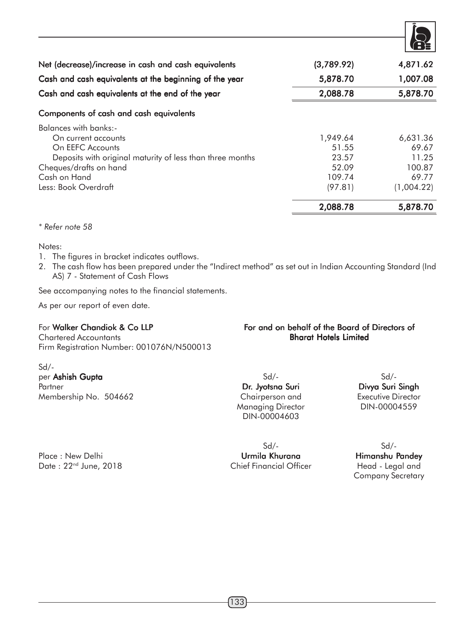| Net (decrease)/increase in cash and cash equivalents      | (3,789.92) | 4,871.62   |
|-----------------------------------------------------------|------------|------------|
| Cash and cash equivalents at the beginning of the year    | 5,878.70   | 1,007.08   |
| Cash and cash equivalents at the end of the year          | 2,088.78   | 5,878.70   |
| Components of cash and cash equivalents                   |            |            |
| Balances with banks:-                                     |            |            |
| On current accounts                                       | 1,949.64   | 6,631.36   |
| On EEFC Accounts                                          | 51.55      | 69.67      |
| Deposits with original maturity of less than three months | 23.57      | 11.25      |
| Cheques/drafts on hand                                    | 52.09      | 100.87     |
| Cash on Hand                                              | 109.74     | 69.77      |
| Less: Book Overdraft                                      | (97.81)    | (1,004.22) |
|                                                           | 2,088.78   | 5,878.70   |

*\* Refer note 58*

Notes:

- 1. The figures in bracket indicates outflows.
- 2. The cash flow has been prepared under the "Indirect method" as set out in Indian Accounting Standard (Ind AS) 7 - Statement of Cash Flows

See accompanying notes to the financial statements.

As per our report of even date.

Chartered Accountants Firm Registration Number: 001076N/N500013

#### Sd/ per Ashish Gupta Sd/- Sd/- Gupta Partner Dr. Jyotsna Suri . Jyotsna SuriDivya Suri Singh Membership No. 504662 Chairperson and Executive Director

For Walker Chandiok & Co LLP For and on behalf of the Board of Directors of Chartered Accountants<br>
Chartered Accountants

Managing Director **DIN-00004559** DIN-00004603

Place : New Delhi **New York Communist Communist Communist Communist Communist Communist Communist Communist Communist Communist Communist Communist Communist Communist Communist Communist Communist Communist Communist Comm** Date :  $22^{nd}$  June, 2018 Chief Financial Officer Head - Legal and

 $Sd/-$ Company Secretary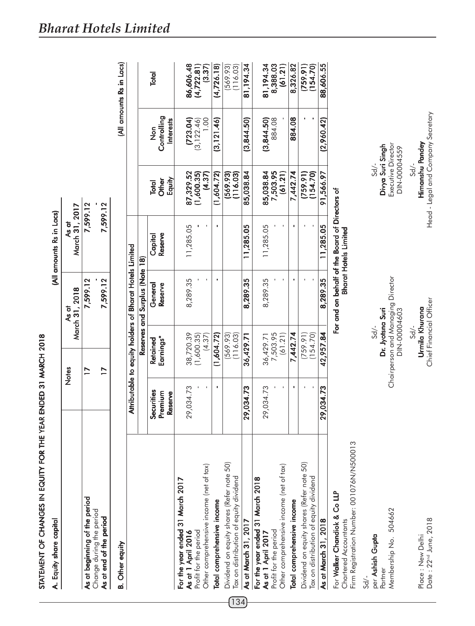| A. Equity share capital                                                             |                    |                                           |                                                         | (All amounts Rs in Lacs)     |                                                        |                                 |                          |
|-------------------------------------------------------------------------------------|--------------------|-------------------------------------------|---------------------------------------------------------|------------------------------|--------------------------------------------------------|---------------------------------|--------------------------|
|                                                                                     |                    | <b>Notes</b>                              | March 31, 2018<br>ರೆ<br>ಸ                               | March 31, 2017<br>As at      |                                                        |                                 |                          |
| As at beginning of the period                                                       |                    | $\overline{1}$                            | 7,599.12                                                | 7,599.12                     |                                                        |                                 |                          |
| Change during the period<br>As at end of the period                                 |                    | $\overline{1}$                            | 7,599.12                                                | 7,599.12                     |                                                        |                                 |                          |
| <b>B.</b> Other equity                                                              |                    |                                           |                                                         |                              |                                                        |                                 | (All amounts Rs in Lacs) |
|                                                                                     |                    |                                           | Attributable to equity holders of Bharat Hotels Limited |                              |                                                        |                                 |                          |
|                                                                                     |                    |                                           | Reserves and Surplus (Note 18)                          |                              |                                                        |                                 |                          |
|                                                                                     | Securities         | Retained                                  | General                                                 | Capital                      | Total                                                  | nok<br>Z                        | <b>Total</b>             |
|                                                                                     | Premium<br>Reserve | Earnings*                                 | Reserve                                                 | Reserve                      | Equity<br>Other                                        | Controlling<br><b>Interests</b> |                          |
| For the year ended 31 March 2017                                                    |                    |                                           |                                                         |                              |                                                        |                                 |                          |
| As at 1 April 2016                                                                  | 29,034.73          | 38,720.39                                 | 8,289.35                                                | 11,285.05                    | 87,329.52                                              | $(723.04)$<br>$(3,122.46)$      | 86,606.48                |
| Other comprehensive income (net of tax)<br>Profit for the period                    |                    | (1,600.35)<br>(4.37)                      |                                                         |                              | (1,600.35)<br>(4.37)                                   | 1.00                            | (4, 722.81)<br>(3.37)    |
| Total comprehensive income                                                          |                    | (1,604.72)                                |                                                         |                              | (1,604.72)                                             | (3, 121.46)                     | (4, 726.18)              |
| Dividend on equity shares (Refer note 50)<br>Tax on distribution of equity dividend |                    | (569.93)<br>(116.03)                      |                                                         |                              | (569.93)<br>(116.03)                                   |                                 | (569.93)<br>(116.03)     |
| As at March 31, 2017                                                                | 29,034.73          | 36,429.71                                 | 8,289.35                                                | 11,285.05                    | 85,038.84                                              | (3,844.50)                      | 81,194.34                |
| For the year ended 31 March 2018                                                    |                    |                                           |                                                         |                              |                                                        |                                 |                          |
| As at 1 April 2017                                                                  | 29,034.73          | 36,429.71                                 | 8,289.35                                                | 11,285.05                    | 85,038.84<br>7,503.95                                  | (3,844.50)                      | 81,194.34                |
| Other comprehensive income (net of tax)<br>Profit for the period                    |                    | 7,503.95<br>(61.21)                       |                                                         |                              | (61.21)                                                | 884.08                          | 8,388.03<br>(61.21)      |
| Total comprehensive income                                                          | ٠                  | 7,442.74                                  | t,                                                      | $\blacksquare$               | 7,442.74                                               | 884.08                          | 8,326.82                 |
| Dividend on equity shares (Refer note 50)                                           |                    | (759.91)                                  |                                                         |                              |                                                        |                                 | (759.91)                 |
| Tax on distribution of equity dividend                                              |                    | 154.70                                    |                                                         |                              | $(759.91)$<br>$(154.70)$                               |                                 | (154.70)                 |
| As at March 31, 2018                                                                | 29,034.73          | 42,957.84                                 | 8,289.35                                                | 11,285.05                    | 91,566.97                                              | (2,960.42)                      | 88,606.55                |
| For Walker Chandiok & Co LLP                                                        |                    |                                           | For and on behalf of the Board of Directors of          |                              |                                                        |                                 |                          |
| Firm Registration Number: 001076N/N500013<br>Chartered Accountants                  |                    |                                           |                                                         | <b>Bharat Hotels Limited</b> |                                                        |                                 |                          |
| $Sd$ /-                                                                             |                    |                                           |                                                         |                              |                                                        |                                 |                          |
| per Ashish Gupta                                                                    |                    | $Sd/-$                                    |                                                         |                              | $Sd/-$                                                 |                                 |                          |
| Membership No. 504662<br>Partner                                                    |                    | Dr. Jyotsna Suri<br>DIN-00004603          | Chairperson and Managing Director                       |                              | Executive Director<br>Divya Suri Singh<br>DIN-00004559 |                                 |                          |
|                                                                                     |                    | $Sd$ /-                                   |                                                         |                              | $Sd/-$                                                 |                                 |                          |
| Date: 22 <sup>nd</sup> June, 2018<br>Place : New Delhi                              |                    | Chief Financial Officer<br>Urmila Khurana |                                                         |                              | Head - Legal and Company Secretary<br>Himanshu Pandey  |                                 |                          |
|                                                                                     |                    |                                           |                                                         |                              |                                                        |                                 |                          |

## *Bharat Hotels Limited*

STATEMENT OF CHANGES IN EQUITY FOR THE YEAR ENDED 31 MARCH 2018

STATEMENT OF CHANGES IN EQUITY FOR THE YEAR ENDED 31 MARCH 2018

134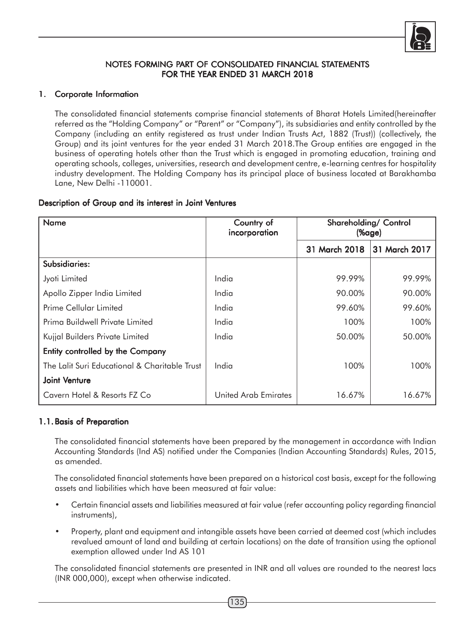

#### NOTES FORMING PART OF CONSOLIDATED FINANCIAL STATEMENTS FOR THE YEAR ENDED 31 MARCH 2018

#### 1. Corporate Information

The consolidated financial statements comprise financial statements of Bharat Hotels Limited(hereinafter referred as the "Holding Company" or "Parent" or "Company"), its subsidiaries and entity controlled by the Company (including an entity registered as trust under Indian Trusts Act, 1882 (Trust)) (collectively, the Group) and its joint ventures for the year ended 31 March 2018.The Group entities are engaged in the business of operating hotels other than the Trust which is engaged in promoting education, training and operating schools, colleges, universities, research and development centre, e-learning centres for hospitality industry development. The Holding Company has its principal place of business located at Barakhamba Lane, New Delhi -110001.

#### Description of Group and its interest in Joint Ventures

| <b>Name</b>                                   | Country of<br>incorporation | <b>Shareholding/ Control</b><br>(%age) |               |
|-----------------------------------------------|-----------------------------|----------------------------------------|---------------|
|                                               |                             | 31 March 2018                          | 31 March 2017 |
| <b>Subsidiaries:</b>                          |                             |                                        |               |
| Jyoti Limited                                 | India                       | 99.99%                                 | 99.99%        |
| Apollo Zipper India Limited                   | India                       | 90.00%                                 | 90.00%        |
| Prime Cellular Limited                        | India                       | 99.60%                                 | 99.60%        |
| Prima Buildwell Private Limited               | India                       | 100%                                   | 100%          |
| Kujjal Builders Private Limited               | India                       | 50.00%                                 | 50.00%        |
| Entity controlled by the Company              |                             |                                        |               |
| The Lalit Suri Educational & Charitable Trust | India                       | 100%                                   | 100%          |
| <b>Joint Venture</b>                          |                             |                                        |               |
| Cavern Hotel & Resorts FZ Co                  | United Arab Emirates        | 16.67%                                 | 16.67%        |

#### 1.1. Basis of Preparation

The consolidated financial statements have been prepared by the management in accordance with Indian Accounting Standards (Ind AS) notified under the Companies (Indian Accounting Standards) Rules, 2015, as amended.

The consolidated financial statements have been prepared on a historical cost basis, except for the following assets and liabilities which have been measured at fair value:

- Certain financial assets and liabilities measured at fair value (refer accounting policy regarding financial instruments),
- Property, plant and equipment and intangible assets have been carried at deemed cost (which includes revalued amount of land and building at certain locations) on the date of transition using the optional exemption allowed under Ind AS 101

The consolidated financial statements are presented in INR and all values are rounded to the nearest lacs (INR 000,000), except when otherwise indicated.

135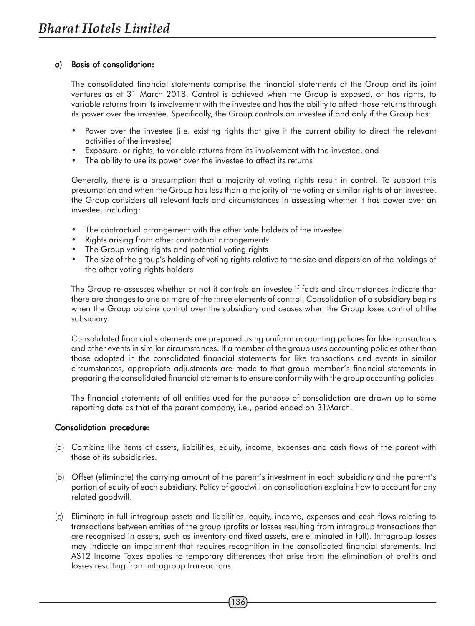#### a) Basis of consolidation:

The consolidated financial statements comprise the financial statements of the Group and its joint ventures as at 31 March 2018. Control is achieved when the Group is exposed, or has rights, to variable returns from its involvement with the investee and has the ability to affect those returns through its power over the investee. Specifically, the Group controls an investee if and only if the Group has:

- Power over the investee (i.e. existing rights that give it the current ability to direct the relevant activities of the investee)
- Exposure, or rights, to variable returns from its involvement with the investee, and
- The ability to use its power over the investee to affect its returns

Generally, there is a presumption that a majority of voting rights result in control. To support this presumption and when the Group has less than a majority of the voting or similar rights of an investee, the Group considers all relevant facts and circumstances in assessing whether it has power over an investee, including:

- The contractual arrangement with the other vote holders of the investee
- Rights arising from other contractual arrangements
- The Group voting rights and potential voting rights
- The size of the group's holding of voting rights relative to the size and dispersion of the holdings of the other voting rights holders

The Group re-assesses whether or not it controls an investee if facts and circumstances indicate that there are changes to one or more of the three elements of control. Consolidation of a subsidiary begins when the Group obtains control over the subsidiary and ceases when the Group loses control of the subsidiary.

Consolidated financial statements are prepared using uniform accounting policies for like transactions and other events in similar circumstances. If a member of the group uses accounting policies other than those adopted in the consolidated financial statements for like transactions and events in similar circumstances, appropriate adjustments are made to that group member's financial statements in preparing the consolidated financial statements to ensure conformity with the group accounting policies.

The financial statements of all entities used for the purpose of consolidation are drawn up to same reporting date as that of the parent company, i.e., period ended on 31March.

#### Consolidation procedure:

- (a) Combine like items of assets, liabilities, equity, income, expenses and cash flows of the parent with those of its subsidiaries.
- (b) Offset (eliminate) the carrying amount of the parent's investment in each subsidiary and the parent's portion of equity of each subsidiary. Policy of goodwill on consolidation explains how to account for any related goodwill.
- (c) Eliminate in full intragroup assets and liabilities, equity, income, expenses and cash flows relating to transactions between entities of the group (profits or losses resulting from intragroup transactions that are recognised in assets, such as inventory and fixed assets, are eliminated in full). Intragroup losses may indicate an impairment that requires recognition in the consolidated financial statements. Ind AS12 Income Taxes applies to temporary differences that arise from the elimination of profits and losses resulting from intragroup transactions.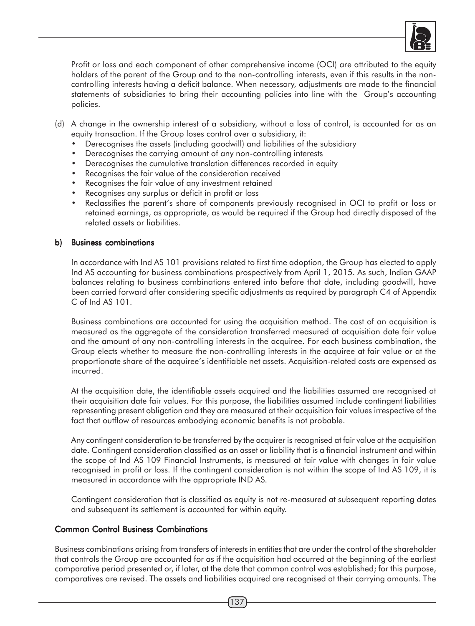

Profit or loss and each component of other comprehensive income (OCI) are attributed to the equity holders of the parent of the Group and to the non-controlling interests, even if this results in the noncontrolling interests having a deficit balance. When necessary, adjustments are made to the financial statements of subsidiaries to bring their accounting policies into line with the Group's accounting policies.

- (d) A change in the ownership interest of a subsidiary, without a loss of control, is accounted for as an equity transaction. If the Group loses control over a subsidiary, it:
	- Derecognises the assets (including goodwill) and liabilities of the subsidiary
	- Derecognises the carrying amount of any non-controlling interests
	- Derecognises the cumulative translation differences recorded in equity
	- Recognises the fair value of the consideration received
	- Recognises the fair value of any investment retained
	- Recognises any surplus or deficit in profit or loss
	- Reclassifies the parent's share of components previously recognised in OCI to profit or loss or retained earnings, as appropriate, as would be required if the Group had directly disposed of the related assets or liabilities.

#### b) Business combinations

In accordance with Ind AS 101 provisions related to first time adoption, the Group has elected to apply Ind AS accounting for business combinations prospectively from April 1, 2015. As such, Indian GAAP balances relating to business combinations entered into before that date, including goodwill, have been carried forward after considering specific adjustments as required by paragraph C4 of Appendix C of Ind AS 101.

Business combinations are accounted for using the acquisition method. The cost of an acquisition is measured as the aggregate of the consideration transferred measured at acquisition date fair value and the amount of any non-controlling interests in the acquiree. For each business combination, the Group elects whether to measure the non-controlling interests in the acquiree at fair value or at the proportionate share of the acquiree's identifiable net assets. Acquisition-related costs are expensed as incurred.

At the acquisition date, the identifiable assets acquired and the liabilities assumed are recognised at their acquisition date fair values. For this purpose, the liabilities assumed include contingent liabilities representing present obligation and they are measured at their acquisition fair values irrespective of the fact that outflow of resources embodying economic benefits is not probable.

Any contingent consideration to be transferred by the acquirer is recognised at fair value at the acquisition date. Contingent consideration classified as an asset or liability that is a financial instrument and within the scope of Ind AS 109 Financial Instruments, is measured at fair value with changes in fair value recognised in profit or loss. If the contingent consideration is not within the scope of Ind AS 109, it is measured in accordance with the appropriate IND AS.

Contingent consideration that is classified as equity is not re-measured at subsequent reporting dates and subsequent its settlement is accounted for within equity.

#### Common Control Business Combinations

Business combinations arising from transfers of interests in entities that are under the control of the shareholder that controls the Group are accounted for as if the acquisition had occurred at the beginning of the earliest comparative period presented or, if later, at the date that common control was established; for this purpose, comparatives are revised. The assets and liabilities acquired are recognised at their carrying amounts. The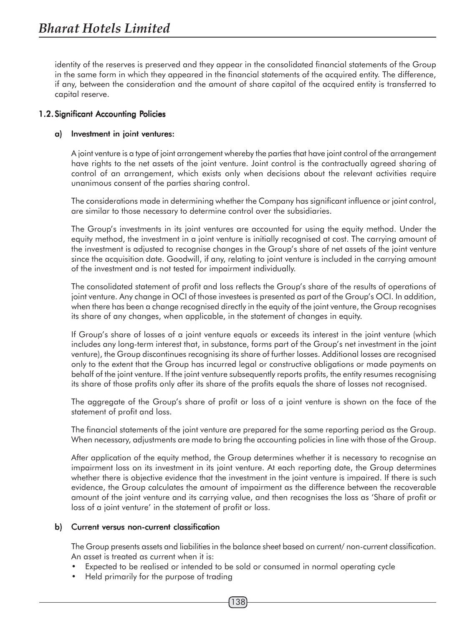identity of the reserves is preserved and they appear in the consolidated financial statements of the Group in the same form in which they appeared in the financial statements of the acquired entity. The difference, if any, between the consideration and the amount of share capital of the acquired entity is transferred to capital reserve.

#### 1.2. Significant Accounting Policies

#### a) Investment in joint ventures:

A joint venture is a type of joint arrangement whereby the parties that have joint control of the arrangement have rights to the net assets of the joint venture. Joint control is the contractually agreed sharing of control of an arrangement, which exists only when decisions about the relevant activities require unanimous consent of the parties sharing control.

The considerations made in determining whether the Company has significant influence or joint control, are similar to those necessary to determine control over the subsidiaries.

The Group's investments in its joint ventures are accounted for using the equity method. Under the equity method, the investment in a joint venture is initially recognised at cost. The carrying amount of the investment is adjusted to recognise changes in the Group's share of net assets of the joint venture since the acquisition date. Goodwill, if any, relating to joint venture is included in the carrying amount of the investment and is not tested for impairment individually.

The consolidated statement of profit and loss reflects the Group's share of the results of operations of joint venture. Any change in OCI of those investees is presented as part of the Group's OCI. In addition, when there has been a change recognised directly in the equity of the joint venture, the Group recognises its share of any changes, when applicable, in the statement of changes in equity.

If Group's share of losses of a joint venture equals or exceeds its interest in the joint venture (which includes any long-term interest that, in substance, forms part of the Group's net investment in the joint venture), the Group discontinues recognising its share of further losses. Additional losses are recognised only to the extent that the Group has incurred legal or constructive obligations or made payments on behalf of the joint venture. If the joint venture subsequently reports profits, the entity resumes recognising its share of those profits only after its share of the profits equals the share of losses not recognised.

The aggregate of the Group's share of profit or loss of a joint venture is shown on the face of the statement of profit and loss.

The financial statements of the joint venture are prepared for the same reporting period as the Group. When necessary, adjustments are made to bring the accounting policies in line with those of the Group.

After application of the equity method, the Group determines whether it is necessary to recognise an impairment loss on its investment in its joint venture. At each reporting date, the Group determines whether there is objective evidence that the investment in the joint venture is impaired. If there is such evidence, the Group calculates the amount of impairment as the difference between the recoverable amount of the joint venture and its carrying value, and then recognises the loss as 'Share of profit or loss of a joint venture' in the statement of profit or loss.

#### b) Current versus non-current classification

The Group presents assets and liabilities in the balance sheet based on current/ non-current classification. An asset is treated as current when it is:

- Expected to be realised or intended to be sold or consumed in normal operating cycle
- Held primarily for the purpose of trading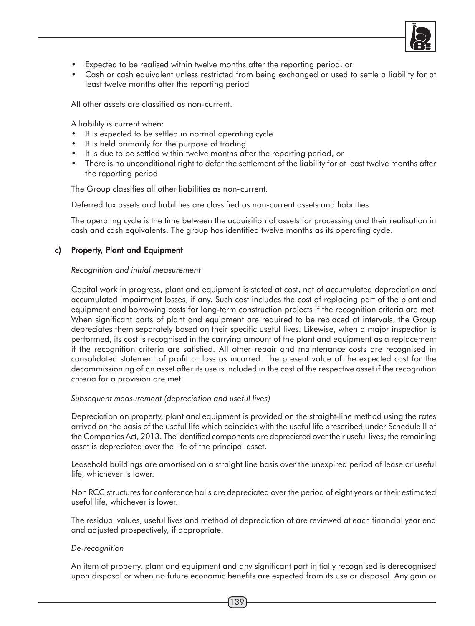

- Expected to be realised within twelve months after the reporting period, or
- Cash or cash equivalent unless restricted from being exchanged or used to settle a liability for at least twelve months after the reporting period

All other assets are classified as non-current.

A liability is current when:

- It is expected to be settled in normal operating cycle
- It is held primarily for the purpose of trading
- It is due to be settled within twelve months after the reporting period, or
- There is no unconditional right to defer the settlement of the liability for at least twelve months after the reporting period

The Group classifies all other liabilities as non-current.

Deferred tax assets and liabilities are classified as non-current assets and liabilities.

The operating cycle is the time between the acquisition of assets for processing and their realisation in cash and cash equivalents. The group has identified twelve months as its operating cycle.

#### c) Property, Plant and Equipment

#### *Recognition and initial measurement*

Capital work in progress, plant and equipment is stated at cost, net of accumulated depreciation and accumulated impairment losses, if any. Such cost includes the cost of replacing part of the plant and equipment and borrowing costs for long-term construction projects if the recognition criteria are met. When significant parts of plant and equipment are required to be replaced at intervals, the Group depreciates them separately based on their specific useful lives. Likewise, when a major inspection is performed, its cost is recognised in the carrying amount of the plant and equipment as a replacement if the recognition criteria are satisfied. All other repair and maintenance costs are recognised in consolidated statement of profit or loss as incurred. The present value of the expected cost for the decommissioning of an asset after its use is included in the cost of the respective asset if the recognition criteria for a provision are met.

#### *Subsequent measurement (depreciation and useful lives)*

Depreciation on property, plant and equipment is provided on the straight-line method using the rates arrived on the basis of the useful life which coincides with the useful life prescribed under Schedule II of the Companies Act, 2013. The identified components are depreciated over their useful lives; the remaining asset is depreciated over the life of the principal asset.

Leasehold buildings are amortised on a straight line basis over the unexpired period of lease or useful life, whichever is lower.

Non RCC structures for conference halls are depreciated over the period of eight years or their estimated useful life, whichever is lower.

The residual values, useful lives and method of depreciation of are reviewed at each financial year end and adjusted prospectively, if appropriate.

#### *De-recognition*

An item of property, plant and equipment and any significant part initially recognised is derecognised upon disposal or when no future economic benefits are expected from its use or disposal. Any gain or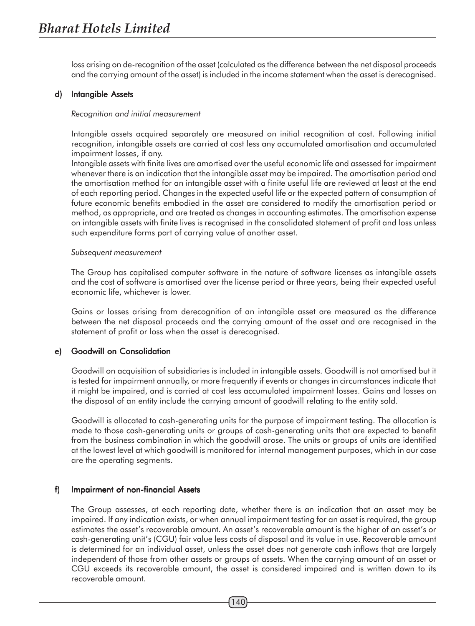loss arising on de-recognition of the asset (calculated as the difference between the net disposal proceeds and the carrying amount of the asset) is included in the income statement when the asset is derecognised.

#### d) Intangible Assets

#### *Recognition and initial measurement*

Intangible assets acquired separately are measured on initial recognition at cost. Following initial recognition, intangible assets are carried at cost less any accumulated amortisation and accumulated impairment losses, if any.

Intangible assets with finite lives are amortised over the useful economic life and assessed for impairment whenever there is an indication that the intangible asset may be impaired. The amortisation period and the amortisation method for an intangible asset with a finite useful life are reviewed at least at the end of each reporting period. Changes in the expected useful life or the expected pattern of consumption of future economic benefits embodied in the asset are considered to modify the amortisation period or method, as appropriate, and are treated as changes in accounting estimates. The amortisation expense on intangible assets with finite lives is recognised in the consolidated statement of profit and loss unless such expenditure forms part of carrying value of another asset.

#### *Subsequent measurement*

The Group has capitalised computer software in the nature of software licenses as intangible assets and the cost of software is amortised over the license period or three years, being their expected useful economic life, whichever is lower.

Gains or losses arising from derecognition of an intangible asset are measured as the difference between the net disposal proceeds and the carrying amount of the asset and are recognised in the statement of profit or loss when the asset is derecognised.

#### e) Goodwill on Consolidation

Goodwill on acquisition of subsidiaries is included in intangible assets. Goodwill is not amortised but it is tested for impairment annually, or more frequently if events or changes in circumstances indicate that it might be impaired, and is carried at cost less accumulated impairment losses. Gains and losses on the disposal of an entity include the carrying amount of goodwill relating to the entity sold.

Goodwill is allocated to cash-generating units for the purpose of impairment testing. The allocation is made to those cash-generating units or groups of cash-generating units that are expected to benefit from the business combination in which the goodwill arose. The units or groups of units are identified at the lowest level at which goodwill is monitored for internal management purposes, which in our case are the operating segments.

#### f) Impairment of non-financial Assets

The Group assesses, at each reporting date, whether there is an indication that an asset may be impaired. If any indication exists, or when annual impairment testing for an asset is required, the group estimates the asset's recoverable amount. An asset's recoverable amount is the higher of an asset's or cash-generating unit's (CGU) fair value less costs of disposal and its value in use. Recoverable amount is determined for an individual asset, unless the asset does not generate cash inflows that are largely independent of those from other assets or groups of assets. When the carrying amount of an asset or CGU exceeds its recoverable amount, the asset is considered impaired and is written down to its recoverable amount.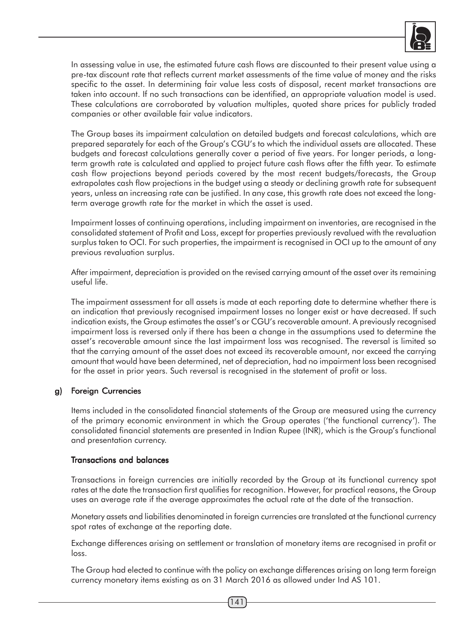

In assessing value in use, the estimated future cash flows are discounted to their present value using a pre-tax discount rate that reflects current market assessments of the time value of money and the risks specific to the asset. In determining fair value less costs of disposal, recent market transactions are taken into account. If no such transactions can be identified, an appropriate valuation model is used. These calculations are corroborated by valuation multiples, quoted share prices for publicly traded companies or other available fair value indicators.

The Group bases its impairment calculation on detailed budgets and forecast calculations, which are prepared separately for each of the Group's CGU's to which the individual assets are allocated. These budgets and forecast calculations generally cover a period of five years. For longer periods, a longterm growth rate is calculated and applied to project future cash flows after the fifth year. To estimate cash flow projections beyond periods covered by the most recent budgets/forecasts, the Group extrapolates cash flow projections in the budget using a steady or declining growth rate for subsequent years, unless an increasing rate can be justified. In any case, this growth rate does not exceed the longterm average growth rate for the market in which the asset is used.

Impairment losses of continuing operations, including impairment on inventories, are recognised in the consolidated statement of Profit and Loss, except for properties previously revalued with the revaluation surplus taken to OCI. For such properties, the impairment is recognised in OCI up to the amount of any previous revaluation surplus.

After impairment, depreciation is provided on the revised carrying amount of the asset over its remaining useful life.

The impairment assessment for all assets is made at each reporting date to determine whether there is an indication that previously recognised impairment losses no longer exist or have decreased. If such indication exists, the Group estimates the asset's or CGU's recoverable amount. A previously recognised impairment loss is reversed only if there has been a change in the assumptions used to determine the asset's recoverable amount since the last impairment loss was recognised. The reversal is limited so that the carrying amount of the asset does not exceed its recoverable amount, nor exceed the carrying amount that would have been determined, net of depreciation, had no impairment loss been recognised for the asset in prior years. Such reversal is recognised in the statement of profit or loss.

#### g) Foreign Currencies

Items included in the consolidated financial statements of the Group are measured using the currency of the primary economic environment in which the Group operates ('the functional currency'). The consolidated financial statements are presented in Indian Rupee (INR), which is the Group's functional and presentation currency.

#### Transactions and balances

Transactions in foreign currencies are initially recorded by the Group at its functional currency spot rates at the date the transaction first qualifies for recognition. However, for practical reasons, the Group uses an average rate if the average approximates the actual rate at the date of the transaction.

Monetary assets and liabilities denominated in foreign currencies are translated at the functional currency spot rates of exchange at the reporting date.

Exchange differences arising on settlement or translation of monetary items are recognised in profit or loss.

The Group had elected to continue with the policy on exchange differences arising on long term foreign currency monetary items existing as on 31 March 2016 as allowed under Ind AS 101.

141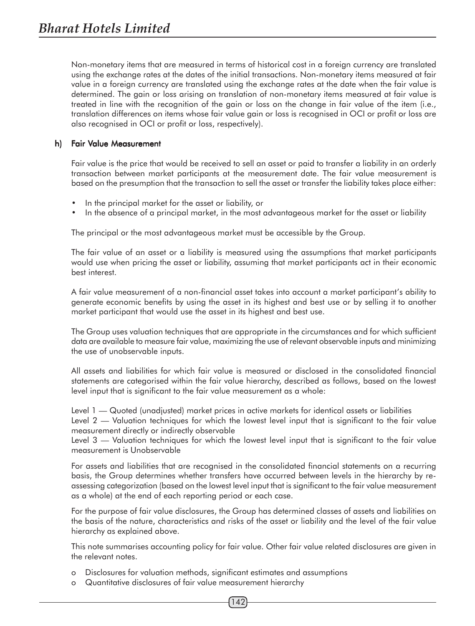Non-monetary items that are measured in terms of historical cost in a foreign currency are translated using the exchange rates at the dates of the initial transactions. Non-monetary items measured at fair value in a foreign currency are translated using the exchange rates at the date when the fair value is determined. The gain or loss arising on translation of non-monetary items measured at fair value is treated in line with the recognition of the gain or loss on the change in fair value of the item (i.e., translation differences on items whose fair value gain or loss is recognised in OCI or profit or loss are also recognised in OCI or profit or loss, respectively).

#### h) Fair Value Measurement

Fair value is the price that would be received to sell an asset or paid to transfer a liability in an orderly transaction between market participants at the measurement date. The fair value measurement is based on the presumption that the transaction to sell the asset or transfer the liability takes place either:

- In the principal market for the asset or liability, or
- In the absence of a principal market, in the most advantageous market for the asset or liability

The principal or the most advantageous market must be accessible by the Group.

The fair value of an asset or a liability is measured using the assumptions that market participants would use when pricing the asset or liability, assuming that market participants act in their economic best interest.

A fair value measurement of a non-financial asset takes into account a market participant's ability to generate economic benefits by using the asset in its highest and best use or by selling it to another market participant that would use the asset in its highest and best use.

The Group uses valuation techniques that are appropriate in the circumstances and for which sufficient data are available to measure fair value, maximizing the use of relevant observable inputs and minimizing the use of unobservable inputs.

All assets and liabilities for which fair value is measured or disclosed in the consolidated financial statements are categorised within the fair value hierarchy, described as follows, based on the lowest level input that is significant to the fair value measurement as a whole:

Level 1 — Quoted (unadjusted) market prices in active markets for identical assets or liabilities Level 2 — Valuation techniques for which the lowest level input that is significant to the fair value measurement directly or indirectly observable

Level 3 — Valuation techniques for which the lowest level input that is significant to the fair value measurement is Unobservable

For assets and liabilities that are recognised in the consolidated financial statements on a recurring basis, the Group determines whether transfers have occurred between levels in the hierarchy by reassessing categorization (based on the lowest level input that is significant to the fair value measurement as a whole) at the end of each reporting period or each case.

For the purpose of fair value disclosures, the Group has determined classes of assets and liabilities on the basis of the nature, characteristics and risks of the asset or liability and the level of the fair value hierarchy as explained above.

This note summarises accounting policy for fair value. Other fair value related disclosures are given in the relevant notes.

- o Disclosures for valuation methods, significant estimates and assumptions
- o Quantitative disclosures of fair value measurement hierarchy

142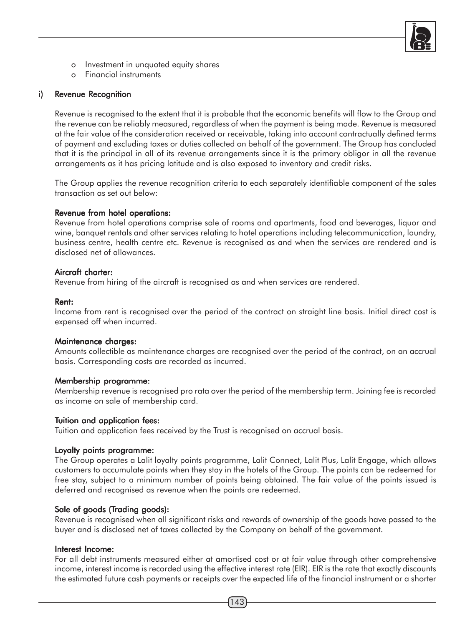

- o Investment in unquoted equity shares
- o Financial instruments

#### i) Revenue Recognition

Revenue is recognised to the extent that it is probable that the economic benefits will flow to the Group and the revenue can be reliably measured, regardless of when the payment is being made. Revenue is measured at the fair value of the consideration received or receivable, taking into account contractually defined terms of payment and excluding taxes or duties collected on behalf of the government. The Group has concluded that it is the principal in all of its revenue arrangements since it is the primary obligor in all the revenue arrangements as it has pricing latitude and is also exposed to inventory and credit risks.

The Group applies the revenue recognition criteria to each separately identifiable component of the sales transaction as set out below:

#### Revenue from hotel operations:

Revenue from hotel operations comprise sale of rooms and apartments, food and beverages, liquor and wine, banquet rentals and other services relating to hotel operations including telecommunication, laundry, business centre, health centre etc. Revenue is recognised as and when the services are rendered and is disclosed net of allowances.

#### Aircraft charter:

Revenue from hiring of the aircraft is recognised as and when services are rendered.

#### Rent:

Income from rent is recognised over the period of the contract on straight line basis. Initial direct cost is expensed off when incurred.

#### Maintenance charges:

Amounts collectible as maintenance charges are recognised over the period of the contract, on an accrual basis. Corresponding costs are recorded as incurred.

#### Membership programme:

Membership revenue is recognised pro rata over the period of the membership term. Joining fee is recorded as income on sale of membership card.

#### Tuition and application fees:

Tuition and application fees received by the Trust is recognised on accrual basis.

#### Loyalty points programme:

The Group operates a Lalit loyalty points programme, Lalit Connect, Lalit Plus, Lalit Engage, which allows customers to accumulate points when they stay in the hotels of the Group. The points can be redeemed for free stay, subject to a minimum number of points being obtained. The fair value of the points issued is deferred and recognised as revenue when the points are redeemed.

#### Sale of goods (Trading goods):

Revenue is recognised when all significant risks and rewards of ownership of the goods have passed to the buyer and is disclosed net of taxes collected by the Company on behalf of the government.

#### Interest Income:

For all debt instruments measured either at amortised cost or at fair value through other comprehensive income, interest income is recorded using the effective interest rate (EIR). EIR is the rate that exactly discounts the estimated future cash payments or receipts over the expected life of the financial instrument or a shorter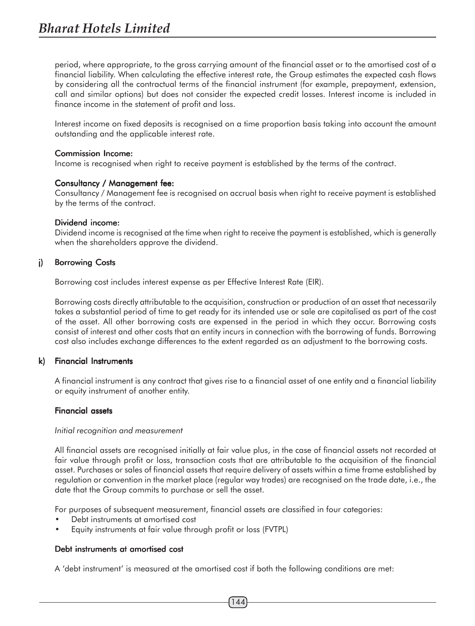period, where appropriate, to the gross carrying amount of the financial asset or to the amortised cost of a financial liability. When calculating the effective interest rate, the Group estimates the expected cash flows by considering all the contractual terms of the financial instrument (for example, prepayment, extension, call and similar options) but does not consider the expected credit losses. Interest income is included in finance income in the statement of profit and loss.

Interest income on fixed deposits is recognised on a time proportion basis taking into account the amount outstanding and the applicable interest rate.

#### Commission Income: Commission Income:

Income is recognised when right to receive payment is established by the terms of the contract.

#### Consultancy / Management fee:

Consultancy / Management fee is recognised on accrual basis when right to receive payment is established by the terms of the contract.

#### Dividend income:

Dividend income is recognised at the time when right to receive the payment is established, which is generally when the shareholders approve the dividend.

#### j) Borrowing Costs

Borrowing cost includes interest expense as per Effective Interest Rate (EIR).

Borrowing costs directly attributable to the acquisition, construction or production of an asset that necessarily takes a substantial period of time to get ready for its intended use or sale are capitalised as part of the cost of the asset. All other borrowing costs are expensed in the period in which they occur. Borrowing costs consist of interest and other costs that an entity incurs in connection with the borrowing of funds. Borrowing cost also includes exchange differences to the extent regarded as an adjustment to the borrowing costs.

#### k) Financial Instruments

A financial instrument is any contract that gives rise to a financial asset of one entity and a financial liability or equity instrument of another entity.

#### Financial assets

#### *Initial recognition and measurement*

All financial assets are recognised initially at fair value plus, in the case of financial assets not recorded at fair value through profit or loss, transaction costs that are attributable to the acquisition of the financial asset. Purchases or sales of financial assets that require delivery of assets within a time frame established by regulation or convention in the market place (regular way trades) are recognised on the trade date, i.e., the date that the Group commits to purchase or sell the asset.

For purposes of subsequent measurement, financial assets are classified in four categories:

- Debt instruments at amortised cost
- Equity instruments at fair value through profit or loss (FVTPL)

#### Debt instruments at amortised cost

A 'debt instrument' is measured at the amortised cost if both the following conditions are met: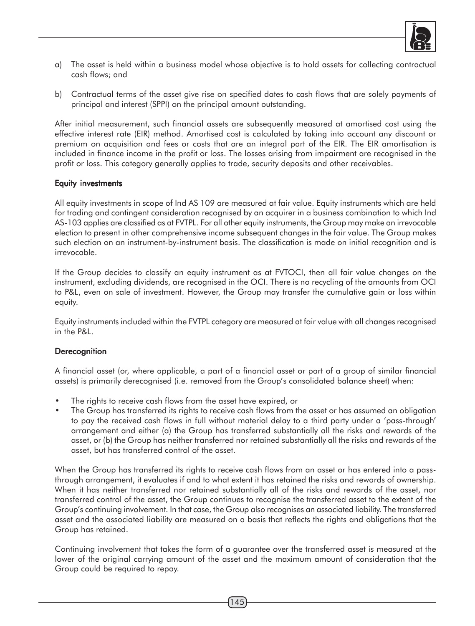

- a) The asset is held within a business model whose objective is to hold assets for collecting contractual cash flows; and
- b) Contractual terms of the asset give rise on specified dates to cash flows that are solely payments of principal and interest (SPPI) on the principal amount outstanding.

After initial measurement, such financial assets are subsequently measured at amortised cost using the effective interest rate (EIR) method. Amortised cost is calculated by taking into account any discount or premium on acquisition and fees or costs that are an integral part of the EIR. The EIR amortisation is included in finance income in the profit or loss. The losses arising from impairment are recognised in the profit or loss. This category generally applies to trade, security deposits and other receivables.

#### Equity investments

All equity investments in scope of Ind AS 109 are measured at fair value. Equity instruments which are held for trading and contingent consideration recognised by an acquirer in a business combination to which Ind AS-103 applies are classified as at FVTPL. For all other equity instruments, the Group may make an irrevocable election to present in other comprehensive income subsequent changes in the fair value. The Group makes such election on an instrument-by-instrument basis. The classification is made on initial recognition and is irrevocable.

If the Group decides to classify an equity instrument as at FVTOCI, then all fair value changes on the instrument, excluding dividends, are recognised in the OCI. There is no recycling of the amounts from OCI to P&L, even on sale of investment. However, the Group may transfer the cumulative gain or loss within equity.

Equity instruments included within the FVTPL category are measured at fair value with all changes recognised in the P&L.

#### **Derecognition**

A financial asset (or, where applicable, a part of a financial asset or part of a group of similar financial assets) is primarily derecognised (i.e. removed from the Group's consolidated balance sheet) when:

- The rights to receive cash flows from the asset have expired, or
- The Group has transferred its rights to receive cash flows from the asset or has assumed an obligation to pay the received cash flows in full without material delay to a third party under a 'pass-through' arrangement and either (a) the Group has transferred substantially all the risks and rewards of the asset, or (b) the Group has neither transferred nor retained substantially all the risks and rewards of the asset, but has transferred control of the asset.

When the Group has transferred its rights to receive cash flows from an asset or has entered into a passthrough arrangement, it evaluates if and to what extent it has retained the risks and rewards of ownership. When it has neither transferred nor retained substantially all of the risks and rewards of the asset, nor transferred control of the asset, the Group continues to recognise the transferred asset to the extent of the Group's continuing involvement. In that case, the Group also recognises an associated liability. The transferred asset and the associated liability are measured on a basis that reflects the rights and obligations that the Group has retained.

Continuing involvement that takes the form of a guarantee over the transferred asset is measured at the lower of the original carrying amount of the asset and the maximum amount of consideration that the Group could be required to repay.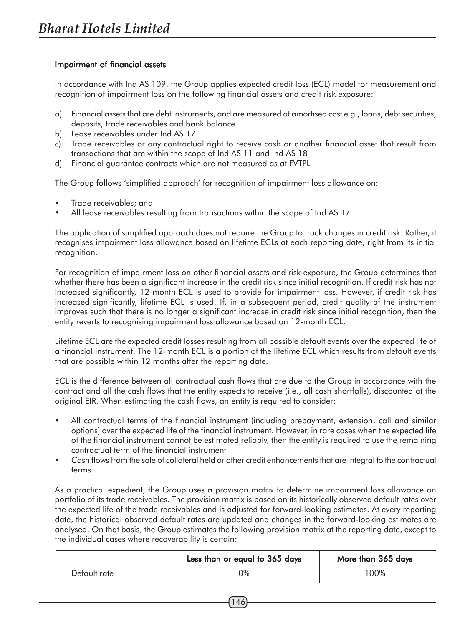#### Impairment of financial assets

In accordance with Ind AS 109, the Group applies expected credit loss (ECL) model for measurement and recognition of impairment loss on the following financial assets and credit risk exposure:

- a) Financial assets that are debt instruments, and are measured at amortised cost e.g., loans, debt securities, deposits, trade receivables and bank balance
- b) Lease receivables under Ind AS 17
- c) Trade receivables or any contractual right to receive cash or another financial asset that result from transactions that are within the scope of Ind AS 11 and Ind AS 18
- d) Financial guarantee contracts which are not measured as at FVTPL

The Group follows 'simplified approach' for recognition of impairment loss allowance on:

- Trade receivables; and
- All lease receivables resulting from transactions within the scope of Ind AS 17

The application of simplified approach does not require the Group to track changes in credit risk. Rather, it recognises impairment loss allowance based on lifetime ECLs at each reporting date, right from its initial recognition.

For recognition of impairment loss on other financial assets and risk exposure, the Group determines that whether there has been a significant increase in the credit risk since initial recognition. If credit risk has not increased significantly, 12-month ECL is used to provide for impairment loss. However, if credit risk has increased significantly, lifetime ECL is used. If, in a subsequent period, credit quality of the instrument improves such that there is no longer a significant increase in credit risk since initial recognition, then the entity reverts to recognising impairment loss allowance based on 12-month ECL.

Lifetime ECL are the expected credit losses resulting from all possible default events over the expected life of a financial instrument. The 12-month ECL is a portion of the lifetime ECL which results from default events that are possible within 12 months after the reporting date.

ECL is the difference between all contractual cash flows that are due to the Group in accordance with the contract and all the cash flows that the entity expects to receive (i.e., all cash shortfalls), discounted at the original EIR. When estimating the cash flows, an entity is required to consider:

- All contractual terms of the financial instrument (including prepayment, extension, call and similar options) over the expected life of the financial instrument. However, in rare cases when the expected life of the financial instrument cannot be estimated reliably, then the entity is required to use the remaining contractual term of the financial instrument
- Cash flows from the sale of collateral held or other credit enhancements that are integral to the contractual terms

As a practical expedient, the Group uses a provision matrix to determine impairment loss allowance on portfolio of its trade receivables. The provision matrix is based on its historically observed default rates over the expected life of the trade receivables and is adjusted for forward-looking estimates. At every reporting date, the historical observed default rates are updated and changes in the forward-looking estimates are analysed. On that basis, the Group estimates the following provision matrix at the reporting date, except to the individual cases where recoverability is certain:

|              | Less than or equal to 365 days | More than 365 days |
|--------------|--------------------------------|--------------------|
| Default rate | 0%                             | $00\%$             |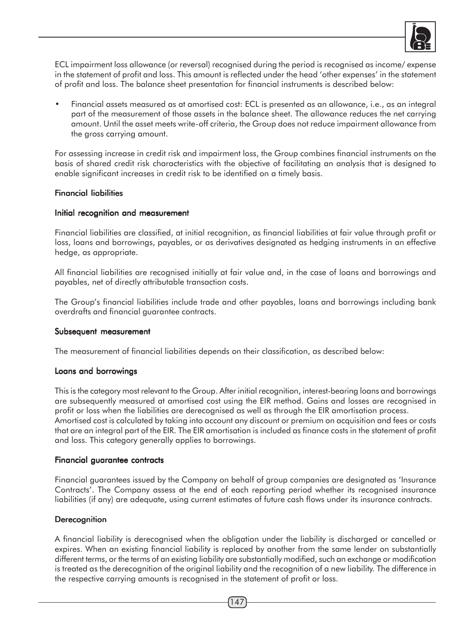

ECL impairment loss allowance (or reversal) recognised during the period is recognised as income/ expense in the statement of profit and loss. This amount is reflected under the head 'other expenses' in the statement of profit and loss. The balance sheet presentation for financial instruments is described below:

• Financial assets measured as at amortised cost: ECL is presented as an allowance, i.e., as an integral part of the measurement of those assets in the balance sheet. The allowance reduces the net carrying amount. Until the asset meets write-off criteria, the Group does not reduce impairment allowance from the gross carrying amount.

For assessing increase in credit risk and impairment loss, the Group combines financial instruments on the basis of shared credit risk characteristics with the objective of facilitating an analysis that is designed to enable significant increases in credit risk to be identified on a timely basis.

#### Financial liabilities

#### Initial recognition and measurement

Financial liabilities are classified, at initial recognition, as financial liabilities at fair value through profit or loss, loans and borrowings, payables, or as derivatives designated as hedging instruments in an effective hedge, as appropriate.

All financial liabilities are recognised initially at fair value and, in the case of loans and borrowings and payables, net of directly attributable transaction costs.

The Group's financial liabilities include trade and other payables, loans and borrowings including bank overdrafts and financial guarantee contracts.

#### Subsequent measurement

The measurement of financial liabilities depends on their classification, as described below:

#### Loans and borrowings

This is the category most relevant to the Group. After initial recognition, interest-bearing loans and borrowings are subsequently measured at amortised cost using the EIR method. Gains and losses are recognised in profit or loss when the liabilities are derecognised as well as through the EIR amortisation process. Amortised cost is calculated by taking into account any discount or premium on acquisition and fees or costs that are an integral part of the EIR. The EIR amortisation is included as finance costs in the statement of profit and loss. This category generally applies to borrowings.

#### Financial guarantee contracts

Financial guarantees issued by the Company on behalf of group companies are designated as 'Insurance Contracts'. The Company assess at the end of each reporting period whether its recognised insurance liabilities (if any) are adequate, using current estimates of future cash flows under its insurance contracts.

#### **Derecognition**

A financial liability is derecognised when the obligation under the liability is discharged or cancelled or expires. When an existing financial liability is replaced by another from the same lender on substantially different terms, or the terms of an existing liability are substantially modified, such an exchange or modification is treated as the derecognition of the original liability and the recognition of a new liability. The difference in the respective carrying amounts is recognised in the statement of profit or loss.

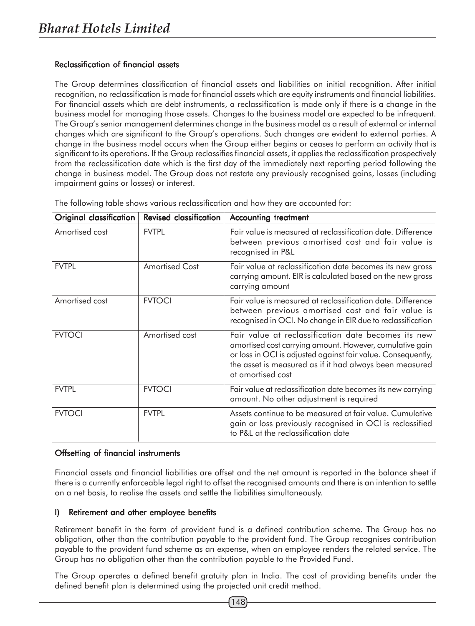### Reclassification of financial assets

The Group determines classification of financial assets and liabilities on initial recognition. After initial recognition, no reclassification is made for financial assets which are equity instruments and financial liabilities. For financial assets which are debt instruments, a reclassification is made only if there is a change in the business model for managing those assets. Changes to the business model are expected to be infrequent. The Group's senior management determines change in the business model as a result of external or internal changes which are significant to the Group's operations. Such changes are evident to external parties. A change in the business model occurs when the Group either begins or ceases to perform an activity that is significant to its operations. If the Group reclassifies financial assets, it applies the reclassification prospectively from the reclassification date which is the first day of the immediately next reporting period following the change in business model. The Group does not restate any previously recognised gains, losses (including impairment gains or losses) or interest.

| Original classification | <b>Revised classification</b> | <b>Accounting treatment</b>                                                                                                                                                                                                                                     |
|-------------------------|-------------------------------|-----------------------------------------------------------------------------------------------------------------------------------------------------------------------------------------------------------------------------------------------------------------|
| Amortised cost          | <b>FVTPL</b>                  | Fair value is measured at reclassification date. Difference<br>between previous amortised cost and fair value is<br>recognised in P&L                                                                                                                           |
| <b>FVTPL</b>            | <b>Amortised Cost</b>         | Fair value at reclassification date becomes its new gross<br>carrying amount. EIR is calculated based on the new gross<br>carrying amount                                                                                                                       |
| Amortised cost          | <b>FVTOCI</b>                 | Fair value is measured at reclassification date. Difference<br>between previous amortised cost and fair value is<br>recognised in OCI. No change in EIR due to reclassification                                                                                 |
| <b>FVTOCI</b>           | Amortised cost                | Fair value at reclassification date becomes its new<br>amortised cost carrying amount. However, cumulative gain<br>or loss in OCI is adjusted against fair value. Consequently,<br>the asset is measured as if it had always been measured<br>at amortised cost |
| <b>FVTPL</b>            | <b>FVTOCI</b>                 | Fair value at reclassification date becomes its new carrying<br>amount. No other adjustment is required                                                                                                                                                         |
| <b>FVTOCI</b>           | <b>FVTPL</b>                  | Assets continue to be measured at fair value. Cumulative<br>gain or loss previously recognised in OCI is reclassified<br>to P&L at the reclassification date                                                                                                    |

The following table shows various reclassification and how they are accounted for:

#### Offsetting of financial instruments

Financial assets and financial liabilities are offset and the net amount is reported in the balance sheet if there is a currently enforceable legal right to offset the recognised amounts and there is an intention to settle on a net basis, to realise the assets and settle the liabilities simultaneously.

#### Retirement and other employee benefits

Retirement benefit in the form of provident fund is a defined contribution scheme. The Group has no obligation, other than the contribution payable to the provident fund. The Group recognises contribution payable to the provident fund scheme as an expense, when an employee renders the related service. The Group has no obligation other than the contribution payable to the Provided Fund.

The Group operates a defined benefit gratuity plan in India. The cost of providing benefits under the defined benefit plan is determined using the projected unit credit method.

<sup>148</sup>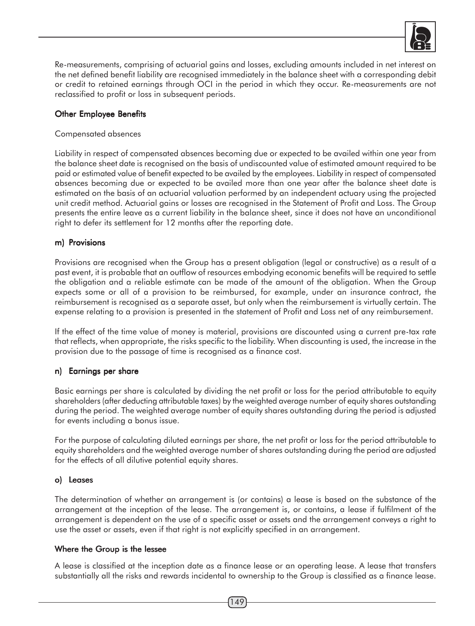

Re-measurements, comprising of actuarial gains and losses, excluding amounts included in net interest on the net defined benefit liability are recognised immediately in the balance sheet with a corresponding debit or credit to retained earnings through OCI in the period in which they occur. Re-measurements are not reclassified to profit or loss in subsequent periods.

#### Other Employee Benefits

#### Compensated absences

Liability in respect of compensated absences becoming due or expected to be availed within one year from the balance sheet date is recognised on the basis of undiscounted value of estimated amount required to be paid or estimated value of benefit expected to be availed by the employees. Liability in respect of compensated absences becoming due or expected to be availed more than one year after the balance sheet date is estimated on the basis of an actuarial valuation performed by an independent actuary using the projected unit credit method. Actuarial gains or losses are recognised in the Statement of Profit and Loss. The Group presents the entire leave as a current liability in the balance sheet, since it does not have an unconditional right to defer its settlement for 12 months after the reporting date.

#### m) Provisions

Provisions are recognised when the Group has a present obligation (legal or constructive) as a result of a past event, it is probable that an outflow of resources embodying economic benefits will be required to settle the obligation and a reliable estimate can be made of the amount of the obligation. When the Group expects some or all of a provision to be reimbursed, for example, under an insurance contract, the reimbursement is recognised as a separate asset, but only when the reimbursement is virtually certain. The expense relating to a provision is presented in the statement of Profit and Loss net of any reimbursement.

If the effect of the time value of money is material, provisions are discounted using a current pre-tax rate that reflects, when appropriate, the risks specific to the liability. When discounting is used, the increase in the provision due to the passage of time is recognised as a finance cost.

#### n) Earnings per share

Basic earnings per share is calculated by dividing the net profit or loss for the period attributable to equity shareholders (after deducting attributable taxes) by the weighted average number of equity shares outstanding during the period. The weighted average number of equity shares outstanding during the period is adjusted for events including a bonus issue.

For the purpose of calculating diluted earnings per share, the net profit or loss for the period attributable to equity shareholders and the weighted average number of shares outstanding during the period are adjusted for the effects of all dilutive potential equity shares.

#### o) Leases

The determination of whether an arrangement is (or contains) a lease is based on the substance of the arrangement at the inception of the lease. The arrangement is, or contains, a lease if fulfilment of the arrangement is dependent on the use of a specific asset or assets and the arrangement conveys a right to use the asset or assets, even if that right is not explicitly specified in an arrangement.

#### Where the Group is the lessee

A lease is classified at the inception date as a finance lease or an operating lease. A lease that transfers substantially all the risks and rewards incidental to ownership to the Group is classified as a finance lease.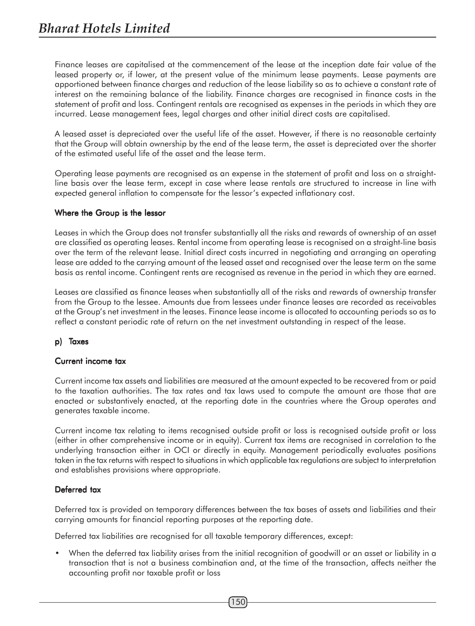Finance leases are capitalised at the commencement of the lease at the inception date fair value of the leased property or, if lower, at the present value of the minimum lease payments. Lease payments are apportioned between finance charges and reduction of the lease liability so as to achieve a constant rate of interest on the remaining balance of the liability. Finance charges are recognised in finance costs in the statement of profit and loss. Contingent rentals are recognised as expenses in the periods in which they are incurred. Lease management fees, legal charges and other initial direct costs are capitalised.

A leased asset is depreciated over the useful life of the asset. However, if there is no reasonable certainty that the Group will obtain ownership by the end of the lease term, the asset is depreciated over the shorter of the estimated useful life of the asset and the lease term.

Operating lease payments are recognised as an expense in the statement of profit and loss on a straightline basis over the lease term, except in case where lease rentals are structured to increase in line with expected general inflation to compensate for the lessor's expected inflationary cost.

#### Where the Group is the lessor

Leases in which the Group does not transfer substantially all the risks and rewards of ownership of an asset are classified as operating leases. Rental income from operating lease is recognised on a straight-line basis over the term of the relevant lease. Initial direct costs incurred in negotiating and arranging an operating lease are added to the carrying amount of the leased asset and recognised over the lease term on the same basis as rental income. Contingent rents are recognised as revenue in the period in which they are earned.

Leases are classified as finance leases when substantially all of the risks and rewards of ownership transfer from the Group to the lessee. Amounts due from lessees under finance leases are recorded as receivables at the Group's net investment in the leases. Finance lease income is allocated to accounting periods so as to reflect a constant periodic rate of return on the net investment outstanding in respect of the lease.

#### p) Taxes

#### Current income tax

Current income tax assets and liabilities are measured at the amount expected to be recovered from or paid to the taxation authorities. The tax rates and tax laws used to compute the amount are those that are enacted or substantively enacted, at the reporting date in the countries where the Group operates and generates taxable income.

Current income tax relating to items recognised outside profit or loss is recognised outside profit or loss (either in other comprehensive income or in equity). Current tax items are recognised in correlation to the underlying transaction either in OCI or directly in equity. Management periodically evaluates positions taken in the tax returns with respect to situations in which applicable tax regulations are subject to interpretation and establishes provisions where appropriate.

#### Deferred tax

Deferred tax is provided on temporary differences between the tax bases of assets and liabilities and their carrying amounts for financial reporting purposes at the reporting date.

Deferred tax liabilities are recognised for all taxable temporary differences, except:

• When the deferred tax liability arises from the initial recognition of goodwill or an asset or liability in a transaction that is not a business combination and, at the time of the transaction, affects neither the accounting profit nor taxable profit or loss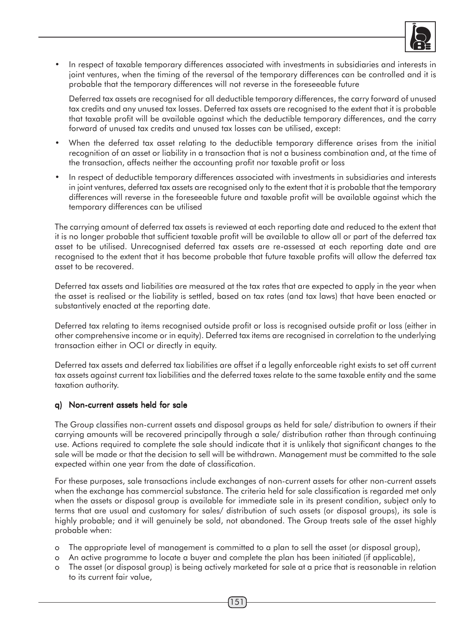

• In respect of taxable temporary differences associated with investments in subsidiaries and interests in joint ventures, when the timing of the reversal of the temporary differences can be controlled and it is probable that the temporary differences will not reverse in the foreseeable future

Deferred tax assets are recognised for all deductible temporary differences, the carry forward of unused tax credits and any unused tax losses. Deferred tax assets are recognised to the extent that it is probable that taxable profit will be available against which the deductible temporary differences, and the carry forward of unused tax credits and unused tax losses can be utilised, except:

- When the deferred tax asset relating to the deductible temporary difference arises from the initial recognition of an asset or liability in a transaction that is not a business combination and, at the time of the transaction, affects neither the accounting profit nor taxable profit or loss
- In respect of deductible temporary differences associated with investments in subsidiaries and interests in joint ventures, deferred tax assets are recognised only to the extent that it is probable that the temporary differences will reverse in the foreseeable future and taxable profit will be available against which the temporary differences can be utilised

The carrying amount of deferred tax assets is reviewed at each reporting date and reduced to the extent that it is no longer probable that sufficient taxable profit will be available to allow all or part of the deferred tax asset to be utilised. Unrecognised deferred tax assets are re-assessed at each reporting date and are recognised to the extent that it has become probable that future taxable profits will allow the deferred tax asset to be recovered.

Deferred tax assets and liabilities are measured at the tax rates that are expected to apply in the year when the asset is realised or the liability is settled, based on tax rates (and tax laws) that have been enacted or substantively enacted at the reporting date.

Deferred tax relating to items recognised outside profit or loss is recognised outside profit or loss (either in other comprehensive income or in equity). Deferred tax items are recognised in correlation to the underlying transaction either in OCI or directly in equity.

Deferred tax assets and deferred tax liabilities are offset if a legally enforceable right exists to set off current tax assets against current tax liabilities and the deferred taxes relate to the same taxable entity and the same taxation authority.

#### q) Non-current assets held for sale

The Group classifies non-current assets and disposal groups as held for sale/ distribution to owners if their carrying amounts will be recovered principally through a sale/ distribution rather than through continuing use. Actions required to complete the sale should indicate that it is unlikely that significant changes to the sale will be made or that the decision to sell will be withdrawn. Management must be committed to the sale expected within one year from the date of classification.

For these purposes, sale transactions include exchanges of non-current assets for other non-current assets when the exchange has commercial substance. The criteria held for sale classification is regarded met only when the assets or disposal group is available for immediate sale in its present condition, subject only to terms that are usual and customary for sales/ distribution of such assets (or disposal groups), its sale is highly probable; and it will genuinely be sold, not abandoned. The Group treats sale of the asset highly probable when:

- o The appropriate level of management is committed to a plan to sell the asset (or disposal group),
- o An active programme to locate a buyer and complete the plan has been initiated (if applicable),
- o The asset (or disposal group) is being actively marketed for sale at a price that is reasonable in relation to its current fair value,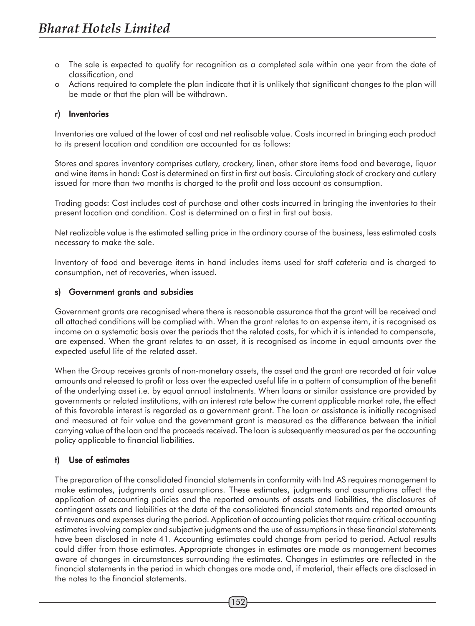- o The sale is expected to qualify for recognition as a completed sale within one year from the date of classification, and
- o Actions required to complete the plan indicate that it is unlikely that significant changes to the plan will be made or that the plan will be withdrawn.

#### r) Inventories

Inventories are valued at the lower of cost and net realisable value. Costs incurred in bringing each product to its present location and condition are accounted for as follows:

Stores and spares inventory comprises cutlery, crockery, linen, other store items food and beverage, liquor and wine items in hand: Cost is determined on first in first out basis. Circulating stock of crockery and cutlery issued for more than two months is charged to the profit and loss account as consumption.

Trading goods: Cost includes cost of purchase and other costs incurred in bringing the inventories to their present location and condition. Cost is determined on a first in first out basis.

Net realizable value is the estimated selling price in the ordinary course of the business, less estimated costs necessary to make the sale.

Inventory of food and beverage items in hand includes items used for staff cafeteria and is charged to consumption, net of recoveries, when issued.

#### s) Government grants and subsidies

Government grants are recognised where there is reasonable assurance that the grant will be received and all attached conditions will be complied with. When the grant relates to an expense item, it is recognised as income on a systematic basis over the periods that the related costs, for which it is intended to compensate, are expensed. When the grant relates to an asset, it is recognised as income in equal amounts over the expected useful life of the related asset.

When the Group receives grants of non-monetary assets, the asset and the grant are recorded at fair value amounts and released to profit or loss over the expected useful life in a pattern of consumption of the benefit of the underlying asset i.e. by equal annual instalments. When loans or similar assistance are provided by governments or related institutions, with an interest rate below the current applicable market rate, the effect of this favorable interest is regarded as a government grant. The loan or assistance is initially recognised and measured at fair value and the government grant is measured as the difference between the initial carrying value of the loan and the proceeds received. The loan is subsequently measured as per the accounting policy applicable to financial liabilities.

#### t) Use of estimates

The preparation of the consolidated financial statements in conformity with Ind AS requires management to make estimates, judgments and assumptions. These estimates, judgments and assumptions affect the application of accounting policies and the reported amounts of assets and liabilities, the disclosures of contingent assets and liabilities at the date of the consolidated financial statements and reported amounts of revenues and expenses during the period. Application of accounting policies that require critical accounting estimates involving complex and subjective judgments and the use of assumptions in these financial statements have been disclosed in note 41. Accounting estimates could change from period to period. Actual results could differ from those estimates. Appropriate changes in estimates are made as management becomes aware of changes in circumstances surrounding the estimates. Changes in estimates are reflected in the financial statements in the period in which changes are made and, if material, their effects are disclosed in the notes to the financial statements.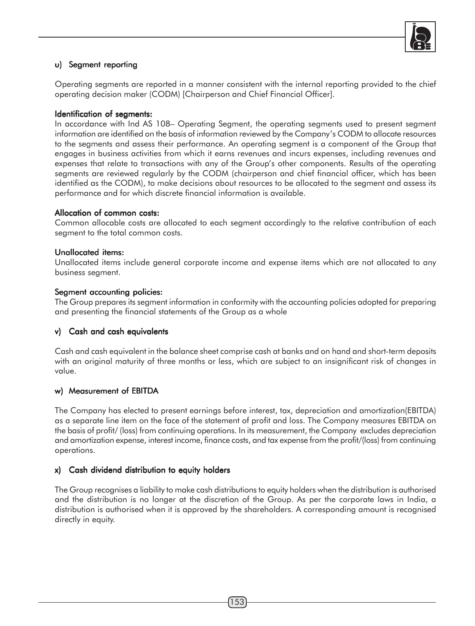

#### u) Segment reporting

Operating segments are reported in a manner consistent with the internal reporting provided to the chief operating decision maker (CODM) [Chairperson and Chief Financial Officer].

#### Identification of segments:

In accordance with Ind AS 108– Operating Segment, the operating segments used to present segment information are identified on the basis of information reviewed by the Company's CODM to allocate resources to the segments and assess their performance. An operating segment is a component of the Group that engages in business activities from which it earns revenues and incurs expenses, including revenues and expenses that relate to transactions with any of the Group's other components. Results of the operating segments are reviewed regularly by the CODM (chairperson and chief financial officer, which has been identified as the CODM), to make decisions about resources to be allocated to the segment and assess its performance and for which discrete financial information is available.

#### Allocation of common costs:

Common allocable costs are allocated to each segment accordingly to the relative contribution of each segment to the total common costs.

#### Unallocated items: Unallocated

Unallocated items include general corporate income and expense items which are not allocated to any business segment.

#### Segment accounting policies:

The Group prepares its segment information in conformity with the accounting policies adopted for preparing and presenting the financial statements of the Group as a whole

#### v) Cash and cash equivalents

Cash and cash equivalent in the balance sheet comprise cash at banks and on hand and short-term deposits with an original maturity of three months or less, which are subject to an insignificant risk of changes in value.

#### w) Measurement of EBITDA

The Company has elected to present earnings before interest, tax, depreciation and amortization(EBITDA) as a separate line item on the face of the statement of profit and loss. The Company measures EBITDA on the basis of profit/ (loss) from continuing operations. In its measurement, the Company excludes depreciation and amortization expense, interest income, finance costs, and tax expense from the profit/(loss) from continuing operations.

#### x) Cash dividend distribution to equity holders

The Group recognises a liability to make cash distributions to equity holders when the distribution is authorised and the distribution is no longer at the discretion of the Group. As per the corporate laws in India, a distribution is authorised when it is approved by the shareholders. A corresponding amount is recognised directly in equity.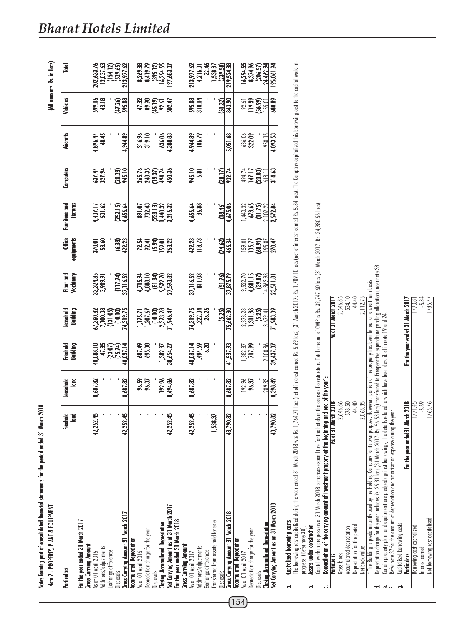|             | Note 2 : PROPERTY, PLANT & EQUIPMENT                                                                                                                                                          |                           |                           |                        |                                                                                                                                                                        |                        |                         |                                                                                                                                                                                                  |                        |                    |                        | (All amounts Rs. in Lacs) |
|-------------|-----------------------------------------------------------------------------------------------------------------------------------------------------------------------------------------------|---------------------------|---------------------------|------------------------|------------------------------------------------------------------------------------------------------------------------------------------------------------------------|------------------------|-------------------------|--------------------------------------------------------------------------------------------------------------------------------------------------------------------------------------------------|------------------------|--------------------|------------------------|---------------------------|
| Particulars |                                                                                                                                                                                               | reehold<br><u>na</u><br>Œ | g<br>Leasehold            | Freehold<br>Building   | Leasehold<br>Building                                                                                                                                                  | Plant and<br>Nachinery | dfice<br>equipments     | Furniture and<br><b>Fixtures</b>                                                                                                                                                                 | Computers              | Aircrafts          | <b>Vehicles</b>        | <b>Total</b>              |
|             | For the year ended 31 March 201<br>Gross Carrying Amount                                                                                                                                      |                           |                           |                        |                                                                                                                                                                        |                        |                         |                                                                                                                                                                                                  |                        |                    |                        |                           |
|             | As at 01 April 2016                                                                                                                                                                           | 42,252.45                 | 8,687.82                  | 40,088.10              |                                                                                                                                                                        |                        |                         | 4,407.17                                                                                                                                                                                         | 637.44                 | 4,896.44           | 599.16                 |                           |
|             | Additions/adjustments                                                                                                                                                                         |                           |                           | 4785                   | $\frac{67,360.82}{7,100.08}$                                                                                                                                           | 33,324.35<br>3,909.91  | 370.01                  | 501.62                                                                                                                                                                                           | 327.94                 | 48.45              | 43.18                  | 202,623.76<br>12,037.63   |
|             | Exchange differences                                                                                                                                                                          |                           |                           | $(23.07)$<br>$(75.74)$ |                                                                                                                                                                        |                        |                         |                                                                                                                                                                                                  |                        |                    |                        | (154.12)                  |
| Disposals   |                                                                                                                                                                                               |                           |                           |                        | (10.10)                                                                                                                                                                | (117.74)               | $\frac{(6.38)}{422.23}$ | (252.15)                                                                                                                                                                                         | $\frac{20.28}{945.10}$ |                    | (47.26)                | (529.65)                  |
|             | Gross Carrying Amount 31 March 201                                                                                                                                                            | 252.45<br>$\overline{42}$ | 8,687.82                  | 40,037.14              | 74.319.75                                                                                                                                                              | 37.116.52              |                         | 4,656.64                                                                                                                                                                                         |                        | 4,944.89           | 595.08                 | 213,977.62                |
|             | <b>Accumulated Depreciation</b><br>As at 01 April 2016                                                                                                                                        |                           |                           |                        |                                                                                                                                                                        |                        |                         |                                                                                                                                                                                                  |                        |                    |                        |                           |
|             | Depreciation charge for the year                                                                                                                                                              |                           | 96.59<br>96.37            | 687.49<br>695.38       |                                                                                                                                                                        | 4,715.94<br>4,888.10   | 72.54<br>92.41          | 891.07<br>782.43                                                                                                                                                                                 | 265.76<br>248.35       | 316.96<br>319.10   | 47.82<br>89.98         | 8,269.88<br>8,419.79      |
| Disposals   |                                                                                                                                                                                               |                           |                           |                        | 1,175.71<br>1,207.67<br>(10.10)                                                                                                                                        | (81.34)                | (5.94)                  | (233.18)                                                                                                                                                                                         | (19.37)                |                    | (45.19)                | (395.12)                  |
|             | Closing Accumulated Depreciation                                                                                                                                                              | ٠                         | 92.96                     | ,382.87                | 2,373.28                                                                                                                                                               | 9,522.70               | <b>159.01</b>           | 440.32                                                                                                                                                                                           | 494.74                 | 636.06             | 92.61                  | 16,294.55                 |
|             | Net Carrying Amount as at 31 March 2017                                                                                                                                                       | 252.45<br>$\overline{42}$ | 8,494.86                  | 38,654.27              | 71,946.47                                                                                                                                                              | 27,593.82              | 263.22                  | 3.216.32                                                                                                                                                                                         | 450.36                 | 4,308.83           | 502.47                 | 97,683.07                 |
|             | For the year ended 31 March 2018                                                                                                                                                              |                           |                           |                        |                                                                                                                                                                        |                        |                         |                                                                                                                                                                                                  |                        |                    |                        |                           |
|             | Gross Carrying Amount                                                                                                                                                                         |                           |                           |                        |                                                                                                                                                                        |                        |                         |                                                                                                                                                                                                  |                        |                    |                        |                           |
|             | As at 01 April 2017                                                                                                                                                                           | 252.45<br><b>127</b>      | 8,687.82                  | 40,037.14              | 74,319.75<br>1,322.04<br>26.26                                                                                                                                         | 37,116.52              | 422.23<br>118.73        | 4,656.64                                                                                                                                                                                         | 945.10<br>15.81        | 4,944.89<br>106.79 | 595.08                 | 213,977.62                |
|             | Additions/adjustments                                                                                                                                                                         |                           |                           |                        |                                                                                                                                                                        | 811.03                 |                         | 36.88                                                                                                                                                                                            |                        |                    | 310.14                 | 4,216.01<br>32.46         |
|             | Exchange differences                                                                                                                                                                          |                           |                           | 6.20                   |                                                                                                                                                                        |                        |                         |                                                                                                                                                                                                  |                        |                    |                        |                           |
|             | ransferred from assets held for sale                                                                                                                                                          | 1,538.37                  |                           |                        | (5.25)                                                                                                                                                                 | (51.76)                | (74.62)                 | (18.46)                                                                                                                                                                                          | (28.17)                |                    | (61.32)                | 1,538.37<br>(239.58)      |
| Disposals   |                                                                                                                                                                                               |                           |                           |                        |                                                                                                                                                                        |                        |                         |                                                                                                                                                                                                  |                        |                    |                        |                           |
|             | Gross Carrying Amount 31 March 2018                                                                                                                                                           | 790.82<br>43,7            | 8,687.82                  | 41,537.93              | 75,662.80                                                                                                                                                              | 37,875.79              | 466.34                  | 4,675.06                                                                                                                                                                                         | 932.74                 | 5.051.68           | 843.90                 | 219,524.88                |
|             | <b>Accumulated Depreciation</b><br>As at 01 April 2017                                                                                                                                        |                           | 192.96                    |                        |                                                                                                                                                                        | 9,522.70               | 159.01                  | 1,440.32                                                                                                                                                                                         | 494.74                 |                    |                        | 16,294.55                 |
|             | Depreciation charge for the year                                                                                                                                                              |                           | 96.37                     | 1,382.87<br>717.99     | $2,373.28$<br>1,311.38                                                                                                                                                 | 4,881.15               |                         | 673.65                                                                                                                                                                                           | 147.17                 | 636.06<br>322.09   | $\frac{92.61}{119.39}$ | 8,374.96                  |
| Disposals   |                                                                                                                                                                                               |                           |                           |                        | (5.25)                                                                                                                                                                 | (39.87)                | 105.77<br>(68.91)       | (11.75)                                                                                                                                                                                          | (23.80)                |                    | (56.99)                | (206.57)                  |
|             | <b>Closing Accumulated Depreciation</b>                                                                                                                                                       |                           | 289.33                    | 2.100.86               | 3.679.41                                                                                                                                                               | 4.363.98               | 195.87                  | 2.102.22                                                                                                                                                                                         | 618.1                  | 958.15             | 155.01                 | 24,462.94                 |
|             | Net Carrying Amount as on 31 March 2018                                                                                                                                                       | 790.82<br>43,7            | 8.398.49                  | 39,437.07              | 71,983.39                                                                                                                                                              | 23,511.81              | 270.47                  | 2,572.84                                                                                                                                                                                         | 314.63                 | 4,093.53           | 688.89                 | 95,061.94                 |
|             |                                                                                                                                                                                               |                           |                           |                        |                                                                                                                                                                        |                        |                         |                                                                                                                                                                                                  |                        |                    |                        |                           |
|             | The borrowing cost capitalized during the year ended 31 March 2018 was Rs.<br>Capitalised borrowing costs                                                                                     |                           |                           |                        |                                                                                                                                                                        |                        |                         | 1,764.71 loc (net of interest enmed Rs. 5.69 locs) (31 March 2017: Rs. 1,709.10 locs (net of interest earned Rs. 5.34 locs). The Company capitalized this borrowing cost to the capital work-in- |                        |                    |                        |                           |
|             | progress. (Refer note 38).                                                                                                                                                                    |                           |                           |                        |                                                                                                                                                                        |                        |                         |                                                                                                                                                                                                  |                        |                    |                        |                           |
|             | Assets under construction                                                                                                                                                                     |                           |                           |                        |                                                                                                                                                                        |                        |                         |                                                                                                                                                                                                  |                        |                    |                        |                           |
|             | Capital work in pagess as at 31 March 2018 comprises expenditure for the hotels in the course of construction. Toth amount of CWIP is Rs. 32,747.60 lacs (31 March 2017: Rs. 24,980.56 lacs). |                           |                           |                        |                                                                                                                                                                        |                        |                         |                                                                                                                                                                                                  |                        |                    |                        |                           |
|             | Reconciliation of the carrying amount of investment property at the beginn                                                                                                                    |                           | ing and end of the year*: |                        |                                                                                                                                                                        |                        |                         |                                                                                                                                                                                                  |                        |                    |                        |                           |
|             | Particualrs                                                                                                                                                                                   | As at 31 March 2018       |                           |                        | As at 31 March 2017                                                                                                                                                    |                        |                         |                                                                                                                                                                                                  |                        |                    |                        |                           |
|             | Gross block                                                                                                                                                                                   | 2,646.86                  |                           |                        | 2,646.86                                                                                                                                                               |                        |                         |                                                                                                                                                                                                  |                        |                    |                        |                           |
|             | <b>Accumulated depreciation</b>                                                                                                                                                               | 578.50<br>44.40           |                           |                        | 534.10                                                                                                                                                                 |                        |                         |                                                                                                                                                                                                  |                        |                    |                        |                           |
|             | Depreciation for the period                                                                                                                                                                   | 2,068.35                  |                           |                        | 44.40<br>2,112.75                                                                                                                                                      |                        |                         |                                                                                                                                                                                                  |                        |                    |                        |                           |
|             | Net book value                                                                                                                                                                                |                           |                           |                        |                                                                                                                                                                        |                        |                         |                                                                                                                                                                                                  |                        |                    |                        |                           |
|             | * The Building is predominantly used by the Holding Company for its own pur<br>Depreciation charge for the year includes Rs. 25.31 lacs (31 March 2017: Rs.                                   |                           |                           |                        | 56.53 lacs) transferred to Preoperative expenditure pending allocation under note 38.<br>pose. However, portion of the property has been let out on a short term basis |                        |                         |                                                                                                                                                                                                  |                        |                    |                        |                           |
|             | .42 Eertoin property plant and equipment are pledged against borrowings, the details related to which have been described in note 19 and 24.                                                  |                           |                           |                        |                                                                                                                                                                        |                        |                         |                                                                                                                                                                                                  |                        |                    |                        |                           |

# *Bharat Hotels Limited*

Notes forming part of consolidated financial statements for the period ended 31 March 2018

Notes forming part of consolidated financial statements for the period ended 31 March 2018

 $(154)$ 

Lerrom property plant and equipment are pedged against borrowings, the defails redirect<br>Refer note 37 for the amount of depreciation and amortisation expense during the year.<br>Capitalised borrowing costs **f.** Refer note 37 for the amount of depreciation and amortisation expense during the year.

g. Capitalised borrowing costs ا ادت ب

| cic on Nillia and non-non-non-non- |         |                        |
|------------------------------------|---------|------------------------|
| dilitation                         |         | of the <sub>li</sub> e |
|                                    |         | 790.81                 |
|                                    | $-5.69$ | $-5.34$                |
|                                    | 1765.76 | 785.47                 |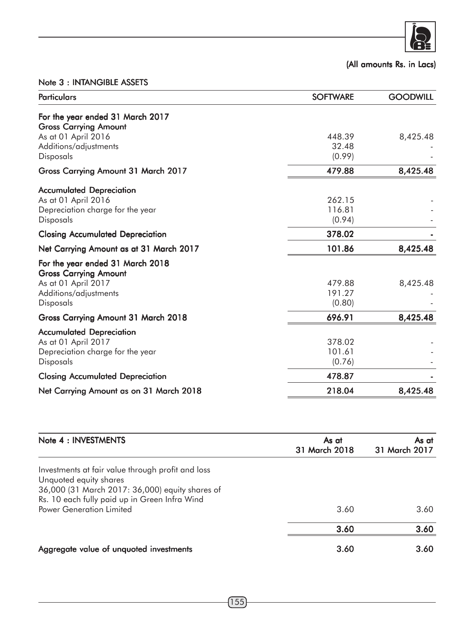

#### Note 3 : INTANGIBLE ASSETS

| <b>Particulars</b>                                               | <b>SOFTWARE</b> | <b>GOODWILL</b> |
|------------------------------------------------------------------|-----------------|-----------------|
| For the year ended 31 March 2017<br><b>Gross Carrying Amount</b> |                 |                 |
| As at 01 April 2016                                              | 448.39          | 8,425.48        |
| Additions/adjustments                                            | 32.48           |                 |
| Disposals                                                        | (0.99)          |                 |
| Gross Carrying Amount 31 March 2017                              | 479.88          | 8,425.48        |
| <b>Accumulated Depreciation</b>                                  |                 |                 |
| As at 01 April 2016                                              | 262.15          |                 |
| Depreciation charge for the year                                 | 116.81          |                 |
| Disposals                                                        | (0.94)          |                 |
| <b>Closing Accumulated Depreciation</b>                          | 378.02          |                 |
| Net Carrying Amount as at 31 March 2017                          | 101.86          | 8,425.48        |
| For the year ended 31 March 2018                                 |                 |                 |
| <b>Gross Carrying Amount</b>                                     |                 |                 |
| As at 01 April 2017                                              | 479.88          | 8,425.48        |
| Additions/adjustments                                            | 191.27          |                 |
| <b>Disposals</b>                                                 | (0.80)          |                 |
| Gross Carrying Amount 31 March 2018                              | 696.91          | 8,425.48        |
| <b>Accumulated Depreciation</b>                                  |                 |                 |
| As at 01 April 2017                                              | 378.02          |                 |
| Depreciation charge for the year                                 | 101.61          |                 |
| <b>Disposals</b>                                                 | (0.76)          |                 |
| <b>Closing Accumulated Depreciation</b>                          | 478.87          |                 |
| Net Carrying Amount as on 31 March 2018                          | 218.04          | 8,425.48        |

| Note 4 : INVESTMENTS                                                                                                                                                                                        | As at<br>31 March 2018 | As at<br>31 March 2017 |
|-------------------------------------------------------------------------------------------------------------------------------------------------------------------------------------------------------------|------------------------|------------------------|
| Investments at fair value through profit and loss<br>Unquoted equity shares<br>36,000 (31 March 2017: 36,000) equity shares of<br>Rs. 10 each fully paid up in Green Infra Wind<br>Power Generation Limited | 3.60                   | 3.60                   |
|                                                                                                                                                                                                             | 3.60                   | 3.60                   |
| Aggregate value of unquoted investments                                                                                                                                                                     | 3.60                   | 3.60                   |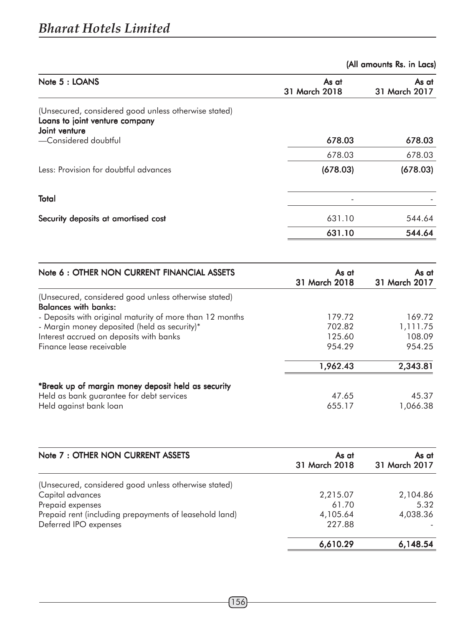# *Bharat Hotels Limited*

(All amounts Rs. in Lacs)

| Note 5: LOANS                                                                                          | As at<br>31 March 2018 | As at<br>31 March 2017 |
|--------------------------------------------------------------------------------------------------------|------------------------|------------------------|
| (Unsecured, considered good unless otherwise stated)<br>Loans to joint venture company                 |                        |                        |
| -Considered doubtful                                                                                   | 678.03                 | 678.03                 |
| Joint venture<br>Less: Provision for doubtful advances<br>Total<br>Security deposits at amortised cost | 678.03                 | 678.03                 |
|                                                                                                        | (678.03)               | (678.03)               |
|                                                                                                        |                        |                        |
|                                                                                                        | 631.10                 | 544.64                 |
|                                                                                                        | 631.10                 | 544.64                 |

| Note 6: OTHER NON CURRENT FINANCIAL ASSETS               | As at<br>31 March 2018 | As at<br>31 March 2017 |
|----------------------------------------------------------|------------------------|------------------------|
|                                                          |                        |                        |
| (Unsecured, considered good unless otherwise stated)     |                        |                        |
| <b>Balances with banks:</b>                              |                        |                        |
| - Deposits with original maturity of more than 12 months | 179.72                 | 169.72                 |
| - Margin money deposited (held as security)*             | 702.82                 | 1,111.75               |
| Interest accrued on deposits with banks                  | 125.60                 | 108.09                 |
| Finance lease receivable                                 | 954.29                 | 954.25                 |
|                                                          | 1,962.43               | 2,343.81               |
| *Break up of margin money deposit held as security       |                        |                        |
| Held as bank guarantee for debt services                 | 47.65                  | 45.37                  |
| Held against bank loan                                   | 655.17                 | 1,066.38               |

| Note 7 : OTHER NON CURRENT ASSETS                      | As at         | As at         |
|--------------------------------------------------------|---------------|---------------|
|                                                        | 31 March 2018 | 31 March 2017 |
| (Unsecured, considered good unless otherwise stated)   |               |               |
| Capital advances                                       | 2,215.07      | 2,104.86      |
| Prepaid expenses                                       | 61.70         | 5.32          |
| Prepaid rent (including prepayments of leasehold land) | 4,105.64      | 4,038.36      |
| Deferred IPO expenses                                  | 227.88        |               |
|                                                        | 6,610.29      | 6,148.54      |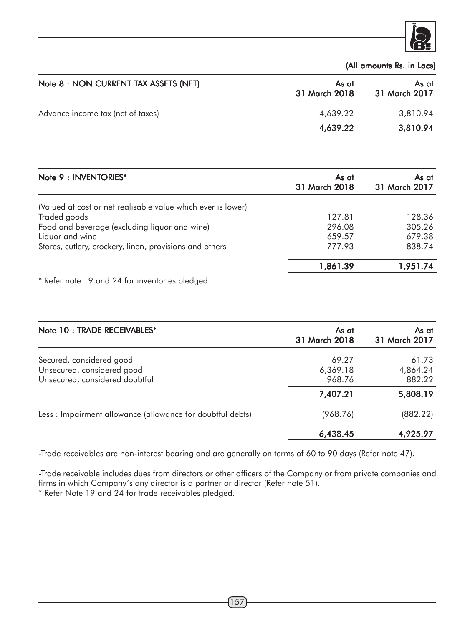

| Note 8 : NON CURRENT TAX ASSETS (NET) | As at<br>31 March 2018 | As at<br>31 March 2017 |
|---------------------------------------|------------------------|------------------------|
| Advance income tax (net of taxes)     | 4,639.22               | 3,810.94               |
|                                       | 4,639.22               | 3,810.94               |

| Note 9: INVENTORIES*                                         | As at<br>31 March 2018 | As at<br>31 March 2017 |
|--------------------------------------------------------------|------------------------|------------------------|
| (Valued at cost or net realisable value which ever is lower) |                        |                        |
| Traded goods                                                 | 127.81                 | 128.36                 |
| Food and beverage (excluding liquor and wine)                | 296.08                 | 305.26                 |
| Liquor and wine                                              | 659.57                 | 679.38                 |
| Stores, cutlery, crockery, linen, provisions and others      | 777.93                 | 838.74                 |
|                                                              | 1,861.39               | 1,951.74               |

\* Refer note 19 and 24 for inventories pledged.

| Note 10 : TRADE RECEIVABLES*                              | As at         | As at         |
|-----------------------------------------------------------|---------------|---------------|
|                                                           | 31 March 2018 | 31 March 2017 |
| Secured, considered good                                  | 69.27         | 61.73         |
| Unsecured, considered good                                | 6,369.18      | 4,864.24      |
| Unsecured, considered doubtful                            | 968.76        | 882.22        |
|                                                           | 7,407.21      | 5,808.19      |
| Less: Impairment allowance (allowance for doubtful debts) | (968.76)      | (882.22)      |
|                                                           | 6,438.45      | 4,925.97      |

-Trade receivables are non-interest bearing and are generally on terms of 60 to 90 days (Refer note 47).

-Trade receivable includes dues from directors or other officers of the Company or from private companies and firms in which Company's any director is a partner or director (Refer note 51). \* Refer Note 19 and 24 for trade receivables pledged.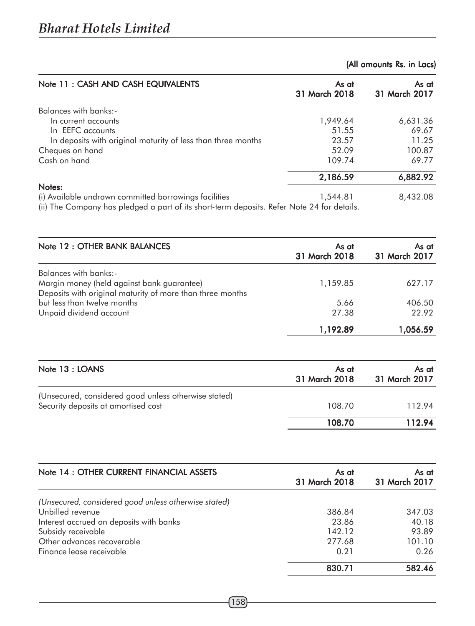| Note 11: CASH AND CASH EQUIVALENTS                           | As at         | As at         |
|--------------------------------------------------------------|---------------|---------------|
|                                                              | 31 March 2018 | 31 March 2017 |
| Balances with banks:-                                        |               |               |
| In current accounts                                          | 1,949.64      | 6,631.36      |
| In EEFC accounts                                             | 51.55         | 69.67         |
| In deposits with original maturity of less than three months | 23.57         | 11.25         |
| Cheques on hand                                              | 52.09         | 100.87        |
| Cash on hand                                                 | 109.74        | 69.77         |
|                                                              | 2,186.59      | 6,882.92      |
| Notes:                                                       |               |               |
| (i) Available undrawn committed borrowings facilities        | 1,544.81      | 8,432.08      |

(ii) The Company has pledged a part of its short-term deposits. Refer Note 24 for details.

| Note 12: OTHER BANK BALANCES                              | As at         | As at         |
|-----------------------------------------------------------|---------------|---------------|
|                                                           | 31 March 2018 | 31 March 2017 |
| Balances with banks:-                                     |               |               |
| Margin money (held against bank guarantee)                | 1,159.85      | 627.17        |
| Deposits with original maturity of more than three months |               |               |
| but less than twelve months                               | 5.66          | 406.50        |
| Unpaid dividend account                                   | 27.38         | 22.92         |
|                                                           | 1,192.89      | 1,056.59      |

| Note 13 : LOANS                                                                             | As at<br>31 March 2018 | As at<br>31 March 2017 |
|---------------------------------------------------------------------------------------------|------------------------|------------------------|
| (Unsecured, considered good unless otherwise stated)<br>Security deposits at amortised cost | 108.70                 | 112.94                 |
|                                                                                             | 108.70                 | 112.94                 |

| Note 14 : OTHER CURRENT FINANCIAL ASSETS             | As at<br>31 March 2018 | As at<br>31 March 2017 |
|------------------------------------------------------|------------------------|------------------------|
| (Unsecured, considered good unless otherwise stated) |                        |                        |
| Unbilled revenue                                     | 386.84                 | 347.03                 |
| Interest accrued on deposits with banks              | 23.86                  | 40.18                  |
| Subsidy receivable                                   | 142.12                 | 93.89                  |
| Other advances recoverable                           | 277.68                 | 101.10                 |
| Finance lease receivable                             | 0.21                   | 0.26                   |
|                                                      | 830.71                 | 582.46                 |

(All amounts Rs. in Lacs)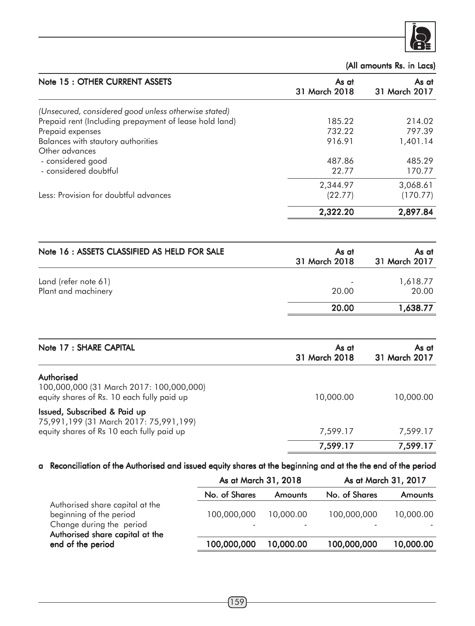

| Note 15: OTHER CURRENT ASSETS                          | As at<br>31 March 2018 | As at<br>31 March 2017 |
|--------------------------------------------------------|------------------------|------------------------|
| (Unsecured, considered good unless otherwise stated)   |                        |                        |
| Prepaid rent (Including prepayment of lease hold land) | 185.22                 | 214.02                 |
| Prepaid expenses                                       | 732.22                 | 797.39                 |
| Balances with stautory authorities                     | 916.91                 | 1,401.14               |
| Other advances                                         |                        |                        |
| - considered good                                      | 487.86                 | 485.29                 |
| - considered doubtful                                  | 22.77                  | 170.77                 |
|                                                        | 2,344.97               | 3,068.61               |
| Less: Provision for doubtful advances                  | (22.77)                | (170.77)               |
|                                                        | 2,322.20               | 2,897.84               |
| Note 16 : ASSETS CLASSIFIED AS HELD FOR SALE           | As at<br>31 March 2018 | As at<br>31 March 2017 |
|                                                        |                        |                        |
| Land (refer note 61)                                   |                        | 1,618.77               |
| Plant and machinery                                    | 20.00                  | 20.00                  |
|                                                        | 20.00                  | 1,638.77               |
|                                                        |                        |                        |
| Note 17 : SHARE CAPITAL                                | As at                  | As at                  |
|                                                        | 31 March 2018          | 31 March 2017          |
| <b>Authorised</b>                                      |                        |                        |

# 100,000,000 (31 March 2017: 100,000,000) equity shares of Rs. 10 each fully paid up 10,000.00 10,000.00 10,000.00

#### Issued, Subscribed & Paid up

|                                           | 7,599.17 | 7.599.17 |
|-------------------------------------------|----------|----------|
| equity shares of Rs 10 each fully paid up | 7.599.17 | 7,599.17 |
| 75,991,199 (31 March 2017: 75,991,199)    |          |          |

### a Reconciliation of the Authorised and issued equity shares at the beginning and at the the end of the period

|                                                                                        | As at March 31, 2018 |                | As at March 31, 2017 |                |
|----------------------------------------------------------------------------------------|----------------------|----------------|----------------------|----------------|
|                                                                                        | No. of Shares        | <b>Amounts</b> | No. of Shares        | <b>Amounts</b> |
| Authorised share capital at the<br>beginning of the period<br>Change during the period | 100,000,000          | 10,000.00      | 100,000,000          | 10,000.00      |
| Authorised share capital at the<br>end of the period                                   | 100,000,000          | 10,000.00      | 100,000,000          | 10,000.00      |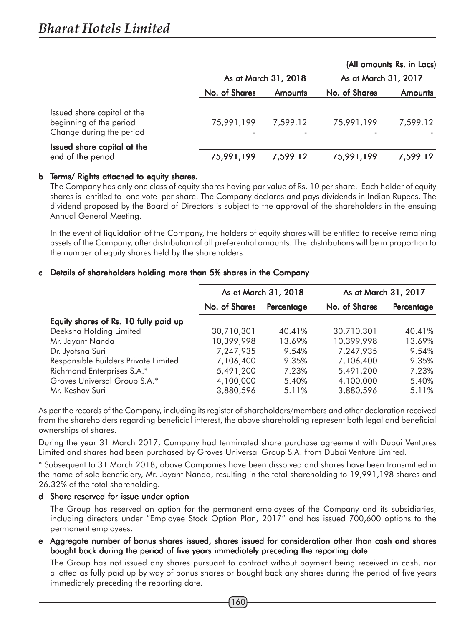|                                                                                    |               |                      |               | (All amounts Rs. in Lacs) |  |
|------------------------------------------------------------------------------------|---------------|----------------------|---------------|---------------------------|--|
|                                                                                    |               | As at March 31, 2018 |               | As at March 31, 2017      |  |
|                                                                                    | No. of Shares | <b>Amounts</b>       | No. of Shares | <b>Amounts</b>            |  |
| Issued share capital at the<br>beginning of the period<br>Change during the period | 75,991,199    | 7,599.12             | 75,991,199    | 7,599.12                  |  |
| Issued share capital at the<br>end of the period                                   | 75,991,199    | 7,599.12             | 75,991,199    | 7,599.12                  |  |

#### b Terms/ Rights attached to equity shares.

The Company has only one class of equity shares having par value of Rs. 10 per share. Each holder of equity shares is entitled to one vote per share. The Company declares and pays dividends in Indian Rupees. The dividend proposed by the Board of Directors is subject to the approval of the shareholders in the ensuing Annual General Meeting.

In the event of liquidation of the Company, the holders of equity shares will be entitled to receive remaining assets of the Company, after distribution of all preferential amounts. The distributions will be in proportion to the number of equity shares held by the shareholders.

#### c Details of shareholders holding more than 5% shares in the Company

|                                       | As at March 31, 2018 |            | As at March 31, 2017 |            |
|---------------------------------------|----------------------|------------|----------------------|------------|
|                                       | No. of Shares        | Percentage | No. of Shares        | Percentage |
| Equity shares of Rs. 10 fully paid up |                      |            |                      |            |
| Deeksha Holding Limited               | 30,710,301           | 40.41%     | 30,710,301           | 40.41%     |
| Mr. Jayant Nanda                      | 10,399,998           | 13.69%     | 10,399,998           | 13.69%     |
| Dr. Jyotsna Suri                      | 7,247,935            | 9.54%      | 7,247,935            | 9.54%      |
| Responsible Builders Private Limited  | 7,106,400            | 9.35%      | 7,106,400            | 9.35%      |
| Richmond Enterprises S.A.*            | 5,491,200            | 7.23%      | 5,491,200            | 7.23%      |
| Groves Universal Group S.A.*          | 4,100,000            | 5.40%      | 4,100,000            | 5.40%      |
| Mr. Keshav Suri                       | 3,880,596            | 5.11%      | 3,880,596            | 5.11%      |

As per the records of the Company, including its register of shareholders/members and other declaration received from the shareholders regarding beneficial interest, the above shareholding represent both legal and beneficial ownerships of shares.

During the year 31 March 2017, Company had terminated share purchase agreement with Dubai Ventures Limited and shares had been purchased by Groves Universal Group S.A. from Dubai Venture Limited.

\* Subsequent to 31 March 2018, above Companies have been dissolved and shares have been transmitted in the name of sole beneficiary, Mr. Jayant Nanda, resulting in the total shareholding to 19,991,198 shares and 26.32% of the total shareholding.

#### d Share reserved for issue under option

The Group has reserved an option for the permanent employees of the Company and its subsidiaries, including directors under "Employee Stock Option Plan, 2017" and has issued 700,600 options to the permanent employees.

#### e Aggregate number of bonus shares issued, shares issued for consideration other than cash and shares bought back during the period of five years immediately preceding the reporting date

The Group has not issued any shares pursuant to contract without payment being received in cash, nor allotted as fully paid up by way of bonus shares or bought back any shares during the period of five years immediately preceding the reporting date.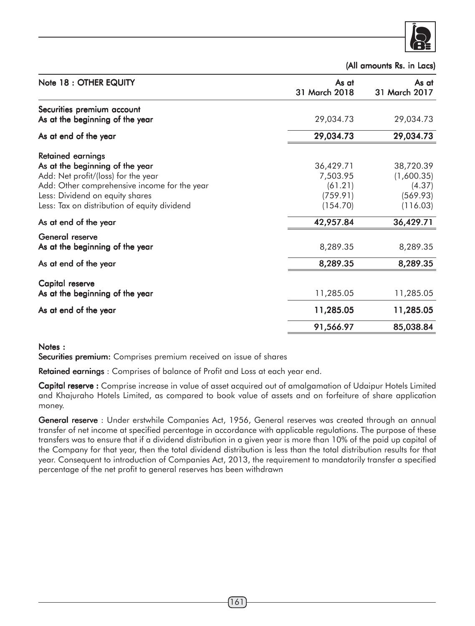

| Note 18: OTHER EQUITY                        | As at<br>31 March 2018 | As at<br>31 March 2017 |
|----------------------------------------------|------------------------|------------------------|
| Securities premium account                   |                        |                        |
| As at the beginning of the year              | 29,034.73              | 29,034.73              |
| As at end of the year                        | 29,034.73              | 29,034.73              |
| <b>Retained earnings</b>                     |                        |                        |
| As at the beginning of the year              | 36,429.71              | 38,720.39              |
| Add: Net profit/(loss) for the year          | 7,503.95               | (1,600.35)             |
| Add: Other comprehensive income for the year | (61.21)                | (4.37)                 |
| Less: Dividend on equity shares              | (759.91)               | (569.93)               |
| Less: Tax on distribution of equity dividend | (154.70)               | (116.03)               |
| As at end of the year                        | 42,957.84              | 36,429.71              |
| General reserve                              |                        |                        |
| As at the beginning of the year              | 8,289.35               | 8,289.35               |
| As at end of the year                        | 8,289.35               | 8,289.35               |
| Capital reserve                              |                        |                        |
| As at the beginning of the year              | 11,285.05              | 11,285.05              |
| As at end of the year                        | 11,285.05              | 11,285.05              |
|                                              | 91,566.97              | 85,038.84              |

#### Notes :

Securities premium: Comprises premium received on issue of shares

**Retained earnings**: Comprises of balance of Profit and Loss at each year end.

Capital reserve : Comprise increase in value of asset acquired out of amalgamation of Udaipur Hotels Limited and Khajuraho Hotels Limited, as compared to book value of assets and on forfeiture of share application money.

General reserve : Under erstwhile Companies Act, 1956, General reserves was created through an annual transfer of net income at specified percentage in accordance with applicable regulations. The purpose of these transfers was to ensure that if a dividend distribution in a given year is more than 10% of the paid up capital of the Company for that year, then the total dividend distribution is less than the total distribution results for that year. Consequent to introduction of Companies Act, 2013, the requirement to mandatorily transfer a specified percentage of the net profit to general reserves has been withdrawn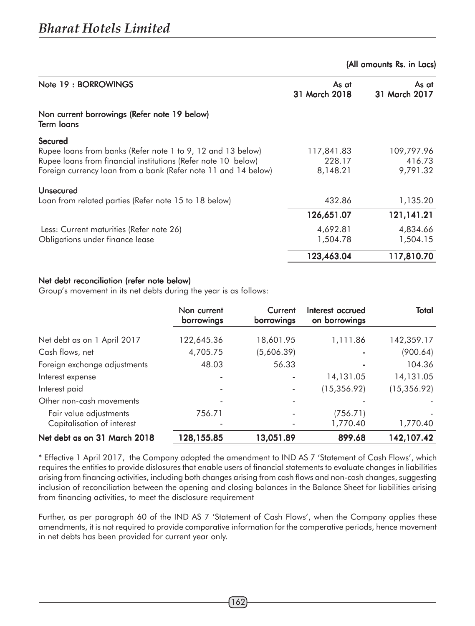| Note 19: BORROWINGS                                               | As at         | As at         |
|-------------------------------------------------------------------|---------------|---------------|
|                                                                   | 31 March 2018 | 31 March 2017 |
| Non current borrowings (Refer note 19 below)<br><b>Term loans</b> |               |               |
| Secured                                                           |               |               |
| Rupee loans from banks (Refer note 1 to 9, 12 and 13 below)       | 117,841.83    | 109,797.96    |
| Rupee loans from financial institutions (Refer note 10 below)     | 228.17        | 416.73        |
| Foreign currency loan from a bank (Refer note 11 and 14 below)    | 8,148.21      | 9,791.32      |
| Unsecured                                                         |               |               |
| Loan from related parties (Refer note 15 to 18 below)             | 432.86        | 1,135.20      |
|                                                                   | 126,651.07    | 121,141.21    |
| Less: Current maturities (Refer note 26)                          | 4,692.81      | 4,834.66      |
| Obligations under finance lease                                   | 1,504.78      | 1,504.15      |
|                                                                   | 123,463.04    | 117,810.70    |

#### Net debt reconciliation (refer note below)

Group's movement in its net debts during the year is as follows:

|                              | Non current              | Current    | Interest accrued | <b>Total</b> |
|------------------------------|--------------------------|------------|------------------|--------------|
|                              | borrowings               | borrowings | on borrowings    |              |
| Net debt as on 1 April 2017  | 122,645.36               | 18,601.95  | 1,111.86         | 142,359.17   |
| Cash flows, net              | 4,705.75                 | (5,606.39) |                  | (900.64)     |
| Foreign exchange adjustments | 48.03                    | 56.33      |                  | 104.36       |
| Interest expense             | $\overline{\phantom{a}}$ |            | 14,131.05        | 14,131.05    |
| Interest paid                |                          |            | (15, 356.92)     | (15, 356.92) |
| Other non-cash movements     | $\overline{\phantom{a}}$ |            |                  |              |
| Fair value adjustments       | 756.71                   |            | (756.71)         |              |
| Capitalisation of interest   |                          |            | 1,770.40         | 1,770.40     |
| Net debt as on 31 March 2018 | 128,155.85               | 13,051.89  | 899.68           | 142,107.42   |

\* Effective 1 April 2017, the Company adopted the amendment to IND AS 7 'Statement of Cash Flows', which requires the entities to provide dislosures that enable users of financial statements to evaluate changes in liabilities arising from financing activities, including both changes arising from cash flows and non-cash changes, suggesting inclusion of reconciliation between the opening and closing balances in the Balance Sheet for liabilities arising from financing activities, to meet the disclosure requirement

Further, as per paragraph 60 of the IND AS 7 'Statement of Cash Flows', when the Company applies these amendments, it is not required to provide comparative information for the comperative periods, hence movement in net debts has been provided for current year only.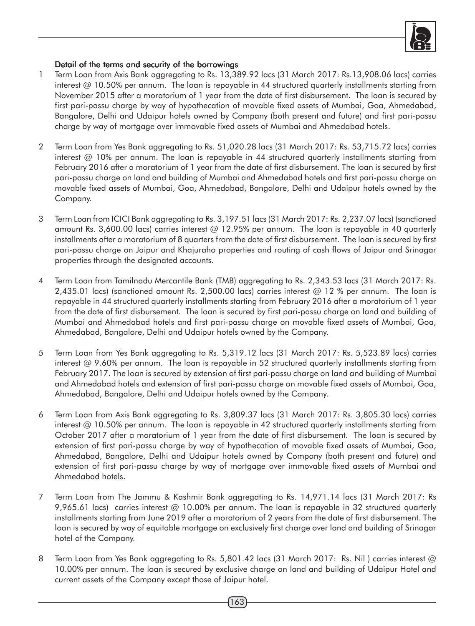

#### Detail of the terms and security of the borrowings

- 1 Term Loan from Axis Bank aggregating to Rs. 13,389.92 lacs (31 March 2017: Rs.13,908.06 lacs) carries interest @ 10.50% per annum. The loan is repayable in 44 structured quarterly installments starting from November 2015 after a moratorium of 1 year from the date of first disbursement. The loan is secured by first pari-passu charge by way of hypothecation of movable fixed assets of Mumbai, Goa, Ahmedabad, Bangalore, Delhi and Udaipur hotels owned by Company (both present and future) and first pari-passu charge by way of mortgage over immovable fixed assets of Mumbai and Ahmedabad hotels.
- 2 Term Loan from Yes Bank aggregating to Rs. 51,020.28 lacs (31 March 2017: Rs. 53,715.72 lacs) carries interest @ 10% per annum. The loan is repayable in 44 structured quarterly installments starting from February 2016 after a moratorium of 1 year from the date of first disbursement. The loan is secured by first pari-passu charge on land and building of Mumbai and Ahmedabad hotels and first pari-passu charge on movable fixed assets of Mumbai, Goa, Ahmedabad, Bangalore, Delhi and Udaipur hotels owned by the Company.
- 3 Term Loan from ICICI Bank aggregating to Rs. 3,197.51 lacs (31 March 2017: Rs. 2,237.07 lacs) (sanctioned amount Rs. 3,600.00 lacs) carries interest @ 12.95% per annum. The loan is repayable in 40 quarterly installments after a moratorium of 8 quarters from the date of first disbursement. The loan is secured by first pari-passu charge on Jaipur and Khajuraho properties and routing of cash flows of Jaipur and Srinagar properties through the designated accounts.
- 4 Term Loan from Tamilnadu Mercantile Bank (TMB) aggregating to Rs. 2,343.53 lacs (31 March 2017: Rs. 2,435.01 lacs) (sanctioned amount Rs. 2,500.00 lacs) carries interest  $\omega$  12 % per annum. The loan is repayable in 44 structured quarterly installments starting from February 2016 after a moratorium of 1 year from the date of first disbursement. The loan is secured by first pari-passu charge on land and building of Mumbai and Ahmedabad hotels and first pari-passu charge on movable fixed assets of Mumbai, Goa, Ahmedabad, Bangalore, Delhi and Udaipur hotels owned by the Company.
- 5 Term Loan from Yes Bank aggregating to Rs. 5,319.12 lacs (31 March 2017: Rs. 5,523.89 lacs) carries interest @ 9.60% per annum. The loan is repayable in 52 structured quarterly installments starting from February 2017. The loan is secured by extension of first pari-passu charge on land and building of Mumbai and Ahmedabad hotels and extension of first pari-passu charge on movable fixed assets of Mumbai, Goa, Ahmedabad, Bangalore, Delhi and Udaipur hotels owned by the Company.
- 6 Term Loan from Axis Bank aggregating to Rs. 3,809.37 lacs (31 March 2017: Rs. 3,805.30 lacs) carries interest @ 10.50% per annum. The loan is repayable in 42 structured quarterly installments starting from October 2017 after a moratorium of 1 year from the date of first disbursement. The loan is secured by extension of first pari-passu charge by way of hypothecation of movable fixed assets of Mumbai, Goa, Ahmedabad, Bangalore, Delhi and Udaipur hotels owned by Company (both present and future) and extension of first pari-passu charge by way of mortgage over immovable fixed assets of Mumbai and Ahmedabad hotels.
- 7 Term Loan from The Jammu & Kashmir Bank aggregating to Rs. 14,971.14 lacs (31 March 2017: Rs 9,965.61 lacs) carries interest @ 10.00% per annum. The loan is repayable in 32 structured quarterly installments starting from June 2019 after a moratorium of 2 years from the date of first disbursement. The loan is secured by way of equitable mortgage on exclusively first charge over land and building of Srinagar hotel of the Company.
- 8 Term Loan from Yes Bank aggregating to Rs. 5,801.42 lacs (31 March 2017: Rs. Nil ) carries interest @ 10.00% per annum. The loan is secured by exclusive charge on land and building of Udaipur Hotel and current assets of the Company except those of Jaipur hotel.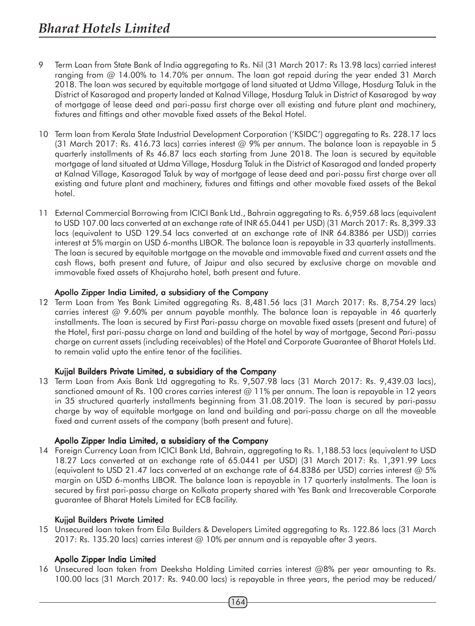- 9 Term Loan from State Bank of India aggregating to Rs. Nil (31 March 2017: Rs 13.98 lacs) carried interest ranging from @ 14.00% to 14.70% per annum. The loan got repaid during the year ended 31 March 2018. The loan was secured by equitable mortgage of land situated at Udma Village, Hosdurg Taluk in the District of Kasaragod and property landed at Kalnad Village, Hosdurg Taluk in District of Kasaragod by way of mortgage of lease deed and pari-passu first charge over all existing and future plant and machinery, fixtures and fittings and other movable fixed assets of the Bekal Hotel.
- 10 Term loan from Kerala State Industrial Development Corporation ('KSIDC') aggregating to Rs. 228.17 lacs (31 March 2017: Rs. 416.73 lacs) carries interest @ 9% per annum. The balance loan is repayable in 5 quarterly installments of Rs 46.87 lacs each starting from June 2018. The loan is secured by equitable mortgage of land situated at Udma Village, Hosdurg Taluk in the District of Kasaragod and landed property at Kalnad Village, Kasaragod Taluk by way of mortgage of lease deed and pari-passu first charge over all existing and future plant and machinery, fixtures and fittings and other movable fixed assets of the Bekal hotel.
- 11 External Commercial Borrowing from ICICI Bank Ltd., Bahrain aggregating to Rs. 6,959.68 lacs (equivalent to USD 107.00 lacs converted at an exchange rate of INR 65.0441 per USD) (31 March 2017: Rs. 8,399.33 lacs (equivalent to USD 129.54 lacs converted at an exchange rate of INR 64.8386 per USD)) carries interest at 5% margin on USD 6-months LIBOR. The balance loan is repayable in 33 quarterly installments. The loan is secured by equitable mortgage on the movable and immovable fixed and current assets and the cash flows, both present and future, of Jaipur and also secured by exclusive charge on movable and immovable fixed assets of Khajuraho hotel, both present and future.

# Apollo Zipper India Limited, a subsidiary of the Company

12 Term Loan from Yes Bank Limited aggregating Rs. 8,481.56 lacs (31 March 2017: Rs. 8,754.29 lacs) carries interest @ 9.60% per annum payable monthly. The balance loan is repayable in 46 quarterly installments. The loan is secured by First Pari-passu charge on movable fixed assets (present and future) of the Hotel, first pari-passu charge on land and building of the hotel by way of mortgage, Second Pari-passu charge on current assets (including receivables) of the Hotel and Corporate Guarantee of Bharat Hotels Ltd. to remain valid upto the entire tenor of the facilities.

#### Kujjal Builders Private Limited, a subsidiary of the Company

13 Term Loan from Axis Bank Ltd aggregating to Rs. 9,507.98 lacs (31 March 2017: Rs. 9,439.03 lacs), sanctioned amount of Rs. 100 crores carries interest @ 11% per annum. The loan is repayable in 12 years in 35 structured quarterly installments beginning from 31.08.2019. The loan is secured by pari-passu charge by way of equitable mortgage on land and building and pari-passu charge on all the moveable fixed and current assets of the company (both present and future).

#### Apollo Zipper India Limited, a subsidiary of the Company

14 Foreign Currency Loan from ICICI Bank Ltd, Bahrain, aggregating to Rs. 1,188.53 lacs (equivalent to USD 18.27 Lacs converted at an exchange rate of 65.0441 per USD) (31 March 2017: Rs. 1,391.99 Lacs (equivalent to USD 21.47 lacs converted at an exchange rate of 64.8386 per USD) carries interest @ 5% margin on USD 6-months LIBOR. The balance loan is repayable in 17 quarterly instalments. The loan is secured by first pari-passu charge on Kolkata property shared with Yes Bank and Irrecoverable Corporate guarantee of Bharat Hotels Limited for ECB facility.

#### Kujjal Builders Private Limited

15 Unsecured loan taken from Eila Builders & Developers Limited aggregating to Rs. 122.86 lacs (31 March 2017: Rs. 135.20 lacs) carries interest @ 10% per annum and is repayable after 3 years.

# Apollo Zipper India Limited

16 Unsecured loan taken from Deeksha Holding Limited carries interest @8% per year amounting to Rs. 100.00 lacs (31 March 2017: Rs. 940.00 lacs) is repayable in three years, the period may be reduced/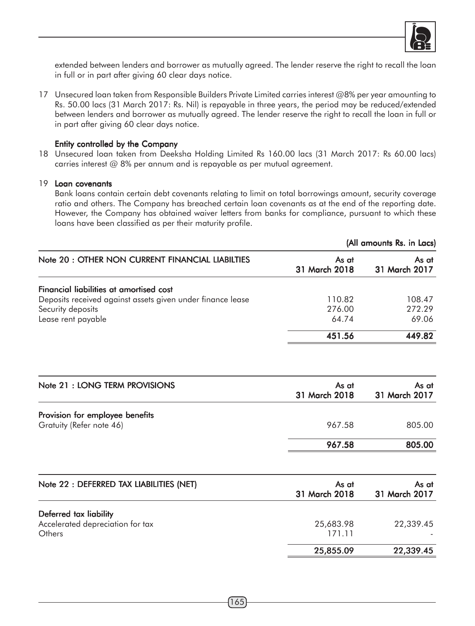

extended between lenders and borrower as mutually agreed. The lender reserve the right to recall the loan in full or in part after giving 60 clear days notice.

17 Unsecured loan taken from Responsible Builders Private Limited carries interest @8% per year amounting to Rs. 50.00 lacs (31 March 2017: Rs. Nil) is repayable in three years, the period may be reduced/extended between lenders and borrower as mutually agreed. The lender reserve the right to recall the loan in full or in part after giving 60 clear days notice.

#### Entity controlled by the Company

18 Unsecured loan taken from Deeksha Holding Limited Rs 160.00 lacs (31 March 2017: Rs 60.00 lacs) carries interest @ 8% per annum and is repayable as per mutual agreement.

#### 19 Loan covenants

Bank loans contain certain debt covenants relating to limit on total borrowings amount, security coverage ratio and others. The Company has breached certain loan covenants as at the end of the reporting date. However, the Company has obtained waiver letters from banks for compliance, pursuant to which these loans have been classified as per their maturity profile.

|                                                            |                        | (All amounts Rs. in Lacs) |
|------------------------------------------------------------|------------------------|---------------------------|
| Note 20: OTHER NON CURRENT FINANCIAL LIABILTIES            | As at<br>31 March 2018 | As at<br>31 March 2017    |
| Financial liabilities at amortised cost                    |                        |                           |
| Deposits received against assets given under finance lease | 110.82                 | 108.47                    |
| Security deposits                                          | 276.00                 | 272.29                    |
| Lease rent payable<br>64.74                                | 69.06                  |                           |
|                                                            | 451.56                 | 449.82                    |

| Note 21 : LONG TERM PROVISIONS                              | As at<br>31 March 2018 | As at<br>31 March 2017 |
|-------------------------------------------------------------|------------------------|------------------------|
| Provision for employee benefits<br>Gratuity (Refer note 46) | 967.58                 | 805.00                 |
|                                                             | 967.58                 | 805.00                 |

| Note 22 : DEFERRED TAX LIABILITIES (NET) | As at         | As at         |
|------------------------------------------|---------------|---------------|
|                                          | 31 March 2018 | 31 March 2017 |
| Deferred tax liability                   |               |               |
| Accelerated depreciation for tax         | 25,683.98     | 22,339.45     |
| Others                                   | 171.11        |               |
|                                          | 25,855.09     | 22,339.45     |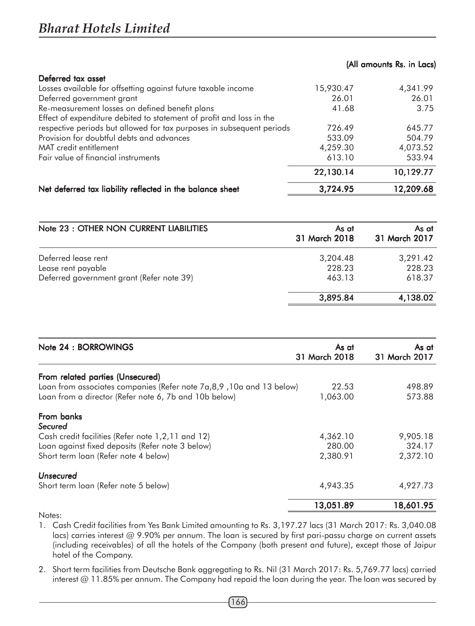|                                                                       |           | (All amounts Rs. in Lacs) |
|-----------------------------------------------------------------------|-----------|---------------------------|
| Deferred tax asset                                                    |           |                           |
| Losses available for offsetting against future taxable income         | 15,930.47 | 4,341.99                  |
| Deferred government grant                                             | 26.01     | 26.01                     |
| Re-measurement losses on defined benefit plans                        | 41.68     | 3.75                      |
| Effect of expenditure debited to statement of profit and loss in the  |           |                           |
| respective periods but allowed for tax purposes in subsequent periods | 726.49    | 645.77                    |
| Provision for doubtful debts and advances                             | 533.09    | 504.79                    |
| MAT credit entitlement                                                | 4,259.30  | 4,073.52                  |
| Fair value of financial instruments                                   | 613.10    | 533.94                    |
|                                                                       | 22,130.14 | 10,129.77                 |
| Net deferred tax liability reflected in the balance sheet             | 3,724.95  | 12,209.68                 |

| Note 23 : OTHER NON CURRENT LIABILITIES   | As at         | As at         |
|-------------------------------------------|---------------|---------------|
|                                           | 31 March 2018 | 31 March 2017 |
| Deferred lease rent                       | 3,204.48      | 3,291.42      |
| Lease rent payable                        | 228.23        | 228.23        |
| Deferred government grant (Refer note 39) | 463.13        | 618.37        |
|                                           | 3,895.84      | 4,138.02      |

| Note 24 : BORROWINGS                                                   | As at         | As at         |
|------------------------------------------------------------------------|---------------|---------------|
|                                                                        | 31 March 2018 | 31 March 2017 |
| From related parties (Unsecured)                                       |               |               |
| Loan from associates companies (Refer note 7a, 8, 9, 10a and 13 below) | 22.53         | 498.89        |
| Loan from a director (Refer note 6, 7b and 10b below)                  | 1,063.00      | 573.88        |
| <b>From banks</b>                                                      |               |               |
| Secured                                                                |               |               |
| Cash credit facilities (Refer note 1,2,11 and 12)                      | 4,362.10      | 9,905.18      |
| Loan against fixed deposits (Refer note 3 below)                       | 280.00        | 324.17        |
| Short term loan (Refer note 4 below)                                   | 2,380.91      | 2,372.10      |
| <b>Unsecured</b>                                                       |               |               |
| Short term loan (Refer note 5 below)                                   | 4,943.35      | 4,927.73      |
|                                                                        | 13,051.89     | 18,601.95     |

Notes:

- 1. Cash Credit facilities from Yes Bank Limited amounting to Rs. 3,197.27 lacs (31 March 2017: Rs. 3,040.08 lacs) carries interest @ 9.90% per annum. The loan is secured by first pari-passu charge on current assets (including receivables) of all the hotels of the Company (both present and future), except those of Jaipur hotel of the Company.
- 2. Short term facilities from Deutsche Bank aggregating to Rs. Nil (31 March 2017: Rs. 5,769.77 lacs) carried interest @ 11.85% per annum. The Company had repaid the loan during the year. The loan was secured by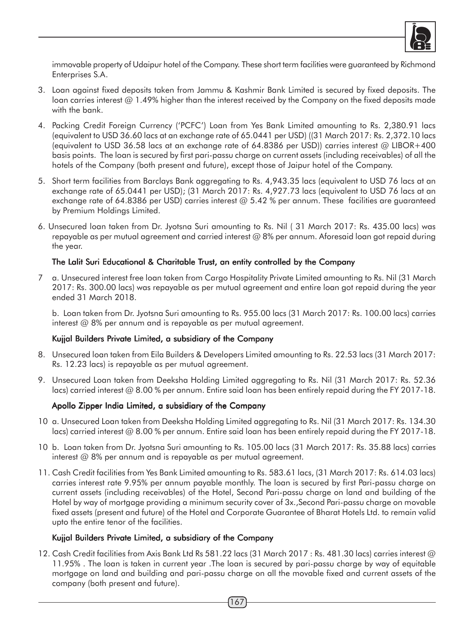

immovable property of Udaipur hotel of the Company. These short term facilities were guaranteed by Richmond Enterprises S.A.

- 3. Loan against fixed deposits taken from Jammu & Kashmir Bank Limited is secured by fixed deposits. The loan carries interest @ 1.49% higher than the interest received by the Company on the fixed deposits made with the bank.
- 4. Packing Credit Foreign Currency ('PCFC') Loan from Yes Bank Limited amounting to Rs. 2,380.91 lacs (equivalent to USD 36.60 lacs at an exchange rate of 65.0441 per USD) ((31 March 2017: Rs. 2,372.10 lacs (equivalent to USD 36.58 lacs at an exchange rate of 64.8386 per USD)) carries interest @ LIBOR+400 basis points. The loan is secured by first pari-passu charge on current assets (including receivables) of all the hotels of the Company (both present and future), except those of Jaipur hotel of the Company.
- 5. Short term facilities from Barclays Bank aggregating to Rs. 4,943.35 lacs (equivalent to USD 76 lacs at an exchange rate of 65.0441 per USD); (31 March 2017: Rs. 4,927.73 lacs (equivalent to USD 76 lacs at an exchange rate of 64.8386 per USD) carries interest @ 5.42 % per annum. These facilities are guaranteed by Premium Holdings Limited.
- 6. Unsecured loan taken from Dr. Jyotsna Suri amounting to Rs. Nil ( 31 March 2017: Rs. 435.00 lacs) was repayable as per mutual agreement and carried interest @ 8% per annum. Aforesaid loan got repaid during the year.

#### The Lalit Suri Educational & Charitable Trust, an entity controlled by the Company

7 a. Unsecured interest free loan taken from Cargo Hospitality Private Limited amounting to Rs. Nil (31 March 2017: Rs. 300.00 lacs) was repayable as per mutual agreement and entire loan got repaid during the year ended 31 March 2018.

b. Loan taken from Dr. Jyotsna Suri amounting to Rs. 955.00 lacs (31 March 2017: Rs. 100.00 lacs) carries interest @ 8% per annum and is repayable as per mutual agreement.

#### Kujjal Builders Private Limited, a subsidiary of the Company

- 8. Unsecured loan taken from Eila Builders & Developers Limited amounting to Rs. 22.53 lacs (31 March 2017: Rs. 12.23 lacs) is repayable as per mutual agreement.
- 9. Unsecured Loan taken from Deeksha Holding Limited aggregating to Rs. Nil (31 March 2017: Rs. 52.36 lacs) carried interest @ 8.00 % per annum. Entire said loan has been entirely repaid during the FY 2017-18.

#### Apollo Zipper India Limited, a subsidiary of the Company

- 10 a. Unsecured Loan taken from Deeksha Holding Limited aggregating to Rs. Nil (31 March 2017: Rs. 134.30 lacs) carried interest @ 8.00 % per annum. Entire said loan has been entirely repaid during the FY 2017-18.
- 10 b. Loan taken from Dr. Jyotsna Suri amounting to Rs. 105.00 lacs (31 March 2017: Rs. 35.88 lacs) carries interest @ 8% per annum and is repayable as per mutual agreement.
- 11. Cash Credit facilities from Yes Bank Limited amounting to Rs. 583.61 lacs, (31 March 2017: Rs. 614.03 lacs) carries interest rate 9.95% per annum payable monthly. The loan is secured by first Pari-passu charge on current assets (including receivables) of the Hotel, Second Pari-passu charge on land and building of the Hotel by way of mortgage providing a minimum security cover of 3x.,Second Pari-passu charge on movable fixed assets (present and future) of the Hotel and Corporate Guarantee of Bharat Hotels Ltd. to remain valid upto the entire tenor of the facilities.

#### Kujjal Builders Private Limited, a subsidiary of the Company

12. Cash Credit facilities from Axis Bank Ltd Rs 581.22 lacs (31 March 2017 : Rs. 481.30 lacs) carries interest @ 11.95% . The loan is taken in current year .The loan is secured by pari-passu charge by way of equitable mortgage on land and building and pari-passu charge on all the movable fixed and current assets of the company (both present and future).

167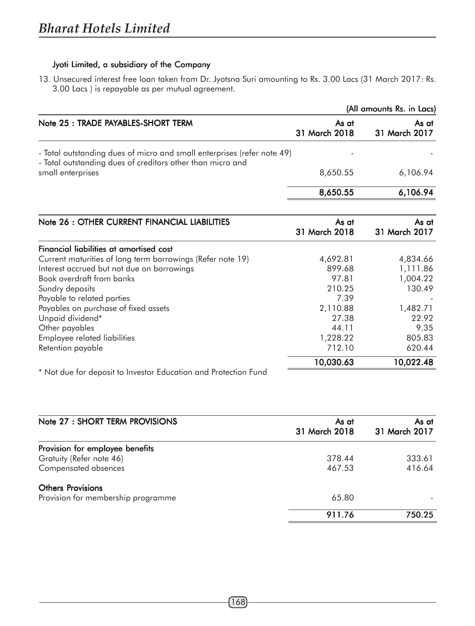# Jyoti Limited, a subsidiary of the Company

13. Unsecured interest free loan taken from Dr. Jyotsna Suri amounting to Rs. 3.00 Lacs (31 March 2017: Rs. 3.00 Lacs ) is repayable as per mutual agreement.

|                                                                                   |                        | (All amounts Rs. in Lacs) |
|-----------------------------------------------------------------------------------|------------------------|---------------------------|
| Note 25 : TRADE PAYABLES-SHORT TERM                                               | As at<br>31 March 2018 | As at<br>31 March 2017    |
| - Total outstanding dues of micro and small enterprises (refer note 49)           |                        |                           |
| - Total outstanding dues of creditors other than micro and                        |                        |                           |
| small enterprises                                                                 | 8,650.55               | 6,106.94                  |
|                                                                                   | 8,650.55               | 6,106.94                  |
|                                                                                   |                        |                           |
| Note 26 : OTHER CURRENT FINANCIAL LIABILITIES                                     | As at                  | As at                     |
|                                                                                   | 31 March 2018          | 31 March 2017             |
| Financial liabilities at amortised cost                                           |                        |                           |
| Current maturities of long term borrowings (Refer note 19)                        | 4,692.81               | 4,834.66                  |
| Interest accrued but not due on borrowings                                        | 899.68                 | 1,111.86                  |
| Book overdraft from banks                                                         | 97.81                  | 1,004.22                  |
| Sundry deposits                                                                   | 210.25                 | 130.49                    |
| Payable to related parties                                                        | 7.39                   |                           |
| Payables on purchase of fixed assets                                              | 2,110.88               | 1,482.71                  |
| Unpaid dividend*                                                                  | 27.38                  | 22.92                     |
| Other payables                                                                    | 44.11                  | 9.35                      |
| Employee related liabilities                                                      | 1,228.22               | 805.83                    |
| Retention payable                                                                 | 712.10                 | 620.44                    |
|                                                                                   | 10,030.63              | 10,022.48                 |
| * Michael and found and a structure that a February for a start David and a found |                        |                           |

Not due for deposit to Investor Education and Protection Fund

| Note 27 : SHORT TERM PROVISIONS    | As at         | As at         |
|------------------------------------|---------------|---------------|
|                                    | 31 March 2018 | 31 March 2017 |
| Provision for employee benefits    |               |               |
| Gratuity (Refer note 46)           | 378.44        | 333.61        |
| Compensated absences               | 467.53        | 416.64        |
| <b>Others Provisions</b>           |               |               |
| Provision for membership programme | 65.80         |               |
|                                    | 911.76        | 750.25        |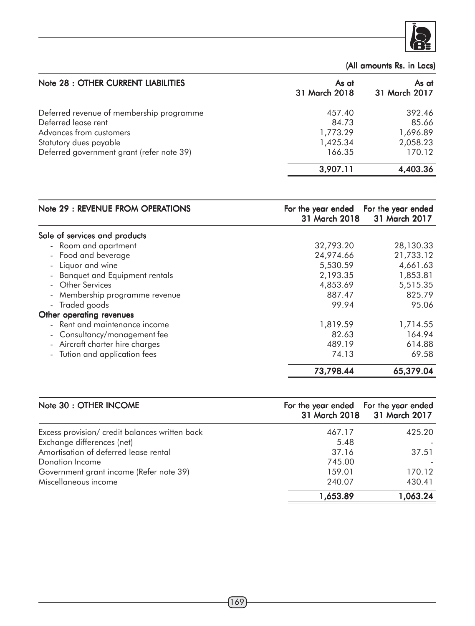

| Note 28 : OTHER CURRENT LIABILITIES       | As at<br>31 March 2018 | As at<br>31 March 2017 |
|-------------------------------------------|------------------------|------------------------|
| Deferred revenue of membership programme  | 457.40                 | 392.46                 |
| Deferred lease rent                       | 84.73                  | 85.66                  |
| Advances from customers                   | 1,773.29               | 1,696.89               |
| Statutory dues payable                    | 1,425.34               | 2,058.23               |
| Deferred government grant (refer note 39) | 166.35                 | 170.12                 |
|                                           | 3,907.11               | 4,403.36               |

| Note 29 : REVENUE FROM OPERATIONS                        | For the year ended For the year ended<br>31 March 2018 | 31 March 2017 |
|----------------------------------------------------------|--------------------------------------------------------|---------------|
| Sale of services and products                            |                                                        |               |
| - Room and apartment                                     | 32,793.20                                              | 28,130.33     |
| - Food and beverage                                      | 24,974.66                                              | 21,733.12     |
| - Liquor and wine                                        | 5,530.59                                               | 4,661.63      |
| - Banquet and Equipment rentals                          | 2,193.35                                               | 1,853.81      |
| - Other Services                                         | 4,853.69                                               | 5,515.35      |
| Membership programme revenue<br>$\overline{\phantom{0}}$ | 887.47                                                 | 825.79        |
| - Traded goods                                           | 99.94                                                  | 95.06         |
| Other operating revenues                                 |                                                        |               |
| - Rent and maintenance income                            | 1,819.59                                               | 1,714.55      |
| - Consultancy/management fee                             | 82.63                                                  | 164.94        |
| - Aircraft charter hire charges                          | 489.19                                                 | 614.88        |
| - Tution and application fees                            | 74.13                                                  | 69.58         |
|                                                          | 73,798.44                                              | 65,379.04     |

| Note 30 : OTHER INCOME                         | For the year ended For the year ended | 31 March 2018 31 March 2017 |
|------------------------------------------------|---------------------------------------|-----------------------------|
| Excess provision/ credit balances written back | 467.17                                | 425.20                      |
| Exchange differences (net)                     | 5.48                                  |                             |
| Amortisation of deferred lease rental          | 37.16                                 | 37.51                       |
| Donation Income                                | 745.00                                |                             |
| Government grant income (Refer note 39)        | 159.01                                | 170.12                      |
| Miscellaneous income                           | 240.07                                | 430.41                      |
|                                                | 1,653.89                              | 1,063.24                    |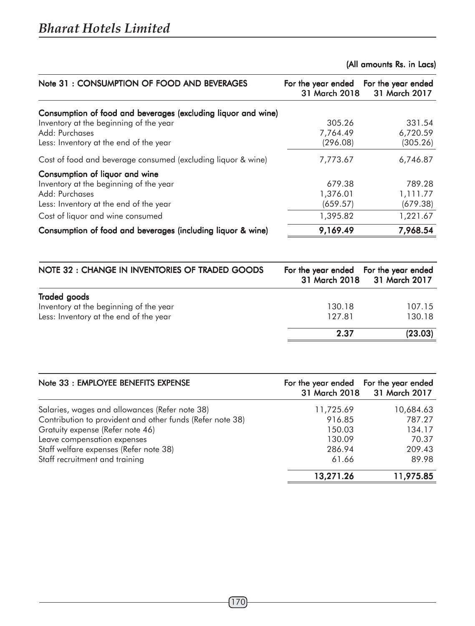| Note 31: CONSUMPTION OF FOOD AND BEVERAGES                    | For the year ended For the year ended<br>31 March 2018 | 31 March 2017 |
|---------------------------------------------------------------|--------------------------------------------------------|---------------|
| Consumption of food and beverages (excluding liquor and wine) |                                                        |               |
| Inventory at the beginning of the year                        | 305.26                                                 | 331.54        |
| Add: Purchases                                                | 7,764.49                                               | 6,720.59      |
| Less: Inventory at the end of the year                        | (296.08)                                               | (305.26)      |
| Cost of food and beverage consumed (excluding liquor & wine)  | 7,773.67                                               | 6,746.87      |
| Consumption of liquor and wine                                |                                                        |               |
| Inventory at the beginning of the year                        | 679.38                                                 | 789.28        |
| Add: Purchases                                                | 1,376.01                                               | 1,111.77      |
| Less: Inventory at the end of the year                        | (659.57)                                               | (679.38)      |
| Cost of liquor and wine consumed                              | 1,395.82                                               | 1,221.67      |
| Consumption of food and beverages (including liquor & wine)   | 9,169.49                                               | 7,968.54      |

| NOTE 32 : CHANGE IN INVENTORIES OF TRADED GOODS | For the year ended For the year ended | 31 March 2018 31 March 2017 |
|-------------------------------------------------|---------------------------------------|-----------------------------|
| <b>Traded goods</b>                             |                                       |                             |
| Inventory at the beginning of the year          | 130.18                                | 107.15                      |
| Less: Inventory at the end of the year          | 127.81                                | 130.18                      |
|                                                 | 2.37                                  | (23.03)                     |

| Note 33 : EMPLOYEE BENEFITS EXPENSE                       | For the year ended For the year ended | 31 March 2018 31 March 2017 |
|-----------------------------------------------------------|---------------------------------------|-----------------------------|
| Salaries, wages and allowances (Refer note 38)            | 11,725.69                             | 10,684.63                   |
| Contribution to provident and other funds (Refer note 38) | 916.85                                | 787.27                      |
| Gratuity expense (Refer note 46)                          | 150.03                                | 134.17                      |
| Leave compensation expenses                               | 130.09                                | 70.37                       |
| Staff welfare expenses (Refer note 38)                    | 286.94                                | 209.43                      |
| Staff recruitment and training                            | 61.66                                 | 89.98                       |
|                                                           | 13,271.26                             | 11,975.85                   |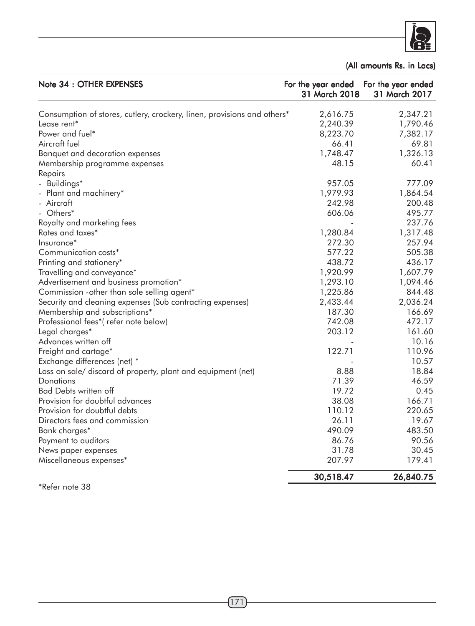

| Note 34: OTHER EXPENSES                                                 | For the year ended For the year ended<br>31 March 2018 | 31 March 2017 |
|-------------------------------------------------------------------------|--------------------------------------------------------|---------------|
| Consumption of stores, cutlery, crockery, linen, provisions and others* | 2,616.75                                               | 2,347.21      |
| Lease rent*                                                             | 2,240.39                                               | 1,790.46      |
| Power and fuel*                                                         | 8,223.70                                               | 7,382.17      |
| Aircraft fuel                                                           | 66.41                                                  | 69.81         |
| Banquet and decoration expenses                                         | 1,748.47                                               | 1,326.13      |
| Membership programme expenses                                           | 48.15                                                  | 60.41         |
| Repairs                                                                 |                                                        |               |
| - Buildings*                                                            | 957.05                                                 | 777.09        |
| - Plant and machinery*                                                  | 1,979.93                                               | 1,864.54      |
| - Aircraft                                                              | 242.98                                                 | 200.48        |
| - Others*                                                               | 606.06                                                 | 495.77        |
| Royalty and marketing fees                                              |                                                        | 237.76        |
| Rates and taxes*                                                        | 1,280.84                                               | 1,317.48      |
| Insurance*                                                              | 272.30                                                 | 257.94        |
| Communication costs*                                                    | 577.22                                                 | 505.38        |
| Printing and stationery*                                                | 438.72                                                 | 436.17        |
| Travelling and conveyance*                                              | 1,920.99                                               | 1,607.79      |
| Advertisement and business promotion*                                   | 1,293.10                                               | 1,094.46      |
| Commission - other than sole selling agent*                             | 1,225.86                                               | 844.48        |
| Security and cleaning expenses (Sub contracting expenses)               | 2,433.44                                               | 2,036.24      |
| Membership and subscriptions*                                           | 187.30                                                 | 166.69        |
| Professional fees*(refer note below)                                    | 742.08                                                 | 472.17        |
| Legal charges*                                                          | 203.12                                                 | 161.60        |
| Advances written off                                                    |                                                        | 10.16         |
| Freight and cartage*                                                    | 122.71                                                 | 110.96        |
| Exchange differences (net) *                                            |                                                        | 10.57         |
| Loss on sale/ discard of property, plant and equipment (net)            | 8.88                                                   | 18.84         |
| Donations                                                               | 71.39                                                  | 46.59         |
| <b>Bad Debts written off</b>                                            | 19.72                                                  | 0.45          |
| Provision for doubtful advances                                         | 38.08                                                  | 166.71        |
| Provision for doubtful debts                                            | 110.12                                                 | 220.65        |
| Directors fees and commission                                           | 26.11                                                  | 19.67         |
| Bank charges*                                                           | 490.09                                                 | 483.50        |
| Payment to auditors                                                     | 86.76                                                  | 90.56         |
| News paper expenses                                                     | 31.78                                                  | 30.45         |
| Miscellaneous expenses*                                                 | 207.97                                                 | 179.41        |
|                                                                         | 30,518.47                                              | 26,840.75     |

\*Refer note 38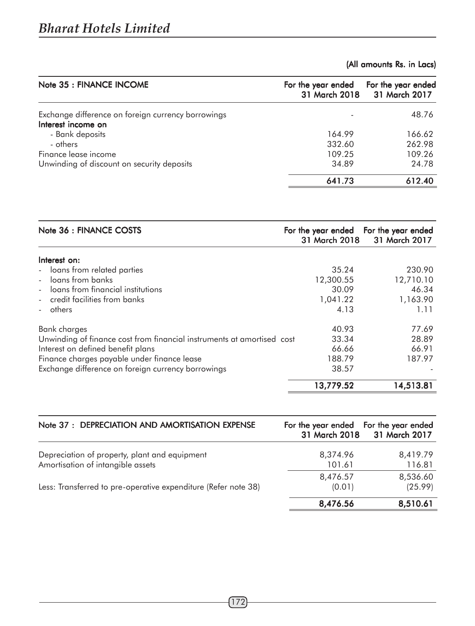| Note 35 : FINANCE INCOME                           | For the year ended<br>31 March 2018 | For the year ended<br>31 March 2017 |
|----------------------------------------------------|-------------------------------------|-------------------------------------|
| Exchange difference on foreign currency borrowings |                                     | 48.76                               |
| Interest income on                                 |                                     |                                     |
| - Bank deposits                                    | 164.99                              | 166.62                              |
| - others                                           | 332.60                              | 262.98                              |
| Finance lease income                               | 109.25                              | 109.26                              |
| Unwinding of discount on security deposits         | 34.89                               | 24.78                               |
|                                                    | 641.73                              | 612.40                              |

| Note 36 : FINANCE COSTS                                                |           | For the year ended For the year ended<br>31 March 2018 31 March 2017 |
|------------------------------------------------------------------------|-----------|----------------------------------------------------------------------|
| Interest on:                                                           |           |                                                                      |
| - loans from related parties                                           | 35.24     | 230.90                                                               |
| loans from banks<br>$\mathbb{Z}^{\mathbb{Z}}$                          | 12,300.55 | 12,710.10                                                            |
| - loans from financial institutions                                    | 30.09     | 46.34                                                                |
| - credit facilities from banks                                         | 1,041.22  | 1,163.90                                                             |
| others<br>÷.                                                           | 4.13      | 1.11                                                                 |
| Bank charges                                                           | 40.93     | 77.69                                                                |
| Unwinding of finance cost from financial instruments at amortised cost | 33.34     | 28.89                                                                |
| Interest on defined benefit plans                                      | 66.66     | 66.91                                                                |
| Finance charges payable under finance lease                            | 188.79    | 187.97                                                               |
| Exchange difference on foreign currency borrowings                     | 38.57     |                                                                      |
|                                                                        | 13,779.52 | 14,513.81                                                            |

|          | 31 March 2017                                                              |
|----------|----------------------------------------------------------------------------|
| 8,374.96 | 8,419.79<br>116.81                                                         |
| 8,476.57 | 8,536.60                                                                   |
| 8,476.56 | (25.99)<br>8,510.61                                                        |
|          | For the year ended For the year ended<br>31 March 2018<br>101.61<br>(0.01) |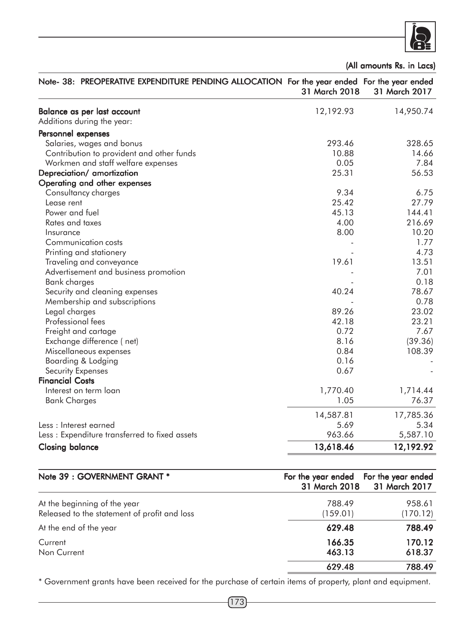

| Note-38: PREOPERATIVE EXPENDITURE PENDING ALLOCATION For the year ended For the year ended | 31 March 2018 | 31 March 2017 |
|--------------------------------------------------------------------------------------------|---------------|---------------|
| Balance as per last account                                                                | 12,192.93     | 14,950.74     |
| Additions during the year:                                                                 |               |               |
| Personnel expenses                                                                         |               |               |
| Salaries, wages and bonus                                                                  | 293.46        | 328.65        |
| Contribution to provident and other funds                                                  | 10.88         | 14.66         |
| Workmen and staff welfare expenses                                                         | 0.05          | 7.84          |
| Depreciation/ amortization                                                                 | 25.31         | 56.53         |
| Operating and other expenses                                                               |               |               |
| Consultancy charges                                                                        | 9.34          | 6.75          |
| Lease rent                                                                                 | 25.42         | 27.79         |
| Power and fuel                                                                             | 45.13         | 144.41        |
| Rates and taxes                                                                            | 4.00          | 216.69        |
| Insurance                                                                                  | 8.00          | 10.20         |
| Communication costs                                                                        |               | 1.77          |
| Printing and stationery                                                                    |               | 4.73          |
| Traveling and conveyance                                                                   | 19.61         | 13.51         |
| Advertisement and business promotion                                                       |               | 7.01          |
| <b>Bank charges</b>                                                                        |               | 0.18          |
| Security and cleaning expenses                                                             | 40.24         | 78.67         |
| Membership and subscriptions                                                               |               | 0.78          |
| Legal charges                                                                              | 89.26         | 23.02         |
| Professional fees                                                                          | 42.18         | 23.21         |
| Freight and cartage                                                                        | 0.72          | 7.67          |
| Exchange difference (net)                                                                  | 8.16          | (39.36)       |
| Miscellaneous expenses                                                                     | 0.84          | 108.39        |
| Boarding & Lodging                                                                         | 0.16          |               |
| <b>Security Expenses</b>                                                                   | 0.67          |               |
| <b>Financial Costs</b>                                                                     |               |               |
| Interest on term loan                                                                      | 1,770.40      | 1,714.44      |
| <b>Bank Charges</b>                                                                        | 1.05          | 76.37         |
|                                                                                            | 14,587.81     | 17,785.36     |
| Less : Interest earned                                                                     | 5.69          | 5.34          |
| Less: Expenditure transferred to fixed assets                                              | 963.66        | 5,587.10      |
| <b>Closing balance</b>                                                                     | 13,618.46     | 12,192.92     |

| Note 39 : GOVERNMENT GRANT *                                                 | For the year ended For the year ended<br>31 March 2018 | 31 March 2017      |
|------------------------------------------------------------------------------|--------------------------------------------------------|--------------------|
| At the beginning of the year<br>Released to the statement of profit and loss | 788.49<br>(159.01)                                     | 958.61<br>(170.12) |
| At the end of the year                                                       | 629.48                                                 | 788.49             |
| Current<br>Non Current                                                       | 166.35<br>463.13                                       | 170.12<br>618.37   |
|                                                                              | 629.48                                                 | 788.49             |

\* Government grants have been received for the purchase of certain items of property, plant and equipment.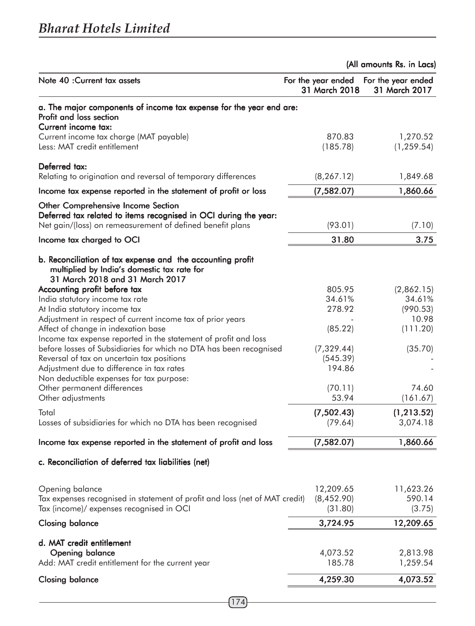| <b>Note 40 : Current tax assets</b>                                                                                                                                        | For the year ended<br>31 March 2018 | For the year ended<br>31 March 2017 |
|----------------------------------------------------------------------------------------------------------------------------------------------------------------------------|-------------------------------------|-------------------------------------|
| a. The major components of income tax expense for the year end are:<br>Profit and loss section<br><b>Current income tax:</b>                                               |                                     |                                     |
| Current income tax charge (MAT payable)<br>Less: MAT credit entitlement                                                                                                    | 870.83<br>(185.78)                  | 1,270.52<br>(1, 259.54)             |
| Deferred tax:<br>Relating to origination and reversal of temporary differences                                                                                             | (8, 267.12)                         | 1,849.68                            |
| Income tax expense reported in the statement of profit or loss                                                                                                             | (7, 582.07)                         | 1,860.66                            |
| <b>Other Comprehensive Income Section</b><br>Deferred tax related to items recognised in OCI during the year:<br>Net gain/(loss) on remeasurement of defined benefit plans | (93.01)                             | (7.10)                              |
| Income tax charged to OCI                                                                                                                                                  | 31.80                               | 3.75                                |
| b. Reconciliation of tax expense and the accounting profit<br>multiplied by India's domestic tax rate for<br>31 March 2018 and 31 March 2017                               |                                     |                                     |
| Accounting profit before tax                                                                                                                                               | 805.95                              | (2,862.15)                          |
| India statutory income tax rate                                                                                                                                            | 34.61%                              | 34.61%                              |
| At India statutory income tax                                                                                                                                              | 278.92                              | (990.53)                            |
| Adjustment in respect of current income tax of prior years<br>Affect of change in indexation base                                                                          | (85.22)                             | 10.98<br>(111.20)                   |
| Income tax expense reported in the statement of profit and loss                                                                                                            |                                     |                                     |
| before losses of Subsidiaries for which no DTA has been recognised                                                                                                         | (7, 329.44)                         | (35.70)                             |
| Reversal of tax on uncertain tax positions                                                                                                                                 | (545.39)                            |                                     |
| Adjustment due to difference in tax rates                                                                                                                                  | 194.86                              |                                     |
| Non deductible expenses for tax purpose:                                                                                                                                   |                                     |                                     |
| Other permanent differences                                                                                                                                                | (70.11)                             | 74.60                               |
| Other adjustments                                                                                                                                                          | 53.94                               | (161.67)                            |
| Total                                                                                                                                                                      | (7,502.43)                          | (1, 213.52)                         |
| Losses of subsidiaries for which no DTA has been recognised                                                                                                                | (79.64)                             | 3,074.18                            |
|                                                                                                                                                                            |                                     |                                     |
| Income tax expense reported in the statement of profit and loss                                                                                                            | (7, 582.07)                         | 1,860.66                            |
| c. Reconciliation of deferred tax liabilities (net)                                                                                                                        |                                     |                                     |
| Opening balance                                                                                                                                                            | 12,209.65                           | 11,623.26                           |
| Tax expenses recognised in statement of profit and loss (net of MAT credit)                                                                                                | (8,452.90)                          | 590.14                              |
| Tax (income)/ expenses recognised in OCI                                                                                                                                   | (31.80)                             | (3.75)                              |
| <b>Closing balance</b>                                                                                                                                                     | 3,724.95                            | 12,209.65                           |
|                                                                                                                                                                            |                                     |                                     |
| d. MAT credit entitlement                                                                                                                                                  | 4,073.52                            | 2,813.98                            |
| <b>Opening balance</b><br>Add: MAT credit entitlement for the current year                                                                                                 | 185.78                              | 1,259.54                            |
|                                                                                                                                                                            |                                     |                                     |
| <b>Closing balance</b>                                                                                                                                                     | 4,259.30                            | 4,073.52                            |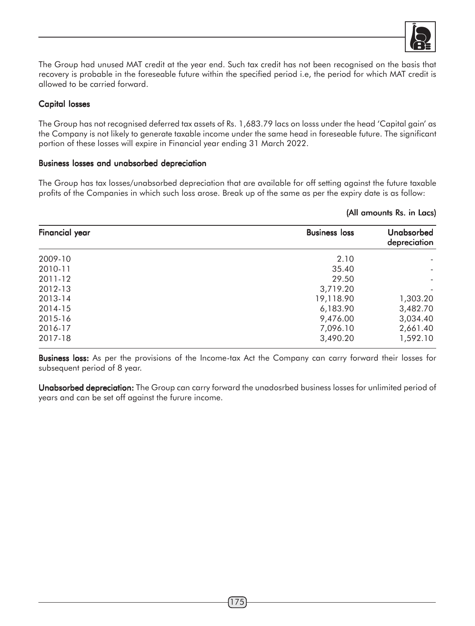

The Group had unused MAT credit at the year end. Such tax credit has not been recognised on the basis that recovery is probable in the foreseable future within the specified period i.e, the period for which MAT credit is allowed to be carried forward.

#### Capital losses

The Group has not recognised deferred tax assets of Rs. 1,683.79 lacs on losss under the head 'Capital gain' as the Company is not likely to generate taxable income under the same head in foreseable future. The significant portion of these losses will expire in Financial year ending 31 March 2022.

#### Business losses and unabsorbed depreciation

The Group has tax losses/unabsorbed depreciation that are available for off setting against the future taxable profits of the Companies in which such loss arose. Break up of the same as per the expiry date is as follow:

| <b>Financial year</b> | <b>Business loss</b> | <b>Unabsorbed</b><br>depreciation |
|-----------------------|----------------------|-----------------------------------|
| 2009-10               | 2.10                 |                                   |
| 2010-11               | 35.40                |                                   |
| 2011-12               | 29.50                |                                   |
| 2012-13               | 3,719.20             |                                   |
| 2013-14               | 19,118.90            | 1,303.20                          |
| 2014-15               | 6,183.90             | 3,482.70                          |
| 2015-16               | 9,476.00             | 3,034.40                          |
| 2016-17               | 7,096.10             | 2,661.40                          |
| 2017-18               | 3,490.20             | 1,592.10                          |

**Business loss:** As per the provisions of the Income-tax Act the Company can carry forward their losses for subsequent period of 8 year.

Unabsorbed depreciation: The Group can carry forward the unadosrbed business losses for unlimited period of years and can be set off against the furure income.

# (All amounts Rs. in Lacs)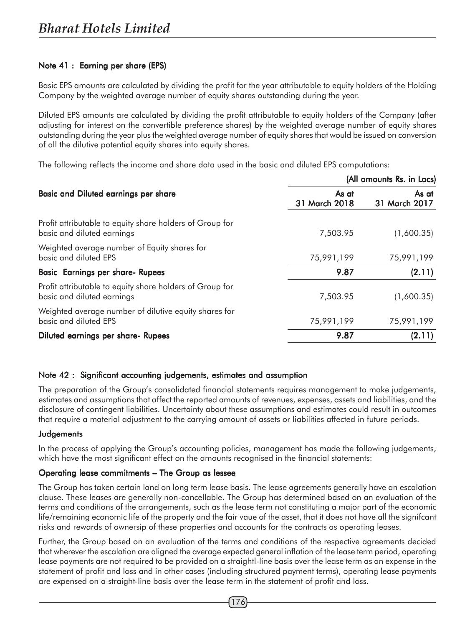# Note 41 : Earning per share (EPS)

Basic EPS amounts are calculated by dividing the profit for the year attributable to equity holders of the Holding Company by the weighted average number of equity shares outstanding during the year.

Diluted EPS amounts are calculated by dividing the profit attributable to equity holders of the Company (after adjusting for interest on the convertible preference shares) by the weighted average number of equity shares outstanding during the year plus the weighted average number of equity shares that would be issued on conversion of all the dilutive potential equity shares into equity shares.

The following reflects the income and share data used in the basic and diluted EPS computations:

|                                                                                        | (All amounts Rs. in Lacs) |                        |
|----------------------------------------------------------------------------------------|---------------------------|------------------------|
| <b>Basic and Diluted earnings per share</b>                                            | As at<br>31 March 2018    | As at<br>31 March 2017 |
| Profit attributable to equity share holders of Group for<br>basic and diluted earnings | 7,503.95                  | (1,600.35)             |
| Weighted average number of Equity shares for<br>basic and diluted EPS                  | 75,991,199                | 75,991,199             |
| <b>Basic Earnings per share- Rupees</b>                                                | 9.87                      | (2.11)                 |
| Profit attributable to equity share holders of Group for<br>basic and diluted earnings | 7,503.95                  | (1,600.35)             |
| Weighted average number of dilutive equity shares for<br>basic and diluted EPS         | 75,991,199                | 75,991,199             |
| Diluted earnings per share- Rupees                                                     | 9.87                      | (2.11)                 |

# Note 42 : Significant accounting judgements, estimates and assumption

The preparation of the Group's consolidated financial statements requires management to make judgements, estimates and assumptions that affect the reported amounts of revenues, expenses, assets and liabilities, and the disclosure of contingent liabilities. Uncertainty about these assumptions and estimates could result in outcomes that require a material adjustment to the carrying amount of assets or liabilities affected in future periods.

#### **Judgements**

In the process of applying the Group's accounting policies, management has made the following judgements, which have the most significant effect on the amounts recognised in the financial statements:

#### Operating lease commitments – The Group as lessee

The Group has taken certain land on long term lease basis. The lease agreements generally have an escalation clause. These leases are generally non-cancellable. The Group has determined based on an evaluation of the terms and conditions of the arrangements, such as the lease term not constituting a major part of the economic life/remaining economic life of the property and the fair vaue of the asset, that it does not have all the signifcant risks and rewards of ownersip of these properties and accounts for the contracts as operating leases.

Further, the Group based on an evaluation of the terms and conditions of the respective agreements decided that wherever the escalation are aligned the average expected general inflation of the lease term period, operating lease payments are not required to be provided on a straightl-line basis over the lease term as an expense in the statement of profit and loss and in other cases (including structured payment terms), operating lease payments are expensed on a straight-line basis over the lease term in the statement of profit and loss.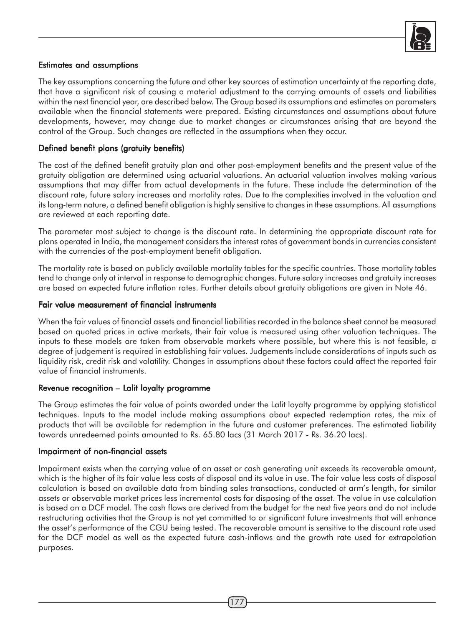

### Estimates and assumptions

The key assumptions concerning the future and other key sources of estimation uncertainty at the reporting date, that have a significant risk of causing a material adjustment to the carrying amounts of assets and liabilities within the next financial year, are described below. The Group based its assumptions and estimates on parameters available when the financial statements were prepared. Existing circumstances and assumptions about future developments, however, may change due to market changes or circumstances arising that are beyond the control of the Group. Such changes are reflected in the assumptions when they occur.

# Defined benefit plans (gratuity benefits)

The cost of the defined benefit gratuity plan and other post-employment benefits and the present value of the gratuity obligation are determined using actuarial valuations. An actuarial valuation involves making various assumptions that may differ from actual developments in the future. These include the determination of the discount rate, future salary increases and mortality rates. Due to the complexities involved in the valuation and its long-term nature, a defined benefit obligation is highly sensitive to changes in these assumptions. All assumptions are reviewed at each reporting date.

The parameter most subject to change is the discount rate. In determining the appropriate discount rate for plans operated in India, the management considers the interest rates of government bonds in currencies consistent with the currencies of the post-employment benefit obligation.

The mortality rate is based on publicly available mortality tables for the specific countries. Those mortality tables tend to change only at interval in response to demographic changes. Future salary increases and gratuity increases are based on expected future inflation rates. Further details about gratuity obligations are given in Note 46.

#### Fair value measurement of financial instruments

When the fair values of financial assets and financial liabilities recorded in the balance sheet cannot be measured based on quoted prices in active markets, their fair value is measured using other valuation techniques. The inputs to these models are taken from observable markets where possible, but where this is not feasible, a degree of judgement is required in establishing fair values. Judgements include considerations of inputs such as liquidity risk, credit risk and volatility. Changes in assumptions about these factors could affect the reported fair value of financial instruments.

#### Revenue recognition – Lalit loyalty programme

The Group estimates the fair value of points awarded under the Lalit loyalty programme by applying statistical techniques. Inputs to the model include making assumptions about expected redemption rates, the mix of products that will be available for redemption in the future and customer preferences. The estimated liability towards unredeemed points amounted to Rs. 65.80 lacs (31 March 2017 - Rs. 36.20 lacs).

#### Impairment of non-financial assets

Impairment exists when the carrying value of an asset or cash generating unit exceeds its recoverable amount, which is the higher of its fair value less costs of disposal and its value in use. The fair value less costs of disposal calculation is based on available data from binding sales transactions, conducted at arm's length, for similar assets or observable market prices less incremental costs for disposing of the asset. The value in use calculation is based on a DCF model. The cash flows are derived from the budget for the next five years and do not include restructuring activities that the Group is not yet committed to or significant future investments that will enhance the asset's performance of the CGU being tested. The recoverable amount is sensitive to the discount rate used for the DCF model as well as the expected future cash-inflows and the growth rate used for extrapolation purposes.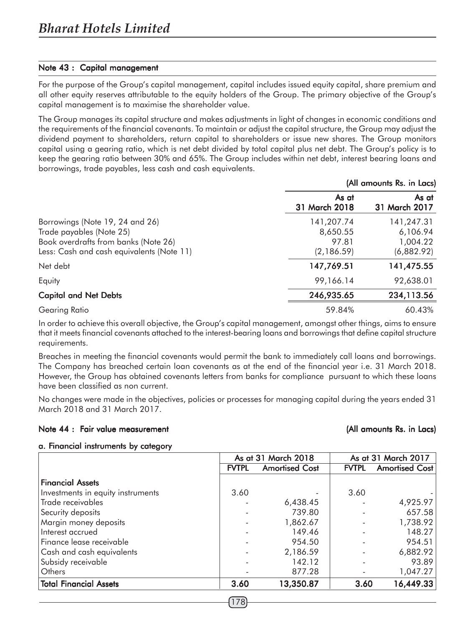#### Note 43 : Capital management

For the purpose of the Group's capital management, capital includes issued equity capital, share premium and all other equity reserves attributable to the equity holders of the Group. The primary objective of the Group's capital management is to maximise the shareholder value.

The Group manages its capital structure and makes adjustments in light of changes in economic conditions and the requirements of the financial covenants. To maintain or adjust the capital structure, the Group may adjust the dividend payment to shareholders, return capital to shareholders or issue new shares. The Group monitors capital using a gearing ratio, which is net debt divided by total capital plus net debt. The Group's policy is to keep the gearing ratio between 30% and 65%. The Group includes within net debt, interest bearing loans and borrowings, trade payables, less cash and cash equivalents.

|                                                                                                                                                  | (All amounts Rs. in Lacs)                     |                                                  |
|--------------------------------------------------------------------------------------------------------------------------------------------------|-----------------------------------------------|--------------------------------------------------|
|                                                                                                                                                  | As at<br>31 March 2018                        | As at<br>31 March 2017                           |
| Borrowings (Note 19, 24 and 26)<br>Trade payables (Note 25)<br>Book overdrafts from banks (Note 26)<br>Less: Cash and cash equivalents (Note 11) | 141,207.74<br>8,650.55<br>97.81<br>(2,186.59) | 141,247.31<br>6,106.94<br>1,004.22<br>(6,882.92) |
| Net debt                                                                                                                                         | 147,769.51                                    | 141,475.55                                       |
| Equity                                                                                                                                           | 99,166.14                                     | 92,638.01                                        |
| <b>Capital and Net Debts</b>                                                                                                                     | 246,935.65                                    | 234,113.56                                       |
| Gearing Ratio                                                                                                                                    | 59.84%                                        | 60.43%                                           |

In order to achieve this overall objective, the Group's capital management, amongst other things, aims to ensure that it meets financial covenants attached to the interest-bearing loans and borrowings that define capital structure requirements.

Breaches in meeting the financial covenants would permit the bank to immediately call loans and borrowings. The Company has breached certain loan covenants as at the end of the financial year i.e. 31 March 2018. However, the Group has obtained covenants letters from banks for compliance pursuant to which these loans have been classified as non current.

No changes were made in the objectives, policies or processes for managing capital during the years ended 31 March 2018 and 31 March 2017.

#### Note 44 : Fair value measurement air value measurement air value measurement (All amounts Rs. in Lacs)

#### a. Financial instruments by category

|                                   | As at 31 March 2018 |                       | As at 31 March 2017 |                       |
|-----------------------------------|---------------------|-----------------------|---------------------|-----------------------|
|                                   | <b>FVTPL</b>        | <b>Amortised Cost</b> | <b>FVTPL</b>        | <b>Amortised Cost</b> |
| <b>Financial Assets</b>           |                     |                       |                     |                       |
| Investments in equity instruments | 3.60                |                       | 3.60                |                       |
| Trade receivables                 |                     | 6,438.45              |                     | 4,925.97              |
| Security deposits                 |                     | 739.80                |                     | 657.58                |
| Margin money deposits             |                     | 1,862.67              |                     | 1,738.92              |
| Interest accrued                  |                     | 149.46                |                     | 148.27                |
| Finance lease receivable          |                     | 954.50                |                     | 954.51                |
| Cash and cash equivalents         |                     | 2,186.59              |                     | 6,882.92              |
| Subsidy receivable                |                     | 142.12                |                     | 93.89                 |
| Others                            |                     | 877.28                |                     | 1,047.27              |
| <b>Total Financial Assets</b>     | 3.60                | 13,350.87             | 3.60                | 16,449.33             |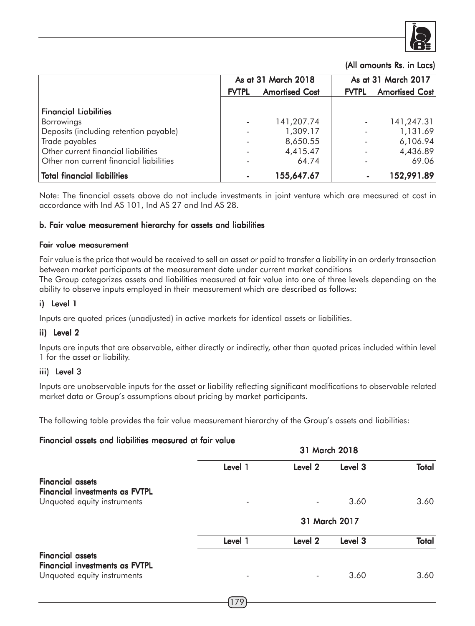

|  | (All amounts Rs. in Lacs) |  |  |  |
|--|---------------------------|--|--|--|
|--|---------------------------|--|--|--|

|                                         | As at 31 March 2018 |                       | As at 31 March 2017 |                       |
|-----------------------------------------|---------------------|-----------------------|---------------------|-----------------------|
|                                         | <b>FVTPL</b>        | <b>Amortised Cost</b> | <b>FVTPL</b>        | <b>Amortised Cost</b> |
|                                         |                     |                       |                     |                       |
| <b>Financial Liabilities</b>            |                     |                       |                     |                       |
| Borrowings                              |                     | 141,207.74            |                     | 141,247.31            |
| Deposits (including retention payable)  |                     | 1,309.17              |                     | 1,131.69              |
| Trade payables                          |                     | 8,650.55              |                     | 6,106.94              |
| Other current financial liabilities     |                     | 4,415.47              |                     | 4,436.89              |
| Other non current financial liabilities |                     | 64.74                 |                     | 69.06                 |
| Total financial liabilities             |                     | 155,647.67            |                     | 152,991.89            |

Note: The financial assets above do not include investments in joint venture which are measured at cost in accordance with Ind AS 101, Ind AS 27 and Ind AS 28.

#### b. Fair value measurement hierarchy for assets and liabilities

#### Fair value measurement

Fair value is the price that would be received to sell an asset or paid to transfer a liability in an orderly transaction between market participants at the measurement date under current market conditions The Group categorizes assets and liabilities measured at fair value into one of three levels depending on the

ability to observe inputs employed in their measurement which are described as follows:

#### i) Level 1

Inputs are quoted prices (unadjusted) in active markets for identical assets or liabilities.

#### ii) Level 2

Inputs are inputs that are observable, either directly or indirectly, other than quoted prices included within level 1 for the asset or liability.

#### iii) Level 3

Inputs are unobservable inputs for the asset or liability reflecting significant modifications to observable related market data or Group's assumptions about pricing by market participants.

The following table provides the fair value measurement hierarchy of the Group's assets and liabilities:

#### Financial assets and liabilities measured at fair value

|                                                                                                 | 31 March 2018 |                          |         |              |
|-------------------------------------------------------------------------------------------------|---------------|--------------------------|---------|--------------|
|                                                                                                 | Level 1       | Level <sub>2</sub>       | Level 3 | <b>Total</b> |
| <b>Financial assets</b><br><b>Financial investments as FVTPL</b>                                |               |                          |         |              |
| Unquoted equity instruments                                                                     | ٠             | $\overline{\phantom{a}}$ | 3.60    | 3.60         |
|                                                                                                 | 31 March 2017 |                          |         |              |
|                                                                                                 | Level 1       | Level 2                  | Level 3 | Total        |
| <b>Financial assets</b><br><b>Financial investments as FVTPL</b><br>Unquoted equity instruments | ۰             | $\overline{\phantom{a}}$ | 3.60    | 3.60         |
|                                                                                                 |               |                          |         |              |

179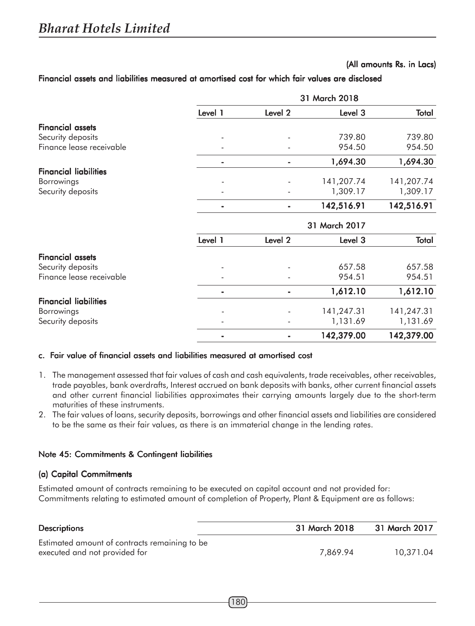#### Financial assets and liabilities measured at amortised cost for which fair values are disclosed

|                              |         | 31 March 2018 |               |            |  |
|------------------------------|---------|---------------|---------------|------------|--|
|                              | Level 1 | Level 2       | Level 3       | Total      |  |
| <b>Financial assets</b>      |         |               |               |            |  |
| Security deposits            | -       |               | 739.80        | 739.80     |  |
| Finance lease receivable     |         |               | 954.50        | 954.50     |  |
|                              | ٠       | -             | 1,694.30      | 1,694.30   |  |
| <b>Financial liabilities</b> |         |               |               |            |  |
| <b>Borrowings</b>            |         |               | 141,207.74    | 141,207.74 |  |
| Security deposits            |         |               | 1,309.17      | 1,309.17   |  |
|                              | ٠       | -             | 142,516.91    | 142,516.91 |  |
|                              |         |               | 31 March 2017 |            |  |
|                              | Level 1 | Level 2       | Level 3       | Total      |  |
| <b>Financial assets</b>      |         |               |               |            |  |
| Security deposits            |         |               | 657.58        | 657.58     |  |
| Finance lease receivable     |         |               | 954.51        | 954.51     |  |
|                              | ٠       | -             | 1,612.10      | 1,612.10   |  |
| <b>Financial liabilities</b> |         |               |               |            |  |
| <b>Borrowings</b>            |         |               | 141,247.31    | 141,247.31 |  |
| Security deposits            |         |               | 1,131.69      | 1,131.69   |  |
|                              |         |               | 142,379.00    | 142,379.00 |  |

#### c. Fair value of financial assets and liabilities measured at amortised cost

- 1. The management assessed that fair values of cash and cash equivalents, trade receivables, other receivables, trade payables, bank overdrafts, Interest accrued on bank deposits with banks, other current financial assets and other current financial liabilities approximates their carrying amounts largely due to the short-term maturities of these instruments.
- 2. The fair values of loans, security deposits, borrowings and other financial assets and liabilities are considered to be the same as their fair values, as there is an immaterial change in the lending rates.

#### Note 45: Commitments & Contingent liabilities

#### (a) Capital Commitments

Estimated amount of contracts remaining to be executed on capital account and not provided for: Commitments relating to estimated amount of completion of Property, Plant & Equipment are as follows:

| <b>Descriptions</b>                                                            | 31 March 2018 | 31 March 2017 |
|--------------------------------------------------------------------------------|---------------|---------------|
| Estimated amount of contracts remaining to be<br>executed and not provided for | 7.869.94      | 10,371.04     |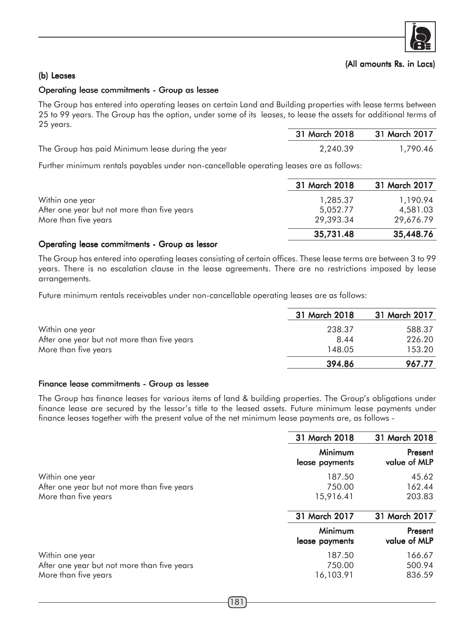

## (b) Leases

## Operating lease commitments - Group as lessee

The Group has entered into operating leases on certain Land and Building properties with lease terms between 25 to 99 years. The Group has the option, under some of its leases, to lease the assets for additional terms of 25 years.

|                                                  | 31 March 2018 | 31 March 2017 |
|--------------------------------------------------|---------------|---------------|
| The Group has paid Minimum lease during the year | 2,240.39      | 1,790.46      |

Further minimum rentals payables under non-cancellable operating leases are as follows:

|                                             | 31 March 2018 | 31 March 2017 |
|---------------------------------------------|---------------|---------------|
| Within one year                             | 1,285.37      | 1,190.94      |
| After one year but not more than five years | 5,052.77      | 4,581.03      |
| More than five years                        | 29,393.34     | 29,676.79     |
|                                             | 35,731.48     | 35,448.76     |
|                                             |               |               |

## Operating lease commitments - Group as lessor

The Group has entered into operating leases consisting of certain offices. These lease terms are between 3 to 99 years. There is no escalation clause in the lease agreements. There are no restrictions imposed by lease arrangements.

Future minimum rentals receivables under non-cancellable operating leases are as follows:

|                                             | 31 March 2018 | 31 March 2017 |
|---------------------------------------------|---------------|---------------|
| Within one year                             | 238.37        | 588.37        |
| After one year but not more than five years | 8.44          | 226.20        |
| More than five years                        | 148.05        | 153.20        |
|                                             | 394.86        | 967.77        |

## Finance lease commitments - Group as lessee

The Group has finance leases for various items of land & building properties. The Group's obligations under finance lease are secured by the lessor's title to the leased assets. Future minimum lease payments under finance leases together with the present value of the net minimum lease payments are, as follows -

|                                             | 31 March 2018             | 31 March 2018           |
|---------------------------------------------|---------------------------|-------------------------|
|                                             | Minimum<br>lease payments | Present<br>value of MLP |
| Within one year                             | 187.50                    | 45.62                   |
| After one year but not more than five years | 750.00                    | 162.44                  |
| More than five years                        | 15,916.41                 | 203.83                  |
|                                             | 31 March 2017             | 31 March 2017           |
|                                             | Minimum<br>lease payments | Present<br>value of MLP |
| Within one year                             | 187.50                    | 166.67                  |
| After one year but not more than five years | 750.00                    | 500.94                  |
| More than five years                        | 16,103.91                 | 836.59                  |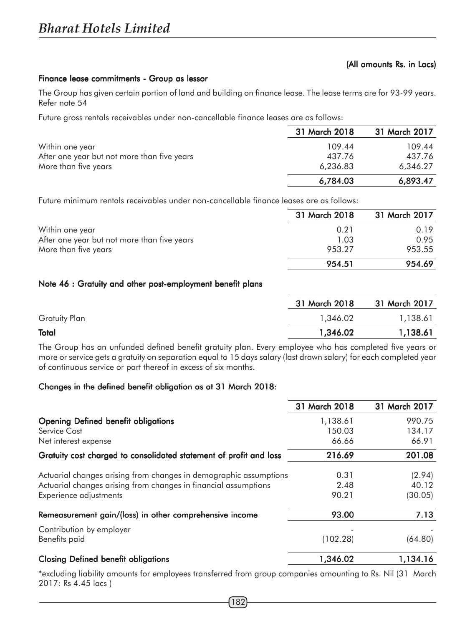## (All amounts Rs. in Lacs)

## Finance lease commitments - Group as lessor

The Group has given certain portion of land and building on finance lease. The lease terms are for 93-99 years. Refer note 54

Future gross rentals receivables under non-cancellable finance leases are as follows:

|                                             | 31 March 2018 | 31 March 2017 |
|---------------------------------------------|---------------|---------------|
| Within one year                             | 109.44        | 109.44        |
| After one year but not more than five years | 437.76        | 437.76        |
| More than five years                        | 6,236.83      | 6,346.27      |
|                                             | 6,784.03      | 6,893.47      |

Future minimum rentals receivables under non-cancellable finance leases are as follows:

|                                             | 31 March 2018 | 31 March 2017 |
|---------------------------------------------|---------------|---------------|
| Within one year                             | 0.21          | 0.19          |
| After one year but not more than five years | 1.03          | 0.95          |
| More than five years                        | 953.27        | 953.55        |
|                                             | 954.51        | 954.69        |

## Note 46 : Gratuity and other post-employment benefit plans

|               | 31 March 2018 | 31 March 2017 |
|---------------|---------------|---------------|
| Gratuity Plan | 1,346.02      | 1,138.61      |
| <b>Total</b>  | 1,346,02      | 1.138.61      |

The Group has an unfunded defined benefit gratuity plan. Every employee who has completed five years or more or service gets a gratuity on separation equal to 15 days salary (last drawn salary) for each completed year of continuous service or part thereof in excess of six months.

## Changes in the defined benefit obligation as at 31 March 2018:

|                                                                    | 31 March 2018 | 31 March 2017 |
|--------------------------------------------------------------------|---------------|---------------|
| <b>Opening Defined benefit obligations</b>                         | 1,138.61      | 990.75        |
| Service Cost                                                       | 150.03        | 134.17        |
| Net interest expense                                               | 66.66         | 66.91         |
| Gratuity cost charged to consolidated statement of profit and loss | 216.69        | 201.08        |
| Actuarial changes arising from changes in demographic assumptions  | 0.31          | (2.94)        |
| Actuarial changes arising from changes in financial assumptions    | 2.48          | 40.12         |
| Experience adjustments                                             | 90.21         | (30.05)       |
| Remeasurement gain/(loss) in other comprehensive income            | 93.00         | 7.13          |
| Contribution by employer                                           |               |               |
| Benefits paid                                                      | (102.28)      | (64.80)       |
| <b>Closing Defined benefit obligations</b>                         | 1,346.02      | 1,134.16      |

\*excluding liability amounts for employees transferred from group companies amounting to Rs. Nil (31 March 2017: Rs 4.45 lacs )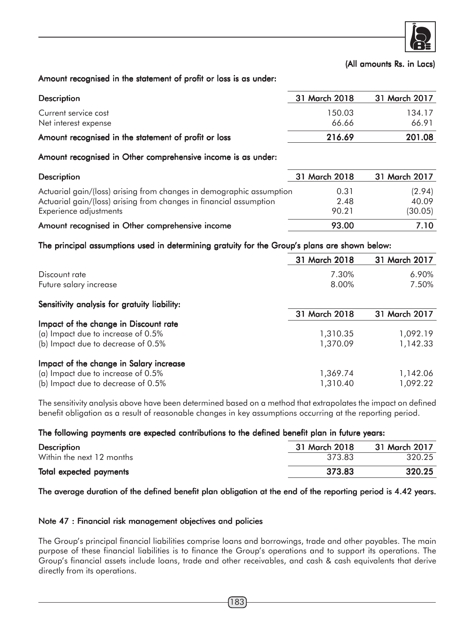

(All amounts Rs. in Lacs)

## Amount recognised in the statement of profit or loss is as under:

| <b>Description</b>                                   | 31 March 2018 | 31 March 2017 |
|------------------------------------------------------|---------------|---------------|
| Current service cost                                 | 150.03        | 134.17        |
| Net interest expense                                 | 66.66         | 66.91         |
| Amount recognised in the statement of profit or loss | 216.69        | 201.08        |

## Amount recognised in Other comprehensive income is as under:

| <b>Description</b>                                                   | 31 March 2018 | 31 March 2017 |
|----------------------------------------------------------------------|---------------|---------------|
| Actuarial gain/(loss) arising from changes in demographic assumption | 0.31          | (2.94)        |
| Actuarial gain/(loss) arising from changes in financial assumption   | 2.48          | 40.09         |
| Experience adjustments                                               | 90.21         | (30.05)       |
| Amount recognised in Other comprehensive income                      | 93.00         | 7.10          |

## The principal assumptions used in determining gratuity for the Group's plans are shown below:

|                                              | 31 March 2018 | 31 March 2017 |
|----------------------------------------------|---------------|---------------|
| Discount rate                                | 7.30%         | $6.90\%$      |
| Future salary increase                       | 8.00%         | 7.50%         |
| Sensitivity analysis for gratuity liability: |               |               |
|                                              | 31 March 2018 | 31 March 2017 |
| Impact of the change in Discount rate        |               |               |
| (a) Impact due to increase of 0.5%           | 1,310.35      | 1,092.19      |
| (b) Impact due to decrease of 0.5%           | 1,370.09      | 1,142.33      |
| Impact of the change in Salary increase      |               |               |
| (a) Impact due to increase of 0.5%           | 1.369.74      | 1,142.06      |
| (b) Impact due to decrease of 0.5%           | 1,310.40      | 1,092.22      |

The sensitivity analysis above have been determined based on a method that extrapolates the impact on defined benefit obligation as a result of reasonable changes in key assumptions occurring at the reporting period.

## The following payments are expected contributions to the defined benefit plan in future years:

| <b>Description</b>        | 31 March 2018 | 31 March 2017 |
|---------------------------|---------------|---------------|
| Within the next 12 months | 373.83        | 320.25        |
| Total expected payments   | 373.83        | 320.25        |

## The average duration of the defined benefit plan obligation at the end of the reporting period is 4.42 years.

## Note 47 : Financial risk management objectives and policies

The Group's principal financial liabilities comprise loans and borrowings, trade and other payables. The main purpose of these financial liabilities is to finance the Group's operations and to support its operations. The Group's financial assets include loans, trade and other receivables, and cash & cash equivalents that derive directly from its operations.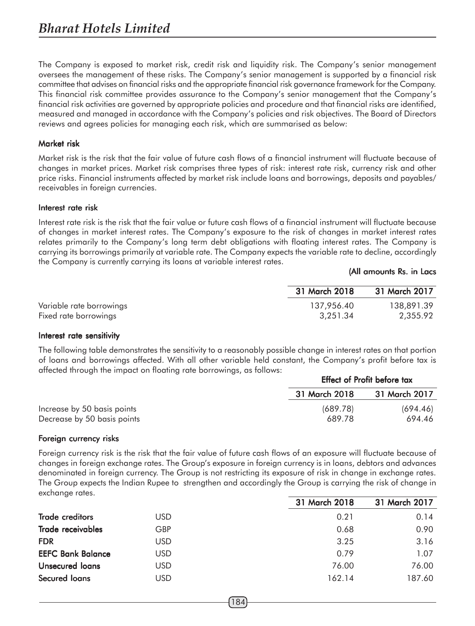The Company is exposed to market risk, credit risk and liquidity risk. The Company's senior management oversees the management of these risks. The Company's senior management is supported by a financial risk committee that advises on financial risks and the appropriate financial risk governance framework for the Company. This financial risk committee provides assurance to the Company's senior management that the Company's financial risk activities are governed by appropriate policies and procedure and that financial risks are identified, measured and managed in accordance with the Company's policies and risk objectives. The Board of Directors reviews and agrees policies for managing each risk, which are summarised as below:

## Market risk

Market risk is the risk that the fair value of future cash flows of a financial instrument will fluctuate because of changes in market prices. Market risk comprises three types of risk: interest rate risk, currency risk and other price risks. Financial instruments affected by market risk include loans and borrowings, deposits and payables/ receivables in foreign currencies.

## Interest rate risk

Interest rate risk is the risk that the fair value or future cash flows of a financial instrument will fluctuate because of changes in market interest rates. The Company's exposure to the risk of changes in market interest rates relates primarily to the Company's long term debt obligations with floating interest rates. The Company is carrying its borrowings primarily at variable rate. The Company expects the variable rate to decline, accordingly the Company is currently carrying its loans at variable interest rates.

## (All amounts Rs. in Lacs

|                                                   | 31 March 2018          | 31 March 2017          |
|---------------------------------------------------|------------------------|------------------------|
| Variable rate borrowings<br>Fixed rate borrowings | 137,956.40<br>3.251.34 | 138,891.39<br>2.355.92 |

## Interest rate sensitivity

The following table demonstrates the sensitivity to a reasonably possible change in interest rates on that portion of loans and borrowings affected. With all other variable held constant, the Company's profit before tax is affected through the impact on floating rate borrowings, as follows:

|                             | <b>Effect of Profit before tax</b> |               |
|-----------------------------|------------------------------------|---------------|
|                             | 31 March 2018                      | 31 March 2017 |
| Increase by 50 basis points | (689.78)                           | (694.46)      |
| Decrease by 50 basis points | 689.78                             | 694.46        |

## Foreign currency risks

Foreign currency risk is the risk that the fair value of future cash flows of an exposure will fluctuate because of changes in foreign exchange rates. The Group's exposure in foreign currency is in loans, debtors and advances denominated in foreign currency. The Group is not restricting its exposure of risk in change in exchange rates. The Group expects the Indian Rupee to strengthen and accordingly the Group is carrying the risk of change in exchange rates.

|                          |            | 31 March 2018 | 31 March 2017 |
|--------------------------|------------|---------------|---------------|
| Trade creditors          | USD        | 0.21          | 0.14          |
| <b>Trade receivables</b> | <b>GBP</b> | 0.68          | 0.90          |
| <b>FDR</b>               | <b>USD</b> | 3.25          | 3.16          |
| <b>EEFC Bank Balance</b> | USD        | 0.79          | 1.07          |
| <b>Unsecured loans</b>   | USD        | 76.00         | 76.00         |
| <b>Secured loans</b>     | USD        | 162.14        | 187.60        |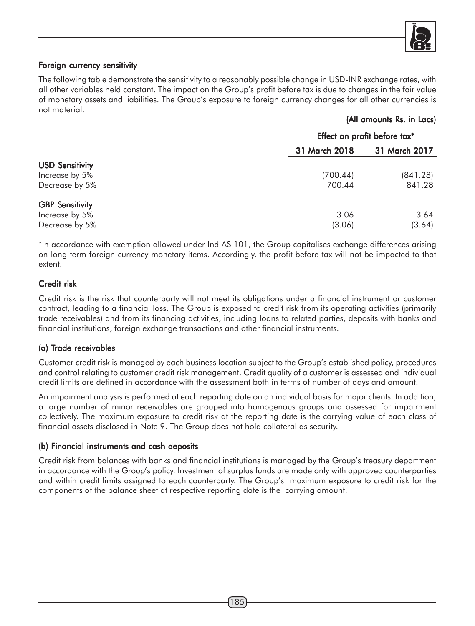

## Foreign currency sensitivity

The following table demonstrate the sensitivity to a reasonably possible change in USD-INR exchange rates, with all other variables held constant. The impact on the Group's profit before tax is due to changes in the fair value of monetary assets and liabilities. The Group's exposure to foreign currency changes for all other currencies is not material.

## (All amounts Rs. in Lacs)

|                                                            | Effect on profit before tax* |                    |
|------------------------------------------------------------|------------------------------|--------------------|
|                                                            | 31 March 2018                | 31 March 2017      |
| <b>USD Sensitivity</b><br>Increase by 5%<br>Decrease by 5% | (700.44)<br>700.44           | (841.28)<br>841.28 |
| <b>GBP Sensitivity</b><br>Increase by 5%<br>Decrease by 5% | 3.06<br>(3.06)               | 3.64<br>(3.64)     |

\*In accordance with exemption allowed under Ind AS 101, the Group capitalises exchange differences arising on long term foreign currency monetary items. Accordingly, the profit before tax will not be impacted to that extent.

## Credit risk

Credit risk is the risk that counterparty will not meet its obligations under a financial instrument or customer contract, leading to a financial loss. The Group is exposed to credit risk from its operating activities (primarily trade receivables) and from its financing activities, including loans to related parties, deposits with banks and financial institutions, foreign exchange transactions and other financial instruments.

## (a) Trade receivables

Customer credit risk is managed by each business location subject to the Group's established policy, procedures and control relating to customer credit risk management. Credit quality of a customer is assessed and individual credit limits are defined in accordance with the assessment both in terms of number of days and amount.

An impairment analysis is performed at each reporting date on an individual basis for major clients. In addition, a large number of minor receivables are grouped into homogenous groups and assessed for impairment collectively. The maximum exposure to credit risk at the reporting date is the carrying value of each class of financial assets disclosed in Note 9. The Group does not hold collateral as security.

## (b) Financial instruments and cash deposits

Credit risk from balances with banks and financial institutions is managed by the Group's treasury department in accordance with the Group's policy. Investment of surplus funds are made only with approved counterparties and within credit limits assigned to each counterparty. The Group's maximum exposure to credit risk for the components of the balance sheet at respective reporting date is the carrying amount.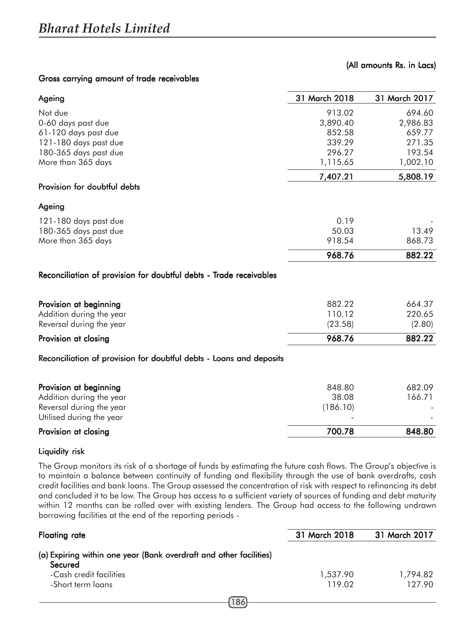## (All amounts Rs. in Lacs)

## Gross carrying amount of trade receivables

| Ageing                                                              | 31 March 2018 | 31 March 2017 |
|---------------------------------------------------------------------|---------------|---------------|
| Not due                                                             | 913.02        | 694.60        |
| 0-60 days past due                                                  | 3,890.40      | 2,986.83      |
| 61-120 days past due                                                | 852.58        | 659.77        |
| 121-180 days past due                                               | 339.29        | 271.35        |
| 180-365 days past due                                               | 296.27        | 193.54        |
| More than 365 days                                                  | 1,115.65      | 1,002.10      |
|                                                                     | 7,407.21      | 5,808.19      |
| Provision for doubtful debts                                        |               |               |
| Ageing                                                              |               |               |
| 121-180 days past due                                               | 0.19          |               |
| 180-365 days past due                                               | 50.03         | 13.49         |
| More than 365 days                                                  | 918.54        | 868.73        |
|                                                                     | 968.76        | 882.22        |
| Reconciliation of provision for doubtful debts - Trade receivables  |               |               |
| Provision at beginning                                              | 882.22        | 664.37        |
| Addition during the year                                            | 110.12        | 220.65        |
| Reversal during the year                                            | (23.58)       | (2.80)        |
| Provision at closing                                                | 968.76        | 882.22        |
| Reconciliation of provision for doubtful debts - Loans and deposits |               |               |
| Provision at beginning                                              | 848.80        | 682.09        |
| Addition during the year                                            | 38.08         | 166.71        |
| Reversal during the year                                            | (186.10)      |               |
| Utilised during the year                                            |               |               |
| Provision at closing                                                | 700.78        | 848.80        |

## Liquidity risk

The Group monitors its risk of a shortage of funds by estimating the future cash flows. The Group's objective is to maintain a balance between continuity of funding and flexibility through the use of bank overdrafts, cash credit facilities and bank loans. The Group assessed the concentration of risk with respect to refinancing its debt and concluded it to be low. The Group has access to a sufficient variety of sources of funding and debt maturity within 12 months can be rolled over with existing lenders. The Group had access to the following undrawn borrowing facilities at the end of the reporting periods -

| <b>Floating rate</b>                                                          | 31 March 2018 | 31 March 2017 |
|-------------------------------------------------------------------------------|---------------|---------------|
| (a) Expiring within one year (Bank overdraft and other facilities)<br>Secured |               |               |
| -Cash credit facilities                                                       | 1,537.90      | 1,794.82      |
| -Short term loans                                                             | 119.02        | 127.90        |
|                                                                               |               |               |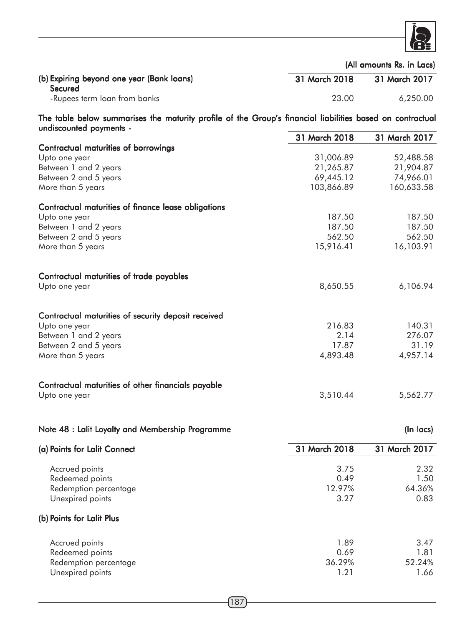

(All amounts Rs. in Lacs)

| (b) Expiring beyond one year (Bank loans) | 31 March 2018 | 31 March 2017 |
|-------------------------------------------|---------------|---------------|
| <b>Secured</b>                            |               |               |
| -Rupees term loan from banks              | 23.00         | 6,250.00      |

The table below summarises the maturity profile of the Group's financial liabilities based on contractual undiscounted payments -

|                                                     | 31 March 2018 | 31 March 2017 |
|-----------------------------------------------------|---------------|---------------|
| Contractual maturities of borrowings                |               |               |
| Upto one year                                       | 31,006.89     | 52,488.58     |
| Between 1 and 2 years                               | 21,265.87     | 21,904.87     |
| Between 2 and 5 years                               | 69,445.12     | 74,966.01     |
| More than 5 years                                   | 103,866.89    | 160,633.58    |
| Contractual maturities of finance lease obligations |               |               |
| Upto one year                                       | 187.50        | 187.50        |
| Between 1 and 2 years                               | 187.50        | 187.50        |
| Between 2 and 5 years                               | 562.50        | 562.50        |
| More than 5 years                                   | 15,916.41     | 16,103.91     |
| Contractual maturities of trade payables            |               |               |
| Upto one year                                       | 8,650.55      | 6,106.94      |
| Contractual maturities of security deposit received |               |               |
| Upto one year                                       | 216.83        | 140.31        |
| Between 1 and 2 years                               | 2.14          | 276.07        |
| Between 2 and 5 years                               | 17.87         | 31.19         |
| More than 5 years                                   | 4,893.48      | 4,957.14      |
| Contractual maturities of other financials payable  |               |               |
| Upto one year                                       | 3,510.44      | 5,562.77      |

## Note 48 : Lalit Loyalty and Membership Programme

|--|--|

| (a) Points for Lalit Connect | 31 March 2018 | 31 March 2017 |
|------------------------------|---------------|---------------|
|                              |               |               |
| Accrued points               | 3.75          | 2.32          |
| Redeemed points              | 0.49          | 1.50          |
| Redemption percentage        | 12.97%        | 64.36%        |
| Unexpired points             | 3.27          | 0.83          |
| (b) Points for Lalit Plus    |               |               |
| Accrued points               | 1.89          | 3.47          |
| Redeemed points              | 0.69          | 1.81          |
| Redemption percentage        | 36.29%        | 52.24%        |
| Unexpired points             | 1.21          | 1.66          |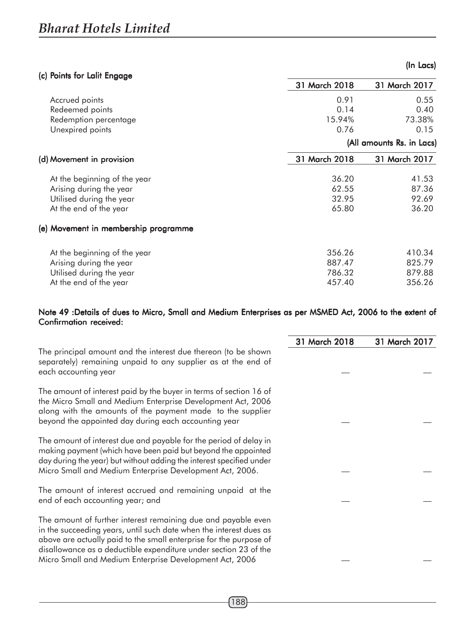| (c) Points for Lalit Engage          |               |                           |
|--------------------------------------|---------------|---------------------------|
|                                      | 31 March 2018 | 31 March 2017             |
| Accrued points                       | 0.91          | 0.55                      |
| Redeemed points                      | 0.14          | 0.40                      |
| Redemption percentage                | 15.94%        | 73.38%                    |
| Unexpired points                     | 0.76          | 0.15                      |
|                                      |               | (All amounts Rs. in Lacs) |
| (d) Movement in provision            | 31 March 2018 | 31 March 2017             |
|                                      |               |                           |
| At the beginning of the year         | 36.20         | 41.53                     |
| Arising during the year              | 62.55         | 87.36                     |
| Utilised during the year             | 32.95         | 92.69                     |
| At the end of the year               | 65.80         | 36.20                     |
| (e) Movement in membership programme |               |                           |
| At the beginning of the year         | 356.26        | 410.34                    |
| Arising during the year              | 887.47        | 825.79                    |
| Utilised during the year             | 786.32        | 879.88                    |
| At the end of the year               | 457.40        | 356.26                    |
|                                      |               |                           |

## Note 49 : Details of dues to Micro, Small and Medium Enterprises as per MSMED Act, 2006 to the extent of Confirmation received:

|                                                                                                                                                                                                                                                                                                                                          | 31 March 2018 | 31 March 2017 |
|------------------------------------------------------------------------------------------------------------------------------------------------------------------------------------------------------------------------------------------------------------------------------------------------------------------------------------------|---------------|---------------|
| The principal amount and the interest due thereon (to be shown<br>separately) remaining unpaid to any supplier as at the end of<br>each accounting year                                                                                                                                                                                  |               |               |
| The amount of interest paid by the buyer in terms of section 16 of<br>the Micro Small and Medium Enterprise Development Act, 2006<br>along with the amounts of the payment made to the supplier<br>beyond the appointed day during each accounting year                                                                                  |               |               |
| The amount of interest due and payable for the period of delay in<br>making payment (which have been paid but beyond the appointed<br>day during the year) but without adding the interest specified under<br>Micro Small and Medium Enterprise Development Act, 2006.                                                                   |               |               |
| The amount of interest accrued and remaining unpaid at the<br>end of each accounting year; and                                                                                                                                                                                                                                           |               |               |
| The amount of further interest remaining due and payable even<br>in the succeeding years, until such date when the interest dues as<br>above are actually paid to the small enterprise for the purpose of<br>disallowance as a deductible expenditure under section 23 of the<br>Micro Small and Medium Enterprise Development Act, 2006 |               |               |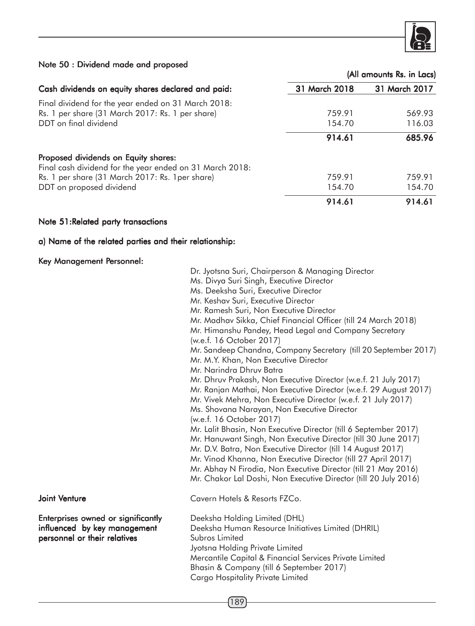

## Note 50 : Dividend made and proposed

|                                                                                                  |               | (All amounts Rs. in Lacs) |
|--------------------------------------------------------------------------------------------------|---------------|---------------------------|
| Cash dividends on equity shares declared and paid:                                               | 31 March 2018 | 31 March 2017             |
| Final dividend for the year ended on 31 March 2018:                                              |               |                           |
| Rs. 1 per share (31 March 2017: Rs. 1 per share)                                                 | 759.91        | 569.93                    |
| DDT on final dividend                                                                            | 154.70        | 116.03                    |
|                                                                                                  | 914.61        | 685.96                    |
| Proposed dividends on Equity shares:<br>Final cash dividend for the year ended on 31 March 2018: |               |                           |
| Rs. 1 per share (31 March 2017: Rs. 1 per share)                                                 | 759.91        | 759.91                    |
| DDT on proposed dividend                                                                         | 154.70        | 154.70                    |
|                                                                                                  | 914.61        | 914.61                    |

## Note 51:Related party transactions

a) Name of the related parties and their relationship:

Key Management Personnel:

|                                                                                                           | Dr. Jyotsna Suri, Chairperson & Managing Director<br>Ms. Divya Suri Singh, Executive Director<br>Ms. Deeksha Suri, Executive Director<br>Mr. Keshav Suri, Executive Director<br>Mr. Ramesh Suri, Non Executive Director<br>Mr. Madhav Sikka, Chief Financial Officer (till 24 March 2018)<br>Mr. Himanshu Pandey, Head Legal and Company Secretary<br>(w.e.f. 16 October 2017)<br>Mr. Sandeep Chandna, Company Secretary (till 20 September 2017)<br>Mr. M.Y. Khan, Non Executive Director<br>Mr. Narindra Dhruv Batra<br>Mr. Dhruv Prakash, Non Executive Director (w.e.f. 21 July 2017)<br>Mr. Ranjan Mathai, Non Executive Director (w.e.f. 29 August 2017)<br>Mr. Vivek Mehra, Non Executive Director (w.e.f. 21 July 2017)<br>Ms. Shovana Narayan, Non Executive Director<br>(w.e.f. 16 October 2017)<br>Mr. Lalit Bhasin, Non Executive Director (till 6 September 2017)<br>Mr. Hanuwant Singh, Non Executive Director (till 30 June 2017)<br>Mr. D.V. Batra, Non Executive Director (till 14 August 2017)<br>Mr. Vinod Khanna, Non Executive Director (till 27 April 2017)<br>Mr. Abhay N Firodia, Non Executive Director (till 21 May 2016)<br>Mr. Chakor Lal Doshi, Non Executive Director (till 20 July 2016) |
|-----------------------------------------------------------------------------------------------------------|-------------------------------------------------------------------------------------------------------------------------------------------------------------------------------------------------------------------------------------------------------------------------------------------------------------------------------------------------------------------------------------------------------------------------------------------------------------------------------------------------------------------------------------------------------------------------------------------------------------------------------------------------------------------------------------------------------------------------------------------------------------------------------------------------------------------------------------------------------------------------------------------------------------------------------------------------------------------------------------------------------------------------------------------------------------------------------------------------------------------------------------------------------------------------------------------------------------------------|
| <b>Joint Venture</b>                                                                                      | Cavern Hotels & Resorts FZCo.                                                                                                                                                                                                                                                                                                                                                                                                                                                                                                                                                                                                                                                                                                                                                                                                                                                                                                                                                                                                                                                                                                                                                                                           |
| <b>Enterprises owned or significantly</b><br>influenced by key management<br>personnel or their relatives | Deeksha Holding Limited (DHL)<br>Deeksha Human Resource Initiatives Limited (DHRIL)<br>Subros Limited<br>Jyotsna Holding Private Limited<br>Mercantile Capital & Financial Services Private Limited<br>Bhasin & Company (till 6 September 2017)<br>Cargo Hospitality Private Limited                                                                                                                                                                                                                                                                                                                                                                                                                                                                                                                                                                                                                                                                                                                                                                                                                                                                                                                                    |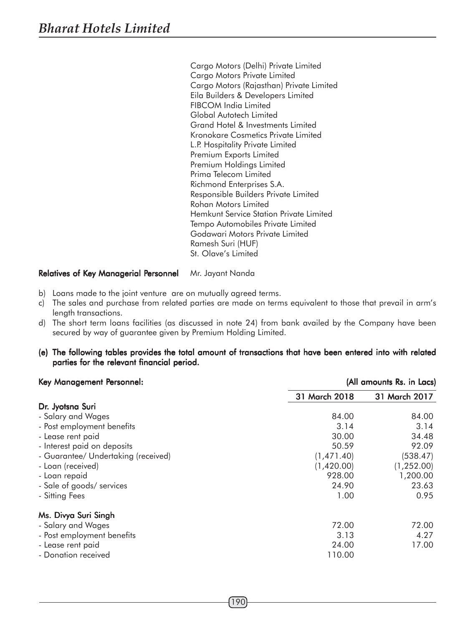Cargo Motors (Delhi) Private Limited Cargo Motors Private Limited Cargo Motors (Rajasthan) Private Limited Eila Builders & Developers Limited FIBCOM India Limited Global Autotech Limited Grand Hotel & Investments Limited Kronokare Cosmetics Private Limited L.P. Hospitality Private Limited Premium Exports Limited Premium Holdings Limited Prima Telecom Limited Richmond Enterprises S.A. Responsible Builders Private Limited Rohan Motors Limited Hemkunt Service Station Private Limited Tempo Automobiles Private Limited Godawari Motors Private Limited Ramesh Suri (HUF) St. Olave's Limited

## Relatives of Key Managerial Personnel Mr. Jayant Nanda

- b) Loans made to the joint venture are on mutually agreed terms.
- c) The sales and purchase from related parties are made on terms equivalent to those that prevail in arm's length transactions.
- d) The short term loans facilities (as discussed in note 24) from bank availed by the Company have been secured by way of guarantee given by Premium Holding Limited.

## (e) The following tables provides the total amount of transactions that have been entered into with related parties for the relevant financial period.

| <b>Key Management Personnel:</b>    | (All amounts Rs. in Lacs) |               |  |
|-------------------------------------|---------------------------|---------------|--|
|                                     | 31 March 2018             | 31 March 2017 |  |
| Dr. Jyotsna Suri                    |                           |               |  |
| - Salary and Wages                  | 84.00                     | 84.00         |  |
| - Post employment benefits          | 3.14                      | 3.14          |  |
| - Lease rent paid                   | 30.00                     | 34.48         |  |
| - Interest paid on deposits         | 50.59                     | 92.09         |  |
| - Guarantee/ Undertaking (received) | (1, 471.40)               | (538.47)      |  |
| - Loan (received)                   | (1,420.00)                | (1, 252.00)   |  |
| - Loan repaid                       | 928.00                    | 1,200.00      |  |
| - Sale of goods/ services           | 24.90                     | 23.63         |  |
| - Sitting Fees                      | 1.00                      | 0.95          |  |
| Ms. Divya Suri Singh                |                           |               |  |
| - Salary and Wages                  | 72.00                     | 72.00         |  |
| - Post employment benefits          | 3.13                      | 4.27          |  |
| - Lease rent paid                   | 24.00                     | 17.00         |  |
| - Donation received                 | 110.00                    |               |  |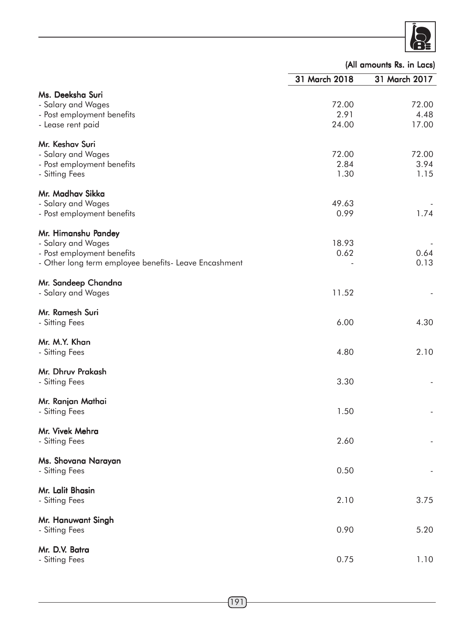

|                                                       |               | (All amounts Rs. in Lacs) |
|-------------------------------------------------------|---------------|---------------------------|
|                                                       | 31 March 2018 | 31 March 2017             |
| Ms. Deeksha Suri                                      |               |                           |
| - Salary and Wages                                    | 72.00         | 72.00                     |
| - Post employment benefits                            | 2.91          | 4.48                      |
| - Lease rent paid                                     | 24.00         | 17.00                     |
| Mr. Keshav Suri                                       |               |                           |
| - Salary and Wages                                    | 72.00         | 72.00                     |
| - Post employment benefits                            | 2.84          | 3.94                      |
| - Sitting Fees                                        | 1.30          | 1.15                      |
| Mr. Madhav Sikka                                      |               |                           |
| - Salary and Wages                                    | 49.63         |                           |
| - Post employment benefits                            | 0.99          | 1.74                      |
| Mr. Himanshu Pandey                                   |               |                           |
| - Salary and Wages                                    | 18.93         |                           |
| - Post employment benefits                            | 0.62          | 0.64                      |
| - Other long term employee benefits- Leave Encashment |               | 0.13                      |
|                                                       |               |                           |
| Mr. Sandeep Chandna                                   |               |                           |
| - Salary and Wages                                    | 11.52         |                           |
| Mr. Ramesh Suri                                       |               |                           |
| - Sitting Fees                                        | 6.00          | 4.30                      |
| Mr. M.Y. Khan                                         |               |                           |
| - Sitting Fees                                        | 4.80          | 2.10                      |
| Mr. Dhruv Prakash                                     |               |                           |
| - Sitting Fees                                        | 3.30          |                           |
| Mr. Ranjan Mathai                                     |               |                           |
| - Sitting Fees                                        | 1.50          |                           |
|                                                       |               |                           |
| Mr. Vivek Mehra<br>- Sitting Fees                     | 2.60          |                           |
|                                                       |               |                           |
| Ms. Shovana Narayan                                   |               |                           |
| - Sitting Fees                                        | 0.50          |                           |
| Mr. Lalit Bhasin                                      |               |                           |
| - Sitting Fees                                        | 2.10          | 3.75                      |
| Mr. Hanuwant Singh                                    |               |                           |
| - Sitting Fees                                        | 0.90          | 5.20                      |
|                                                       |               |                           |
| Mr. D.V. Batra<br>- Sitting Fees                      | 0.75          | 1.10                      |
|                                                       |               |                           |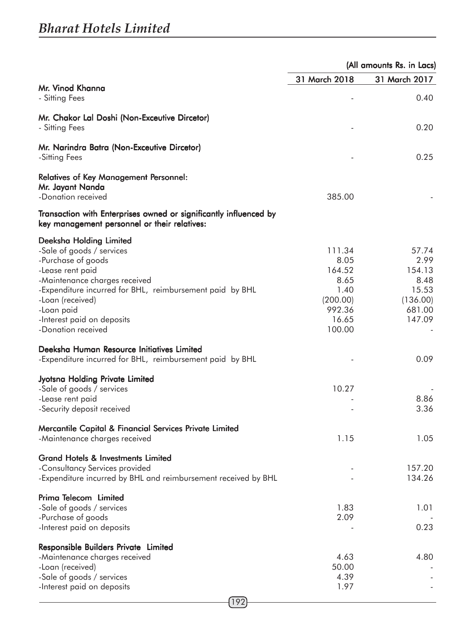|                                                                                                                                                                                                                                                                                                                                                                                                                                                                                                               |                                                                                            | (All amounts Rs. in Lacs)                                                                        |
|---------------------------------------------------------------------------------------------------------------------------------------------------------------------------------------------------------------------------------------------------------------------------------------------------------------------------------------------------------------------------------------------------------------------------------------------------------------------------------------------------------------|--------------------------------------------------------------------------------------------|--------------------------------------------------------------------------------------------------|
|                                                                                                                                                                                                                                                                                                                                                                                                                                                                                                               | 31 March 2018                                                                              | 31 March 2017                                                                                    |
| Mr. Vinod Khanna<br>- Sitting Fees                                                                                                                                                                                                                                                                                                                                                                                                                                                                            |                                                                                            | 0.40                                                                                             |
| Mr. Chakor Lal Doshi (Non-Exceutive Dircetor)<br>- Sitting Fees                                                                                                                                                                                                                                                                                                                                                                                                                                               |                                                                                            | 0.20                                                                                             |
| Mr. Narindra Batra (Non-Exceutive Dircetor)<br>-Sitting Fees                                                                                                                                                                                                                                                                                                                                                                                                                                                  |                                                                                            | 0.25                                                                                             |
| <b>Relatives of Key Management Personnel:</b><br>Mr. Jayant Nanda<br>-Donation received                                                                                                                                                                                                                                                                                                                                                                                                                       | 385.00                                                                                     |                                                                                                  |
| Transaction with Enterprises owned or significantly influenced by<br>key management personnel or their relatives:                                                                                                                                                                                                                                                                                                                                                                                             |                                                                                            |                                                                                                  |
| Deeksha Holding Limited<br>-Sale of goods / services<br>-Purchase of goods<br>-Lease rent paid<br>-Maintenance charges received<br>-Expenditure incurred for BHL, reimbursement paid by BHL<br>-Loan (received)<br>-Loan paid<br>-Interest paid on deposits<br>-Donation received<br>Deeksha Human Resource Initiatives Limited<br>-Expenditure incurred for BHL, reimbursement paid by BHL<br>Jyotsna Holding Private Limited<br>-Sale of goods / services<br>-Lease rent paid<br>-Security deposit received | 111.34<br>8.05<br>164.52<br>8.65<br>1.40<br>(200.00)<br>992.36<br>16.65<br>100.00<br>10.27 | 57.74<br>2.99<br>154.13<br>8.48<br>15.53<br>(136.00)<br>681.00<br>147.09<br>0.09<br>8.86<br>3.36 |
| Mercantile Capital & Financial Services Private Limited<br>-Maintenance charges received                                                                                                                                                                                                                                                                                                                                                                                                                      | 1.15                                                                                       | 1.05                                                                                             |
| <b>Grand Hotels &amp; Investments Limited</b><br>-Consultancy Services provided<br>-Expenditure incurred by BHL and reimbursement received by BHL                                                                                                                                                                                                                                                                                                                                                             |                                                                                            | 157.20<br>134.26                                                                                 |
| Prima Telecom Limited<br>-Sale of goods / services<br>-Purchase of goods<br>-Interest paid on deposits                                                                                                                                                                                                                                                                                                                                                                                                        | 1.83<br>2.09                                                                               | 1.01<br>0.23                                                                                     |
| <b>Responsible Builders Private Limited</b><br>-Maintenance charges received<br>-Loan (received)<br>-Sale of goods / services<br>-Interest paid on deposits                                                                                                                                                                                                                                                                                                                                                   | 4.63<br>50.00<br>4.39<br>1.97                                                              | 4.80                                                                                             |

 $(192)$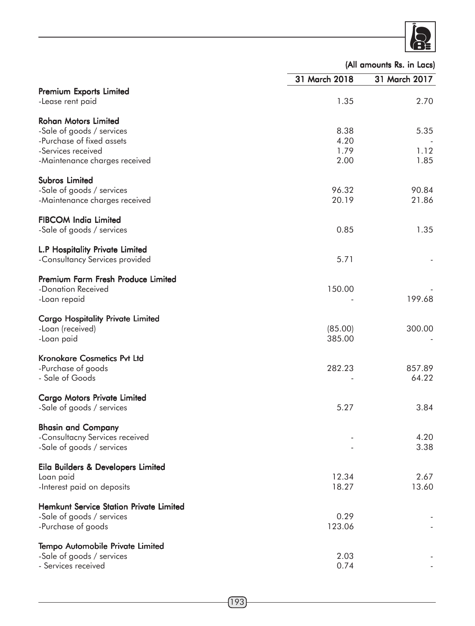

# Premium Exports Limited -Lease rent paid 1.35 2.70 Rohan Motors Limited -Sale of goods / services 6.35 5.35 5.35 for the services of the services of the services of the services of the services of the services of the services of the services of the services of the services of the services of t -Purchase of fixed assets 4.20 -Services received and the contract of the contract of the contract of the contract of the contract of the contract of the contract of the contract of the contract of the contract of the contract of the contract of the con -Maintenance charges received 2.00 and 2.00 and 2.00 and 2.00 and 2.00 and 2.00 and 2.00 and 2.00 and 2.00 and 2.00 and 2.00 and 2.00 and 2.00 and 2.00 and 2.00 and 2.00 and 2.00 and 2.00 and 2.00 and 2.00 and 2.00 and 2.0 Subros Limited -Sale of goods / services 96.32 90.84 -Maintenance charges received 20.19 21.86 FIBCOM India Limited -Sale of goods / services 0.85 1.35 L.P Hospitality Private Limited -Consultancy Services provided 5.71  $\sim$  5.71 Premium Farm Fresh Produce Limited -Donation Received **150.00** - 150.00 -Loan repaid and the set of the set of the set of the set of the set of the set of the set of the set of the set of the set of the set of the set of the set of the set of the set of the set of the set of the set of the set Cargo Hospitality Private Limited -Loan (received) (85.00) 300.00 -Loan paid 385.00 - Kronokare Cosmetics Pvt Ltd -Purchase of goods 282.23 857.89 - Sale of Goods - 64.22 Cargo Motors Private Limited -Sale of goods / services 6.27 3.84 Bhasin and Company -Consultacny Services received  $4.20$ -Sale of goods / services - 3.38 Eila Builders & Developers Limited Loan paid 12.34 2.67 -Interest paid on deposits 18.27 13.60 Hemkunt Service Station Private Limited -Sale of goods / services 0.29 -Purchase of goods 123.06 Tempo Automobile Private Limited -Sale of goods / services 2.03 - Services received 0.74 (All amounts Rs. in Lacs) 31 March 2018 31 March 2017

193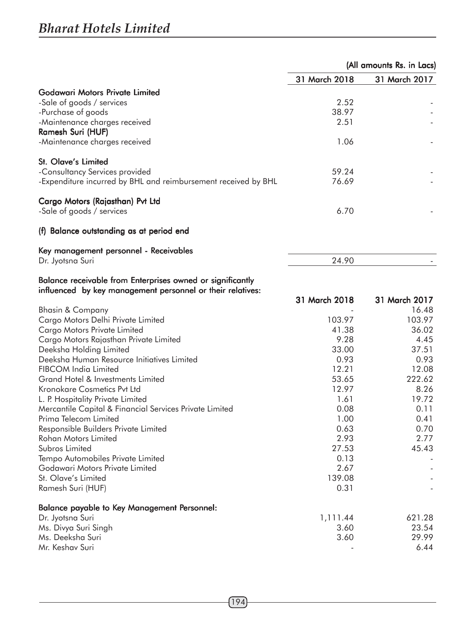|                                                                |               | (All amounts Rs. in Lacs) |
|----------------------------------------------------------------|---------------|---------------------------|
|                                                                | 31 March 2018 | 31 March 2017             |
| Godawari Motors Private Limited                                |               |                           |
| -Sale of goods / services                                      | 2.52          |                           |
| -Purchase of goods                                             | 38.97         |                           |
| -Maintenance charges received                                  | 2.51          |                           |
| Ramesh Suri (HUF)                                              |               |                           |
| -Maintenance charges received                                  | 1.06          |                           |
| <b>St. Olave's Limited</b>                                     |               |                           |
| -Consultancy Services provided                                 | 59.24         |                           |
| -Expenditure incurred by BHL and reimbursement received by BHL | 76.69         |                           |
| Cargo Motors (Rajasthan) Pvt Ltd                               |               |                           |
| -Sale of goods / services                                      | 6.70          |                           |
| (f) Balance outstanding as at period end                       |               |                           |
| Key management personnel - Receivables                         |               |                           |
| Dr. Jyotsna Suri                                               | 24.90         |                           |
| Balance receivable from Enterprises owned or significantly     |               |                           |
| influenced by key management personnel or their relatives:     |               |                           |
|                                                                | 31 March 2018 | 31 March 2017             |
| <b>Bhasin &amp; Company</b>                                    |               | 16.48                     |
| Cargo Motors Delhi Private Limited                             | 103.97        | 103.97                    |
| Cargo Motors Private Limited                                   | 41.38         | 36.02                     |
| Cargo Motors Rajasthan Private Limited                         | 9.28          | 4.45                      |
| Deeksha Holding Limited                                        | 33.00         | 37.51                     |
| Deeksha Human Resource Initiatives Limited                     | 0.93          | 0.93                      |
| <b>FIBCOM</b> India Limited                                    | 12.21         | 12.08                     |
| Grand Hotel & Investments Limited                              | 53.65         | 222.62                    |
| Kronokare Cosmetics Pvt Ltd                                    | 12.97         | 8.26                      |
| L. P. Hospitality Private Limited                              | 1.61          | 19.72                     |
| Mercantile Capital & Financial Services Private Limited        | 0.08          | 0.11                      |
| Prima Telecom Limited                                          | 1.00          | 0.41                      |
| Responsible Builders Private Limited                           | 0.63          | 0.70                      |
| Rohan Motors Limited                                           | 2.93          | 2.77                      |
| Subros Limited                                                 | 27.53         | 45.43                     |
| Tempo Automobiles Private Limited                              | 0.13          |                           |
| Godawari Motors Private Limited                                | 2.67          |                           |
| St. Olave's Limited                                            | 139.08        |                           |
| Ramesh Suri (HUF)                                              | 0.31          |                           |
| <b>Balance payable to Key Management Personnel:</b>            |               |                           |
| Dr. Jyotsna Suri                                               | 1,111.44      | 621.28                    |
| Ms. Divya Suri Singh                                           | 3.60          | 23.54                     |
| Ms. Deeksha Suri                                               | 3.60          | 29.99                     |
| Mr. Keshav Suri                                                |               | 6.44                      |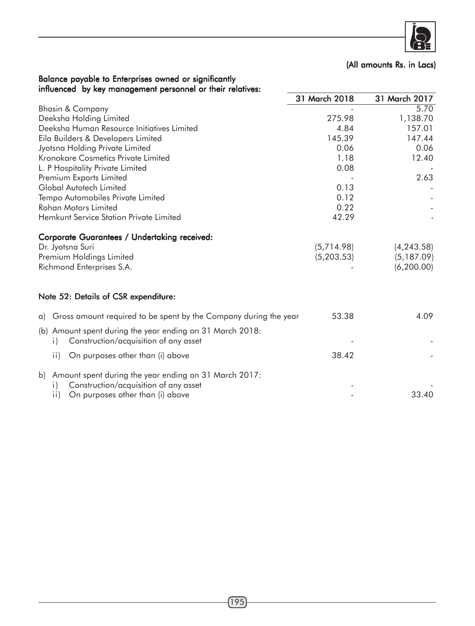

(All amounts Rs. in Lacs)

## Balance payable to Enterprises owned or significantly influenced by key management personnel or their relatives: 31 March 2018 31 March 2017 Bhasin & Company - 5.70 Deeksha Holding Limited 275.98 1,138.70 Deeksha Human Resource Initiatives Limited 4.84 157.01 Eila Builders & Developers Limited 145.39 147.44 Jyotsna Holding Private Limited 0.06 0.06 Kronokare Cosmetics Private Limited 1.18 12.40 L. P Hospitality Private Limited **Department COSOS** 0.08 Premium Exports Limited - 2.63 Global Autotech Limited Tempo Automobiles Private Limited **6.12** 0.12 Rohan Motors Limited 0.22 - Hemkunt Service Station Private Limited 42.29 - Corporate Guarantees / Undertaking received: Dr. Jyotsna Suri (5,714.98) (4,243.58) Premium Holdings Limited (5,203.53) (5,187.09) Richmond Enterprises S.A.  $(6,200.00)$ Note 52: Details of CSR expenditure: a) Gross amount required to be spent by the Company during the year 53.38 4.09 (b) Amount spent during the year ending on 31 March 2018:  $i)$  Construction/acquisition of any asset ii) On purposes other than (i) above  $38.42$ b) Amount spent during the year ending on 31 March 2017:  $i)$  Construction/acquisition of any asset ii) On purposes other than (i) above  $\overline{33.40}$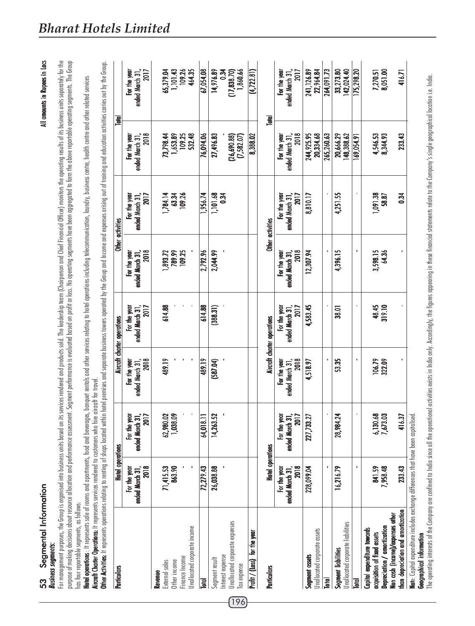| ဌ | J |  |
|---|---|--|
|   |   |  |

# All amounts in Rupees in Lacs

For management purposes, the Group is organised into business units based on its services rendered and products sold. The leadership team (Chairperson and Chief Financial Officer) monitors the operating results of its busi purpose of making decisions about resource allocation and performance assessment. Segment performance is evaluated based on profit or loss. No operating segments have been aggregated to form the above reportable operating For management purposes, the Group is organised into business units based on its seviles readed on a products sold. The leadership team (Chairperson and Chief Financial Officer) monitors the operating results of its busine purpose of making decisions about resource allocation and performance assessment. Segment Segments performance base along segments have been aggregated to form the above reportable operating segments. The Group has four reportable segments, as follows: has four reportable segments, as follows:

**Hotel operations** : It represents sale of rooms and apportments, food and beverages, bangter rentals and other rentals and other appear to the second of the second of the related services<br>**Aircoth Chorter Operations:** It **ildel operations** : It represents sale of rooms and apartments, food and beverages, banquet rentals and other services relating to hotel operations including telecommunication, business centre, health centre and other rel Aircraft Charter Operations: It represents services rendered to customers who hire aircraft for travel.

Other Activities. It represents operations relating to menting of shops located varitin hotel premises and separate business towers operated by the Group and Income and expenses arising out of training and education activi **Other Activities:** It represents operations relating to tenting of shops located within hotel premises and separate busines specified by the Group and expenses arising out of training and education activities carries out

| Particulars                                                                         | Hotel operations                        |                                          |                                         | Aircraft charter operations             |                                         | Other activities                        | Total                                   |                                         |
|-------------------------------------------------------------------------------------|-----------------------------------------|------------------------------------------|-----------------------------------------|-----------------------------------------|-----------------------------------------|-----------------------------------------|-----------------------------------------|-----------------------------------------|
|                                                                                     | ended March 31,<br>2018<br>For the year | 2017<br>ended March 31,<br>the year<br>ق | 2018<br>For the year<br>ended March 31, | 2017<br>For the year<br>ended March 31, | 2018<br>ended March 31,<br>For the year | ended March 31,<br>2017<br>For the year | 2018<br>ended March 31,<br>For the year | ended March 31,<br>2017<br>For the year |
| External sales<br>Revenue                                                           | 71,415.53                               | 2,980.02<br>S                            | 489.19                                  | 614.88                                  |                                         |                                         | 73,798.44                               | 65,379.04                               |
| Other income                                                                        | 863.90                                  | 1,038.09                                 |                                         |                                         | 1,893.72<br>789.99                      |                                         | 1,653.89                                |                                         |
| Finance Income                                                                      |                                         |                                          |                                         |                                         | 109.25                                  | 1,784.14<br>63.34<br>109.26             | 109.25                                  | 1,101.43<br>109.26                      |
| Unallocated corporate income                                                        |                                         |                                          |                                         |                                         |                                         |                                         | 532.48                                  | 464.35                                  |
| <b>L</b> otal                                                                       | 72,279.43                               | 4,018.11<br>उ                            | 489.19                                  | 614.88                                  | 2,792.96                                | 956.74                                  | 76,094.06                               | 67,054.08                               |
| Segment result                                                                      | 26,038.88                               | 4,263.52<br>≍                            | (587.04)                                | (388.31)                                | 2,044.99                                | 1,101.68                                | 27,496.83                               | 14,976.89                               |
| nterest expense                                                                     |                                         |                                          |                                         |                                         |                                         | 0.34                                    |                                         | 0.34                                    |
| Unallocated corporate expenses<br>ax expense                                        |                                         |                                          |                                         |                                         |                                         |                                         | (26, 690.88)<br>(7,582.07)              | 1,860.66<br>(17, 838.70)                |
| for the year<br>Profit / (Loss)                                                     |                                         |                                          |                                         |                                         |                                         |                                         | 8,388.02                                | (4, 722.81)                             |
| Particulars                                                                         | Hotel operations                        |                                          |                                         | Aircraft charter operations             |                                         | Other activities                        | <b>Total</b>                            |                                         |
|                                                                                     | For the year                            | r the year<br>ق                          | For the year                            | For the year                            | For the year                            | For the year                            | For the year                            | For the year                            |
|                                                                                     | ended March 31,<br>2018                 | ended March 31,<br>2017                  | 2018<br>ended March 31,                 | ended March 31,<br>2017                 | 2018<br>ended March 31,                 | ended March 31,<br>2017                 | 2018<br>ended March 31,                 | ended March 31,<br>2017                 |
| <b>Jnallocated</b> corporate assets<br>Segment assets                               | 228,099.04                              | ,733.27<br>227                           | 4,518.97                                | 4,583.45                                | 12,307.94                               | 8,810.17                                | 20,334.68<br>244, 925.95                | 241,126.89<br>22,964.84                 |
| <b>Total</b>                                                                        |                                         |                                          |                                         |                                         |                                         |                                         | 265,260.63                              | 264,091.73                              |
| Unallocated corporate liabilities<br>Segment liabilities                            | 16,216.79                               | 28,984.24                                | 53.35                                   | 38.01                                   | 4,396.15                                | 4,251.55                                | 20,666.29<br>148,388.62                 | 33,273.80<br>142,024.40                 |
| 로                                                                                   | $\blacksquare$                          |                                          | ı                                       |                                         |                                         |                                         | 169,054.91                              | 175,298.20                              |
| Capital expenditure towards<br>acquisition of fixed assets                          | 841.59                                  |                                          | 106.79                                  |                                         | 3,598.15                                | 1,091.38                                |                                         |                                         |
| Depreciation / amortization                                                         | 7,958.48                                | 6,130.68<br>7,673.03                     | 322.09                                  | 48.45<br>319.10                         | 64.36                                   | 58.87                                   | 4,546.53<br>8,344.93                    | 7,270.51<br>8,051.00                    |
| than depreciation and amortization<br>Non cash (income)/expenses other              | 233.43                                  | 416.37                                   |                                         |                                         |                                         | 0.34                                    | 233.43                                  | 416.71                                  |
| Note: Capital expenditure includes exchange differences that have been capitalised. |                                         |                                          |                                         |                                         |                                         |                                         |                                         |                                         |

 $\mathbf{I}$ 

196

Geographical information

**Geographical information**<br>The operating interests of the Company are confined to India since all the operational activities exists in India only. Accordingly, the figures appearing in these financial statements relate to The operating interests of the Company are confined to India since all the operational activities exists in India only. Accordingly, the figures appearing in these financial satements relate to the Company's single geograp

# *Bharat Hotels Limited*

 $\mathbf{r}$  $\overline{1}$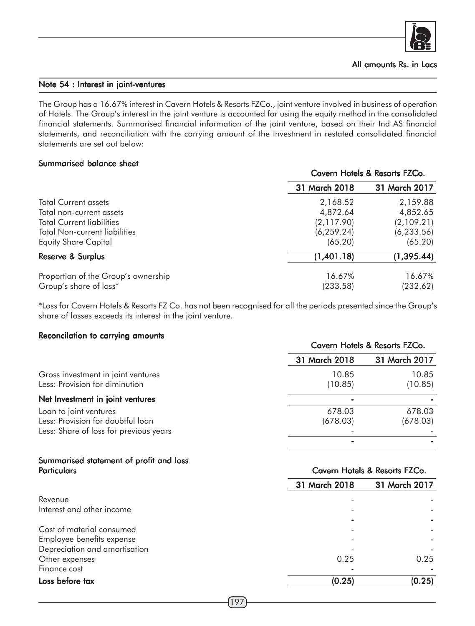

## Note 54 : Interest in joint-ventures

The Group has a 16.67% interest in Cavern Hotels & Resorts FZCo., joint venture involved in business of operation of Hotels. The Group's interest in the joint venture is accounted for using the equity method in the consolidated financial statements. Summarised financial information of the joint venture, based on their Ind AS financial statements, and reconciliation with the carrying amount of the investment in restated consolidated financial statements are set out below:

## Summarised balance sheet

|                                     | Cavern Hotels & Resorts FZCo. |               |
|-------------------------------------|-------------------------------|---------------|
|                                     | 31 March 2018                 | 31 March 2017 |
| <b>Total Current assets</b>         | 2,168.52                      | 2,159.88      |
| Total non-current assets            | 4,872.64                      | 4,852.65      |
| <b>Total Current liabilities</b>    | (2, 117.90)                   | (2,109.21)    |
| Total Non-current liabilities       | (6, 259.24)                   | (6, 233.56)   |
| <b>Equity Share Capital</b>         | (65.20)                       | (65.20)       |
| Reserve & Surplus                   | (1,401.18)                    | (1, 395.44)   |
| Proportion of the Group's ownership | 16.67%                        | 16.67%        |
| Group's share of loss*              | (233.58)                      | (232.62)      |

\*Loss for Cavern Hotels & Resorts FZ Co. has not been recognised for all the periods presented since the Group's share of losses exceeds its interest in the joint venture.

## Reconcilation to carrying amounts

|                                                                                                       |                    | Cavern Hotels & Resorts FZCo. |
|-------------------------------------------------------------------------------------------------------|--------------------|-------------------------------|
|                                                                                                       | 31 March 2018      | 31 March 2017                 |
| Gross investment in joint ventures<br>Less: Provision for diminution                                  | 10.85<br>(10.85)   | 10.85<br>(10.85)              |
| Net Investment in joint ventures                                                                      |                    |                               |
| Loan to joint ventures<br>Less: Provision for doubtful loan<br>Less: Share of loss for previous years | 678.03<br>(678.03) | 678.03<br>(678.03)            |
|                                                                                                       |                    |                               |

## Summarised statement of profit and loss Particulars Cavern Hotels & Resorts FZCo. Hotels & Resorts FZCo. Hotels & Resorts FZCo. Hotels & F

| , unicorale                   |               | CUTCHI HUICIS O RESULIS LECU. |  |  |
|-------------------------------|---------------|-------------------------------|--|--|
|                               | 31 March 2018 | 31 March 2017                 |  |  |
| Revenue                       |               |                               |  |  |
| Interest and other income     |               |                               |  |  |
|                               |               |                               |  |  |
| Cost of material consumed     |               |                               |  |  |
| Employee benefits expense     |               |                               |  |  |
| Depreciation and amortisation |               |                               |  |  |
| Other expenses                | 0.25          | 0.25                          |  |  |
| Finance cost                  |               |                               |  |  |
| Loss before tax               | (0.25)        | (0.25)                        |  |  |
|                               |               |                               |  |  |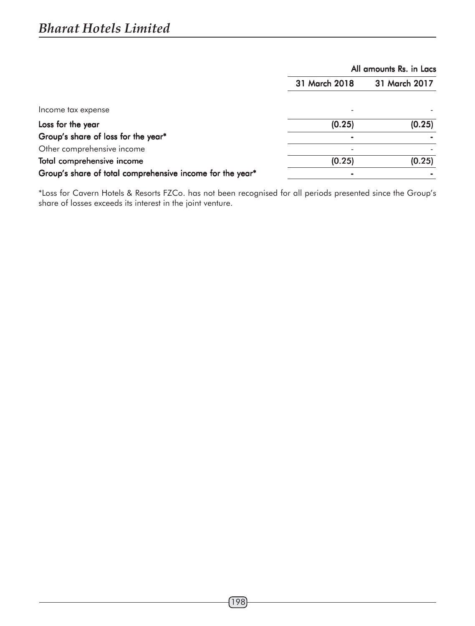|                                                           |               | All amounts Rs. in Lacs |
|-----------------------------------------------------------|---------------|-------------------------|
|                                                           | 31 March 2018 | 31 March 2017           |
| Income tax expense                                        |               |                         |
| Loss for the year                                         | (0.25)        | (0.25)                  |
| Group's share of loss for the year*                       |               |                         |
| Other comprehensive income                                |               |                         |
| Total comprehensive income                                | (0.25)        | (0.25)                  |
| Group's share of total comprehensive income for the year* |               |                         |

\*Loss for Cavern Hotels & Resorts FZCo. has not been recognised for all periods presented since the Group's share of losses exceeds its interest in the joint venture.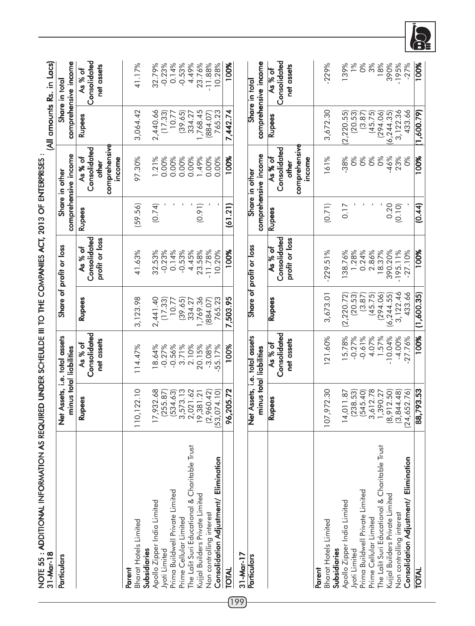| 31-Mar-18<br>יי ברב                                               |                             |                                                          |                    |                                             |          | סוגבה הוא להרבה הוא להרבה הווהר המונה המונה המונה המונה המונה המונה המונה המונה המונה המונה המונה המונה המונה |                    | (All amounts Rs. in Lacs)              |
|-------------------------------------------------------------------|-----------------------------|----------------------------------------------------------|--------------------|---------------------------------------------|----------|---------------------------------------------------------------------------------------------------------------|--------------------|----------------------------------------|
| Particulars                                                       | Net Assets, i.e.            | total assets<br>minus total liabilities                  |                    | Share of profit or loss                     | Share in | comprehensive income<br>other                                                                                 |                    | comprehensive income<br>Share in tota  |
|                                                                   | Rupees                      | Consolidated<br>net assets<br>As % of                    | Rupees             | Consolidated<br>profit or loss<br>As % of   | Rupees   | comprehensive<br>Consolidated<br>income<br>As % of<br>other                                                   | <b>Rupees</b>      | Consolidated<br>net assets<br>As % of  |
| <b>Bharat Hotels Limited</b><br>Parent                            | 10,122.10                   | 114.47%                                                  | 3,123.98           | 41.63%                                      | (59.56)  | 97.30%                                                                                                        | 3,064.42           | 41.17%                                 |
| Apollo Zipper India Limited<br>Subsidiaries                       | 17,932.68                   | 8.64%                                                    | 2,441.40           | 32.53%                                      | (0.74)   | 1.21%                                                                                                         | 2,440.66           | 32.79%                                 |
| Prima Buildwell Private Limited<br>Jyoti Limited                  | (255.87)<br>534.63          | $-0.56%$<br>$-0.27%$                                     | (17.33)<br>10.77   | $-0.23%$<br>0.14%                           |          | 0.00%<br>0.00%                                                                                                | (17.33)<br>10.77   | $-0.23%$<br>0.14%                      |
| Prime Cellular Limited                                            | 3,573.13                    | 3.71%                                                    | (39.65)            | $-0.53%$                                    |          | 0.00%                                                                                                         | (39.65)            | $-0.53%$                               |
| The Lalit Suri Educational & Charitable Trust                     | 2,021.62                    | 2.10%                                                    | 334.27             | 4.45%                                       |          | 0.00%                                                                                                         | 334.27             | 4.49%                                  |
| Kujjal Builders Private Limited                                   | 19,381.21                   | 20.15%                                                   | ,769.36            | 23.58%                                      | (0.91)   | 1.49%                                                                                                         | ,768.45            | 23.76%                                 |
| Consolidation Adjustment/ Elimination<br>Non controlling interest | (53, 074, 10)<br>(2,960.42) | $-3.08%$<br>55.17%                                       | 765.23<br>884.07)  | $-11.78%$<br>10.20%                         |          | 0.00%<br>0.00%                                                                                                | 765.23<br>(884.07) | $-11.88%$<br>10.28%                    |
| <b>TOTAL</b>                                                      | 96,205.72                   | 100%                                                     | 503.95<br>N        | 100%                                        | (61.21)  | 100%                                                                                                          | .442.74            | 100%                                   |
| $31 - M$ ar-17                                                    |                             |                                                          |                    |                                             |          |                                                                                                               |                    |                                        |
| Particulars                                                       |                             | Net Assets, i.e. total assets<br>minus total liabilities |                    | Share of profit or loss                     |          | comprehensive income<br>Share in other                                                                        |                    | comprehensive income<br>Share in total |
|                                                                   | Rupees                      | Consolidated<br>net assets<br>As % of                    | Rupees             | Consolidated<br>profit or loss<br>As $%$ of | Rupees   | comprehensive<br>Consolidated<br>income<br>As %<br>other                                                      | Rupees             | Consolidated<br>net assets<br>As % of  |
| <b>Bharat Hotels Limited</b><br>Parent                            | 07,972.30                   | 121.60%                                                  | 3,673.01           | $-229.51\%$                                 | (0.71)   | 161%                                                                                                          | 3,672.30           | $-229%$                                |
| Subsidiaries                                                      |                             |                                                          |                    |                                             |          |                                                                                                               |                    |                                        |
| Apollo Zipper India Limited                                       | 14,011.87                   | 15.78%                                                   | (2,220.72)         | 138.76%                                     | 0.17     | $-38%$                                                                                                        | 2,220.55)          | 139%                                   |
| Jyoti Limited                                                     | (238.53)                    | $-0.27%$                                                 | (20.53)            | 1.28%                                       |          | 0%                                                                                                            | (20.53)            | $1\%$                                  |
| Prima Buildwell Private Limited<br>Prime Cellular Limited         | 3,612.78<br>545.40          | 4.07%<br>$-0.61%$                                        | (45.75)<br>(3.87)  | 0.24%<br>2.86%                              |          | $0\%$<br>0%                                                                                                   | (45.75)<br>(3.87)  | 3%<br>0%                               |
| The Lalit Suri Educational & Charitable Trust                     | 1,390.27                    | 1.57%                                                    | (294.06)           | 18.37%                                      |          | 0%                                                                                                            | 294.06             | 18%                                    |
| Kujjal Builders Private Limited                                   | (8, 912.50)                 | $-10.04%$                                                | (6, 244.55)        | 390.20%                                     | 0.20     | $-46%$                                                                                                        | (6, 244.35)        | 390%                                   |
| Consolidation Adjustment/ Elimination<br>Non controlling interest | (3,844.48)<br>(24, 652.76)  | $-4.00%$<br>27.76%                                       | 3,122.46<br>433.66 | $-195.11%$<br>27.10%                        | (0.10)   | 23%<br>0%                                                                                                     | 3,122.36<br>433.66 | $-195%$<br>$-27%$                      |
| <b>TOTAL</b>                                                      | 88,793.53                   | 100%                                                     | (1,600.35)         | 100%                                        | (0.44)   | 100%                                                                                                          | (1,600.79)         | 100%                                   |

199

NOTE 55 : ADDITIONAL INFORMATION AS REQUIRED UNDER SCHEULDE III TO THE COMPANIES ACT. 2013 OF ENTERPRISES : NOTE 55 : ADDITIONAL INFORMATION AS REQUIRED UNDER SCHEULDE III TO THE COMPANIES ACT, 2013 OF ENTERPRISES :

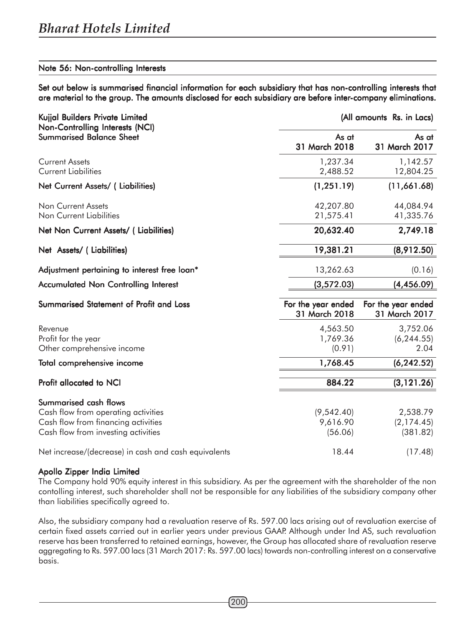## Note 56: Non-controlling Interests

Set out below is summarised financial information for each subsidiary that has non-controlling interests that are material to the group. The amounts disclosed for each subsidiary are before inter-company eliminations.

| Kujjal Builders Private Limited<br><b>Non-Controlling Interests (NCI)</b>                                                                         | (All amounts Rs. in Lacs)           |                                     |  |
|---------------------------------------------------------------------------------------------------------------------------------------------------|-------------------------------------|-------------------------------------|--|
| <b>Summarised Balance Sheet</b>                                                                                                                   | As at<br>31 March 2018              | As at<br>31 March 2017              |  |
| <b>Current Assets</b><br><b>Current Liabilities</b>                                                                                               | 1,237.34<br>2,488.52                | 1,142.57<br>12,804.25               |  |
| Net Current Assets/ (Liabilities)                                                                                                                 | (1, 251.19)                         | (11,661.68)                         |  |
| Non Current Assets<br>Non Current Liabilities                                                                                                     | 42,207.80<br>21,575.41              | 44,084.94<br>41,335.76              |  |
| Net Non Current Assets/ (Liabilities)                                                                                                             | 20,632.40                           | 2,749.18                            |  |
| Net Assets/ (Liabilities)                                                                                                                         | 19,381.21                           | (8,912.50)                          |  |
| Adjustment pertaining to interest free loan*                                                                                                      | 13,262.63                           | (0.16)                              |  |
| <b>Accumulated Non Controlling Interest</b>                                                                                                       | (3, 572.03)                         | (4,456.09)                          |  |
| <b>Summarised Statement of Profit and Loss</b>                                                                                                    | For the year ended<br>31 March 2018 | For the year ended<br>31 March 2017 |  |
| Revenue<br>Profit for the year<br>Other comprehensive income                                                                                      | 4,563.50<br>1,769.36<br>(0.91)      | 3,752.06<br>(6, 244.55)<br>2.04     |  |
| Total comprehensive income                                                                                                                        | 1,768.45                            | (6, 242.52)                         |  |
| Profit allocated to NCI                                                                                                                           | 884.22                              | (3, 121.26)                         |  |
| <b>Summarised cash flows</b><br>Cash flow from operating activities<br>Cash flow from financing activities<br>Cash flow from investing activities | (9, 542.40)<br>9,616.90<br>(56.06)  | 2,538.79<br>(2, 174.45)<br>(381.82) |  |
| Net increase/(decrease) in cash and cash equivalents                                                                                              | 18.44                               | (17.48)                             |  |

## Apollo Zipper India Limited

The Company hold 90% equity interest in this subsidiary. As per the agreement with the shareholder of the non contolling interest, such shareholder shall not be responsible for any liabilities of the subsidiary company other than liabilities specifically agreed to.

Also, the subsidiary company had a revaluation reserve of Rs. 597.00 lacs arising out of revaluation exercise of certain fixed assets carried out in earlier years under previous GAAP. Although under Ind AS, such revaluation reserve has been transferred to retained earnings, however, the Group has allocated share of revaluation reserve aggregating to Rs. 597.00 lacs (31 March 2017: Rs. 597.00 lacs) towards non-controlling interest on a conservative basis.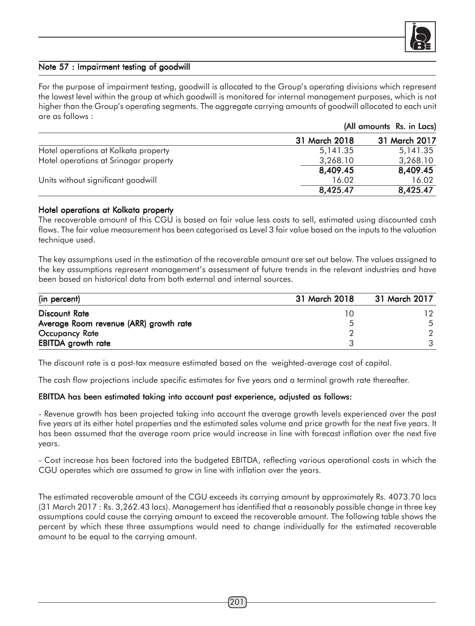

## Note 57 : Impairment testing of goodwill

For the purpose of impairment testing, goodwill is allocated to the Group's operating divisions which represent the lowest level within the group at which goodwill is monitored for internal management purposes, which is not higher than the Group's operating segments. The aggregate carrying amounts of goodwill allocated to each unit are as follows :

|                                       |               | (All amounts Rs. in Lacs) |
|---------------------------------------|---------------|---------------------------|
|                                       | 31 March 2018 | 31 March 2017             |
| Hotel operations at Kolkata property  | 5, 141. 35    | 5, 141. 35                |
| Hotel operations at Srinagar property | 3,268.10      | 3,268.10                  |
|                                       | 8,409.45      | 8,409.45                  |
| Units without significant goodwill    | 16.02         | 16.02                     |
|                                       | 8,425.47      | 8,425.47                  |

## Hotel operations at Kolkata property

The recoverable amount of this CGU is based on fair value less costs to sell, estimated using discounted cash flows. The fair value measurement has been categorised as Level 3 fair value based on the inputs to the valuation technique used.

The key assumptions used in the estimation of the recoverable amount are set out below. The values assigned to the key assumptions represent management's assessment of future trends in the relevant industries and have been based on historical data from both external and internal sources.

| (in percent)                           | 31 March 2018 | 31 March 2017 |
|----------------------------------------|---------------|---------------|
| <b>Discount Rate</b>                   |               |               |
| Average Room revenue (ARR) growth rate |               |               |
| <b>Occupancy Rate</b>                  |               |               |
| <b>EBITDA</b> growth rate              |               |               |

The discount rate is a post-tax measure estimated based on the weighted-average cost of capital.

The cash flow projections include specific estimates for five years and a terminal growth rate thereafter.

## EBITDA has been estimated taking into account past experience, adjusted as follows:

- Revenue growth has been projected taking into account the average growth levels experienced over the past five years at its either hotel properties and the estimated sales volume and price growth for the next five years. It has been assumed that the average room price would increase in line with forecast inflation over the next five years.

- Cost increase has been factored into the budgeted EBITDA, reflecting various operational costs in which the CGU operates which are assumed to grow in line with inflation over the years.

The estimated recoverable amount of the CGU exceeds its carrying amount by approximately Rs. 4073.70 lacs (31 March 2017 : Rs. 3,262.43 lacs). Management has identified that a reasonably possible change in three key assumptions could cause the carrying amount to exceed the recoverable amount. The following table shows the percent by which these three assumptions would need to change individually for the estimated recoverable amount to be equal to the carrying amount.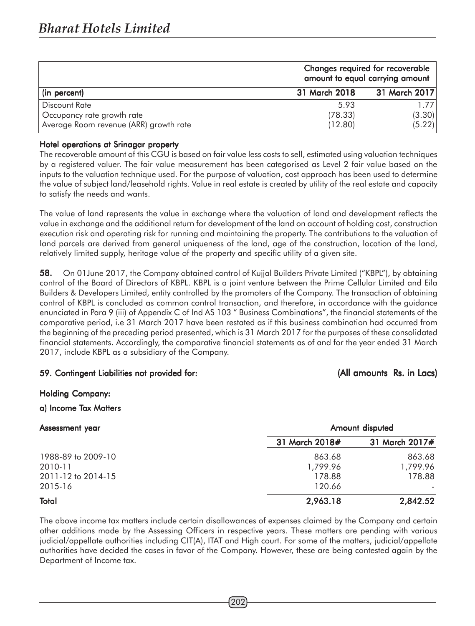|                                        |               | Changes required for recoverable<br>amount to equal carrying amount |
|----------------------------------------|---------------|---------------------------------------------------------------------|
| (in percent)                           | 31 March 2018 | 31 March 2017                                                       |
| Discount Rate                          | 5.93          | 1.77                                                                |
| Occupancy rate growth rate             | (78.33)       | (3.30)                                                              |
| Average Room revenue (ARR) growth rate | (12.80)       | (5.22)                                                              |

## Hotel operations at Srinagar property

The recoverable amount of this CGU is based on fair value less costs to sell, estimated using valuation techniques by a registered valuer. The fair value measurement has been categorised as Level 2 fair value based on the inputs to the valuation technique used. For the purpose of valuation, cost approach has been used to determine the value of subject land/leasehold rights. Value in real estate is created by utility of the real estate and capacity to satisfy the needs and wants.

The value of land represents the value in exchange where the valuation of land and development reflects the value in exchange and the additional return for development of the land on account of holding cost, construction execution risk and operating risk for running and maintaining the property. The contributions to the valuation of land parcels are derived from general uniqueness of the land, age of the construction, location of the land, relatively limited supply, heritage value of the property and specific utility of a given site.

58. On 01 June 2017, the Company obtained control of Kujial Builders Private Limited ("KBPL"), by obtaining control of the Board of Directors of KBPL. KBPL is a joint venture between the Prime Cellular Limited and Eila Builders & Developers Limited, entity controlled by the promoters of the Company. The transaction of obtaining control of KBPL is concluded as common control transaction, and therefore, in accordance with the guidance enunciated in Para 9 (iii) of Appendix C of Ind AS 103 " Business Combinations", the financial statements of the comparative period, i.e 31 March 2017 have been restated as if this business combination had occurred from the beginning of the preceding period presented, which is 31 March 2017 for the purposes of these consolidated financial statements. Accordingly, the comparative financial statements as of and for the year ended 31 March 2017, include KBPL as a subsidiary of the Company.

## 59. Contingent Liabilities not provided for: Liabilities provided (All amounts Rs. in Lacs)

## Holding Company:

## a) Income Tax Matters

| Assessment year    | Amount disputed |                |  |  |
|--------------------|-----------------|----------------|--|--|
|                    | 31 March 2018#  | 31 March 2017# |  |  |
| 1988-89 to 2009-10 | 863.68          | 863.68         |  |  |
| 2010-11            | 1,799.96        | 1,799.96       |  |  |
| 2011-12 to 2014-15 | 178.88          | 178.88         |  |  |
| 2015-16            | 120.66          |                |  |  |
| Total              | 2,963.18        | 2,842.52       |  |  |

The above income tax matters include certain disallowances of expenses claimed by the Company and certain other additions made by the Assessing Officers in respective years. These matters are pending with various judicial/appellate authorities including CIT(A), ITAT and High court. For some of the matters, judicial/appellate authorities have decided the cases in favor of the Company. However, these are being contested again by the Department of Income tax.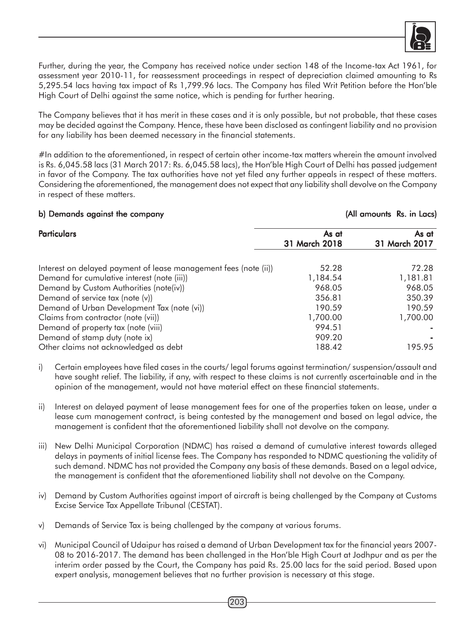

Further, during the year, the Company has received notice under section 148 of the Income-tax Act 1961, for assessment year 2010-11, for reassessment proceedings in respect of depreciation claimed amounting to Rs 5,295.54 lacs having tax impact of Rs 1,799.96 lacs. The Company has filed Writ Petition before the Hon'ble High Court of Delhi against the same notice, which is pending for further hearing.

The Company believes that it has merit in these cases and it is only possible, but not probable, that these cases may be decided against the Company. Hence, these have been disclosed as contingent liability and no provision for any liability has been deemed necessary in the financial statements.

#In addition to the aforementioned, in respect of certain other income-tax matters wherein the amount involved is Rs. 6,045.58 lacs (31 March 2017: Rs. 6,045.58 lacs), the Hon'ble High Court of Delhi has passed judgement in favor of the Company. The tax authorities have not yet filed any further appeals in respect of these matters. Considering the aforementioned, the management does not expect that any liability shall devolve on the Company in respect of these matters.

## b) Demands against the company (All amounts Rs. in Lacs)

| <b>Particulars</b>                                               | As at         | As at         |
|------------------------------------------------------------------|---------------|---------------|
|                                                                  | 31 March 2018 | 31 March 2017 |
|                                                                  |               |               |
| Interest on delayed payment of lease management fees (note (ii)) | 52.28         | 72.28         |
| Demand for cumulative interest (note (iii))                      | 1,184.54      | 1,181.81      |
| Demand by Custom Authorities (note(iv))                          | 968.05        | 968.05        |
| Demand of service tax (note (v))                                 | 356.81        | 350.39        |
| Demand of Urban Development Tax (note (vi))                      | 190.59        | 190.59        |
| Claims from contractor (note (vii))                              | 1,700.00      | 1,700.00      |
| Demand of property tax (note (viii)                              | 994.51        |               |
| Demand of stamp duty (note ix)                                   | 909.20        |               |
| Other claims not acknowledged as debt                            | 188.42        | 195.95        |

- i) Certain employees have filed cases in the courts/ legal forums against termination/ suspension/assault and have sought relief. The liability, if any, with respect to these claims is not currently ascertainable and in the opinion of the management, would not have material effect on these financial statements.
- ii) Interest on delayed payment of lease management fees for one of the properties taken on lease, under a lease cum management contract, is being contested by the management and based on legal advice, the management is confident that the aforementioned liability shall not devolve on the company.
- iii) New Delhi Municipal Corporation (NDMC) has raised a demand of cumulative interest towards alleged delays in payments of initial license fees. The Company has responded to NDMC questioning the validity of such demand. NDMC has not provided the Company any basis of these demands. Based on a legal advice, the management is confident that the aforementioned liability shall not devolve on the Company.
- iv) Demand by Custom Authorities against import of aircraft is being challenged by the Company at Customs Excise Service Tax Appellate Tribunal (CESTAT).
- v) Demands of Service Tax is being challenged by the company at various forums.
- vi) Municipal Council of Udaipur has raised a demand of Urban Development tax for the financial years 2007- 08 to 2016-2017. The demand has been challenged in the Hon'ble High Court at Jodhpur and as per the interim order passed by the Court, the Company has paid Rs. 25.00 lacs for the said period. Based upon expert analysis, management believes that no further provision is necessary at this stage.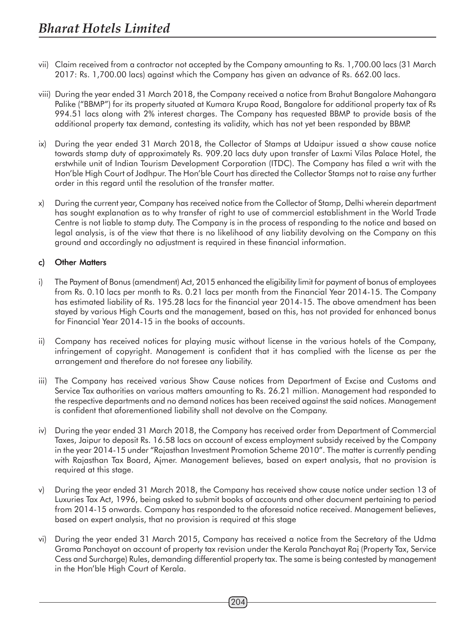- vii) Claim received from a contractor not accepted by the Company amounting to Rs. 1,700.00 lacs (31 March 2017: Rs. 1,700.00 lacs) against which the Company has given an advance of Rs. 662.00 lacs.
- viii) During the year ended 31 March 2018, the Company received a notice from Brahut Bangalore Mahangara Palike ("BBMP") for its property situated at Kumara Krupa Road, Bangalore for additional property tax of Rs 994.51 lacs along with 2% interest charges. The Company has requested BBMP to provide basis of the additional property tax demand, contesting its validity, which has not yet been responded by BBMP.
- ix) During the year ended 31 March 2018, the Collector of Stamps at Udaipur issued a show cause notice towards stamp duty of approximately Rs. 909.20 lacs duty upon transfer of Laxmi Vilas Palace Hotel, the erstwhile unit of Indian Tourism Development Corporation (ITDC). The Company has filed a writ with the Hon'ble High Court of Jodhpur. The Hon'ble Court has directed the Collector Stamps not to raise any further order in this regard until the resolution of the transfer matter.
- x) During the current year, Company has received notice from the Collector of Stamp, Delhi wherein department has sought explanation as to why transfer of right to use of commercial establishment in the World Trade Centre is not liable to stamp duty. The Company is in the process of responding to the notice and based on legal analysis, is of the view that there is no likelihood of any liability devolving on the Company on this ground and accordingly no adjustment is required in these financial information.

## c) Other Matters

- i) The Payment of Bonus (amendment) Act, 2015 enhanced the eligibility limit for payment of bonus of employees from Rs. 0.10 lacs per month to Rs. 0.21 lacs per month from the Financial Year 2014-15. The Company has estimated liability of Rs. 195.28 lacs for the financial year 2014-15. The above amendment has been stayed by various High Courts and the management, based on this, has not provided for enhanced bonus for Financial Year 2014-15 in the books of accounts.
- ii) Company has received notices for playing music without license in the various hotels of the Company, infringement of copyright. Management is confident that it has complied with the license as per the arrangement and therefore do not foresee any liability.
- iii) The Company has received various Show Cause notices from Department of Excise and Customs and Service Tax authorities on various matters amounting to Rs. 26.21 million. Management had responded to the respective departments and no demand notices has been received against the said notices. Management is confident that aforementioned liability shall not devolve on the Company.
- iv) During the year ended 31 March 2018, the Company has received order from Department of Commercial Taxes, Jaipur to deposit Rs. 16.58 lacs on account of excess employment subsidy received by the Company in the year 2014-15 under "Rajasthan Investment Promotion Scheme 2010". The matter is currently pending with Rajasthan Tax Board, Ajmer. Management believes, based on expert analysis, that no provision is required at this stage.
- v) During the year ended 31 March 2018, the Company has received show cause notice under section 13 of Luxuries Tax Act, 1996, being asked to submit books of accounts and other document pertaining to period from 2014-15 onwards. Company has responded to the aforesaid notice received. Management believes, based on expert analysis, that no provision is required at this stage
- vi) During the year ended 31 March 2015, Company has received a notice from the Secretary of the Udma Grama Panchayat on account of property tax revision under the Kerala Panchayat Raj (Property Tax, Service Cess and Surcharge) Rules, demanding differential property tax. The same is being contested by management in the Hon'ble High Court of Kerala.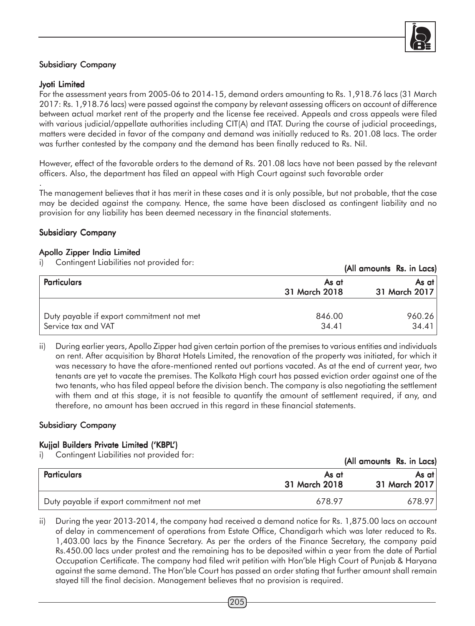

## Subsidiary Company

## Jyoti Limited

For the assessment years from 2005-06 to 2014-15, demand orders amounting to Rs. 1,918.76 lacs (31 March 2017: Rs. 1,918.76 lacs) were passed against the company by relevant assessing officers on account of difference between actual market rent of the property and the license fee received. Appeals and cross appeals were filed with various judicial/appellate authorities including CIT(A) and ITAT. During the course of judicial proceedings, matters were decided in favor of the company and demand was initially reduced to Rs. 201.08 lacs. The order was further contested by the company and the demand has been finally reduced to Rs. Nil.

However, effect of the favorable orders to the demand of Rs. 201.08 lacs have not been passed by the relevant officers. Also, the department has filed an appeal with High Court against such favorable order

. The management believes that it has merit in these cases and it is only possible, but not probable, that the case may be decided against the company. Hence, the same have been disclosed as contingent liability and no provision for any liability has been deemed necessary in the financial statements.

## Subsidiary Company

## Apollo Zipper India Limited

i) Contingent Liabilities not provided for:

|                                                                  |                        | (All amounts Rs. in Lacs)  |
|------------------------------------------------------------------|------------------------|----------------------------|
| <b>Particulars</b>                                               | As at<br>31 March 2018 | As at $ $<br>31 March 2017 |
| Duty payable if export commitment not met<br>Service tax and VAT | 846.00<br>34.41        | 960.26<br>34.41            |

ii) During earlier years, Apollo Zipper had given certain portion of the premises to various entities and individuals on rent. After acquisition by Bharat Hotels Limited, the renovation of the property was initiated, for which it was necessary to have the afore-mentioned rented out portions vacated. As at the end of current year, two tenants are yet to vacate the premises. The Kolkata High court has passed eviction order against one of the two tenants, who has filed appeal before the division bench. The company is also negotiating the settlement with them and at this stage, it is not feasible to quantify the amount of settlement required, if any, and therefore, no amount has been accrued in this regard in these financial statements.

## Subsidiary Company

## Kujjal Builders Private Limited ('KBPL')

i) Contingent Liabilities not provided for:

|                                           |                        | (All amounts Rs. in Lacs) |
|-------------------------------------------|------------------------|---------------------------|
| Particulars                               | As at<br>31 March 2018 | As at l<br>31 March 2017  |
| Duty payable if export commitment not met | 678.97                 | 678.97                    |

ii) During the year 2013-2014, the company had received a demand notice for Rs. 1,875.00 lacs on account of delay in commencement of operations from Estate Office, Chandigarh which was later reduced to Rs. 1,403.00 lacs by the Finance Secretary. As per the orders of the Finance Secretary, the company paid Rs.450.00 lacs under protest and the remaining has to be deposited within a year from the date of Partial Occupation Certificate. The company had filed writ petition with Hon'ble High Court of Punjab & Haryana against the same demand. The Hon'ble Court has passed an order stating that further amount shall remain stayed till the final decision. Management believes that no provision is required.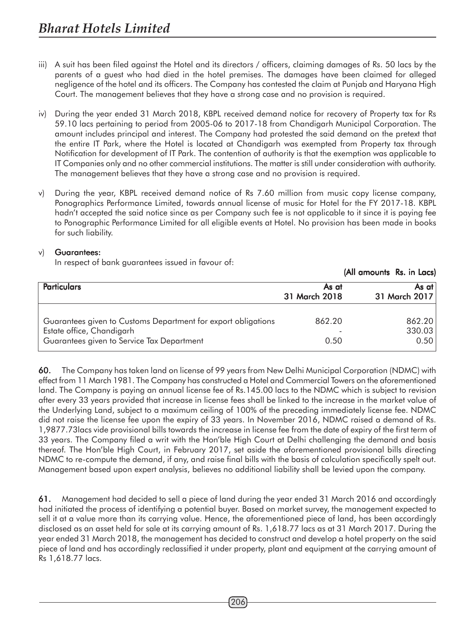- iii) A suit has been filed against the Hotel and its directors / officers, claiming damages of Rs. 50 lacs by the parents of a guest who had died in the hotel premises. The damages have been claimed for alleged negligence of the hotel and its officers. The Company has contested the claim at Punjab and Haryana High Court. The management believes that they have a strong case and no provision is required.
- iv) During the year ended 31 March 2018, KBPL received demand notice for recovery of Property tax for Rs 59.10 lacs pertaining to period from 2005-06 to 2017-18 from Chandigarh Municipal Corporation. The amount includes principal and interest. The Company had protested the said demand on the pretext that the entire IT Park, where the Hotel is located at Chandigarh was exempted from Property tax through Notification for development of IT Park. The contention of authority is that the exemption was applicable to IT Companies only and no other commercial institutions. The matter is still under consideration with authority. The management believes that they have a strong case and no provision is required.
- v) During the year, KBPL received demand notice of Rs 7.60 million from music copy license company, Ponographics Performance Limited, towards annual license of music for Hotel for the FY 2017-18. KBPL hadn't accepted the said notice since as per Company such fee is not applicable to it since it is paying fee to Ponographic Performance Limited for all eligible events at Hotel. No provision has been made in books for such liability.

## $v)$  Guarantees:

In respect of bank guarantees issued in favour of:

|                                                                                                                                          |                                            | (All amounts Rs. in Lacs) |
|------------------------------------------------------------------------------------------------------------------------------------------|--------------------------------------------|---------------------------|
| Particulars                                                                                                                              | As at<br>31 March 2018                     | As at I<br>31 March 2017  |
| Guarantees given to Customs Department for export obligations<br>Estate office, Chandigarh<br>Guarantees given to Service Tax Department | 862.20<br>$\overline{\phantom{0}}$<br>0.50 | 862.20<br>330.03<br>0.50  |

60. The Company has taken land on license of 99 years from New Delhi Municipal Corporation (NDMC) with effect from 11 March 1981. The Company has constructed a Hotel and Commercial Towers on the aforementioned land. The Company is paying an annual license fee of Rs.145.00 lacs to the NDMC which is subject to revision after every 33 years provided that increase in license fees shall be linked to the increase in the market value of the Underlying Land, subject to a maximum ceiling of 100% of the preceding immediately license fee. NDMC did not raise the license fee upon the expiry of 33 years. In November 2016, NDMC raised a demand of Rs. 1,9877.73lacs vide provisional bills towards the increase in license fee from the date of expiry of the first term of 33 years. The Company filed a writ with the Hon'ble High Court at Delhi challenging the demand and basis thereof. The Hon'ble High Court, in February 2017, set aside the aforementioned provisional bills directing NDMC to re-compute the demand, if any, and raise final bills with the basis of calculation specifically spelt out. Management based upon expert analysis, believes no additional liability shall be levied upon the company.

61. Management had decided to sell a piece of land during the year ended 31 March 2016 and accordingly had initiated the process of identifying a potential buyer. Based on market survey, the management expected to sell it at a value more than its carrying value. Hence, the aforementioned piece of land, has been accordingly disclosed as an asset held for sale at its carrying amount of Rs. 1,618.77 lacs as at 31 March 2017. During the year ended 31 March 2018, the management has decided to construct and develop a hotel property on the said piece of land and has accordingly reclassified it under property, plant and equipment at the carrying amount of Rs 1,618.77 lacs.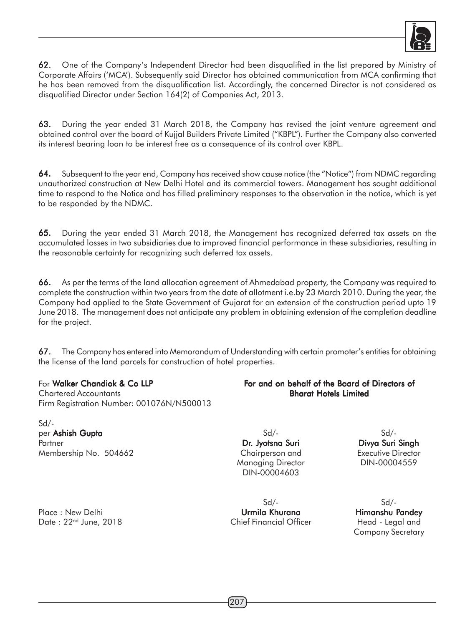

62. One of the Company's Independent Director had been disqualified in the list prepared by Ministry of Corporate Affairs ('MCA'). Subsequently said Director has obtained communication from MCA confirming that he has been removed from the disqualification list. Accordingly, the concerned Director is not considered as disqualified Director under Section 164(2) of Companies Act, 2013.

63. During the year ended 31 March 2018, the Company has revised the joint venture agreement and obtained control over the board of Kujjal Builders Private Limited ("KBPL"). Further the Company also converted its interest bearing loan to be interest free as a consequence of its control over KBPL.

64. Subsequent to the year end, Company has received show cause notice (the "Notice") from NDMC regarding 64. unauthorized construction at New Delhi Hotel and its commercial towers. Management has sought additional time to respond to the Notice and has filled preliminary responses to the observation in the notice, which is yet to be responded by the NDMC.

65. During the year ended 31 March 2018, the Management has recognized deferred tax assets on the accumulated losses in two subsidiaries due to improved financial performance in these subsidiaries, resulting in the reasonable certainty for recognizing such deferred tax assets.

66. As per the terms of the land allocation agreement of Ahmedabad property, the Company was required to complete the construction within two years from the date of allotment i.e.by 23 March 2010. During the year, the Company had applied to the State Government of Gujarat for an extension of the construction period upto 19 June 2018. The management does not anticipate any problem in obtaining extension of the completion deadline for the project.

67. The Company has entered into Memorandum of Understanding with certain promoter's entities for obtaining the license of the land parcels for construction of hotel properties.

Chartered Accountants Bharat Hotels Limited Firm Registration Number: 001076N/N500013

Sd/ per Ashish Gupta Sd/- Sd/- Ashish Gupta Partner **Dr. Jyotsna Suri . Jyotsna Suri . Jyotsna Suri Singh** . Divya Suri Singh Membership No. 504662 Chairperson and Executive Director

For Walker Chandiok & Co LLP For and on behalf of the Board of Directors of

Managing Director DIN-00004559 DIN-00004603

Place : New Delhi **New York Communist Communist Communist Urmila Khurana New York Himanshu Pandey** Date :  $22^{nd}$  June, 2018 **Chief Financial Officer** Head - Legal and

Sd/- Sd/- Company Secretary